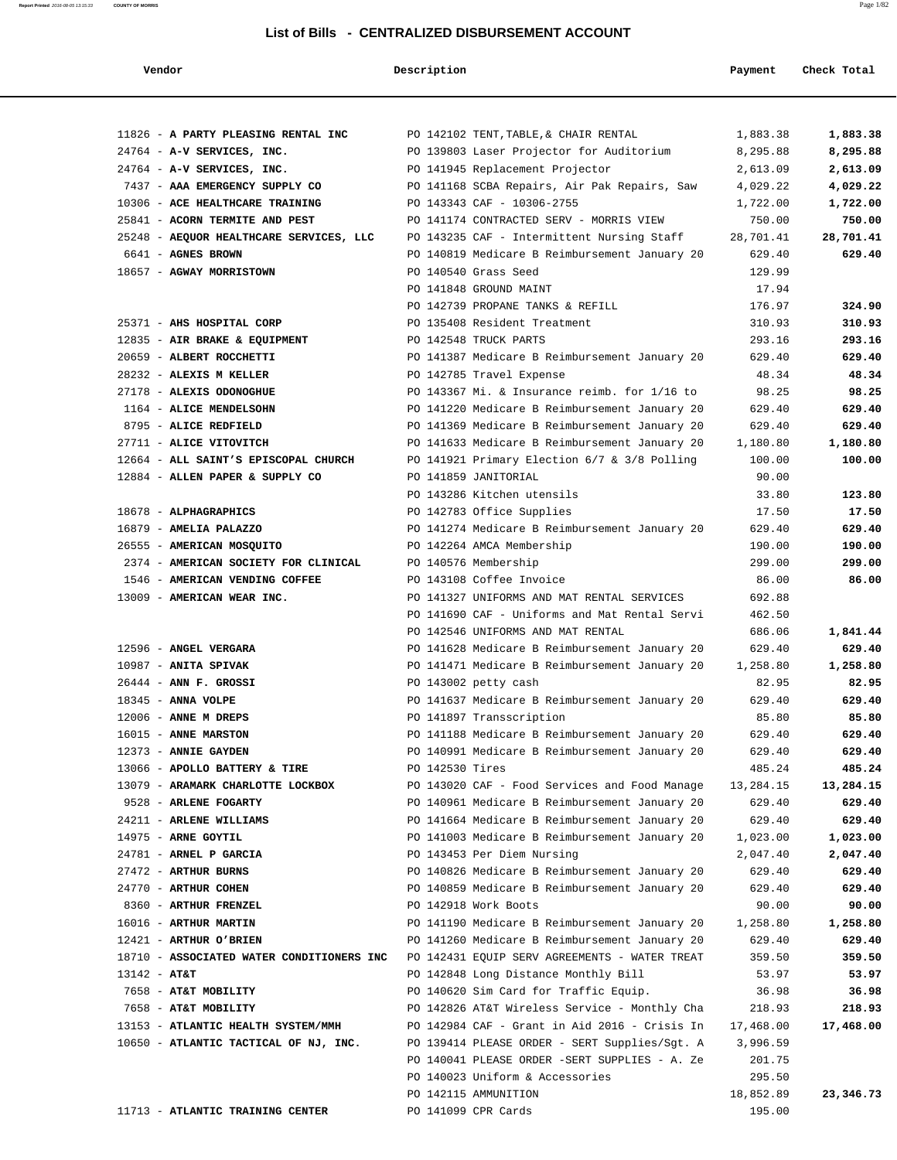| Vendor                                  | Description                                   | Payment   | Check Total |
|-----------------------------------------|-----------------------------------------------|-----------|-------------|
|                                         |                                               |           |             |
|                                         |                                               |           |             |
| 11826 - A PARTY PLEASING RENTAL INC     | PO 142102 TENT, TABLE, & CHAIR RENTAL         | 1,883.38  | 1,883.38    |
| 24764 - A-V SERVICES, INC.              | PO 139803 Laser Projector for Auditorium      | 8,295.88  | 8,295.88    |
| 24764 - A-V SERVICES, INC.              | PO 141945 Replacement Projector               | 2,613.09  | 2,613.09    |
| 7437 - AAA EMERGENCY SUPPLY CO          | PO 141168 SCBA Repairs, Air Pak Repairs, Saw  | 4,029.22  | 4,029.22    |
| 10306 - ACE HEALTHCARE TRAINING         | PO 143343 CAF - 10306-2755                    | 1,722.00  | 1,722.00    |
| 25841 - ACORN TERMITE AND PEST          | PO 141174 CONTRACTED SERV - MORRIS VIEW       | 750.00    | 750.00      |
| 25248 - AEQUOR HEALTHCARE SERVICES, LLC | PO 143235 CAF - Intermittent Nursing Staff    | 28,701.41 | 28,701.41   |
| $6641$ – AGNES BROWN                    | PO 140819 Medicare B Reimbursement January 20 | 629.40    | 629.40      |

| $764$ - A-V SERVICES, INC.            | PO 141945 Replacement Projector               | 2,613.09  | 2,613.09  |
|---------------------------------------|-----------------------------------------------|-----------|-----------|
| 437 - AAA EMERGENCY SUPPLY CO         | PO 141168 SCBA Repairs, Air Pak Repairs, Saw  | 4,029.22  | 4,029.22  |
| 306 - ACE HEALTHCARE TRAINING         | PO 143343 CAF - 10306-2755                    | 1,722.00  | 1,722.00  |
| 841 - ACORN TERMITE AND PEST          | PO 141174 CONTRACTED SERV - MORRIS VIEW       | 750.00    | 750.00    |
| 248 - AEOUOR HEALTHCARE SERVICES, LLC | PO 143235 CAF - Intermittent Nursing Staff    | 28,701.41 | 28,701.41 |
| 641 - <b>AGNES BROWN</b>              | PO 140819 Medicare B Reimbursement January 20 | 629.40    | 629.40    |
| 657 - AGWAY MORRISTOWN                | PO 140540 Grass Seed                          | 129.99    |           |
|                                       | PO 141848 GROUND MAINT                        | 17.94     |           |
|                                       | PO 142739 PROPANE TANKS & REFILL              | 176.97    | 324.90    |
| 371 - AHS HOSPITAL CORP               | PO 135408 Resident Treatment                  | 310.93    | 310.93    |
|                                       |                                               |           |           |

|  | 12835 - AIR BRAKE & EOUIPMENT        |
|--|--------------------------------------|
|  | 20659 - ALBERT ROCCHETTI             |
|  | $28232$ - ALEXIS M KELLER            |
|  | 27178 - ALEXIS ODONOGHUE             |
|  | 1164 - ALICE MENDELSOHN              |
|  | 8795 - ALICE REDFIELD                |
|  | 27711 - ALICE VITOVITCH              |
|  | 12664 - ALL SAINT'S EPISCOPAL CHURCH |
|  | 12884 - ALLEN PAPER & SUPPLY CO      |
|  |                                      |
|  |                                      |

|  | 16879 - AMELIA PALAZZO               |
|--|--------------------------------------|
|  | 26555 - AMERICAN MOSOUITO            |
|  | 2374 - AMERICAN SOCIETY FOR CLINICAL |
|  | 1546 - AMERICAN VENDING COFFEE       |
|  | 13009 - AMERICAN WEAR INC.           |

| TROPO - WAGET AFKGAKA                     | PO INTOZO MEGICALE D REIMDUISEMENT JANUALY ZV          | ∪ し ム フ ・ → ∪ | <b>045.70</b> |
|-------------------------------------------|--------------------------------------------------------|---------------|---------------|
| 10987 - ANITA SPIVAK                      | PO 141471 Medicare B Reimbursement January 20 1,258.80 |               | 1,258.80      |
| $26444$ - ANN F. GROSSI                   | PO 143002 petty cash                                   | 82.95         | 82.95         |
| $18345$ - ANNA VOLPE                      | PO 141637 Medicare B Reimbursement January 20          | 629.40        | 629.40        |
| $12006$ - ANNE M DREPS                    | PO 141897 Transscription                               | 85.80         | 85.80         |
| 16015 - ANNE MARSTON                      | PO 141188 Medicare B Reimbursement January 20          | 629.40        | 629.40        |
| 12373 - ANNIE GAYDEN                      | PO 140991 Medicare B Reimbursement January 20          | 629.40        | 629.40        |
| 13066 - APOLLO BATTERY & TIRE             | PO 142530 Tires                                        | 485.24        | 485.24        |
| 13079 - ARAMARK CHARLOTTE LOCKBOX         | PO 143020 CAF - Food Services and Food Manage          | 13,284.15     | 13,284.15     |
| 9528 - ARLENE FOGARTY                     | PO 140961 Medicare B Reimbursement January 20          | 629.40        | 629.40        |
| 24211 - ARLENE WILLIAMS                   | PO 141664 Medicare B Reimbursement January 20          | 629.40        | 629.40        |
| 14975 - ARNE GOYTIL                       | PO 141003 Medicare B Reimbursement January 20          | 1,023.00      | 1,023.00      |
| $24781$ - ARNEL P GARCIA                  | PO 143453 Per Diem Nursing                             | 2,047.40      | 2,047.40      |
| 27472 - ARTHUR BURNS                      | PO 140826 Medicare B Reimbursement January 20          | 629.40        | 629.40        |
| 24770 - ARTHUR COHEN                      | PO 140859 Medicare B Reimbursement January 20          | 629.40        | 629.40        |
| 8360 - ARTHUR FRENZEL                     | PO 142918 Work Boots                                   | 90.00         | 90.00         |
| 16016 - ARTHUR MARTIN                     | PO 141190 Medicare B Reimbursement January 20 1,258.80 |               | 1,258.80      |
| 12421 - ARTHUR O'BRIEN                    | PO 141260 Medicare B Reimbursement January 20          | 629.40        | 629.40        |
| 18710 - ASSOCIATED WATER CONDITIONERS INC | PO 142431 EQUIP SERV AGREEMENTS - WATER TREAT          | 359.50        | 359.50        |
| $13142 - AT&T$                            | PO 142848 Long Distance Monthly Bill                   | 53.97         | 53.97         |
| 7658 - AT&T MOBILITY                      | PO 140620 Sim Card for Traffic Equip. 36.98            |               | 36.98         |
| 7658 - AT&T MOBILITY                      | PO 142826 AT&T Wireless Service - Monthly Cha          | 218.93        | 218.93        |
| 13153 - ATLANTIC HEALTH SYSTEM/MMH        | PO 142984 CAF - Grant in Aid 2016 - Crisis In          | 17,468.00     | 17,468.00     |
| 10650 - ATLANTIC TACTICAL OF NJ, INC.     | PO 139414 PLEASE ORDER - SERT Supplies/Sgt. A          | 3,996.59      |               |
|                                           | PO 140041 PLEASE ORDER -SERT SUPPLIES - A. Ze          | 201.75        |               |
|                                           | PO 140023 Uniform & Accessories                        | 295 50        |               |

| 10306 - ACE HEALTHCARE TRAINING         | PO 143343 CAF - 10306-2755                    | 1,722.00  | 1,722.00  |
|-----------------------------------------|-----------------------------------------------|-----------|-----------|
| 25841 - ACORN TERMITE AND PEST          | PO 141174 CONTRACTED SERV - MORRIS VIEW       | 750.00    | 750.00    |
| 25248 - AEQUOR HEALTHCARE SERVICES, LLC | PO 143235 CAF - Intermittent Nursing Staff    | 28,701.41 | 28,701.41 |
| 6641 - AGNES BROWN                      | PO 140819 Medicare B Reimbursement January 20 | 629.40    | 629.40    |
| 18657 - AGWAY MORRISTOWN                | PO 140540 Grass Seed                          | 129.99    |           |
|                                         | PO 141848 GROUND MAINT                        | 17.94     |           |
|                                         | PO 142739 PROPANE TANKS & REFILL              | 176.97    | 324.90    |
| 25371 - AHS HOSPITAL CORP               | PO 135408 Resident Treatment                  | 310.93    | 310.93    |
| 12835 - AIR BRAKE & EQUIPMENT           | PO 142548 TRUCK PARTS                         | 293.16    | 293.16    |
| 20659 - ALBERT ROCCHETTI                | PO 141387 Medicare B Reimbursement January 20 | 629.40    | 629.40    |
| 28232 - ALEXIS M KELLER                 | PO 142785 Travel Expense                      | 48.34     | 48.34     |
| 27178 - ALEXIS ODONOGHUE                | PO 143367 Mi. & Insurance reimb. for 1/16 to  | 98.25     | 98.25     |
| 1164 - ALICE MENDELSOHN                 | PO 141220 Medicare B Reimbursement January 20 | 629.40    | 629.40    |
| 8795 - ALICE REDFIELD                   | PO 141369 Medicare B Reimbursement January 20 | 629.40    | 629.40    |
| 27711 - ALICE VITOVITCH                 | PO 141633 Medicare B Reimbursement January 20 | 1,180.80  | 1,180.80  |
| 12664 - ALL SAINT'S EPISCOPAL CHURCH    | PO 141921 Primary Election 6/7 & 3/8 Polling  | 100.00    | 100.00    |
| 12884 - ALLEN PAPER & SUPPLY CO         | PO 141859 JANITORIAL                          | 90.00     |           |
|                                         | PO 143286 Kitchen utensils                    | 33.80     | 123.80    |
| 18678 - ALPHAGRAPHICS                   | PO 142783 Office Supplies                     | 17.50     | 17.50     |
| $16879$ - AMELIA PALAZZO                | PO 141274 Medicare B Reimbursement January 20 | 629.40    | 629.40    |
| 26555 - AMERICAN MOSQUITO               | PO 142264 AMCA Membership                     | 190.00    | 190.00    |
| 2374 - AMERICAN SOCIETY FOR CLINICAL    | PO 140576 Membership                          | 299.00    | 299.00    |
| 1546 - AMERICAN VENDING COFFEE          | PO 143108 Coffee Invoice                      | 86.00     | 86.00     |
| 13009 - AMERICAN WEAR INC.              | PO 141327 UNIFORMS AND MAT RENTAL SERVICES    | 692.88    |           |
|                                         | PO 141690 CAF - Uniforms and Mat Rental Servi | 462.50    |           |
|                                         | PO 142546 UNIFORMS AND MAT RENTAL             | 686.06    | 1,841.44  |
| 12596 - ANGEL VERGARA                   | PO 141628 Medicare B Reimbursement January 20 | 629.40    | 629.40    |
| $10987$ - ANITA SPIVAK                  | PO 141471 Medicare B Reimbursement January 20 | 1,258.80  | 1,258.80  |
| $26444$ - ANN F. GROSSI                 | PO 143002 petty cash                          | 82.95     | 82.95     |
| $18345$ - ANNA VOLPE                    | PO 141637 Medicare B Reimbursement January 20 | 629.40    | 629.40    |
| $12006$ - ANNE M DREPS                  | PO 141897 Transscription                      | 85.80     | 85.80     |
| 16015 - ANNE MARSTON                    | PO 141188 Medicare B Reimbursement January 20 | 629.40    | 629.40    |
| 12373 - ANNIE GAYDEN                    | PO 140991 Medicare B Reimbursement January 20 | 629.40    | 629.40    |
| 13066 - APOLLO BATTERY & TIRE           | PO 142530 Tires                               | 485.24    | 485.24    |
| 13079 - ARAMARK CHARLOTTE LOCKBOX       | PO 143020 CAF - Food Services and Food Manage | 13,284.15 | 13,284.15 |
| 9528 - ARLENE FOGARTY                   | PO 140961 Medicare B Reimbursement January 20 | 629.40    | 629.40    |
| 24211 - ARLENE WILLIAMS                 | PO 141664 Medicare B Reimbursement January 20 | 629.40    | 629.40    |

PO 142115 AMMUNITION 18,852.89 **23,346.73**

PO 140041 PLEASE ORDER -SERT SUPPLIES - A. Ze 201.75 PO 140023 Uniform & Accessories 295.50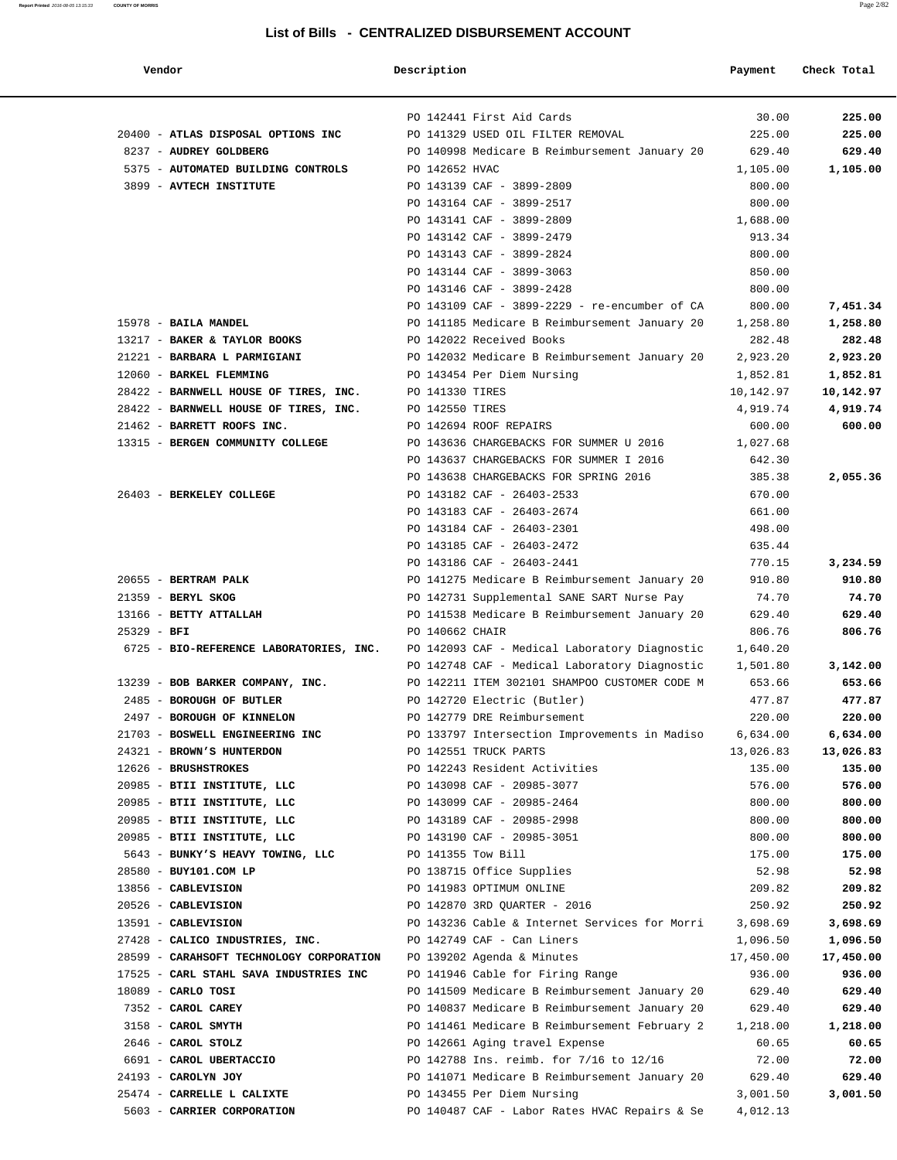| Vendor                                                        | Description            |                                                                              | Payment            | Check Total      |
|---------------------------------------------------------------|------------------------|------------------------------------------------------------------------------|--------------------|------------------|
|                                                               |                        | PO 142441 First Aid Cards                                                    | 30.00              | 225.00           |
| 20400 - ATLAS DISPOSAL OPTIONS INC                            |                        | PO 141329 USED OIL FILTER REMOVAL                                            | 225.00             | 225.00           |
| 8237 - AUDREY GOLDBERG                                        |                        | PO 140998 Medicare B Reimbursement January 20                                | 629.40             | 629.40           |
| 5375 - AUTOMATED BUILDING CONTROLS                            | PO 142652 HVAC         |                                                                              | 1,105.00           | 1,105.00         |
| 3899 - AVTECH INSTITUTE                                       |                        | PO 143139 CAF - 3899-2809                                                    | 800.00             |                  |
|                                                               |                        | PO 143164 CAF - 3899-2517                                                    | 800.00             |                  |
|                                                               |                        | PO 143141 CAF - 3899-2809                                                    | 1,688.00           |                  |
|                                                               |                        | PO 143142 CAF - 3899-2479                                                    | 913.34             |                  |
|                                                               |                        | PO 143143 CAF - 3899-2824                                                    | 800.00             |                  |
|                                                               |                        | PO 143144 CAF - 3899-3063                                                    | 850.00             |                  |
|                                                               |                        | PO 143146 CAF - 3899-2428                                                    | 800.00             |                  |
|                                                               |                        | PO 143109 CAF - 3899-2229 - re-encumber of CA                                | 800.00             | 7,451.34         |
| 15978 - BAILA MANDEL                                          |                        | PO 141185 Medicare B Reimbursement January 20                                | 1,258.80           | 1,258.80         |
| 13217 - BAKER & TAYLOR BOOKS                                  |                        | PO 142022 Received Books                                                     | 282.48             | 282.48           |
| 21221 - BARBARA L PARMIGIANI                                  |                        | PO 142032 Medicare B Reimbursement January 20                                | 2,923.20           | 2,923.20         |
| 12060 - BARKEL FLEMMING                                       |                        | PO 143454 Per Diem Nursing                                                   | 1,852.81           | 1,852.81         |
| 28422 - BARNWELL HOUSE OF TIRES, INC.                         | PO 141330 TIRES        |                                                                              | 10,142.97          | 10,142.97        |
| 28422 - BARNWELL HOUSE OF TIRES, INC.                         | PO 142550 TIRES        |                                                                              | 4,919.74           | 4,919.74         |
| 21462 - BARRETT ROOFS INC.                                    |                        | PO 142694 ROOF REPAIRS                                                       | 600.00             | 600.00           |
| 13315 - BERGEN COMMUNITY COLLEGE                              |                        | PO 143636 CHARGEBACKS FOR SUMMER U 2016                                      | 1,027.68           |                  |
|                                                               |                        | PO 143637 CHARGEBACKS FOR SUMMER I 2016                                      | 642.30             |                  |
|                                                               |                        | PO 143638 CHARGEBACKS FOR SPRING 2016                                        | 385.38             | 2,055.36         |
| 26403 - BERKELEY COLLEGE                                      |                        | PO 143182 CAF - 26403-2533                                                   | 670.00             |                  |
|                                                               |                        | PO 143183 CAF - 26403-2674                                                   | 661.00             |                  |
|                                                               |                        | PO 143184 CAF - 26403-2301                                                   | 498.00             |                  |
|                                                               |                        | PO 143185 CAF - 26403-2472                                                   | 635.44             |                  |
|                                                               |                        | PO 143186 CAF - 26403-2441                                                   | 770.15             | 3,234.59         |
| 20655 - BERTRAM PALK                                          |                        | PO 141275 Medicare B Reimbursement January 20                                | 910.80             | 910.80           |
| 21359 - BERYL SKOG                                            |                        | PO 142731 Supplemental SANE SART Nurse Pay                                   | 74.70              | 74.70            |
| 13166 - BETTY ATTALLAH                                        |                        | PO 141538 Medicare B Reimbursement January 20                                | 629.40             | 629.40           |
| $25329 - BFI$                                                 | <b>PO 140662 CHAIR</b> |                                                                              | 806.76             | 806.76           |
| 6725 - BIO-REFERENCE LABORATORIES, INC.                       |                        | PO 142093 CAF - Medical Laboratory Diagnostic                                | 1,640.20           |                  |
|                                                               |                        | PO 142748 CAF - Medical Laboratory Diagnostic                                | 1,501.80           | 3,142.00         |
| 13239 - BOB BARKER COMPANY, INC.<br>2485 - BOROUGH OF BUTLER  |                        | PO 142211 ITEM 302101 SHAMPOO CUSTOMER CODE M                                | 653.66<br>477.87   | 653.66<br>477.87 |
|                                                               |                        | PO 142720 Electric (Butler)                                                  |                    | 220.00           |
| 2497 - BOROUGH OF KINNELON<br>21703 - BOSWELL ENGINEERING INC |                        | PO 142779 DRE Reimbursement<br>PO 133797 Intersection Improvements in Madiso | 220.00<br>6,634.00 | 6,634.00         |
| 24321 - BROWN'S HUNTERDON                                     |                        | PO 142551 TRUCK PARTS                                                        | 13,026.83          | 13,026.83        |
| 12626 - BRUSHSTROKES                                          |                        | PO 142243 Resident Activities                                                | 135.00             | 135.00           |
| 20985 - BTII INSTITUTE, LLC                                   |                        | PO 143098 CAF - 20985-3077                                                   | 576.00             | 576.00           |
| 20985 - BTII INSTITUTE, LLC                                   |                        | PO 143099 CAF - 20985-2464                                                   | 800.00             | 800.00           |
| 20985 - BTII INSTITUTE, LLC                                   |                        | PO 143189 CAF - 20985-2998                                                   | 800.00             | 800.00           |
| 20985 - BTII INSTITUTE, LLC                                   |                        | PO 143190 CAF - 20985-3051                                                   | 800.00             | 800.00           |
| 5643 - BUNKY'S HEAVY TOWING, LLC                              | PO 141355 Tow Bill     |                                                                              | 175.00             | 175.00           |
| 28580 - BUY101.COM LP                                         |                        | PO 138715 Office Supplies                                                    | 52.98              | 52.98            |
| 13856 - CABLEVISION                                           |                        | PO 141983 OPTIMUM ONLINE                                                     | 209.82             | 209.82           |
| 20526 - CABLEVISION                                           |                        | PO 142870 3RD QUARTER - 2016                                                 | 250.92             | 250.92           |
| 13591 - CABLEVISION                                           |                        | PO 143236 Cable & Internet Services for Morri                                | 3,698.69           | 3,698.69         |
| 27428 - CALICO INDUSTRIES, INC.                               |                        | PO 142749 CAF - Can Liners                                                   | 1,096.50           | 1,096.50         |
| 28599 - CARAHSOFT TECHNOLOGY CORPORATION                      |                        | PO 139202 Agenda & Minutes                                                   | 17,450.00          | 17,450.00        |
| 17525 - CARL STAHL SAVA INDUSTRIES INC                        |                        | PO 141946 Cable for Firing Range                                             | 936.00             | 936.00           |
| $18089$ - CARLO TOSI                                          |                        | PO 141509 Medicare B Reimbursement January 20                                | 629.40             | 629.40           |
| 7352 - CAROL CAREY                                            |                        | PO 140837 Medicare B Reimbursement January 20                                | 629.40             | 629.40           |
| 3158 - CAROL SMYTH                                            |                        | PO 141461 Medicare B Reimbursement February 2                                | 1,218.00           | 1,218.00         |
| 2646 - CAROL STOLZ                                            |                        | PO 142661 Aging travel Expense                                               | 60.65              | 60.65            |
| 6691 - CAROL UBERTACCIO                                       |                        | PO 142788 Ins. reimb. for 7/16 to 12/16                                      | 72.00              | 72.00            |
| 24193 - CAROLYN JOY                                           |                        | PO 141071 Medicare B Reimbursement January 20                                | 629.40             | 629.40           |
| 25474 - CARRELLE L CALIXTE                                    |                        | PO 143455 Per Diem Nursing                                                   | 3,001.50           | 3,001.50         |
| 5603 - CARRIER CORPORATION                                    |                        | PO 140487 CAF - Labor Rates HVAC Repairs & Se                                | 4,012.13           |                  |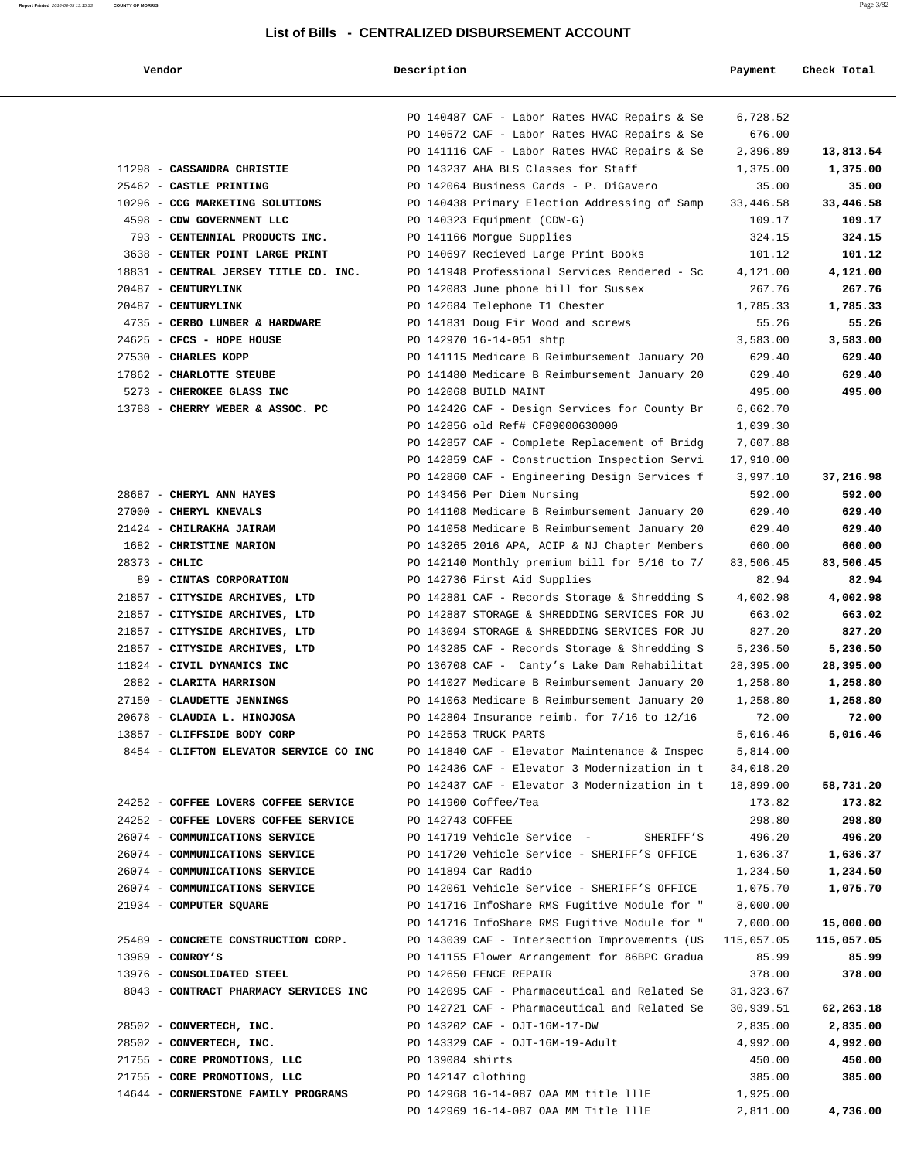**Report Printed** 2016-08-05 13:15:33 **COUNTY OF MORRIS** Page 3/82

| Vendor                                                                               | Description          |                                                                                                | Payment              | Check Total        |
|--------------------------------------------------------------------------------------|----------------------|------------------------------------------------------------------------------------------------|----------------------|--------------------|
|                                                                                      |                      |                                                                                                |                      |                    |
|                                                                                      |                      | PO 140487 CAF - Labor Rates HVAC Repairs & Se                                                  | 6,728.52             |                    |
|                                                                                      |                      | PO 140572 CAF - Labor Rates HVAC Repairs & Se                                                  | 676.00               |                    |
|                                                                                      |                      | PO 141116 CAF - Labor Rates HVAC Repairs & Se                                                  | 2,396.89             | 13,813.54          |
| 11298 - CASSANDRA CHRISTIE                                                           |                      | PO 143237 AHA BLS Classes for Staff                                                            | 1,375.00             | 1,375.00           |
| 25462 - CASTLE PRINTING                                                              |                      | PO 142064 Business Cards - P. DiGavero                                                         | 35.00                | 35.00              |
| 10296 - CCG MARKETING SOLUTIONS                                                      |                      | PO 140438 Primary Election Addressing of Samp                                                  | 33,446.58            | 33,446.58          |
| 4598 - CDW GOVERNMENT LLC                                                            |                      | PO 140323 Equipment (CDW-G)                                                                    | 109.17               | 109.17             |
| 793 - CENTENNIAL PRODUCTS INC.                                                       |                      | PO 141166 Morque Supplies                                                                      | 324.15               | 324.15             |
| 3638 - CENTER POINT LARGE PRINT                                                      |                      | PO 140697 Recieved Large Print Books                                                           | 101.12               | 101.12             |
| 18831 - CENTRAL JERSEY TITLE CO. INC.                                                |                      | PO 141948 Professional Services Rendered - Sc                                                  | 4,121.00             | 4,121.00           |
| 20487 - CENTURYLINK                                                                  |                      | PO 142083 June phone bill for Sussex                                                           | 267.76               | 267.76             |
| 20487 - CENTURYLINK                                                                  |                      | PO 142684 Telephone T1 Chester                                                                 | 1,785.33             | 1,785.33           |
| 4735 - CERBO LUMBER & HARDWARE<br>24625 - CFCS - HOPE HOUSE                          |                      | PO 141831 Doug Fir Wood and screws                                                             | 55.26                | 55.26              |
| 27530 - CHARLES KOPP                                                                 |                      | PO 142970 16-14-051 shtp<br>PO 141115 Medicare B Reimbursement January 20                      | 3,583.00<br>629.40   | 3,583.00<br>629.40 |
| 17862 - CHARLOTTE STEUBE                                                             |                      | PO 141480 Medicare B Reimbursement January 20                                                  | 629.40               | 629.40             |
| 5273 - CHEROKEE GLASS INC                                                            |                      | PO 142068 BUILD MAINT                                                                          | 495.00               | 495.00             |
| 13788 - CHERRY WEBER & ASSOC. PC                                                     |                      | PO 142426 CAF - Design Services for County Br                                                  | 6,662.70             |                    |
|                                                                                      |                      | PO 142856 old Ref# CF09000630000                                                               | 1,039.30             |                    |
|                                                                                      |                      | PO 142857 CAF - Complete Replacement of Bridg                                                  | 7,607.88             |                    |
|                                                                                      |                      | PO 142859 CAF - Construction Inspection Servi                                                  | 17,910.00            |                    |
|                                                                                      |                      | PO 142860 CAF - Engineering Design Services f                                                  | 3,997.10             | 37,216.98          |
| 28687 - CHERYL ANN HAYES                                                             |                      | PO 143456 Per Diem Nursing                                                                     | 592.00               | 592.00             |
| 27000 - CHERYL KNEVALS                                                               |                      | PO 141108 Medicare B Reimbursement January 20                                                  | 629.40               | 629.40             |
| 21424 - CHILRAKHA JAIRAM                                                             |                      | PO 141058 Medicare B Reimbursement January 20                                                  | 629.40               | 629.40             |
| 1682 - CHRISTINE MARION                                                              |                      | PO 143265 2016 APA, ACIP & NJ Chapter Members                                                  | 660.00               | 660.00             |
| $28373 - CHLIC$                                                                      |                      | PO 142140 Monthly premium bill for 5/16 to 7/                                                  | 83,506.45            | 83,506.45          |
| 89 - CINTAS CORPORATION                                                              |                      | PO 142736 First Aid Supplies                                                                   | 82.94                | 82.94              |
| 21857 - CITYSIDE ARCHIVES, LTD                                                       |                      | PO 142881 CAF - Records Storage & Shredding S                                                  | 4,002.98             | 4,002.98           |
| 21857 - CITYSIDE ARCHIVES, LTD                                                       |                      | PO 142887 STORAGE & SHREDDING SERVICES FOR JU                                                  | 663.02               | 663.02             |
| 21857 - CITYSIDE ARCHIVES, LTD                                                       |                      | PO 143094 STORAGE & SHREDDING SERVICES FOR JU                                                  | 827.20               | 827.20             |
| 21857 - CITYSIDE ARCHIVES, LTD                                                       |                      | PO 143285 CAF - Records Storage & Shredding S                                                  | 5,236.50             | 5,236.50           |
| 11824 - CIVIL DYNAMICS INC                                                           |                      | PO 136708 CAF - Canty's Lake Dam Rehabilitat                                                   | 28,395.00            | 28,395.00          |
| 2882 - CLARITA HARRISON<br>27150 - CLAUDETTE JENNINGS                                |                      | PO 141027 Medicare B Reimbursement January 20<br>PO 141063 Medicare B Reimbursement January 20 | 1,258.80<br>1,258.80 | 1,258.80           |
| 20678 - CLAUDIA L. HINOJOSA                                                          |                      | PO 142804 Insurance reimb. for 7/16 to 12/16                                                   | 72.00                | 1,258.80<br>72.00  |
| 13857 - CLIFFSIDE BODY CORP                                                          |                      | PO 142553 TRUCK PARTS                                                                          | 5,016.46             | 5,016.46           |
| 8454 - CLIFTON ELEVATOR SERVICE CO INC DO 141840 CAF - Elevator Maintenance & Inspec |                      |                                                                                                | 5,814.00             |                    |
|                                                                                      |                      | PO 142436 CAF - Elevator 3 Modernization in t                                                  | 34,018.20            |                    |
|                                                                                      |                      | PO 142437 CAF - Elevator 3 Modernization in t                                                  | 18,899.00            | 58,731.20          |
| 24252 - COFFEE LOVERS COFFEE SERVICE                                                 | PO 141900 Coffee/Tea |                                                                                                | 173.82               | 173.82             |
| 24252 - COFFEE LOVERS COFFEE SERVICE                                                 | PO 142743 COFFEE     |                                                                                                | 298.80               | 298.80             |
| 26074 - COMMUNICATIONS SERVICE                                                       |                      | PO 141719 Vehicle Service - SHERIFF'S                                                          | 496.20               | 496.20             |
| 26074 - COMMUNICATIONS SERVICE                                                       |                      | PO 141720 Vehicle Service - SHERIFF'S OFFICE                                                   | 1,636.37             | 1,636.37           |
| 26074 - COMMUNICATIONS SERVICE                                                       | PO 141894 Car Radio  |                                                                                                | 1,234.50             | 1,234.50           |
| 26074 - COMMUNICATIONS SERVICE                                                       |                      | PO 142061 Vehicle Service - SHERIFF'S OFFICE                                                   | 1,075.70             | 1,075.70           |
| 21934 - COMPUTER SQUARE                                                              |                      | PO 141716 InfoShare RMS Fugitive Module for "                                                  | 8,000.00             |                    |
|                                                                                      |                      | PO 141716 InfoShare RMS Fugitive Module for "                                                  | 7,000.00             | 15,000.00          |
| 25489 - CONCRETE CONSTRUCTION CORP.                                                  |                      | PO 143039 CAF - Intersection Improvements (US                                                  | 115,057.05           | 115,057.05         |
| $13969$ - CONROY'S                                                                   |                      | PO 141155 Flower Arrangement for 86BPC Gradua                                                  | 85.99                | 85.99              |
| 13976 - CONSOLIDATED STEEL                                                           |                      | PO 142650 FENCE REPAIR                                                                         | 378.00               | 378.00             |
| 8043 - CONTRACT PHARMACY SERVICES INC                                                |                      | PO 142095 CAF - Pharmaceutical and Related Se                                                  | 31,323.67            |                    |
|                                                                                      |                      | PO 142721 CAF - Pharmaceutical and Related Se                                                  | 30,939.51            | 62,263.18          |
| 28502 - CONVERTECH, INC.<br>28502 - CONVERTECH, INC.                                 |                      | PO 143202 CAF - OJT-16M-17-DW<br>PO 143329 CAF - OJT-16M-19-Adult                              | 2,835.00             | 2,835.00           |
| 21755 - CORE PROMOTIONS, LLC                                                         | PO 139084 shirts     |                                                                                                | 4,992.00<br>450.00   | 4,992.00<br>450.00 |
| 21755 - CORE PROMOTIONS, LLC                                                         | PO 142147 clothing   |                                                                                                | 385.00               | 385.00             |
| 14644 - CORNERSTONE FAMILY PROGRAMS                                                  |                      | PO 142968 16-14-087 OAA MM title lllE                                                          | 1,925.00             |                    |
|                                                                                      |                      | PO 142969 16-14-087 OAA MM Title lllE                                                          | 2,811.00             | 4,736.00           |
|                                                                                      |                      |                                                                                                |                      |                    |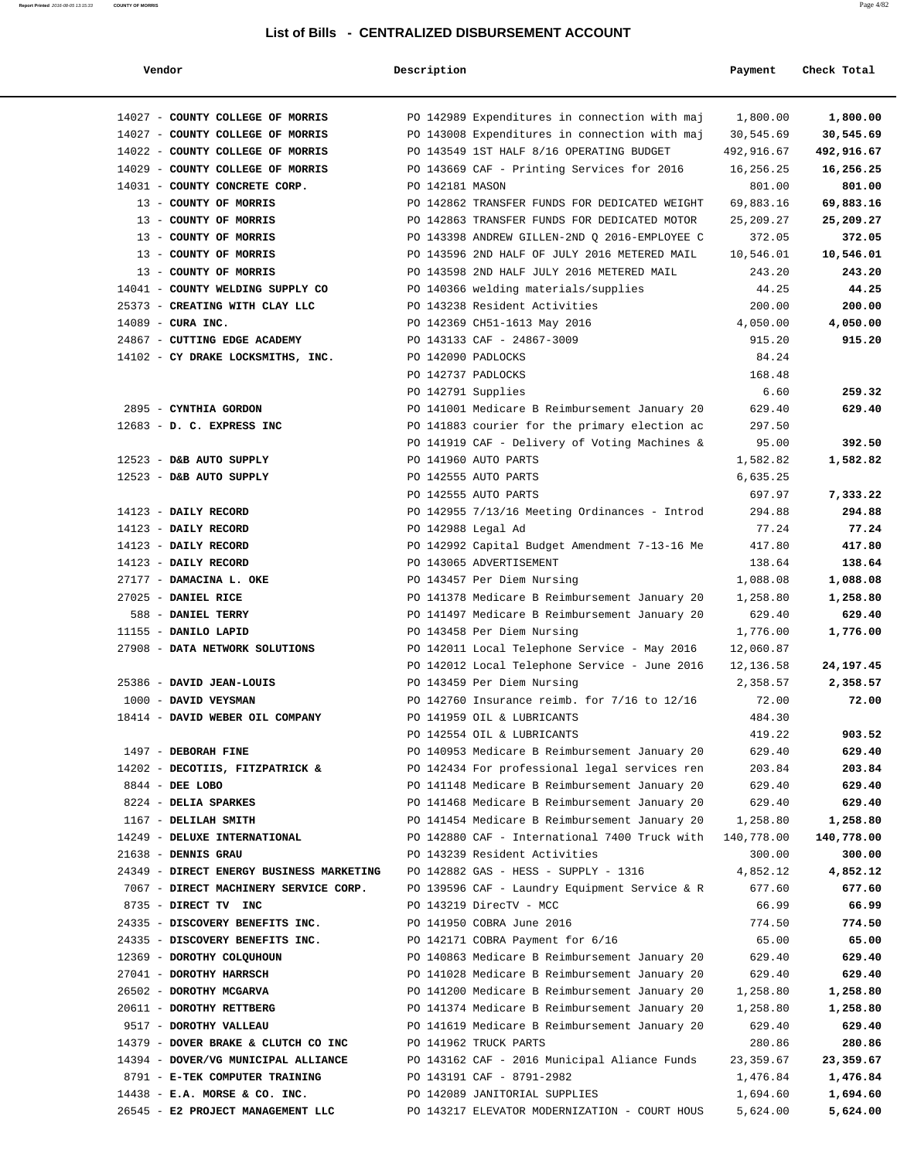| Report Printed 2016-08-05 13:15:33 | <b>COUNTY OF MORRIS</b> | Page 4/82 |
|------------------------------------|-------------------------|-----------|
|                                    |                         |           |

| Vendor                                                       | Description        |                                                                                                | Payment            | Check Total        |
|--------------------------------------------------------------|--------------------|------------------------------------------------------------------------------------------------|--------------------|--------------------|
| 14027 - COUNTY COLLEGE OF MORRIS                             |                    | PO 142989 Expenditures in connection with maj                                                  | 1,800.00           | 1,800.00           |
| 14027 - COUNTY COLLEGE OF MORRIS                             |                    | PO 143008 Expenditures in connection with maj                                                  | 30,545.69          | 30,545.69          |
| 14022 - COUNTY COLLEGE OF MORRIS                             |                    | PO 143549 1ST HALF 8/16 OPERATING BUDGET                                                       | 492,916.67         | 492,916.67         |
| 14029 - COUNTY COLLEGE OF MORRIS                             |                    | PO 143669 CAF - Printing Services for 2016                                                     | 16,256.25          | 16,256.25          |
| 14031 - COUNTY CONCRETE CORP.                                | PO 142181 MASON    |                                                                                                | 801.00             | 801.00             |
| 13 - COUNTY OF MORRIS                                        |                    | PO 142862 TRANSFER FUNDS FOR DEDICATED WEIGHT                                                  | 69,883.16          | 69,883.16          |
| 13 - COUNTY OF MORRIS                                        |                    | PO 142863 TRANSFER FUNDS FOR DEDICATED MOTOR                                                   | 25, 209. 27        | 25,209.27          |
| 13 - COUNTY OF MORRIS                                        |                    | PO 143398 ANDREW GILLEN-2ND Q 2016-EMPLOYEE C                                                  | 372.05             | 372.05             |
| 13 - COUNTY OF MORRIS                                        |                    | PO 143596 2ND HALF OF JULY 2016 METERED MAIL                                                   | 10,546.01          | 10,546.01          |
| 13 - COUNTY OF MORRIS                                        |                    | PO 143598 2ND HALF JULY 2016 METERED MAIL                                                      | 243.20             | 243.20             |
| 14041 - COUNTY WELDING SUPPLY CO                             |                    | PO 140366 welding materials/supplies                                                           | 44.25              | 44.25              |
| 25373 - CREATING WITH CLAY LLC                               |                    | PO 143238 Resident Activities                                                                  | 200.00             | 200.00             |
| $14089$ - CURA INC.                                          |                    | PO 142369 CH51-1613 May 2016                                                                   | 4,050.00           | 4,050.00           |
| 24867 - CUTTING EDGE ACADEMY                                 |                    | PO 143133 CAF - 24867-3009                                                                     | 915.20             | 915.20             |
| 14102 - CY DRAKE LOCKSMITHS, INC.                            | PO 142090 PADLOCKS |                                                                                                | 84.24              |                    |
|                                                              | PO 142737 PADLOCKS |                                                                                                | 168.48             |                    |
|                                                              | PO 142791 Supplies |                                                                                                | 6.60               | 259.32             |
| 2895 - CYNTHIA GORDON                                        |                    | PO 141001 Medicare B Reimbursement January 20                                                  | 629.40             | 629.40             |
| 12683 - D. C. EXPRESS INC                                    |                    | PO 141883 courier for the primary election ac                                                  | 297.50             |                    |
|                                                              |                    | PO 141919 CAF - Delivery of Voting Machines &                                                  | 95.00              | 392.50             |
| 12523 - D&B AUTO SUPPLY                                      |                    | PO 141960 AUTO PARTS                                                                           | 1,582.82           | 1,582.82           |
| 12523 - D&B AUTO SUPPLY                                      |                    | PO 142555 AUTO PARTS                                                                           | 6,635.25           |                    |
|                                                              |                    | PO 142555 AUTO PARTS                                                                           | 697.97             | 7,333.22           |
| 14123 - DAILY RECORD                                         |                    | PO 142955 7/13/16 Meeting Ordinances - Introd                                                  | 294.88             | 294.88             |
| 14123 - DAILY RECORD                                         | PO 142988 Legal Ad |                                                                                                | 77.24              | 77.24              |
| 14123 - DAILY RECORD                                         |                    | PO 142992 Capital Budget Amendment 7-13-16 Me                                                  | 417.80             | 417.80             |
| 14123 - DAILY RECORD                                         |                    | PO 143065 ADVERTISEMENT                                                                        | 138.64             | 138.64             |
| 27177 - DAMACINA L. OKE                                      |                    | PO 143457 Per Diem Nursing                                                                     | 1,088.08           | 1,088.08           |
| 27025 - DANIEL RICE                                          |                    | PO 141378 Medicare B Reimbursement January 20                                                  | 1,258.80           | 1,258.80           |
| 588 - DANIEL TERRY                                           |                    | PO 141497 Medicare B Reimbursement January 20                                                  | 629.40             | 629.40             |
| 11155 - DANILO LAPID                                         |                    | PO 143458 Per Diem Nursing                                                                     | 1,776.00           | 1,776.00           |
| 27908 - DATA NETWORK SOLUTIONS                               |                    | PO 142011 Local Telephone Service - May 2016                                                   | 12,060.87          |                    |
|                                                              |                    | PO 142012 Local Telephone Service - June 2016                                                  | 12,136.58          | 24,197.45          |
| 25386 - DAVID JEAN-LOUIS                                     |                    | PO 143459 Per Diem Nursing                                                                     | 2,358.57           | 2,358.57           |
| 1000 - DAVID VEYSMAN                                         |                    | PO 142760 Insurance reimb. for 7/16 to 12/16                                                   | 72.00              | 72.00              |
| 18414 - DAVID WEBER OIL COMPANY                              |                    | PO 141959 OIL & LUBRICANTS                                                                     | 484.30             |                    |
|                                                              |                    | PO 142554 OIL & LUBRICANTS                                                                     | 419.22             | 903.52             |
| 1497 - DEBORAH FINE                                          |                    | PO 140953 Medicare B Reimbursement January 20                                                  | 629.40             | 629.40             |
| 14202 - DECOTIIS, FITZPATRICK &                              |                    | PO 142434 For professional legal services ren                                                  | 203.84             | 203.84             |
| 8844 - DEE LOBO                                              |                    | PO 141148 Medicare B Reimbursement January 20                                                  | 629.40             | 629.40             |
| 8224 - DELIA SPARKES                                         |                    | PO 141468 Medicare B Reimbursement January 20                                                  | 629.40             | 629.40             |
| 1167 - DELILAH SMITH                                         |                    | PO 141454 Medicare B Reimbursement January 20                                                  | 1,258.80           | 1,258.80           |
| 14249 - DELUXE INTERNATIONAL                                 |                    | PO 142880 CAF - International 7400 Truck with                                                  | 140,778.00         | 140,778.00         |
| 21638 - DENNIS GRAU                                          |                    | PO 143239 Resident Activities                                                                  | 300.00             | 300.00             |
| 24349 - DIRECT ENERGY BUSINESS MARKETING                     |                    | PO 142882 GAS - HESS - SUPPLY - 1316                                                           | 4,852.12           | 4,852.12           |
| 7067 - DIRECT MACHINERY SERVICE CORP.                        |                    | PO 139596 CAF - Laundry Equipment Service & R                                                  | 677.60             | 677.60             |
| 8735 - DIRECT TV INC                                         |                    | PO 143219 DirecTV - MCC                                                                        | 66.99              | 66.99              |
| 24335 - DISCOVERY BENEFITS INC.                              |                    | PO 141950 COBRA June 2016                                                                      | 774.50             | 774.50             |
| 24335 - DISCOVERY BENEFITS INC.<br>12369 - DOROTHY COLQUHOUN |                    | PO 142171 COBRA Payment for 6/16                                                               | 65.00              | 65.00              |
| 27041 - DOROTHY HARRSCH                                      |                    | PO 140863 Medicare B Reimbursement January 20<br>PO 141028 Medicare B Reimbursement January 20 | 629.40             | 629.40             |
| 26502 - DOROTHY MCGARVA                                      |                    | PO 141200 Medicare B Reimbursement January 20                                                  | 629.40<br>1,258.80 | 629.40<br>1,258.80 |
| 20611 - DOROTHY RETTBERG                                     |                    | PO 141374 Medicare B Reimbursement January 20                                                  | 1,258.80           | 1,258.80           |
| 9517 - DOROTHY VALLEAU                                       |                    | PO 141619 Medicare B Reimbursement January 20                                                  | 629.40             | 629.40             |
| 14379 - DOVER BRAKE & CLUTCH CO INC                          |                    | PO 141962 TRUCK PARTS                                                                          | 280.86             | 280.86             |
| 14394 - DOVER/VG MUNICIPAL ALLIANCE                          |                    | PO 143162 CAF - 2016 Municipal Aliance Funds                                                   | 23,359.67          | 23,359.67          |
| 8791 - E-TEK COMPUTER TRAINING                               |                    | PO 143191 CAF - 8791-2982                                                                      | 1,476.84           | 1,476.84           |
| $14438$ - E.A. MORSE & CO. INC.                              |                    | PO 142089 JANITORIAL SUPPLIES                                                                  | 1,694.60           | 1,694.60           |
| 26545 - E2 PROJECT MANAGEMENT LLC                            |                    | PO 143217 ELEVATOR MODERNIZATION - COURT HOUS                                                  | 5,624.00           | 5,624.00           |
|                                                              |                    |                                                                                                |                    |                    |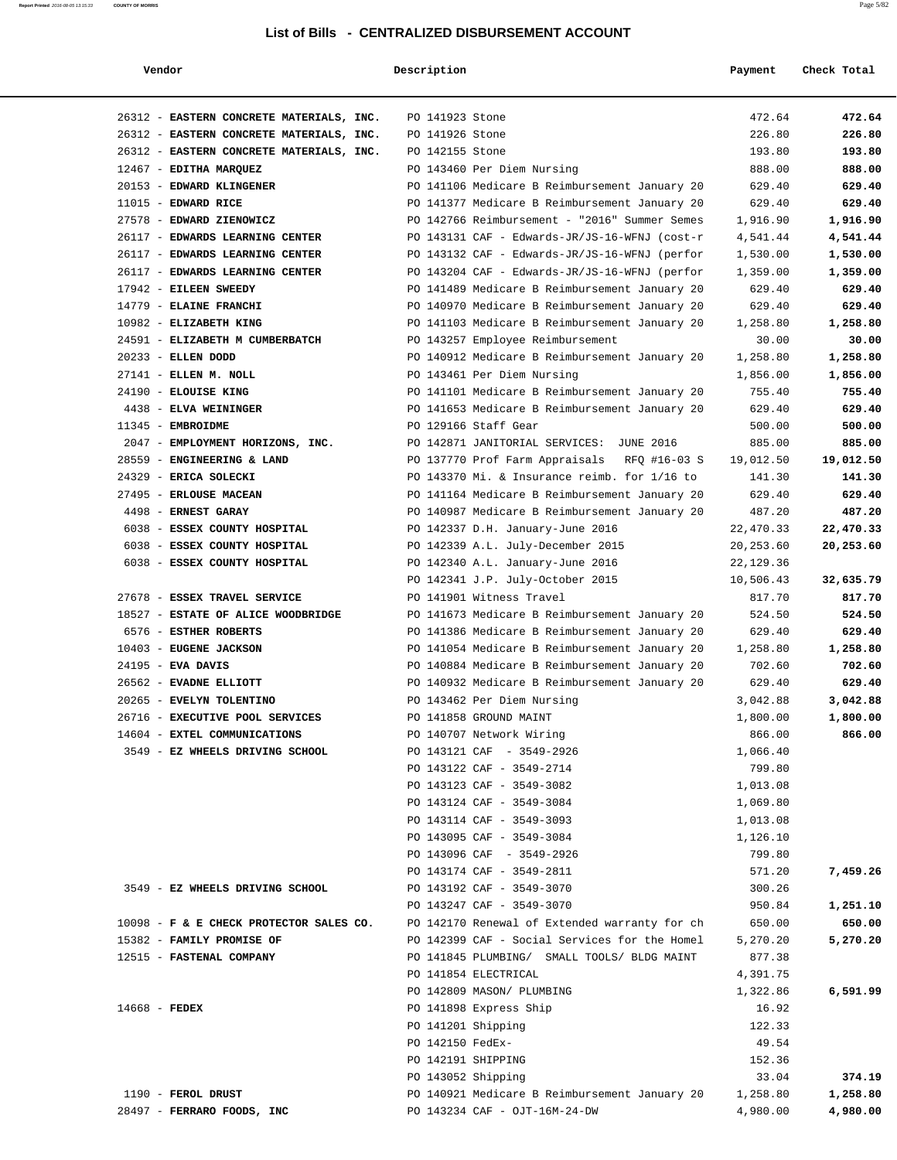| Vendor                                   | Description        |                                                | Payment   | Check Total          |
|------------------------------------------|--------------------|------------------------------------------------|-----------|----------------------|
|                                          |                    |                                                |           |                      |
| 26312 - EASTERN CONCRETE MATERIALS, INC. | PO 141923 Stone    |                                                | 472.64    | 472.64               |
| 26312 - EASTERN CONCRETE MATERIALS, INC. | PO 141926 Stone    |                                                | 226.80    | 226.80               |
| 26312 - EASTERN CONCRETE MATERIALS, INC. | PO 142155 Stone    |                                                | 193.80    | 193.80               |
| 12467 - EDITHA MARQUEZ                   |                    | PO 143460 Per Diem Nursing                     | 888.00    | 888.00               |
| 20153 - EDWARD KLINGENER                 |                    | PO 141106 Medicare B Reimbursement January 20  | 629.40    | 629.40               |
| $11015$ - EDWARD RICE                    |                    | PO 141377 Medicare B Reimbursement January 20  | 629.40    | 629.40               |
| 27578 - EDWARD ZIENOWICZ                 |                    | PO 142766 Reimbursement - "2016" Summer Semes  | 1,916.90  | 1,916.90             |
| 26117 - EDWARDS LEARNING CENTER          |                    | PO 143131 CAF - Edwards-JR/JS-16-WFNJ (cost-r  |           |                      |
| 26117 - EDWARDS LEARNING CENTER          |                    |                                                | 4,541.44  | 4,541.44<br>1,530.00 |
|                                          |                    | PO 143132 CAF - Edwards-JR/JS-16-WFNJ (perfor  | 1,530.00  |                      |
| 26117 - EDWARDS LEARNING CENTER          |                    | PO 143204 CAF - Edwards-JR/JS-16-WFNJ (perfor  | 1,359.00  | 1,359.00             |
| 17942 - EILEEN SWEEDY                    |                    | PO 141489 Medicare B Reimbursement January 20  | 629.40    | 629.40               |
| 14779 - ELAINE FRANCHI                   |                    | PO 140970 Medicare B Reimbursement January 20  | 629.40    | 629.40               |
| 10982 - ELIZABETH KING                   |                    | PO 141103 Medicare B Reimbursement January 20  | 1,258.80  | 1,258.80             |
| 24591 - ELIZABETH M CUMBERBATCH          |                    | PO 143257 Employee Reimbursement               | 30.00     | 30.00                |
| 20233 - ELLEN DODD                       |                    | PO 140912 Medicare B Reimbursement January 20  | 1,258.80  | 1,258.80             |
| 27141 - ELLEN M. NOLL                    |                    | PO 143461 Per Diem Nursing                     | 1,856.00  | 1,856.00             |
| 24190 - ELOUISE KING                     |                    | PO 141101 Medicare B Reimbursement January 20  | 755.40    | 755.40               |
| 4438 - ELVA WEININGER                    |                    | PO 141653 Medicare B Reimbursement January 20  | 629.40    | 629.40               |
| 11345 - EMBROIDME                        |                    | PO 129166 Staff Gear                           | 500.00    | 500.00               |
| 2047 - EMPLOYMENT HORIZONS, INC.         |                    | PO 142871 JANITORIAL SERVICES: JUNE 2016       | 885.00    | 885.00               |
| 28559 - ENGINEERING & LAND               |                    | PO 137770 Prof Farm Appraisals<br>RFQ #16-03 S | 19,012.50 | 19,012.50            |
| 24329 - ERICA SOLECKI                    |                    | PO 143370 Mi. & Insurance reimb. for 1/16 to   | 141.30    | 141.30               |
| 27495 - ERLOUSE MACEAN                   |                    | PO 141164 Medicare B Reimbursement January 20  | 629.40    | 629.40               |
| 4498 - ERNEST GARAY                      |                    | PO 140987 Medicare B Reimbursement January 20  | 487.20    | 487.20               |
| 6038 - ESSEX COUNTY HOSPITAL             |                    | PO 142337 D.H. January-June 2016               | 22,470.33 | 22,470.33            |
| 6038 - ESSEX COUNTY HOSPITAL             |                    | PO 142339 A.L. July-December 2015              | 20,253.60 | 20,253.60            |
| 6038 - ESSEX COUNTY HOSPITAL             |                    | PO 142340 A.L. January-June 2016               | 22,129.36 |                      |
|                                          |                    | PO 142341 J.P. July-October 2015               | 10,506.43 | 32,635.79            |
| 27678 - ESSEX TRAVEL SERVICE             |                    | PO 141901 Witness Travel                       | 817.70    | 817.70               |
| 18527 - ESTATE OF ALICE WOODBRIDGE       |                    | PO 141673 Medicare B Reimbursement January 20  | 524.50    | 524.50               |
| 6576 - ESTHER ROBERTS                    |                    | PO 141386 Medicare B Reimbursement January 20  | 629.40    | 629.40               |
| 10403 - EUGENE JACKSON                   |                    | PO 141054 Medicare B Reimbursement January 20  | 1,258.80  | 1,258.80             |
| 24195 - EVA DAVIS                        |                    | PO 140884 Medicare B Reimbursement January 20  | 702.60    | 702.60               |
| 26562 - EVADNE ELLIOTT                   |                    | PO 140932 Medicare B Reimbursement January 20  | 629.40    | 629.40               |
| 20265 - EVELYN TOLENTINO                 |                    | PO 143462 Per Diem Nursing                     | 3,042.88  | 3,042.88             |
| 26716 - EXECUTIVE POOL SERVICES          |                    | PO 141858 GROUND MAINT                         | 1,800.00  | 1,800.00             |
| 14604 - EXTEL COMMUNICATIONS             |                    | PO 140707 Network Wiring                       | 866.00    | 866.00               |
| 3549 - EZ WHEELS DRIVING SCHOOL          |                    | PO 143121 CAF - 3549-2926                      | 1,066.40  |                      |
|                                          |                    | PO 143122 CAF - 3549-2714                      | 799.80    |                      |
|                                          |                    |                                                |           |                      |
|                                          |                    | PO 143123 CAF - 3549-3082                      | 1,013.08  |                      |
|                                          |                    | PO 143124 CAF - 3549-3084                      | 1,069.80  |                      |
|                                          |                    | PO 143114 CAF - 3549-3093                      | 1,013.08  |                      |
|                                          |                    | PO 143095 CAF - 3549-3084                      | 1,126.10  |                      |
|                                          |                    | PO 143096 CAF - 3549-2926                      | 799.80    |                      |
|                                          |                    | PO 143174 CAF - 3549-2811                      | 571.20    | 7,459.26             |
| 3549 - EZ WHEELS DRIVING SCHOOL          |                    | PO 143192 CAF - 3549-3070                      | 300.26    |                      |
|                                          |                    | PO 143247 CAF - 3549-3070                      | 950.84    | 1,251.10             |
| 10098 - F & E CHECK PROTECTOR SALES CO.  |                    | PO 142170 Renewal of Extended warranty for ch  | 650.00    | 650.00               |
| 15382 - FAMILY PROMISE OF                |                    | PO 142399 CAF - Social Services for the Homel  | 5,270.20  | 5,270.20             |
| 12515 - FASTENAL COMPANY                 |                    | PO 141845 PLUMBING/ SMALL TOOLS/ BLDG MAINT    | 877.38    |                      |
|                                          |                    | PO 141854 ELECTRICAL                           | 4,391.75  |                      |
|                                          |                    | PO 142809 MASON/ PLUMBING                      | 1,322.86  | 6,591.99             |
| $14668$ - FEDEX                          |                    | PO 141898 Express Ship                         | 16.92     |                      |
|                                          | PO 141201 Shipping |                                                | 122.33    |                      |
|                                          | PO 142150 FedEx-   |                                                | 49.54     |                      |
|                                          |                    | PO 142191 SHIPPING                             | 152.36    |                      |
|                                          |                    | PO 143052 Shipping                             | 33.04     | 374.19               |
| 1190 - FEROL DRUST                       |                    | PO 140921 Medicare B Reimbursement January 20  | 1,258.80  | 1,258.80             |
| 28497 - FERRARO FOODS, INC               |                    | PO 143234 CAF - OJT-16M-24-DW                  | 4,980.00  | 4,980.00             |
|                                          |                    |                                                |           |                      |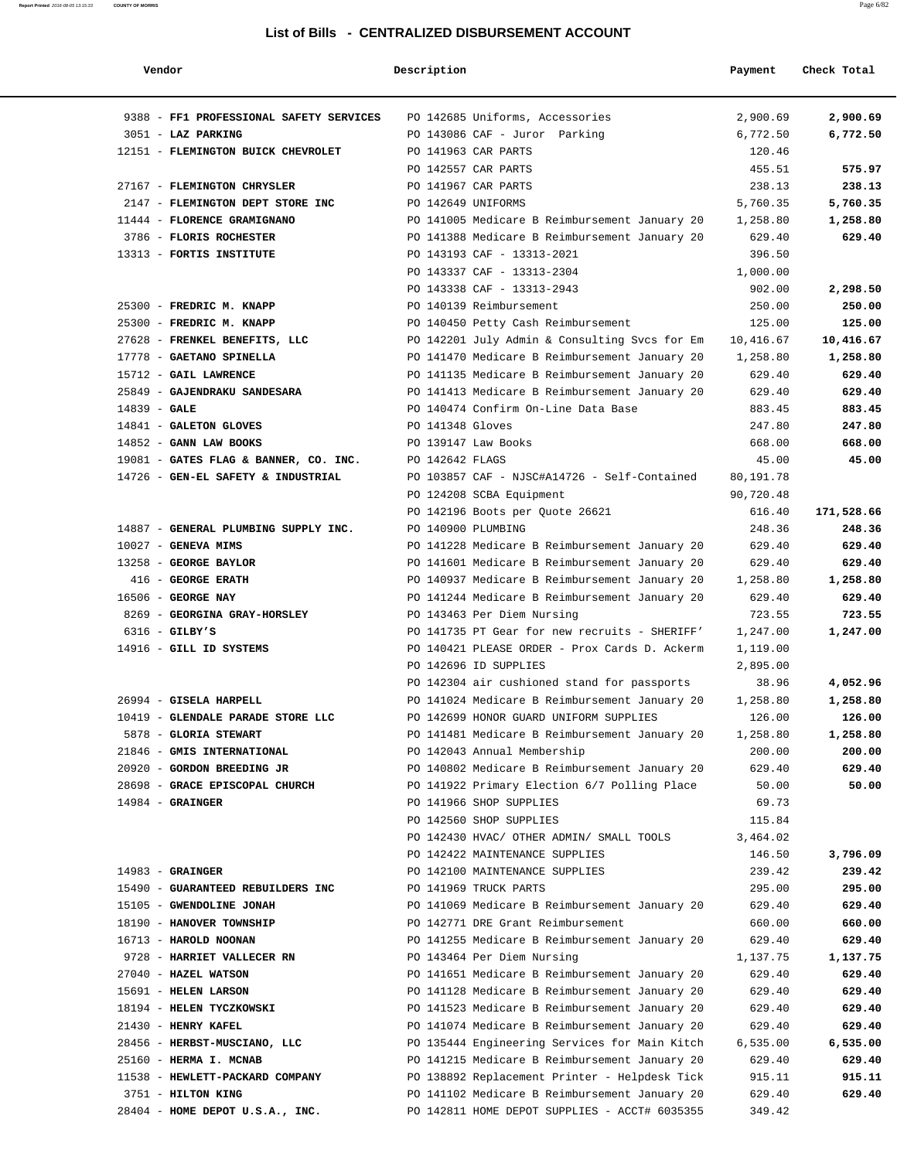| Vendor                                  | Description         |                                               | Payment   | Check Total |
|-----------------------------------------|---------------------|-----------------------------------------------|-----------|-------------|
|                                         |                     |                                               |           |             |
| 9388 - FF1 PROFESSIONAL SAFETY SERVICES |                     | PO 142685 Uniforms, Accessories               | 2,900.69  | 2,900.69    |
| 3051 - LAZ PARKING                      |                     | PO 143086 CAF - Juror Parking                 | 6,772.50  | 6,772.50    |
| 12151 - FLEMINGTON BUICK CHEVROLET      | PO 141963 CAR PARTS |                                               | 120.46    |             |
|                                         | PO 142557 CAR PARTS |                                               | 455.51    | 575.97      |
| 27167 - FLEMINGTON CHRYSLER             | PO 141967 CAR PARTS |                                               | 238.13    | 238.13      |
| 2147 - FLEMINGTON DEPT STORE INC        | PO 142649 UNIFORMS  |                                               | 5,760.35  | 5,760.35    |
| 11444 - FLORENCE GRAMIGNANO             |                     | PO 141005 Medicare B Reimbursement January 20 | 1,258.80  | 1,258.80    |
| 3786 - FLORIS ROCHESTER                 |                     | PO 141388 Medicare B Reimbursement January 20 | 629.40    | 629.40      |
| 13313 - FORTIS INSTITUTE                |                     | PO 143193 CAF - 13313-2021                    | 396.50    |             |
|                                         |                     | PO 143337 CAF - 13313-2304                    | 1,000.00  |             |
|                                         |                     | PO 143338 CAF - 13313-2943                    | 902.00    | 2,298.50    |
| 25300 - FREDRIC M. KNAPP                |                     | PO 140139 Reimbursement                       | 250.00    | 250.00      |
| 25300 - FREDRIC M. KNAPP                |                     | PO 140450 Petty Cash Reimbursement            | 125.00    | 125.00      |
| 27628 - FRENKEL BENEFITS, LLC           |                     | PO 142201 July Admin & Consulting Svcs for Em | 10,416.67 | 10,416.67   |
| 17778 - GAETANO SPINELLA                |                     | PO 141470 Medicare B Reimbursement January 20 | 1,258.80  | 1,258.80    |
| 15712 - GAIL LAWRENCE                   |                     | PO 141135 Medicare B Reimbursement January 20 | 629.40    | 629.40      |
| 25849 - GAJENDRAKU SANDESARA            |                     | PO 141413 Medicare B Reimbursement January 20 | 629.40    | 629.40      |
| $14839 - GALE$                          |                     | PO 140474 Confirm On-Line Data Base           | 883.45    | 883.45      |
| 14841 - GALETON GLOVES                  | PO 141348 Gloves    |                                               | 247.80    | 247.80      |
| $14852$ - GANN LAW BOOKS                | PO 139147 Law Books |                                               | 668.00    | 668.00      |
| 19081 - GATES FLAG & BANNER, CO. INC.   | PO 142642 FLAGS     |                                               | 45.00     | 45.00       |
| 14726 - GEN-EL SAFETY & INDUSTRIAL      |                     | PO 103857 CAF - NJSC#A14726 - Self-Contained  | 80,191.78 |             |
|                                         |                     | PO 124208 SCBA Equipment                      | 90,720.48 |             |
|                                         |                     | PO 142196 Boots per Quote 26621               | 616.40    | 171,528.66  |
| 14887 - GENERAL PLUMBING SUPPLY INC.    | PO 140900 PLUMBING  |                                               | 248.36    | 248.36      |
| $10027$ - GENEVA MIMS                   |                     | PO 141228 Medicare B Reimbursement January 20 | 629.40    | 629.40      |
| 13258 - GEORGE BAYLOR                   |                     | PO 141601 Medicare B Reimbursement January 20 | 629.40    | 629.40      |
| 416 - GEORGE ERATH                      |                     | PO 140937 Medicare B Reimbursement January 20 | 1,258.80  | 1,258.80    |
| 16506 - GEORGE NAY                      |                     | PO 141244 Medicare B Reimbursement January 20 | 629.40    | 629.40      |
| 8269 - GEORGINA GRAY-HORSLEY            |                     | PO 143463 Per Diem Nursing                    | 723.55    | 723.55      |
| $6316$ - GILBY'S                        |                     | PO 141735 PT Gear for new recruits - SHERIFF' | 1,247.00  | 1,247.00    |
| 14916 - GILL ID SYSTEMS                 |                     | PO 140421 PLEASE ORDER - Prox Cards D. Ackerm | 1,119.00  |             |
|                                         |                     | PO 142696 ID SUPPLIES                         | 2,895.00  |             |
|                                         |                     | PO 142304 air cushioned stand for passports   | 38.96     | 4,052.96    |
| 26994 - GISELA HARPELL                  |                     | PO 141024 Medicare B Reimbursement January 20 | 1,258.80  | 1,258.80    |
| 10419 - GLENDALE PARADE STORE LLC       |                     | PO 142699 HONOR GUARD UNIFORM SUPPLIES        | 126.00    | 126.00      |
|                                         |                     | PO 141481 Medicare B Reimbursement January 20 |           |             |
| 5878 - GLORIA STEWART                   |                     |                                               | 1,258.80  | 1,258.80    |
| 21846 - GMIS INTERNATIONAL              |                     | PO 142043 Annual Membership                   | 200.00    | 200.00      |
| 20920 - GORDON BREEDING JR              |                     | PO 140802 Medicare B Reimbursement January 20 | 629.40    | 629.40      |
| 28698 - GRACE EPISCOPAL CHURCH          |                     | PO 141922 Primary Election 6/7 Polling Place  | 50.00     | 50.00       |
| $14984$ - GRAINGER                      |                     | PO 141966 SHOP SUPPLIES                       | 69.73     |             |
|                                         |                     | PO 142560 SHOP SUPPLIES                       | 115.84    |             |
|                                         |                     | PO 142430 HVAC/ OTHER ADMIN/ SMALL TOOLS      | 3,464.02  |             |
|                                         |                     | PO 142422 MAINTENANCE SUPPLIES                | 146.50    | 3,796.09    |
| $14983$ - GRAINGER                      |                     | PO 142100 MAINTENANCE SUPPLIES                | 239.42    | 239.42      |
| 15490 - GUARANTEED REBUILDERS INC       |                     | PO 141969 TRUCK PARTS                         | 295.00    | 295.00      |
| 15105 - GWENDOLINE JONAH                |                     | PO 141069 Medicare B Reimbursement January 20 | 629.40    | 629.40      |
| 18190 - HANOVER TOWNSHIP                |                     | PO 142771 DRE Grant Reimbursement             | 660.00    | 660.00      |
| 16713 - HAROLD NOONAN                   |                     | PO 141255 Medicare B Reimbursement January 20 | 629.40    | 629.40      |
| 9728 - HARRIET VALLECER RN              |                     | PO 143464 Per Diem Nursing                    | 1,137.75  | 1,137.75    |
| 27040 - HAZEL WATSON                    |                     | PO 141651 Medicare B Reimbursement January 20 | 629.40    | 629.40      |
| 15691 - HELEN LARSON                    |                     | PO 141128 Medicare B Reimbursement January 20 | 629.40    | 629.40      |
| 18194 - HELEN TYCZKOWSKI                |                     | PO 141523 Medicare B Reimbursement January 20 | 629.40    | 629.40      |
| 21430 - HENRY KAFEL                     |                     | PO 141074 Medicare B Reimbursement January 20 | 629.40    | 629.40      |
| 28456 - HERBST-MUSCIANO, LLC            |                     | PO 135444 Engineering Services for Main Kitch | 6,535.00  | 6,535.00    |
| 25160 - HERMA I. MCNAB                  |                     | PO 141215 Medicare B Reimbursement January 20 | 629.40    | 629.40      |
| 11538 - HEWLETT-PACKARD COMPANY         |                     | PO 138892 Replacement Printer - Helpdesk Tick | 915.11    | 915.11      |
| 3751 - HILTON KING                      |                     | PO 141102 Medicare B Reimbursement January 20 | 629.40    | 629.40      |
| 28404 - HOME DEPOT U.S.A., INC.         |                     | PO 142811 HOME DEPOT SUPPLIES - ACCT# 6035355 | 349.42    |             |
|                                         |                     |                                               |           |             |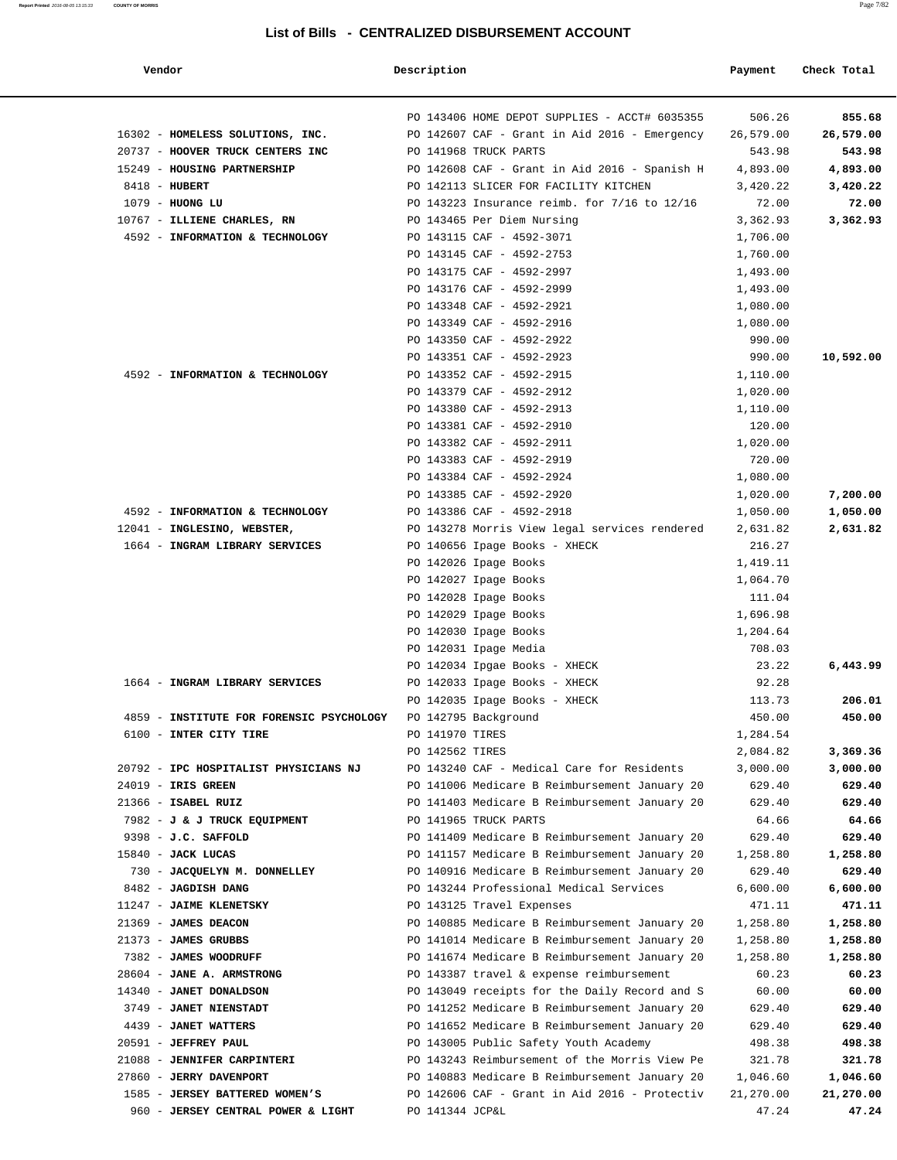| Vendor                                                        | Description     |                                               | Payment   | Check Total |
|---------------------------------------------------------------|-----------------|-----------------------------------------------|-----------|-------------|
|                                                               |                 |                                               |           |             |
|                                                               |                 | PO 143406 HOME DEPOT SUPPLIES - ACCT# 6035355 | 506.26    | 855.68      |
| 16302 - HOMELESS SOLUTIONS, INC.                              |                 | PO 142607 CAF - Grant in Aid 2016 - Emergency | 26,579.00 | 26,579.00   |
| 20737 - HOOVER TRUCK CENTERS INC                              |                 | PO 141968 TRUCK PARTS                         | 543.98    | 543.98      |
| 15249 - HOUSING PARTNERSHIP                                   |                 | PO 142608 CAF - Grant in Aid 2016 - Spanish H | 4,893.00  | 4,893.00    |
| 8418 - HUBERT                                                 |                 | PO 142113 SLICER FOR FACILITY KITCHEN         | 3,420.22  | 3,420.22    |
| $1079$ - HUONG LU                                             |                 | PO 143223 Insurance reimb. for 7/16 to 12/16  | 72.00     | 72.00       |
| 10767 - ILLIENE CHARLES, RN                                   |                 | PO 143465 Per Diem Nursing                    | 3,362.93  | 3,362.93    |
| 4592 - INFORMATION & TECHNOLOGY                               |                 | PO 143115 CAF - 4592-3071                     | 1,706.00  |             |
|                                                               |                 | PO 143145 CAF - 4592-2753                     | 1,760.00  |             |
|                                                               |                 | PO 143175 CAF - 4592-2997                     | 1,493.00  |             |
|                                                               |                 | PO 143176 CAF - 4592-2999                     | 1,493.00  |             |
|                                                               |                 | PO 143348 CAF - 4592-2921                     | 1,080.00  |             |
|                                                               |                 | PO 143349 CAF - 4592-2916                     | 1,080.00  |             |
|                                                               |                 | PO 143350 CAF - 4592-2922                     | 990.00    |             |
|                                                               |                 | PO 143351 CAF - 4592-2923                     | 990.00    | 10,592.00   |
| 4592 - INFORMATION & TECHNOLOGY                               |                 | PO 143352 CAF - 4592-2915                     | 1,110.00  |             |
|                                                               |                 | PO 143379 CAF - 4592-2912                     | 1,020.00  |             |
|                                                               |                 | PO 143380 CAF - 4592-2913                     |           |             |
|                                                               |                 | PO 143381 CAF - 4592-2910                     | 1,110.00  |             |
|                                                               |                 |                                               | 120.00    |             |
|                                                               |                 | PO 143382 CAF - 4592-2911                     | 1,020.00  |             |
|                                                               |                 | PO 143383 CAF - 4592-2919                     | 720.00    |             |
|                                                               |                 | PO 143384 CAF - 4592-2924                     | 1,080.00  |             |
|                                                               |                 | PO 143385 CAF - 4592-2920                     | 1,020.00  | 7,200.00    |
| 4592 - INFORMATION & TECHNOLOGY                               |                 | PO 143386 CAF - 4592-2918                     | 1,050.00  | 1,050.00    |
| 12041 - INGLESINO, WEBSTER,                                   |                 | PO 143278 Morris View legal services rendered | 2,631.82  | 2,631.82    |
| 1664 - INGRAM LIBRARY SERVICES                                |                 | PO 140656 Ipage Books - XHECK                 | 216.27    |             |
|                                                               |                 | PO 142026 Ipage Books                         | 1,419.11  |             |
|                                                               |                 | PO 142027 Ipage Books                         | 1,064.70  |             |
|                                                               |                 | PO 142028 Ipage Books                         | 111.04    |             |
|                                                               |                 | PO 142029 Ipage Books                         | 1,696.98  |             |
|                                                               |                 | PO 142030 Ipage Books                         | 1,204.64  |             |
|                                                               |                 | PO 142031 Ipage Media                         | 708.03    |             |
|                                                               |                 | PO 142034 Ipgae Books - XHECK                 | 23.22     | 6,443.99    |
| 1664 - INGRAM LIBRARY SERVICES                                |                 | PO 142033 Ipage Books - XHECK                 | 92.28     |             |
|                                                               |                 | PO 142035 Ipage Books - XHECK                 | 113.73    | 206.01      |
| 4859 - INSTITUTE FOR FORENSIC PSYCHOLOGY PO 142795 Background |                 |                                               | 450.00    | 450.00      |
| 6100 - INTER CITY TIRE                                        | PO 141970 TIRES |                                               | 1,284.54  |             |
|                                                               | PO 142562 TIRES |                                               | 2,084.82  | 3,369.36    |
| 20792 - IPC HOSPITALIST PHYSICIANS NJ                         |                 | PO 143240 CAF - Medical Care for Residents    | 3,000.00  | 3,000.00    |
| 24019 - IRIS GREEN                                            |                 | PO 141006 Medicare B Reimbursement January 20 | 629.40    | 629.40      |
| 21366 - ISABEL RUIZ                                           |                 | PO 141403 Medicare B Reimbursement January 20 | 629.40    | 629.40      |
| 7982 - J & J TRUCK EQUIPMENT                                  |                 | PO 141965 TRUCK PARTS                         | 64.66     | 64.66       |
| 9398 - J.C. SAFFOLD                                           |                 | PO 141409 Medicare B Reimbursement January 20 | 629.40    | 629.40      |
| $15840$ - JACK LUCAS                                          |                 | PO 141157 Medicare B Reimbursement January 20 | 1,258.80  | 1,258.80    |
| 730 - JACQUELYN M. DONNELLEY                                  |                 | PO 140916 Medicare B Reimbursement January 20 | 629.40    | 629.40      |
| 8482 - JAGDISH DANG                                           |                 | PO 143244 Professional Medical Services       | 6,600.00  | 6,600.00    |
| 11247 - JAIME KLENETSKY                                       |                 | PO 143125 Travel Expenses                     | 471.11    | 471.11      |
| 21369 - JAMES DEACON                                          |                 | PO 140885 Medicare B Reimbursement January 20 | 1,258.80  | 1,258.80    |
|                                                               |                 |                                               |           |             |
| $21373 - JAMES$ GRUBBS                                        |                 | PO 141014 Medicare B Reimbursement January 20 | 1,258.80  | 1,258.80    |
| 7382 - JAMES WOODRUFF                                         |                 | PO 141674 Medicare B Reimbursement January 20 | 1,258.80  | 1,258.80    |
| 28604 - JANE A. ARMSTRONG                                     |                 | PO 143387 travel & expense reimbursement      | 60.23     | 60.23       |
| 14340 - JANET DONALDSON                                       |                 | PO 143049 receipts for the Daily Record and S | 60.00     | 60.00       |
| 3749 - JANET NIENSTADT                                        |                 | PO 141252 Medicare B Reimbursement January 20 | 629.40    | 629.40      |
| 4439 - JANET WATTERS                                          |                 | PO 141652 Medicare B Reimbursement January 20 | 629.40    | 629.40      |
| 20591 - JEFFREY PAUL                                          |                 | PO 143005 Public Safety Youth Academy         | 498.38    | 498.38      |
| 21088 - JENNIFER CARPINTERI                                   |                 | PO 143243 Reimbursement of the Morris View Pe | 321.78    | 321.78      |
| 27860 - JERRY DAVENPORT                                       |                 | PO 140883 Medicare B Reimbursement January 20 | 1,046.60  | 1,046.60    |
| 1585 - JERSEY BATTERED WOMEN'S                                |                 | PO 142606 CAF - Grant in Aid 2016 - Protectiv | 21,270.00 | 21,270.00   |
| 960 - JERSEY CENTRAL POWER & LIGHT                            | PO 141344 JCP&L |                                               | 47.24     | 47.24       |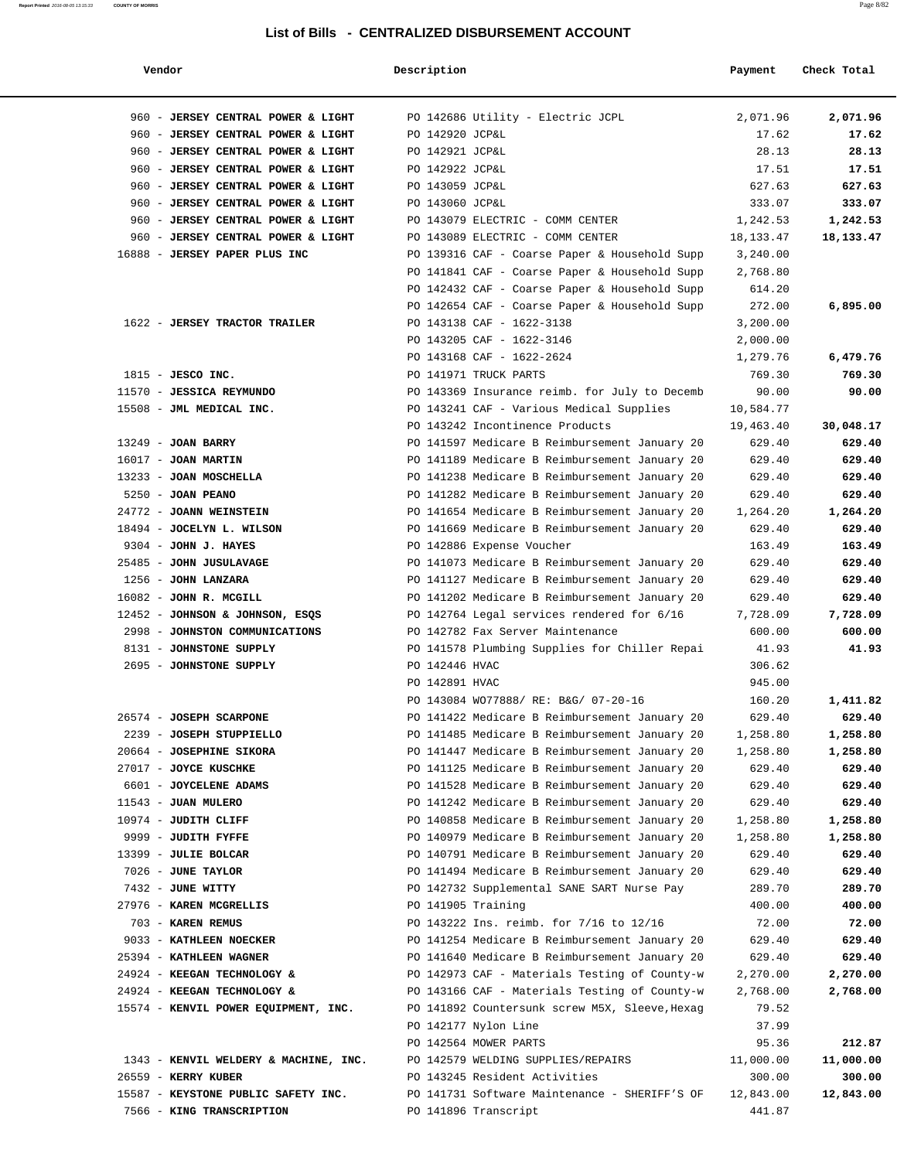| Vendor                                | Description           |                                                | Payment     | Check Total |
|---------------------------------------|-----------------------|------------------------------------------------|-------------|-------------|
|                                       |                       |                                                |             |             |
| 960 - JERSEY CENTRAL POWER & LIGHT    |                       | PO 142686 Utility - Electric JCPL              | 2,071.96    | 2,071.96    |
| 960 - JERSEY CENTRAL POWER & LIGHT    | PO 142920 JCP&L       |                                                | 17.62       | 17.62       |
| 960 - JERSEY CENTRAL POWER & LIGHT    | PO 142921 JCP&L       |                                                | 28.13       | 28.13       |
| 960 - JERSEY CENTRAL POWER & LIGHT    | PO 142922 JCP&L       |                                                | 17.51       | 17.51       |
| 960 - JERSEY CENTRAL POWER & LIGHT    | PO 143059 JCP&L       |                                                | 627.63      | 627.63      |
| 960 - JERSEY CENTRAL POWER & LIGHT    | PO 143060 JCP&L       |                                                | 333.07      | 333.07      |
| 960 - JERSEY CENTRAL POWER & LIGHT    |                       | PO 143079 ELECTRIC - COMM CENTER               | 1,242.53    | 1,242.53    |
| 960 - JERSEY CENTRAL POWER & LIGHT    |                       | PO 143089 ELECTRIC - COMM CENTER               | 18, 133. 47 | 18,133.47   |
| 16888 - JERSEY PAPER PLUS INC         |                       | PO 139316 CAF - Coarse Paper & Household Supp  | 3,240.00    |             |
|                                       |                       | PO 141841 CAF - Coarse Paper & Household Supp  | 2,768.80    |             |
|                                       |                       | PO 142432 CAF - Coarse Paper & Household Supp  | 614.20      |             |
|                                       |                       | PO 142654 CAF - Coarse Paper & Household Supp  | 272.00      | 6,895.00    |
| 1622 - JERSEY TRACTOR TRAILER         |                       | PO 143138 CAF - 1622-3138                      | 3,200.00    |             |
|                                       |                       | PO 143205 CAF - 1622-3146                      | 2,000.00    |             |
|                                       |                       | PO 143168 CAF - 1622-2624                      | 1,279.76    | 6,479.76    |
| $1815$ - JESCO INC.                   | PO 141971 TRUCK PARTS |                                                | 769.30      | 769.30      |
| 11570 - JESSICA REYMUNDO              |                       |                                                | 90.00       | 90.00       |
| 15508 - JML MEDICAL INC.              |                       | PO 143369 Insurance reimb. for July to Decemb  | 10,584.77   |             |
|                                       |                       | PO 143241 CAF - Various Medical Supplies       |             |             |
|                                       |                       | PO 143242 Incontinence Products                | 19,463.40   | 30,048.17   |
| 13249 - JOAN BARRY                    |                       | PO 141597 Medicare B Reimbursement January 20  | 629.40      | 629.40      |
| $16017$ - JOAN MARTIN                 |                       | PO 141189 Medicare B Reimbursement January 20  | 629.40      | 629.40      |
| 13233 - JOAN MOSCHELLA                |                       | PO 141238 Medicare B Reimbursement January 20  | 629.40      | 629.40      |
| $5250 - JOAN PEMNO$                   |                       | PO 141282 Medicare B Reimbursement January 20  | 629.40      | 629.40      |
| 24772 - JOANN WEINSTEIN               |                       | PO 141654 Medicare B Reimbursement January 20  | 1,264.20    | 1,264.20    |
| 18494 - JOCELYN L. WILSON             |                       | PO 141669 Medicare B Reimbursement January 20  | 629.40      | 629.40      |
| $9304$ - JOHN J. HAYES                |                       | PO 142886 Expense Voucher                      | 163.49      | 163.49      |
| 25485 - JOHN JUSULAVAGE               |                       | PO 141073 Medicare B Reimbursement January 20  | 629.40      | 629.40      |
| 1256 - JOHN LANZARA                   |                       | PO 141127 Medicare B Reimbursement January 20  | 629.40      | 629.40      |
| 16082 - JOHN R. MCGILL                |                       | PO 141202 Medicare B Reimbursement January 20  | 629.40      | 629.40      |
| 12452 - JOHNSON & JOHNSON, ESQS       |                       | PO 142764 Legal services rendered for 6/16     | 7,728.09    | 7,728.09    |
| 2998 - JOHNSTON COMMUNICATIONS        |                       | PO 142782 Fax Server Maintenance               | 600.00      | 600.00      |
| 8131 - JOHNSTONE SUPPLY               |                       | PO 141578 Plumbing Supplies for Chiller Repai  | 41.93       | 41.93       |
| 2695 - JOHNSTONE SUPPLY               | PO 142446 HVAC        |                                                | 306.62      |             |
|                                       | PO 142891 HVAC        |                                                | 945.00      |             |
|                                       |                       | PO 143084 WO77888/ RE: B&G/ 07-20-16           | 160.20      | 1,411.82    |
| 26574 - JOSEPH SCARPONE               |                       | PO 141422 Medicare B Reimbursement January 20  | 629.40      | 629.40      |
| 2239 - JOSEPH STUPPIELLO              |                       | PO 141485 Medicare B Reimbursement January 20  | 1,258.80    | 1,258.80    |
| 20664 - JOSEPHINE SIKORA              |                       | PO 141447 Medicare B Reimbursement January 20  | 1,258.80    | 1,258.80    |
| 27017 - JOYCE KUSCHKE                 |                       | PO 141125 Medicare B Reimbursement January 20  | 629.40      | 629.40      |
| 6601 - JOYCELENE ADAMS                |                       | PO 141528 Medicare B Reimbursement January 20  | 629.40      | 629.40      |
| $11543$ - JUAN MULERO                 |                       | PO 141242 Medicare B Reimbursement January 20  | 629.40      | 629.40      |
| 10974 - JUDITH CLIFF                  |                       | PO 140858 Medicare B Reimbursement January 20  | 1,258.80    | 1,258.80    |
| 9999 - JUDITH FYFFE                   |                       | PO 140979 Medicare B Reimbursement January 20  | 1,258.80    | 1,258.80    |
| 13399 - JULIE BOLCAR                  |                       | PO 140791 Medicare B Reimbursement January 20  | 629.40      | 629.40      |
| 7026 - JUNE TAYLOR                    |                       | PO 141494 Medicare B Reimbursement January 20  | 629.40      | 629.40      |
| 7432 - JUNE WITTY                     |                       | PO 142732 Supplemental SANE SART Nurse Pay     | 289.70      | 289.70      |
| 27976 - KAREN MCGRELLIS               | PO 141905 Training    |                                                | 400.00      | 400.00      |
| 703 - KAREN REMUS                     |                       | PO 143222 Ins. reimb. for 7/16 to 12/16        | 72.00       | 72.00       |
| 9033 - KATHLEEN NOECKER               |                       | PO 141254 Medicare B Reimbursement January 20  | 629.40      | 629.40      |
| 25394 - KATHLEEN WAGNER               |                       | PO 141640 Medicare B Reimbursement January 20  | 629.40      | 629.40      |
| 24924 - KEEGAN TECHNOLOGY &           |                       | PO 142973 CAF - Materials Testing of County-w  | 2,270.00    | 2,270.00    |
| 24924 - KEEGAN TECHNOLOGY &           |                       | PO 143166 CAF - Materials Testing of County-w  | 2,768.00    | 2,768.00    |
| 15574 - KENVIL POWER EQUIPMENT, INC.  |                       | PO 141892 Countersunk screw M5X, Sleeve, Hexag | 79.52       |             |
|                                       | PO 142177 Nylon Line  |                                                | 37.99       |             |
|                                       | PO 142564 MOWER PARTS |                                                | 95.36       | 212.87      |
| 1343 - KENVIL WELDERY & MACHINE, INC. |                       | PO 142579 WELDING SUPPLIES/REPAIRS             | 11,000.00   | 11,000.00   |
| 26559 - KERRY KUBER                   |                       | PO 143245 Resident Activities                  | 300.00      | 300.00      |
| 15587 - KEYSTONE PUBLIC SAFETY INC.   |                       | PO 141731 Software Maintenance - SHERIFF'S OF  | 12,843.00   | 12,843.00   |
| 7566 - KING TRANSCRIPTION             | PO 141896 Transcript  |                                                | 441.87      |             |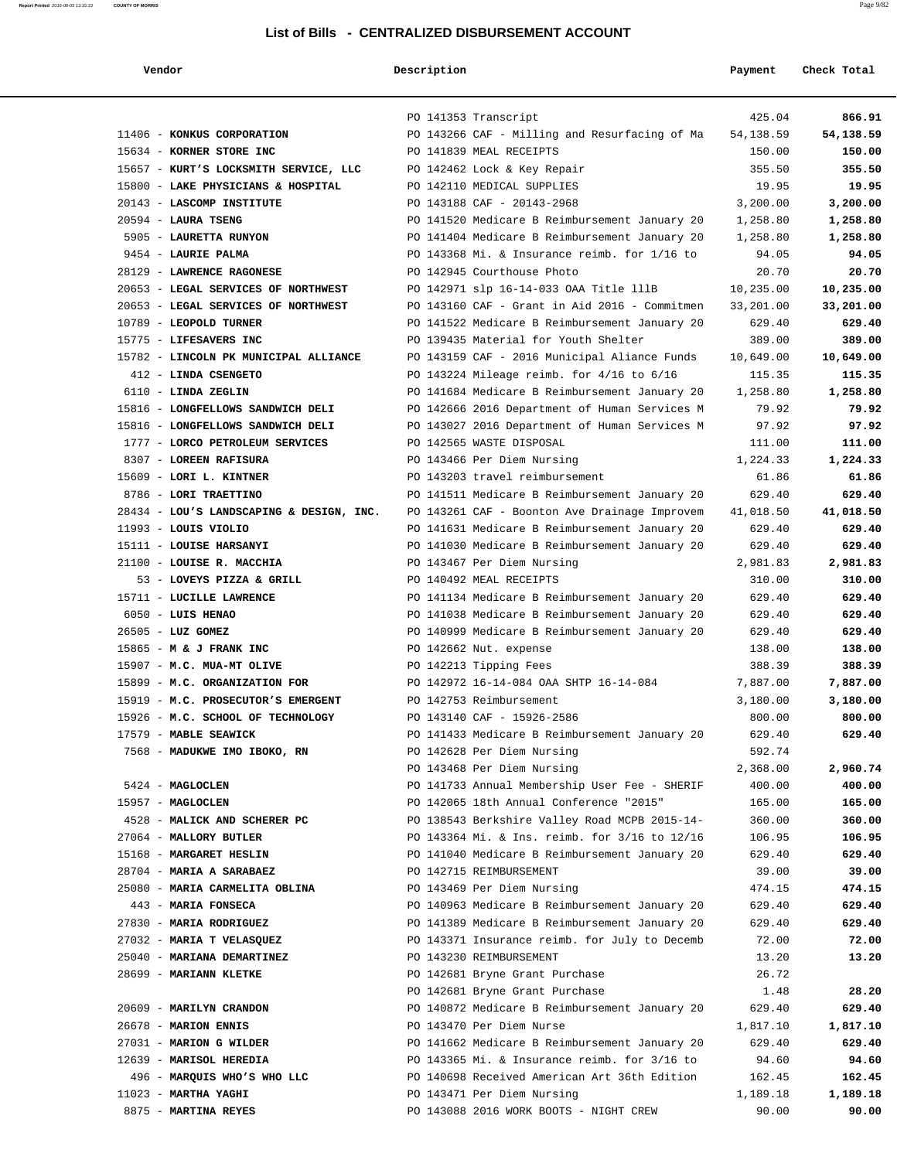| Vendor                                   | Description |                                               | Payment   | Check Total |
|------------------------------------------|-------------|-----------------------------------------------|-----------|-------------|
|                                          |             |                                               |           |             |
|                                          |             | PO 141353 Transcript                          | 425.04    | 866.91      |
| 11406 - KONKUS CORPORATION               |             | PO 143266 CAF - Milling and Resurfacing of Ma | 54,138.59 | 54,138.59   |
| 15634 - KORNER STORE INC                 |             | PO 141839 MEAL RECEIPTS                       | 150.00    | 150.00      |
| 15657 - KURT'S LOCKSMITH SERVICE, LLC    |             | PO 142462 Lock & Key Repair                   | 355.50    | 355.50      |
| 15800 - LAKE PHYSICIANS & HOSPITAL       |             | PO 142110 MEDICAL SUPPLIES                    | 19.95     | 19.95       |
| 20143 - LASCOMP INSTITUTE                |             | PO 143188 CAF - 20143-2968                    | 3,200.00  | 3,200.00    |
| $20594$ - LAURA TSENG                    |             | PO 141520 Medicare B Reimbursement January 20 | 1,258.80  | 1,258.80    |
| 5905 - LAURETTA RUNYON                   |             | PO 141404 Medicare B Reimbursement January 20 | 1,258.80  | 1,258.80    |
| 9454 - LAURIE PALMA                      |             | PO 143368 Mi. & Insurance reimb. for 1/16 to  | 94.05     | 94.05       |
| 28129 - LAWRENCE RAGONESE                |             | PO 142945 Courthouse Photo                    | 20.70     | 20.70       |
| 20653 - LEGAL SERVICES OF NORTHWEST      |             | PO 142971 slp 16-14-033 OAA Title lllB        | 10,235.00 | 10,235.00   |
| 20653 - LEGAL SERVICES OF NORTHWEST      |             | PO 143160 CAF - Grant in Aid 2016 - Commitmen | 33,201.00 | 33,201.00   |
| 10789 - LEOPOLD TURNER                   |             | PO 141522 Medicare B Reimbursement January 20 | 629.40    | 629.40      |
| 15775 - LIFESAVERS INC                   |             | PO 139435 Material for Youth Shelter          | 389.00    | 389.00      |
| 15782 - LINCOLN PK MUNICIPAL ALLIANCE    |             | PO 143159 CAF - 2016 Municipal Aliance Funds  | 10,649.00 | 10,649.00   |
| 412 - LINDA CSENGETO                     |             | PO 143224 Mileage reimb. for $4/16$ to $6/16$ | 115.35    | 115.35      |
| 6110 - LINDA ZEGLIN                      |             | PO 141684 Medicare B Reimbursement January 20 | 1,258.80  | 1,258.80    |
| 15816 - LONGFELLOWS SANDWICH DELI        |             | PO 142666 2016 Department of Human Services M | 79.92     | 79.92       |
| 15816 - LONGFELLOWS SANDWICH DELI        |             | PO 143027 2016 Department of Human Services M | 97.92     | 97.92       |
| 1777 - LORCO PETROLEUM SERVICES          |             | PO 142565 WASTE DISPOSAL                      | 111.00    | 111.00      |
| 8307 - LOREEN RAFISURA                   |             | PO 143466 Per Diem Nursing                    | 1,224.33  | 1,224.33    |
| 15609 - LORI L. KINTNER                  |             | PO 143203 travel reimbursement                | 61.86     | 61.86       |
| 8786 - LORI TRAETTINO                    |             | PO 141511 Medicare B Reimbursement January 20 | 629.40    | 629.40      |
| 28434 - LOU'S LANDSCAPING & DESIGN, INC. |             | PO 143261 CAF - Boonton Ave Drainage Improvem | 41,018.50 | 41,018.50   |
| $11993$ - LOUIS VIOLIO                   |             | PO 141631 Medicare B Reimbursement January 20 | 629.40    | 629.40      |
| 15111 - LOUISE HARSANYI                  |             | PO 141030 Medicare B Reimbursement January 20 | 629.40    | 629.40      |
| 21100 - LOUISE R. MACCHIA                |             | PO 143467 Per Diem Nursing                    | 2,981.83  | 2,981.83    |
| 53 - LOVEYS PIZZA & GRILL                |             | PO 140492 MEAL RECEIPTS                       | 310.00    | 310.00      |
| 15711 - LUCILLE LAWRENCE                 |             | PO 141134 Medicare B Reimbursement January 20 | 629.40    | 629.40      |
| 6050 - LUIS HENAO                        |             | PO 141038 Medicare B Reimbursement January 20 | 629.40    | 629.40      |
| 26505 - LUZ GOMEZ                        |             | PO 140999 Medicare B Reimbursement January 20 | 629.40    | 629.40      |
| 15865 - M & J FRANK INC                  |             | PO 142662 Nut. expense                        | 138.00    | 138.00      |
| 15907 - M.C. MUA-MT OLIVE                |             | PO 142213 Tipping Fees                        | 388.39    | 388.39      |
| 15899 - M.C. ORGANIZATION FOR            |             | PO 142972 16-14-084 OAA SHTP 16-14-084        | 7,887.00  | 7,887.00    |
| 15919 - M.C. PROSECUTOR'S EMERGENT       |             | PO 142753 Reimbursement                       | 3,180.00  | 3,180.00    |
| 15926 - M.C. SCHOOL OF TECHNOLOGY        |             | PO 143140 CAF - 15926-2586                    | 800.00    | 800.00      |
| 17579 - MABLE SEAWICK                    |             | PO 141433 Medicare B Reimbursement January 20 | 629.40    | 629.40      |
| 7568 - MADUKWE IMO IBOKO, RN             |             | PO 142628 Per Diem Nursing                    | 592.74    |             |
|                                          |             | PO 143468 Per Diem Nursing                    | 2,368.00  | 2,960.74    |
| 5424 - MAGLOCLEN                         |             | PO 141733 Annual Membership User Fee - SHERIF | 400.00    | 400.00      |
| 15957 - MAGLOCLEN                        |             | PO 142065 18th Annual Conference "2015"       | 165.00    | 165.00      |
| 4528 - MALICK AND SCHERER PC             |             | PO 138543 Berkshire Valley Road MCPB 2015-14- | 360.00    | 360.00      |
| 27064 - MALLORY BUTLER                   |             | PO 143364 Mi. & Ins. reimb. for 3/16 to 12/16 | 106.95    | 106.95      |
| 15168 - MARGARET HESLIN                  |             | PO 141040 Medicare B Reimbursement January 20 | 629.40    | 629.40      |
| 28704 - MARIA A SARABAEZ                 |             | PO 142715 REIMBURSEMENT                       | 39.00     | 39.00       |
| 25080 - MARIA CARMELITA OBLINA           |             | PO 143469 Per Diem Nursing                    | 474.15    | 474.15      |
| 443 - MARIA FONSECA                      |             | PO 140963 Medicare B Reimbursement January 20 | 629.40    | 629.40      |
| 27830 - MARIA RODRIGUEZ                  |             | PO 141389 Medicare B Reimbursement January 20 | 629.40    | 629.40      |
| 27032 - MARIA T VELASQUEZ                |             | PO 143371 Insurance reimb. for July to Decemb | 72.00     | 72.00       |
| 25040 - MARIANA DEMARTINEZ               |             | PO 143230 REIMBURSEMENT                       | 13.20     | 13.20       |
| 28699 - MARIANN KLETKE                   |             | PO 142681 Bryne Grant Purchase                | 26.72     |             |
|                                          |             | PO 142681 Bryne Grant Purchase                | 1.48      | 28.20       |
| 20609 - MARILYN CRANDON                  |             | PO 140872 Medicare B Reimbursement January 20 | 629.40    | 629.40      |
| 26678 - MARION ENNIS                     |             | PO 143470 Per Diem Nurse                      | 1,817.10  | 1,817.10    |
| 27031 - MARION G WILDER                  |             | PO 141662 Medicare B Reimbursement January 20 | 629.40    | 629.40      |
| 12639 - MARISOL HEREDIA                  |             | PO 143365 Mi. & Insurance reimb. for 3/16 to  | 94.60     | 94.60       |
| 496 - MARQUIS WHO'S WHO LLC              |             | PO 140698 Received American Art 36th Edition  | 162.45    | 162.45      |
| $11023$ - MARTHA YAGHI                   |             | PO 143471 Per Diem Nursing                    | 1,189.18  | 1,189.18    |
| 8875 - MARTINA REYES                     |             | PO 143088 2016 WORK BOOTS - NIGHT CREW        | 90.00     | 90.00       |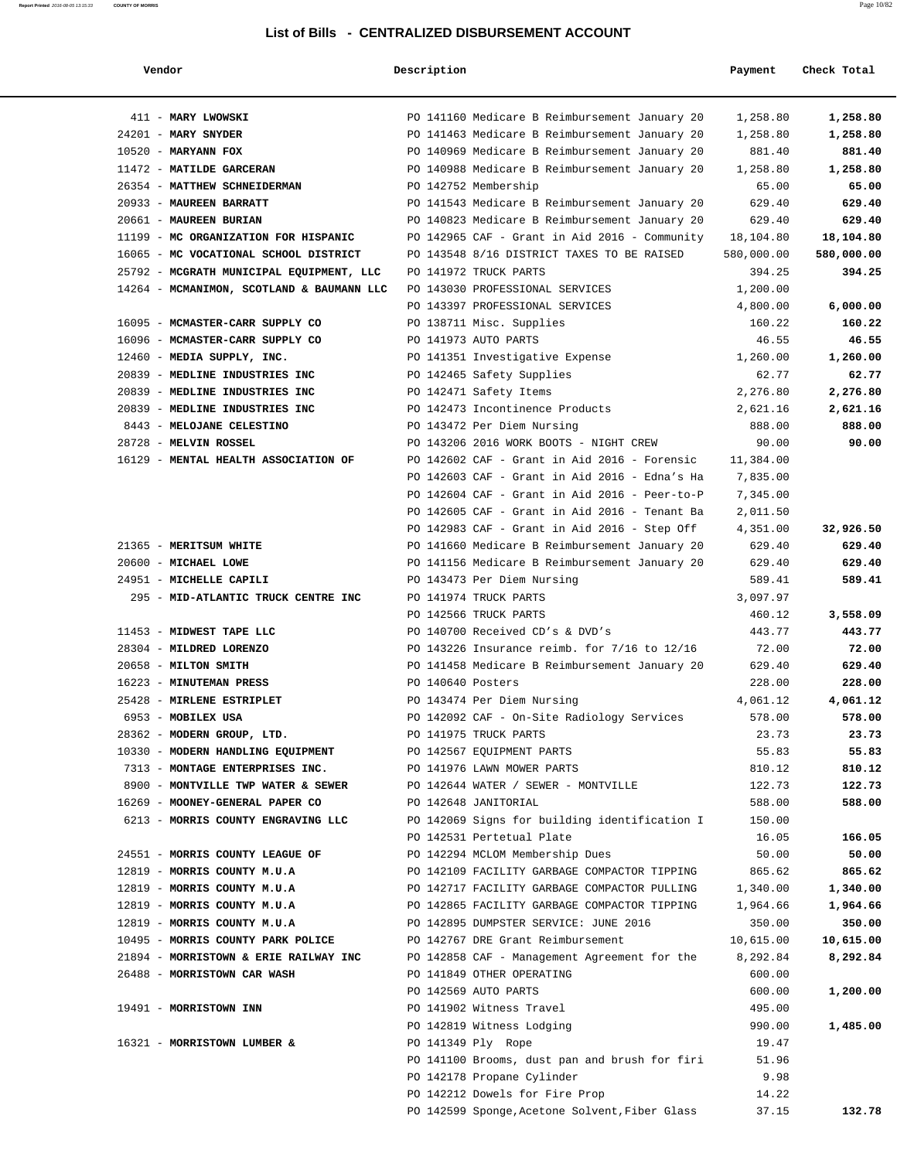#### **Report Printed** 2016-08-05 13:15:33 **COUNTY OF MORRIS** Page 10/82

#### **List of Bills - CENTRALIZED DISBURSEMENT ACCOUNT**

| Vendor                                                        | Description       |                                                              | Payment         | Check Total     |
|---------------------------------------------------------------|-------------------|--------------------------------------------------------------|-----------------|-----------------|
|                                                               |                   |                                                              |                 |                 |
| 411 - MARY LWOWSKI                                            |                   | PO 141160 Medicare B Reimbursement January 20                | 1,258.80        | 1,258.80        |
| $24201$ - MARY SNYDER                                         |                   | PO 141463 Medicare B Reimbursement January 20                | 1,258.80        | 1,258.80        |
| $10520$ - MARYANN FOX                                         |                   | PO 140969 Medicare B Reimbursement January 20                | 881.40          | 881.40          |
| 11472 - MATILDE GARCERAN                                      |                   | PO 140988 Medicare B Reimbursement January 20                | 1,258.80        | 1,258.80        |
| 26354 - MATTHEW SCHNEIDERMAN                                  |                   | PO 142752 Membership                                         | 65.00           | 65.00           |
| 20933 - MAUREEN BARRATT                                       |                   | PO 141543 Medicare B Reimbursement January 20                | 629.40          | 629.40          |
| 20661 - MAUREEN BURIAN                                        |                   | PO 140823 Medicare B Reimbursement January 20                | 629.40          | 629.40          |
| 11199 - MC ORGANIZATION FOR HISPANIC                          |                   | PO 142965 CAF - Grant in Aid 2016 - Community                | 18,104.80       | 18,104.80       |
| 16065 - MC VOCATIONAL SCHOOL DISTRICT                         |                   | PO 143548 8/16 DISTRICT TAXES TO BE RAISED                   | 580,000.00      | 580,000.00      |
| 25792 - MCGRATH MUNICIPAL EQUIPMENT, LLC                      |                   | PO 141972 TRUCK PARTS                                        | 394.25          | 394.25          |
| 14264 - MCMANIMON, SCOTLAND & BAUMANN LLC                     |                   | PO 143030 PROFESSIONAL SERVICES                              | 1,200.00        |                 |
|                                                               |                   | PO 143397 PROFESSIONAL SERVICES                              | 4,800.00        | 6,000.00        |
| 16095 - MCMASTER-CARR SUPPLY CO                               |                   | PO 138711 Misc. Supplies                                     | 160.22<br>46.55 | 160.22<br>46.55 |
| 16096 - MCMASTER-CARR SUPPLY CO<br>12460 - MEDIA SUPPLY, INC. |                   | PO 141973 AUTO PARTS                                         | 1,260.00        | 1,260.00        |
| 20839 - MEDLINE INDUSTRIES INC                                |                   | PO 141351 Investigative Expense<br>PO 142465 Safety Supplies | 62.77           | 62.77           |
| 20839 - MEDLINE INDUSTRIES INC                                |                   | PO 142471 Safety Items                                       | 2,276.80        | 2,276.80        |
| 20839 - MEDLINE INDUSTRIES INC                                |                   | PO 142473 Incontinence Products                              | 2,621.16        | 2,621.16        |
| 8443 - MELOJANE CELESTINO                                     |                   | PO 143472 Per Diem Nursing                                   | 888.00          | 888.00          |
| 28728 - MELVIN ROSSEL                                         |                   | PO 143206 2016 WORK BOOTS - NIGHT CREW                       | 90.00           | 90.00           |
| 16129 - MENTAL HEALTH ASSOCIATION OF                          |                   | PO 142602 CAF - Grant in Aid 2016 - Forensic                 | 11,384.00       |                 |
|                                                               |                   | PO 142603 CAF - Grant in Aid 2016 - Edna's Ha                | 7,835.00        |                 |
|                                                               |                   | PO $142604$ CAF - Grant in Aid 2016 - Peer-to-P              | 7,345.00        |                 |
|                                                               |                   | PO 142605 CAF - Grant in Aid 2016 - Tenant Ba                | 2,011.50        |                 |
|                                                               |                   | PO 142983 CAF - Grant in Aid 2016 - Step Off                 | 4,351.00        | 32,926.50       |
| 21365 - MERITSUM WHITE                                        |                   | PO 141660 Medicare B Reimbursement January 20                | 629.40          | 629.40          |
| 20600 - MICHAEL LOWE                                          |                   | PO 141156 Medicare B Reimbursement January 20                | 629.40          | 629.40          |
| 24951 - MICHELLE CAPILI                                       |                   | PO 143473 Per Diem Nursing                                   | 589.41          | 589.41          |
| 295 - MID-ATLANTIC TRUCK CENTRE INC                           |                   | PO 141974 TRUCK PARTS                                        | 3,097.97        |                 |
|                                                               |                   | PO 142566 TRUCK PARTS                                        | 460.12          | 3,558.09        |
| 11453 - MIDWEST TAPE LLC                                      |                   | PO 140700 Received CD's & DVD's                              | 443.77          | 443.77          |
| 28304 - MILDRED LORENZO                                       |                   | PO 143226 Insurance reimb. for 7/16 to 12/16                 | 72.00           | 72.00           |
| 20658 - MILTON SMITH                                          |                   | PO 141458 Medicare B Reimbursement January 20                | 629.40          | 629.40          |
| 16223 - MINUTEMAN PRESS                                       | PO 140640 Posters |                                                              | 228.00          | 228.00          |
| 25428 - MIRLENE ESTRIPLET                                     |                   | PO 143474 Per Diem Nursing                                   | 4,061.12        | 4,061.12        |
| 6953 - MOBILEX USA                                            |                   | PO 142092 CAF - On-Site Radiology Services                   | 578.00          | 578.00          |
| 28362 - MODERN GROUP, LTD.                                    |                   | PO 141975 TRUCK PARTS                                        | 23.73           | 23.73           |
| 10330 - MODERN HANDLING EQUIPMENT                             |                   | PO 142567 EOUIPMENT PARTS                                    | 55.83           | 55.83           |
| 7313 - MONTAGE ENTERPRISES INC.                               |                   | PO 141976 LAWN MOWER PARTS                                   | 810.12          | 810.12          |
| 8900 - MONTVILLE TWP WATER & SEWER                            |                   | PO 142644 WATER / SEWER - MONTVILLE                          | 122.73          | 122.73          |
| 16269 - MOONEY-GENERAL PAPER CO                               |                   | PO 142648 JANITORIAL                                         | 588.00          | 588.00          |
| 6213 - MORRIS COUNTY ENGRAVING LLC                            |                   | PO 142069 Signs for building identification I                | 150.00          | 166.05          |
| 24551 - MORRIS COUNTY LEAGUE OF                               |                   | PO 142531 Pertetual Plate<br>PO 142294 MCLOM Membership Dues | 16.05<br>50.00  | 50.00           |
| 12819 - MORRIS COUNTY M.U.A                                   |                   | PO 142109 FACILITY GARBAGE COMPACTOR TIPPING                 | 865.62          | 865.62          |
| 12819 - MORRIS COUNTY M.U.A                                   |                   | PO 142717 FACILITY GARBAGE COMPACTOR PULLING                 | 1,340.00        | 1,340.00        |
| 12819 - MORRIS COUNTY M.U.A                                   |                   | PO 142865 FACILITY GARBAGE COMPACTOR TIPPING                 | 1,964.66        | 1,964.66        |
| 12819 - MORRIS COUNTY M.U.A                                   |                   | PO 142895 DUMPSTER SERVICE: JUNE 2016                        | 350.00          | 350.00          |
| 10495 - MORRIS COUNTY PARK POLICE                             |                   | PO 142767 DRE Grant Reimbursement                            | 10,615.00       | 10,615.00       |
| 21894 - MORRISTOWN & ERIE RAILWAY INC                         |                   | PO 142858 CAF - Management Agreement for the                 | 8,292.84        | 8,292.84        |
| 26488 - MORRISTOWN CAR WASH                                   |                   | PO 141849 OTHER OPERATING                                    | 600.00          |                 |
|                                                               |                   | PO 142569 AUTO PARTS                                         | 600.00          | 1,200.00        |
| 19491 - MORRISTOWN INN                                        |                   | PO 141902 Witness Travel                                     | 495.00          |                 |
|                                                               |                   | PO 142819 Witness Lodging                                    | 990.00          | 1,485.00        |
| 16321 - MORRISTOWN LUMBER &                                   |                   | PO 141349 Ply Rope                                           | 19.47           |                 |
|                                                               |                   | PO 141100 Brooms, dust pan and brush for firi                | 51.96           |                 |
|                                                               |                   | PO 142178 Propane Cylinder                                   | 9.98            |                 |
|                                                               |                   | PO 142212 Dowels for Fire Prop                               | 14.22           |                 |
|                                                               |                   | PO 142599 Sponge, Acetone Solvent, Fiber Glass               | 37.15           | 132.78          |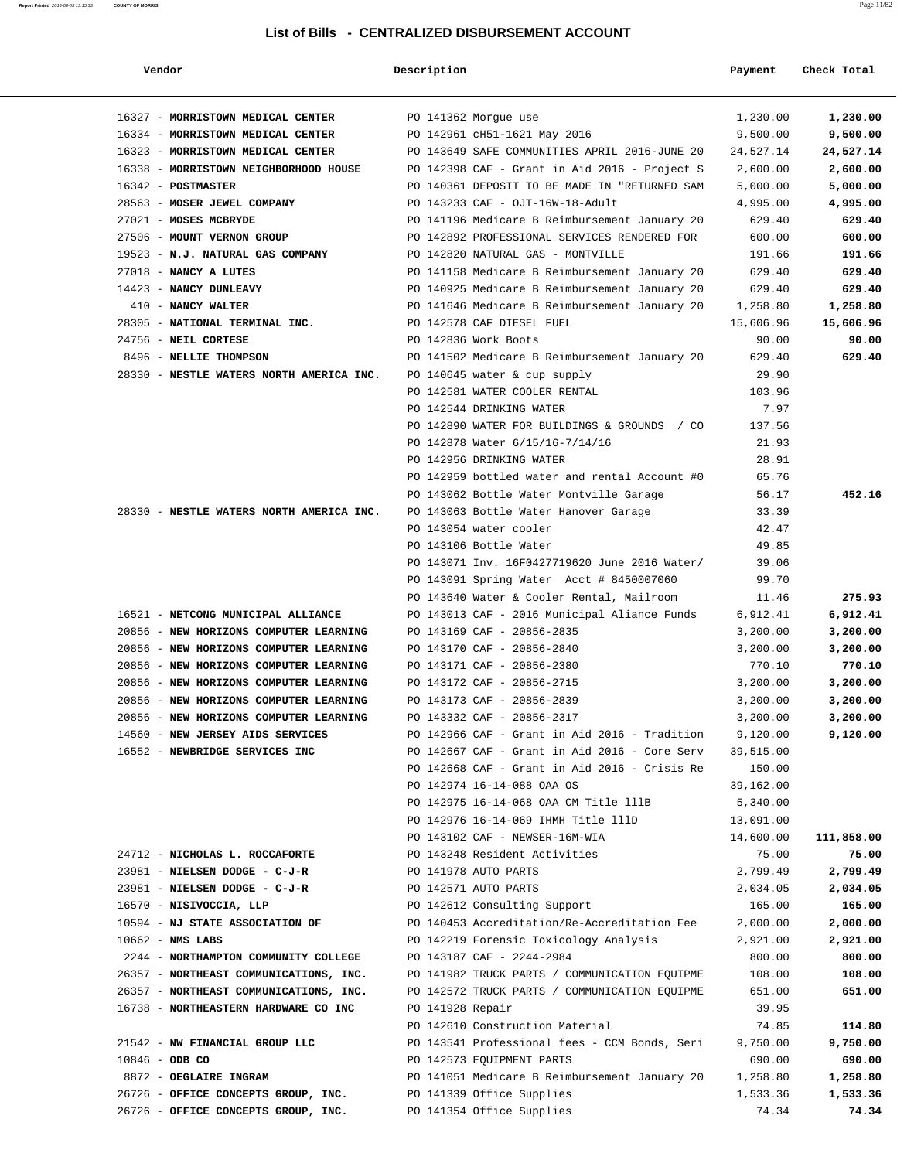| Vendor                                   | Description          |                                                                                               | Payment   | Check Total |
|------------------------------------------|----------------------|-----------------------------------------------------------------------------------------------|-----------|-------------|
| 16327 - MORRISTOWN MEDICAL CENTER        | PO 141362 Morgue use |                                                                                               | 1,230.00  | 1,230.00    |
| 16334 - MORRISTOWN MEDICAL CENTER        |                      | PO 142961 cH51-1621 May 2016                                                                  | 9,500.00  | 9,500.00    |
| 16323 - MORRISTOWN MEDICAL CENTER        |                      | PO 143649 SAFE COMMUNITIES APRIL 2016-JUNE 20                                                 | 24,527.14 | 24,527.14   |
| 16338 - MORRISTOWN NEIGHBORHOOD HOUSE    |                      | PO 142398 CAF - Grant in Aid 2016 - Project S                                                 | 2,600.00  | 2,600.00    |
| 16342 - POSTMASTER                       |                      | PO 140361 DEPOSIT TO BE MADE IN "RETURNED SAM                                                 | 5,000.00  | 5,000.00    |
| 28563 - MOSER JEWEL COMPANY              |                      | PO 143233 CAF - OJT-16W-18-Adult                                                              | 4,995.00  | 4,995.00    |
| 27021 - MOSES MCBRYDE                    |                      |                                                                                               | 629.40    | 629.40      |
| 27506 - MOUNT VERNON GROUP               |                      | PO 141196 Medicare B Reimbursement January 20<br>PO 142892 PROFESSIONAL SERVICES RENDERED FOR | 600.00    | 600.00      |
| 19523 - N.J. NATURAL GAS COMPANY         |                      | PO 142820 NATURAL GAS - MONTVILLE                                                             | 191.66    | 191.66      |
| 27018 - NANCY A LUTES                    |                      | PO 141158 Medicare B Reimbursement January 20                                                 | 629.40    | 629.40      |
| 14423 - NANCY DUNLEAVY                   |                      | PO 140925 Medicare B Reimbursement January 20                                                 | 629.40    | 629.40      |
| 410 - NANCY WALTER                       |                      | PO 141646 Medicare B Reimbursement January 20                                                 | 1,258.80  | 1,258.80    |
| 28305 - NATIONAL TERMINAL INC.           |                      | PO 142578 CAF DIESEL FUEL                                                                     | 15,606.96 | 15,606.96   |
| 24756 - NEIL CORTESE                     |                      | PO 142836 Work Boots                                                                          | 90.00     | 90.00       |
| 8496 - NELLIE THOMPSON                   |                      | PO 141502 Medicare B Reimbursement January 20                                                 | 629.40    | 629.40      |
| 28330 - NESTLE WATERS NORTH AMERICA INC. |                      | PO 140645 water & cup supply                                                                  | 29.90     |             |
|                                          |                      | PO 142581 WATER COOLER RENTAL                                                                 | 103.96    |             |
|                                          |                      | PO 142544 DRINKING WATER                                                                      | 7.97      |             |
|                                          |                      | PO 142890 WATER FOR BUILDINGS & GROUNDS / CO                                                  | 137.56    |             |
|                                          |                      | PO 142878 Water 6/15/16-7/14/16                                                               | 21.93     |             |
|                                          |                      | PO 142956 DRINKING WATER                                                                      | 28.91     |             |
|                                          |                      | PO 142959 bottled water and rental Account #0                                                 | 65.76     |             |
|                                          |                      | PO 143062 Bottle Water Montville Garage                                                       | 56.17     | 452.16      |
| 28330 - NESTLE WATERS NORTH AMERICA INC. |                      | PO 143063 Bottle Water Hanover Garage                                                         | 33.39     |             |
|                                          |                      | PO 143054 water cooler                                                                        | 42.47     |             |
|                                          |                      | PO 143106 Bottle Water                                                                        | 49.85     |             |
|                                          |                      | PO 143071 Inv. 16F0427719620 June 2016 Water/                                                 | 39.06     |             |
|                                          |                      | PO 143091 Spring Water Acct # 8450007060                                                      | 99.70     |             |
|                                          |                      | PO 143640 Water & Cooler Rental, Mailroom                                                     | 11.46     | 275.93      |
| 16521 - NETCONG MUNICIPAL ALLIANCE       |                      | PO 143013 CAF - 2016 Municipal Aliance Funds                                                  | 6,912.41  | 6,912.41    |
| 20856 - NEW HORIZONS COMPUTER LEARNING   |                      | PO 143169 CAF - 20856-2835                                                                    | 3,200.00  | 3,200.00    |
| 20856 - NEW HORIZONS COMPUTER LEARNING   |                      | PO 143170 CAF - 20856-2840                                                                    | 3,200.00  | 3,200.00    |
| 20856 - NEW HORIZONS COMPUTER LEARNING   |                      | PO 143171 CAF - 20856-2380                                                                    | 770.10    | 770.10      |
| 20856 - NEW HORIZONS COMPUTER LEARNING   |                      | PO 143172 CAF - 20856-2715                                                                    | 3,200.00  | 3,200.00    |
| 20856 - NEW HORIZONS COMPUTER LEARNING   |                      | PO 143173 CAF - 20856-2839                                                                    | 3,200.00  | 3,200.00    |
| 20856 - NEW HORIZONS COMPUTER LEARNING   |                      | PO 143332 CAF - 20856-2317                                                                    | 3,200.00  | 3,200.00    |
| 14560 - NEW JERSEY AIDS SERVICES         |                      | PO 142966 CAF - Grant in Aid 2016 - Tradition                                                 | 9,120.00  | 9,120.00    |
| 16552 - NEWBRIDGE SERVICES INC           |                      | PO 142667 CAF - Grant in Aid 2016 - Core Serv                                                 | 39,515.00 |             |
|                                          |                      | PO 142668 CAF - Grant in Aid 2016 - Crisis Re                                                 | 150.00    |             |
|                                          |                      | PO 142974 16-14-088 OAA OS                                                                    | 39,162.00 |             |
|                                          |                      | PO 142975 16-14-068 OAA CM Title lllB                                                         | 5,340.00  |             |
|                                          |                      | PO 142976 16-14-069 IHMH Title lllD                                                           | 13,091.00 |             |
|                                          |                      | PO 143102 CAF - NEWSER-16M-WIA                                                                | 14,600.00 | 111,858.00  |
| 24712 - NICHOLAS L. ROCCAFORTE           |                      | PO 143248 Resident Activities                                                                 | 75.00     | 75.00       |
| 23981 - NIELSEN DODGE - C-J-R            |                      | PO 141978 AUTO PARTS                                                                          | 2,799.49  | 2,799.49    |
| 23981 - NIELSEN DODGE - C-J-R            |                      | PO 142571 AUTO PARTS                                                                          | 2,034.05  | 2,034.05    |
| 16570 - NISIVOCCIA, LLP                  |                      | PO 142612 Consulting Support                                                                  | 165.00    | 165.00      |
| 10594 - NJ STATE ASSOCIATION OF          |                      | PO 140453 Accreditation/Re-Accreditation Fee                                                  | 2,000.00  | 2,000.00    |
| $10662$ - NMS LABS                       |                      | PO 142219 Forensic Toxicology Analysis                                                        | 2,921.00  | 2,921.00    |
| 2244 - NORTHAMPTON COMMUNITY COLLEGE     |                      | PO 143187 CAF - 2244-2984                                                                     | 800.00    | 800.00      |
| 26357 - NORTHEAST COMMUNICATIONS, INC.   |                      | PO 141982 TRUCK PARTS / COMMUNICATION EQUIPME                                                 | 108.00    | 108.00      |
| 26357 - NORTHEAST COMMUNICATIONS, INC.   |                      | PO 142572 TRUCK PARTS / COMMUNICATION EQUIPME                                                 | 651.00    | 651.00      |
| 16738 - NORTHEASTERN HARDWARE CO INC     | PO 141928 Repair     |                                                                                               | 39.95     |             |
|                                          |                      | PO 142610 Construction Material                                                               | 74.85     | 114.80      |
| 21542 - NW FINANCIAL GROUP LLC           |                      | PO 143541 Professional fees - CCM Bonds, Seri                                                 | 9,750.00  | 9,750.00    |
| 10846 - ODB CO                           |                      | PO 142573 EQUIPMENT PARTS                                                                     | 690.00    | 690.00      |
| 8872 - OEGLAIRE INGRAM                   |                      | PO 141051 Medicare B Reimbursement January 20                                                 | 1,258.80  | 1,258.80    |
| 26726 - OFFICE CONCEPTS GROUP, INC.      |                      | PO 141339 Office Supplies                                                                     | 1,533.36  | 1,533.36    |
| 26726 - OFFICE CONCEPTS GROUP, INC.      |                      | PO 141354 Office Supplies                                                                     | 74.34     | 74.34       |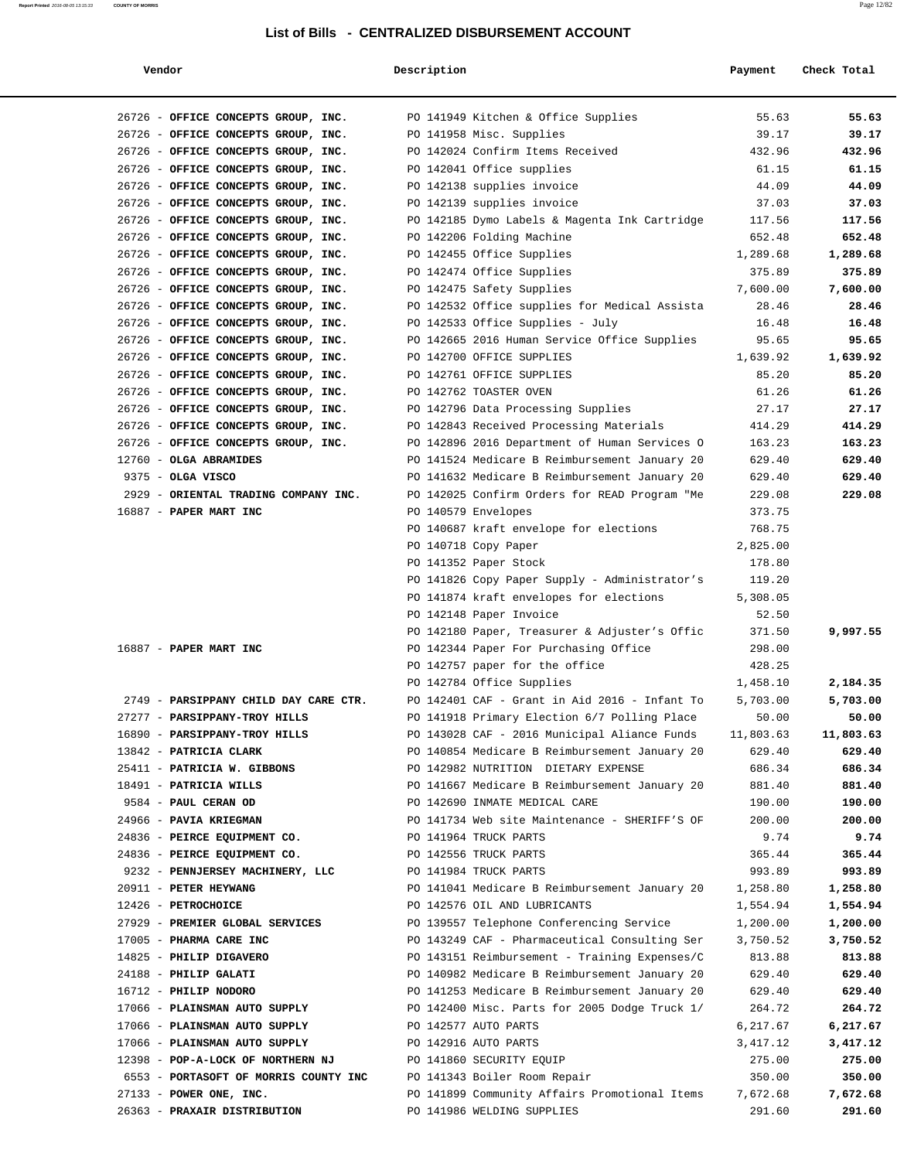#### **Report Printed** 2016-08-05 13:15:33 **COUNTY OF MORRIS** Page 12/82

| Vendor                                                  | Description         |                                                                                               | Payment          | Check Total      |
|---------------------------------------------------------|---------------------|-----------------------------------------------------------------------------------------------|------------------|------------------|
| 26726 - OFFICE CONCEPTS GROUP, INC.                     |                     | PO 141949 Kitchen & Office Supplies                                                           | 55.63            | 55.63            |
| 26726 - OFFICE CONCEPTS GROUP, INC.                     |                     | PO 141958 Misc. Supplies                                                                      | 39.17            | 39.17            |
| 26726 - OFFICE CONCEPTS GROUP, INC.                     |                     | PO 142024 Confirm Items Received                                                              | 432.96           | 432.96           |
| 26726 - OFFICE CONCEPTS GROUP, INC.                     |                     | PO 142041 Office supplies                                                                     | 61.15            | 61.15            |
| 26726 - OFFICE CONCEPTS GROUP, INC.                     |                     | PO 142138 supplies invoice                                                                    | 44.09            | 44.09            |
| 26726 - OFFICE CONCEPTS GROUP, INC.                     |                     | PO 142139 supplies invoice                                                                    | 37.03            | 37.03            |
| 26726 - OFFICE CONCEPTS GROUP, INC.                     |                     | PO 142185 Dymo Labels & Magenta Ink Cartridge                                                 | 117.56           | 117.56           |
| 26726 - OFFICE CONCEPTS GROUP, INC.                     |                     | PO 142206 Folding Machine                                                                     | 652.48           | 652.48           |
| 26726 - OFFICE CONCEPTS GROUP, INC.                     |                     | PO 142455 Office Supplies                                                                     | 1,289.68         | 1,289.68         |
| 26726 - OFFICE CONCEPTS GROUP, INC.                     |                     | PO 142474 Office Supplies                                                                     | 375.89           | 375.89           |
| 26726 - OFFICE CONCEPTS GROUP, INC.                     |                     | PO 142475 Safety Supplies                                                                     | 7,600.00         | 7,600.00         |
| 26726 - OFFICE CONCEPTS GROUP, INC.                     |                     | PO 142532 Office supplies for Medical Assista                                                 | 28.46            | 28.46            |
| 26726 - OFFICE CONCEPTS GROUP, INC.                     |                     | PO 142533 Office Supplies - July                                                              | 16.48            | 16.48            |
| 26726 - OFFICE CONCEPTS GROUP, INC.                     |                     | PO 142665 2016 Human Service Office Supplies                                                  | 95.65            | 95.65            |
| 26726 - OFFICE CONCEPTS GROUP, INC.                     |                     | PO 142700 OFFICE SUPPLIES                                                                     | 1,639.92         | 1,639.92         |
| 26726 - OFFICE CONCEPTS GROUP, INC.                     |                     | PO 142761 OFFICE SUPPLIES                                                                     | 85.20            | 85.20            |
| 26726 - OFFICE CONCEPTS GROUP, INC.                     |                     | PO 142762 TOASTER OVEN                                                                        | 61.26            | 61.26            |
| 26726 - OFFICE CONCEPTS GROUP, INC.                     |                     | PO 142796 Data Processing Supplies                                                            | 27.17            | 27.17            |
| 26726 - OFFICE CONCEPTS GROUP, INC.                     |                     | PO 142843 Received Processing Materials                                                       | 414.29           | 414.29           |
| 26726 - OFFICE CONCEPTS GROUP, INC.                     |                     | PO 142896 2016 Department of Human Services O                                                 | 163.23           | 163.23           |
| 12760 - OLGA ABRAMIDES                                  |                     | PO 141524 Medicare B Reimbursement January 20                                                 | 629.40           | 629.40           |
| 9375 - OLGA VISCO                                       |                     | PO 141632 Medicare B Reimbursement January 20                                                 | 629.40           | 629.40           |
| 2929 - ORIENTAL TRADING COMPANY INC.                    |                     | PO 142025 Confirm Orders for READ Program "Me                                                 | 229.08           | 229.08           |
| 16887 - PAPER MART INC                                  | PO 140579 Envelopes |                                                                                               | 373.75           |                  |
|                                                         |                     | PO 140687 kraft envelope for elections                                                        | 768.75           |                  |
|                                                         |                     | PO 140718 Copy Paper                                                                          | 2,825.00         |                  |
|                                                         |                     | PO 141352 Paper Stock                                                                         | 178.80           |                  |
|                                                         |                     | PO 141826 Copy Paper Supply - Administrator's                                                 | 119.20           |                  |
|                                                         |                     | PO 141874 kraft envelopes for elections                                                       | 5,308.05         |                  |
|                                                         |                     | PO 142148 Paper Invoice                                                                       | 52.50            |                  |
|                                                         |                     | PO 142180 Paper, Treasurer & Adjuster's Offic                                                 | 371.50           | 9,997.55         |
| 16887 - PAPER MART INC                                  |                     | PO 142344 Paper For Purchasing Office                                                         | 298.00           |                  |
|                                                         |                     | PO 142757 paper for the office                                                                | 428.25           |                  |
|                                                         |                     | PO 142784 Office Supplies                                                                     | 1,458.10         | 2,184.35         |
| 2749 - PARSIPPANY CHILD DAY CARE CTR.                   |                     | PO 142401 CAF - Grant in Aid 2016 - Infant To                                                 | 5,703.00         | 5,703.00         |
| 27277 - PARSIPPANY-TROY HILLS                           |                     | PO 141918 Primary Election 6/7 Polling Place                                                  | 50.00            | 50.00            |
| 16890 - PARSIPPANY-TROY HILLS<br>13842 - PATRICIA CLARK |                     | PO 143028 CAF - 2016 Municipal Aliance Funds<br>PO 140854 Medicare B Reimbursement January 20 | 11,803.63        | 11,803.63        |
| 25411 - PATRICIA W. GIBBONS                             |                     | PO 142982 NUTRITION DIETARY EXPENSE                                                           | 629.40<br>686.34 | 629.40<br>686.34 |
| 18491 - PATRICIA WILLS                                  |                     | PO 141667 Medicare B Reimbursement January 20                                                 | 881.40           | 881.40           |
| 9584 - PAUL CERAN OD                                    |                     | PO 142690 INMATE MEDICAL CARE                                                                 | 190.00           | 190.00           |
| 24966 - PAVIA KRIEGMAN                                  |                     | PO 141734 Web site Maintenance - SHERIFF'S OF                                                 | 200.00           | 200.00           |
| 24836 - PEIRCE EQUIPMENT CO.                            |                     | PO 141964 TRUCK PARTS                                                                         | 9.74             | 9.74             |
| 24836 - PEIRCE EQUIPMENT CO.                            |                     | PO 142556 TRUCK PARTS                                                                         | 365.44           | 365.44           |
| 9232 - PENNJERSEY MACHINERY, LLC                        |                     | PO 141984 TRUCK PARTS                                                                         | 993.89           | 993.89           |
| 20911 - PETER HEYWANG                                   |                     | PO 141041 Medicare B Reimbursement January 20                                                 | 1,258.80         | 1,258.80         |
| 12426 - PETROCHOICE                                     |                     | PO 142576 OIL AND LUBRICANTS                                                                  | 1,554.94         | 1,554.94         |
| 27929 - PREMIER GLOBAL SERVICES                         |                     | PO 139557 Telephone Conferencing Service                                                      | 1,200.00         | 1,200.00         |
| 17005 - PHARMA CARE INC                                 |                     | PO 143249 CAF - Pharmaceutical Consulting Ser                                                 | 3,750.52         | 3,750.52         |
| 14825 - PHILIP DIGAVERO                                 |                     | PO 143151 Reimbursement - Training Expenses/C                                                 | 813.88           | 813.88           |
| 24188 - PHILIP GALATI                                   |                     | PO 140982 Medicare B Reimbursement January 20                                                 | 629.40           | 629.40           |
| 16712 - PHILIP NODORO                                   |                     | PO 141253 Medicare B Reimbursement January 20                                                 | 629.40           | 629.40           |
| 17066 - PLAINSMAN AUTO SUPPLY                           |                     | PO 142400 Misc. Parts for 2005 Dodge Truck 1/                                                 | 264.72           | 264.72           |
| 17066 - PLAINSMAN AUTO SUPPLY                           |                     | PO 142577 AUTO PARTS                                                                          | 6,217.67         | 6,217.67         |
| 17066 - PLAINSMAN AUTO SUPPLY                           |                     | PO 142916 AUTO PARTS                                                                          | 3,417.12         | 3,417.12         |
| 12398 - POP-A-LOCK OF NORTHERN NJ                       |                     | PO 141860 SECURITY EQUIP                                                                      | 275.00           | 275.00           |
| 6553 - PORTASOFT OF MORRIS COUNTY INC                   |                     | PO 141343 Boiler Room Repair                                                                  | 350.00           | 350.00           |
| $27133$ - POWER ONE, INC.                               |                     | PO 141899 Community Affairs Promotional Items                                                 | 7,672.68         | 7,672.68         |
| 26363 - PRAXAIR DISTRIBUTION                            |                     | PO 141986 WELDING SUPPLIES                                                                    | 291.60           | 291.60           |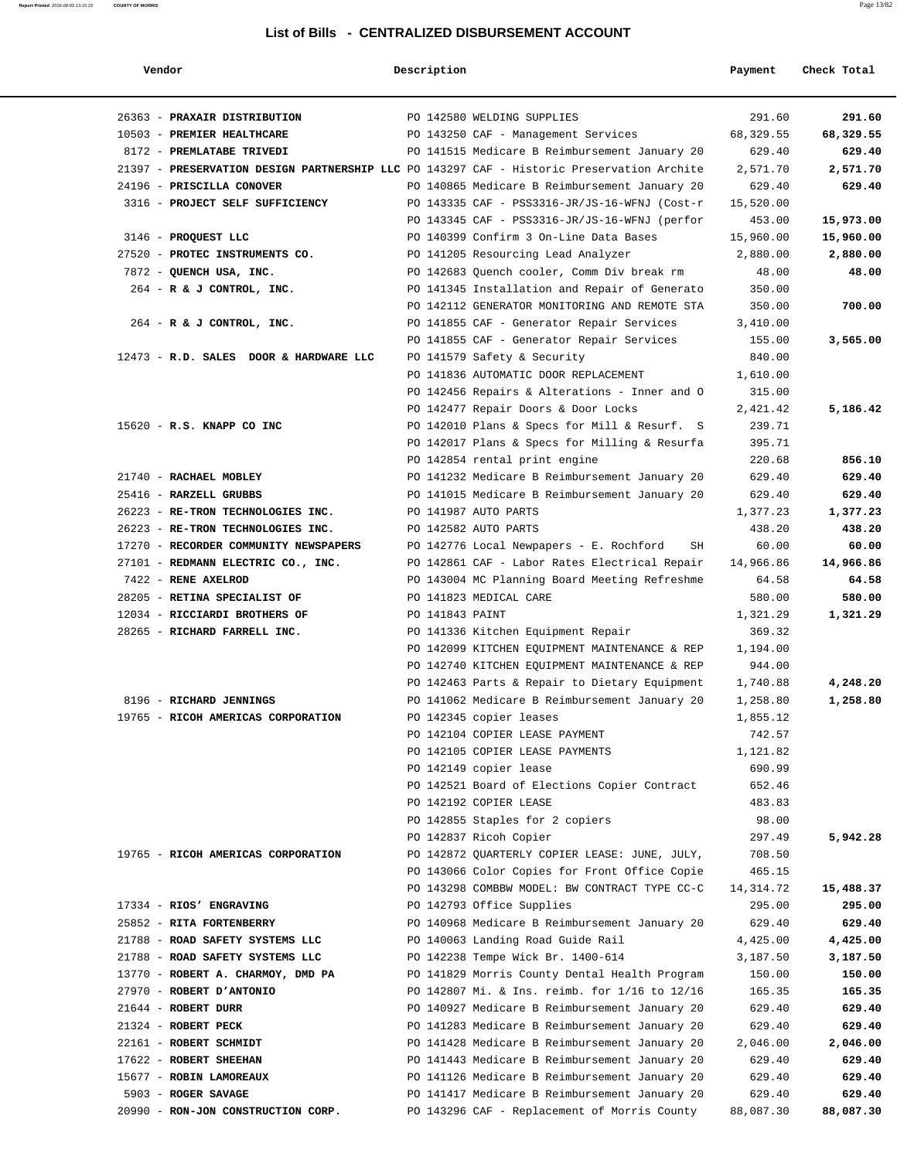| Vendor                                                                                    | Description     |                                               | Payment   | Check Total |
|-------------------------------------------------------------------------------------------|-----------------|-----------------------------------------------|-----------|-------------|
| 26363 - PRAXAIR DISTRIBUTION                                                              |                 | PO 142580 WELDING SUPPLIES                    | 291.60    | 291.60      |
| 10503 - PREMIER HEALTHCARE                                                                |                 | PO 143250 CAF - Management Services           | 68,329.55 | 68,329.55   |
| 8172 - PREMLATABE TRIVEDI                                                                 |                 | PO 141515 Medicare B Reimbursement January 20 | 629.40    | 629.40      |
| 21397 - PRESERVATION DESIGN PARTNERSHIP LLC PO 143297 CAF - Historic Preservation Archite |                 |                                               | 2,571.70  | 2,571.70    |
| 24196 - PRISCILLA CONOVER                                                                 |                 | PO 140865 Medicare B Reimbursement January 20 | 629.40    | 629.40      |
| 3316 - PROJECT SELF SUFFICIENCY                                                           |                 | PO 143335 CAF - PSS3316-JR/JS-16-WFNJ (Cost-r | 15,520.00 |             |
|                                                                                           |                 | PO 143345 CAF - PSS3316-JR/JS-16-WFNJ (perfor | 453.00    | 15,973.00   |
| 3146 - PROQUEST LLC                                                                       |                 | PO 140399 Confirm 3 On-Line Data Bases        | 15,960.00 | 15,960.00   |
| 27520 - PROTEC INSTRUMENTS CO.                                                            |                 | PO 141205 Resourcing Lead Analyzer            | 2,880.00  | 2,880.00    |
| 7872 - QUENCH USA, INC.                                                                   |                 | PO 142683 Quench cooler, Comm Div break rm    | 48.00     | 48.00       |
| $264$ - R & J CONTROL, INC.                                                               |                 | PO 141345 Installation and Repair of Generato | 350.00    |             |
|                                                                                           |                 | PO 142112 GENERATOR MONITORING AND REMOTE STA | 350.00    | 700.00      |
| 264 - R & J CONTROL, INC.                                                                 |                 | PO 141855 CAF - Generator Repair Services     | 3,410.00  |             |
|                                                                                           |                 | PO 141855 CAF - Generator Repair Services     | 155.00    | 3,565.00    |
| 12473 - R.D. SALES DOOR & HARDWARE LLC                                                    |                 | PO 141579 Safety & Security                   | 840.00    |             |
|                                                                                           |                 | PO 141836 AUTOMATIC DOOR REPLACEMENT          | 1,610.00  |             |
|                                                                                           |                 | PO 142456 Repairs & Alterations - Inner and O | 315.00    |             |
|                                                                                           |                 | PO 142477 Repair Doors & Door Locks           | 2,421.42  | 5,186.42    |
| 15620 - R.S. KNAPP CO INC                                                                 |                 | PO 142010 Plans & Specs for Mill & Resurf. S  | 239.71    |             |
|                                                                                           |                 | PO 142017 Plans & Specs for Milling & Resurfa | 395.71    |             |
|                                                                                           |                 | PO 142854 rental print engine                 | 220.68    | 856.10      |
| 21740 - RACHAEL MOBLEY                                                                    |                 | PO 141232 Medicare B Reimbursement January 20 | 629.40    | 629.40      |
| 25416 - RARZELL GRUBBS                                                                    |                 | PO 141015 Medicare B Reimbursement January 20 | 629.40    | 629.40      |
| 26223 - RE-TRON TECHNOLOGIES INC.                                                         |                 | PO 141987 AUTO PARTS                          | 1,377.23  | 1,377.23    |
| 26223 - RE-TRON TECHNOLOGIES INC.                                                         |                 | PO 142582 AUTO PARTS                          | 438.20    | 438.20      |
| 17270 - RECORDER COMMUNITY NEWSPAPERS                                                     |                 | PO 142776 Local Newpapers - E. Rochford<br>SH | 60.00     | 60.00       |
| 27101 - REDMANN ELECTRIC CO., INC.                                                        |                 | PO 142861 CAF - Labor Rates Electrical Repair | 14,966.86 | 14,966.86   |
| 7422 - RENE AXELROD                                                                       |                 | PO 143004 MC Planning Board Meeting Refreshme | 64.58     | 64.58       |
| 28205 - RETINA SPECIALIST OF                                                              |                 | PO 141823 MEDICAL CARE                        | 580.00    | 580.00      |
| 12034 - RICCIARDI BROTHERS OF                                                             | PO 141843 PAINT |                                               | 1,321.29  | 1,321.29    |
| 28265 - RICHARD FARRELL INC.                                                              |                 | PO 141336 Kitchen Equipment Repair            | 369.32    |             |
|                                                                                           |                 | PO 142099 KITCHEN EQUIPMENT MAINTENANCE & REP | 1,194.00  |             |
|                                                                                           |                 | PO 142740 KITCHEN EQUIPMENT MAINTENANCE & REP | 944.00    |             |
|                                                                                           |                 | PO 142463 Parts & Repair to Dietary Equipment | 1,740.88  | 4,248.20    |
| 8196 - RICHARD JENNINGS                                                                   |                 | PO 141062 Medicare B Reimbursement January 20 | 1,258.80  | 1,258.80    |
| 19765 - RICOH AMERICAS CORPORATION                                                        |                 | PO 142345 copier leases                       | 1,855.12  |             |
|                                                                                           |                 | PO 142104 COPIER LEASE PAYMENT                | 742.57    |             |
|                                                                                           |                 | PO 142105 COPIER LEASE PAYMENTS               | 1,121.82  |             |
|                                                                                           |                 | PO 142149 copier lease                        | 690.99    |             |
|                                                                                           |                 | PO 142521 Board of Elections Copier Contract  | 652.46    |             |
|                                                                                           |                 | PO 142192 COPIER LEASE                        | 483.83    |             |
|                                                                                           |                 | PO 142855 Staples for 2 copiers               | 98.00     |             |
|                                                                                           |                 | PO 142837 Ricoh Copier                        | 297.49    | 5,942.28    |
| 19765 - RICOH AMERICAS CORPORATION                                                        |                 | PO 142872 QUARTERLY COPIER LEASE: JUNE, JULY, | 708.50    |             |
|                                                                                           |                 | PO 143066 Color Copies for Front Office Copie | 465.15    |             |
|                                                                                           |                 | PO 143298 COMBBW MODEL: BW CONTRACT TYPE CC-C | 14,314.72 | 15,488.37   |
| 17334 - RIOS' ENGRAVING                                                                   |                 | PO 142793 Office Supplies                     | 295.00    | 295.00      |
| 25852 - RITA FORTENBERRY                                                                  |                 | PO 140968 Medicare B Reimbursement January 20 | 629.40    | 629.40      |
| 21788 - ROAD SAFETY SYSTEMS LLC                                                           |                 | PO 140063 Landing Road Guide Rail             | 4,425.00  | 4,425.00    |
| 21788 - ROAD SAFETY SYSTEMS LLC                                                           |                 | PO 142238 Tempe Wick Br. 1400-614             | 3,187.50  | 3,187.50    |
| 13770 - ROBERT A. CHARMOY, DMD PA                                                         |                 | PO 141829 Morris County Dental Health Program | 150.00    | 150.00      |
| 27970 - ROBERT D'ANTONIO                                                                  |                 | PO 142807 Mi. & Ins. reimb. for 1/16 to 12/16 | 165.35    | 165.35      |
| $21644$ - ROBERT DURR                                                                     |                 | PO 140927 Medicare B Reimbursement January 20 | 629.40    | 629.40      |
| 21324 - ROBERT PECK                                                                       |                 | PO 141283 Medicare B Reimbursement January 20 | 629.40    | 629.40      |
| 22161 - ROBERT SCHMIDT                                                                    |                 | PO 141428 Medicare B Reimbursement January 20 | 2,046.00  | 2,046.00    |
| 17622 - ROBERT SHEEHAN                                                                    |                 | PO 141443 Medicare B Reimbursement January 20 | 629.40    | 629.40      |
| 15677 - ROBIN LAMOREAUX                                                                   |                 | PO 141126 Medicare B Reimbursement January 20 | 629.40    | 629.40      |
| 5903 - ROGER SAVAGE                                                                       |                 | PO 141417 Medicare B Reimbursement January 20 | 629.40    | 629.40      |
| 20990 - RON-JON CONSTRUCTION CORP.                                                        |                 | PO 143296 CAF - Replacement of Morris County  | 88,087.30 | 88,087.30   |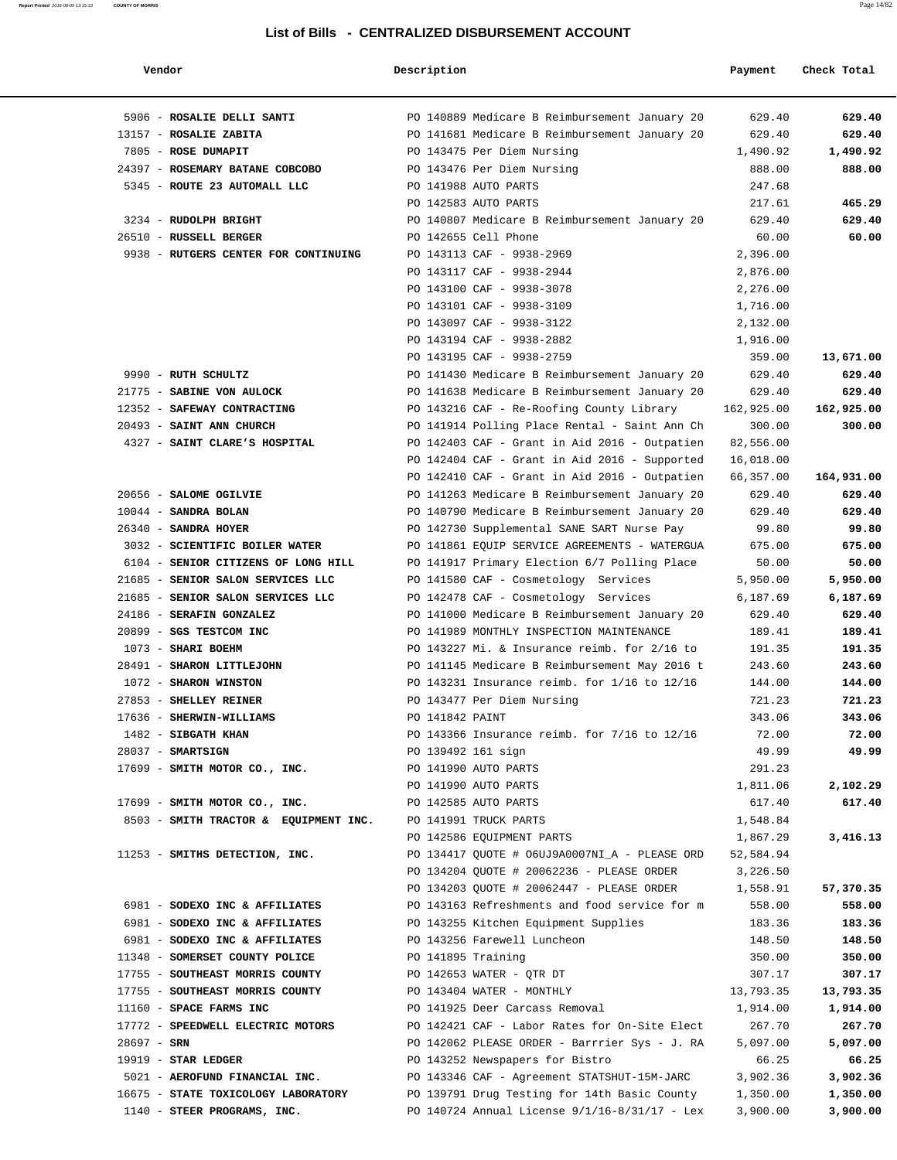| Vendor                                | Description        |                                                 | Payment    | Check Total |
|---------------------------------------|--------------------|-------------------------------------------------|------------|-------------|
| 5906 - ROSALIE DELLI SANTI            |                    | PO 140889 Medicare B Reimbursement January 20   | 629.40     | 629.40      |
| 13157 - ROSALIE ZABITA                |                    | PO 141681 Medicare B Reimbursement January 20   | 629.40     | 629.40      |
| 7805 - ROSE DUMAPIT                   |                    | PO 143475 Per Diem Nursing                      | 1,490.92   | 1,490.92    |
| 24397 - ROSEMARY BATANE COBCOBO       |                    | PO 143476 Per Diem Nursing                      | 888.00     | 888.00      |
| 5345 - ROUTE 23 AUTOMALL LLC          |                    | PO 141988 AUTO PARTS                            | 247.68     |             |
|                                       |                    | PO 142583 AUTO PARTS                            | 217.61     | 465.29      |
| 3234 - RUDOLPH BRIGHT                 |                    | PO 140807 Medicare B Reimbursement January 20   | 629.40     | 629.40      |
| 26510 - RUSSELL BERGER                |                    | PO 142655 Cell Phone                            | 60.00      | 60.00       |
| 9938 - RUTGERS CENTER FOR CONTINUING  |                    | PO 143113 CAF - 9938-2969                       | 2,396.00   |             |
|                                       |                    | PO 143117 CAF - 9938-2944                       | 2,876.00   |             |
|                                       |                    | PO 143100 CAF - 9938-3078                       | 2,276.00   |             |
|                                       |                    | PO 143101 CAF - 9938-3109                       | 1,716.00   |             |
|                                       |                    | PO 143097 CAF - 9938-3122                       | 2,132.00   |             |
|                                       |                    | PO 143194 CAF - 9938-2882                       | 1,916.00   |             |
|                                       |                    | PO 143195 CAF - 9938-2759                       | 359.00     | 13,671.00   |
| 9990 - RUTH SCHULTZ                   |                    | PO 141430 Medicare B Reimbursement January 20   | 629.40     | 629.40      |
| 21775 - SABINE VON AULOCK             |                    | PO 141638 Medicare B Reimbursement January 20   | 629.40     | 629.40      |
| 12352 - SAFEWAY CONTRACTING           |                    | PO 143216 CAF - Re-Roofing County Library       | 162,925.00 | 162,925.00  |
| 20493 - SAINT ANN CHURCH              |                    | PO 141914 Polling Place Rental - Saint Ann Ch   | 300.00     | 300.00      |
| 4327 - SAINT CLARE'S HOSPITAL         |                    | PO 142403 CAF - Grant in Aid 2016 - Outpatien   | 82,556.00  |             |
|                                       |                    | PO 142404 CAF - Grant in Aid 2016 - Supported   | 16,018.00  |             |
|                                       |                    | PO 142410 CAF - Grant in Aid 2016 - Outpatien   | 66,357.00  | 164,931.00  |
| 20656 - SALOME OGILVIE                |                    | PO 141263 Medicare B Reimbursement January 20   | 629.40     | 629.40      |
| $10044$ - SANDRA BOLAN                |                    | PO 140790 Medicare B Reimbursement January 20   | 629.40     | 629.40      |
| 26340 - SANDRA HOYER                  |                    | PO 142730 Supplemental SANE SART Nurse Pay      | 99.80      | 99.80       |
| 3032 - SCIENTIFIC BOILER WATER        |                    | PO 141861 EQUIP SERVICE AGREEMENTS - WATERGUA   | 675.00     | 675.00      |
| 6104 - SENIOR CITIZENS OF LONG HILL   |                    | PO 141917 Primary Election 6/7 Polling Place    | 50.00      | 50.00       |
| 21685 - SENIOR SALON SERVICES LLC     |                    | PO 141580 CAF - Cosmetology Services            | 5,950.00   | 5,950.00    |
| 21685 - SENIOR SALON SERVICES LLC     |                    | PO 142478 CAF - Cosmetology Services            | 6,187.69   | 6,187.69    |
| 24186 - SERAFIN GONZALEZ              |                    | PO 141000 Medicare B Reimbursement January 20   | 629.40     | 629.40      |
| 20899 - SGS TESTCOM INC               |                    | PO 141989 MONTHLY INSPECTION MAINTENANCE        | 189.41     | 189.41      |
| 1073 - SHARI BOEHM                    |                    | PO 143227 Mi. & Insurance reimb. for 2/16 to    | 191.35     | 191.35      |
| 28491 - SHARON LITTLEJOHN             |                    | PO 141145 Medicare B Reimbursement May 2016 t   | 243.60     | 243.60      |
| 1072 - SHARON WINSTON                 |                    | PO 143231 Insurance reimb. for 1/16 to 12/16    | 144.00     | 144.00      |
| 27853 - SHELLEY REINER                |                    | PO 143477 Per Diem Nursing                      | 721.23     | 721.23      |
| 17636 - SHERWIN-WILLIAMS              | PO 141842 PAINT    |                                                 | 343.06     | 343.06      |
| 1482 - SIBGATH KHAN                   |                    | PO 143366 Insurance reimb. for 7/16 to 12/16    | 72.00      | 72.00       |
| 28037 - SMARTSIGN                     | PO 139492 161 sign |                                                 | 49.99      | 49.99       |
| 17699 - SMITH MOTOR CO., INC.         |                    | PO 141990 AUTO PARTS                            | 291.23     |             |
|                                       |                    | PO 141990 AUTO PARTS                            | 1,811.06   | 2,102.29    |
| 17699 - SMITH MOTOR CO., INC.         |                    | PO 142585 AUTO PARTS                            | 617.40     | 617.40      |
| 8503 - SMITH TRACTOR & EQUIPMENT INC. |                    | PO 141991 TRUCK PARTS                           | 1,548.84   |             |
|                                       |                    | PO 142586 EQUIPMENT PARTS                       | 1,867.29   | 3,416.13    |
| 11253 - SMITHS DETECTION, INC.        |                    | PO 134417 QUOTE # 06UJ9A0007NI_A - PLEASE ORD   | 52,584.94  |             |
|                                       |                    | PO 134204 QUOTE # 20062236 - PLEASE ORDER       | 3,226.50   |             |
|                                       |                    | PO 134203 OUOTE # 20062447 - PLEASE ORDER       | 1,558.91   | 57,370.35   |
| 6981 - SODEXO INC & AFFILIATES        |                    | PO 143163 Refreshments and food service for m   | 558.00     | 558.00      |
| 6981 - SODEXO INC & AFFILIATES        |                    | PO 143255 Kitchen Equipment Supplies            | 183.36     | 183.36      |
| 6981 - SODEXO INC & AFFILIATES        |                    | PO 143256 Farewell Luncheon                     | 148.50     | 148.50      |
| 11348 - SOMERSET COUNTY POLICE        | PO 141895 Training |                                                 | 350.00     | 350.00      |
| 17755 - SOUTHEAST MORRIS COUNTY       |                    | PO 142653 WATER - QTR DT                        | 307.17     | 307.17      |
| 17755 - SOUTHEAST MORRIS COUNTY       |                    | PO 143404 WATER - MONTHLY                       | 13,793.35  | 13,793.35   |
| 11160 - SPACE FARMS INC               |                    | PO 141925 Deer Carcass Removal                  | 1,914.00   | 1,914.00    |
| 17772 - SPEEDWELL ELECTRIC MOTORS     |                    | PO 142421 CAF - Labor Rates for On-Site Elect   | 267.70     | 267.70      |
| $28697 - SRN$                         |                    | PO 142062 PLEASE ORDER - Barrrier Sys - J. RA   | 5,097.00   | 5,097.00    |
| $19919$ - STAR LEDGER                 |                    | PO 143252 Newspapers for Bistro                 | 66.25      | 66.25       |
| 5021 - AEROFUND FINANCIAL INC.        |                    | PO 143346 CAF - Agreement STATSHUT-15M-JARC     | 3,902.36   | 3,902.36    |
| 16675 - STATE TOXICOLOGY LABORATORY   |                    | PO 139791 Drug Testing for 14th Basic County    | 1,350.00   | 1,350.00    |
| 1140 - STEER PROGRAMS, INC.           |                    | PO 140724 Annual License $9/1/16-8/31/17$ - Lex | 3,900.00   | 3,900.00    |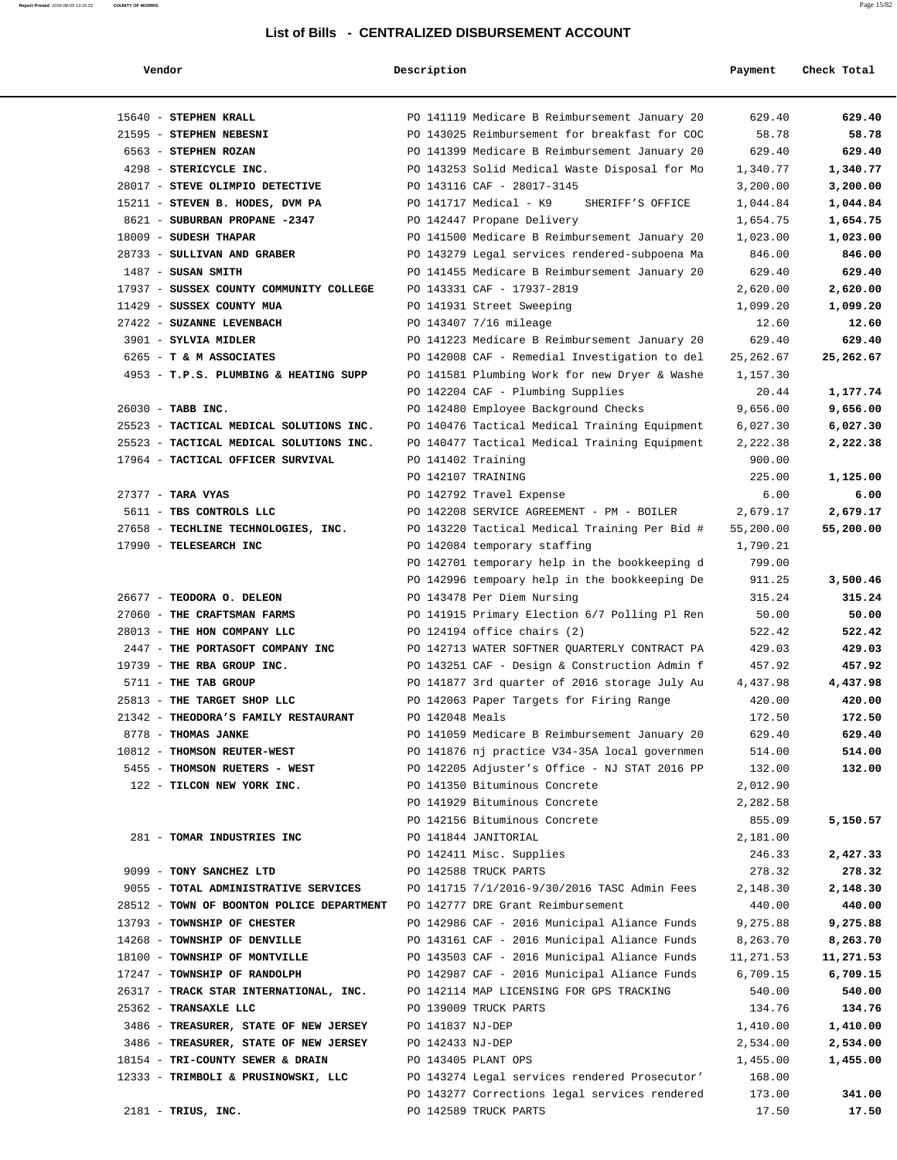#### List of Bills - CENTR

| Report Printed 2016-08-05 13:15:33               | <b>COUNTY OF MORRIS</b>      |                                               |         | Page 15/82  |  |  |
|--------------------------------------------------|------------------------------|-----------------------------------------------|---------|-------------|--|--|
| List of Bills - CENTRALIZED DISBURSEMENT ACCOUNT |                              |                                               |         |             |  |  |
|                                                  | Vendor                       | Description                                   | Payment | Check Total |  |  |
|                                                  | 15640 - STEPHEN KRALL        | PO 141119 Medicare B Reimbursement January 20 | 629.40  | 629.40      |  |  |
|                                                  | STEPHEN NEBESNI<br>$21595 -$ | PO 143025 Reimbursement for breakfast for COC | 58.78   | 58.78       |  |  |

| 15640 - STEPHEN KRALL                     | PO 141119 Medicare B Reimbursement January 20 | 629.40    | 629.40        |
|-------------------------------------------|-----------------------------------------------|-----------|---------------|
| 21595 - STEPHEN NEBESNI                   | PO 143025 Reimbursement for breakfast for COC | 58.78     | 58.78         |
| 6563 - STEPHEN ROZAN                      | PO 141399 Medicare B Reimbursement January 20 | 629.40    | 629.40        |
| 4298 - STERICYCLE INC.                    | PO 143253 Solid Medical Waste Disposal for Mo | 1,340.77  | 1,340.77      |
| 28017 - STEVE OLIMPIO DETECTIVE           | PO 143116 CAF - 28017-3145                    | 3,200.00  | 3,200.00      |
| 15211 - STEVEN B. HODES, DVM PA           | PO 141717 Medical - K9<br>SHERIFF'S OFFICE    | 1,044.84  | 1,044.84      |
| 8621 - SUBURBAN PROPANE -2347             | PO 142447 Propane Delivery                    | 1,654.75  | 1,654.75      |
| 18009 - SUDESH THAPAR                     | PO 141500 Medicare B Reimbursement January 20 | 1,023.00  | 1,023.00      |
| 28733 - SULLIVAN AND GRABER               | PO 143279 Legal services rendered-subpoena Ma | 846.00    | 846.00        |
| $1487$ - SUSAN SMITH                      | PO 141455 Medicare B Reimbursement January 20 | 629.40    | 629.40        |
| 17937 - SUSSEX COUNTY COMMUNITY COLLEGE   | PO 143331 CAF - 17937-2819                    | 2,620.00  | 2,620.00      |
| 11429 - SUSSEX COUNTY MUA                 | PO 141931 Street Sweeping                     | 1,099.20  | 1,099.20      |
| 27422 - SUZANNE LEVENBACH                 | PO 143407 7/16 mileage                        | 12.60     | 12.60         |
| 3901 - SYLVIA MIDLER                      | PO 141223 Medicare B Reimbursement January 20 | 629.40    | 629.40        |
| 6265 - T & M ASSOCIATES                   | PO 142008 CAF - Remedial Investigation to del | 25,262.67 | 25,262.67     |
| 4953 - T.P.S. PLUMBING & HEATING SUPP     | PO 141581 Plumbing Work for new Dryer & Washe | 1,157.30  |               |
|                                           | PO 142204 CAF - Plumbing Supplies             | 20.44     | 1,177.74      |
| 26030 - TABB INC.                         | PO 142480 Employee Background Checks          | 9,656.00  | 9,656.00      |
| 25523 - TACTICAL MEDICAL SOLUTIONS INC.   | PO 140476 Tactical Medical Training Equipment | 6,027.30  | 6,027.30      |
| 25523 - TACTICAL MEDICAL SOLUTIONS INC.   | PO 140477 Tactical Medical Training Equipment | 2,222.38  | 2,222.38      |
| 17964 - TACTICAL OFFICER SURVIVAL         | PO 141402 Training                            | 900.00    |               |
|                                           | PO 142107 TRAINING                            | 225.00    | 1,125.00      |
| $27377 -$ TARA VYAS                       | PO 142792 Travel Expense                      | 6.00      | 6.00          |
| 5611 - TBS CONTROLS LLC                   | PO 142208 SERVICE AGREEMENT - PM - BOILER     | 2,679.17  | 2,679.17      |
| 27658 - TECHLINE TECHNOLOGIES, INC.       | PO 143220 Tactical Medical Training Per Bid # | 55,200.00 | 55,200.00     |
| 17990 - TELESEARCH INC                    | PO 142084 temporary staffing                  | 1,790.21  |               |
|                                           | PO 142701 temporary help in the bookkeeping d | 799.00    |               |
|                                           | PO 142996 tempoary help in the bookkeeping De | 911.25    | 3,500.46      |
| 26677 - TEODORA O. DELEON                 | PO 143478 Per Diem Nursing                    | 315.24    | 315.24        |
| 27060 - THE CRAFTSMAN FARMS               | PO 141915 Primary Election 6/7 Polling Pl Ren | 50.00     | 50.00         |
| 28013 - THE HON COMPANY LLC               | PO $124194$ office chairs $(2)$               | 522.42    | 522.42        |
| 2447 - THE PORTASOFT COMPANY INC          | PO 142713 WATER SOFTNER QUARTERLY CONTRACT PA | 429.03    | 429.03        |
| 19739 - THE RBA GROUP INC.                | PO 143251 CAF - Design & Construction Admin f | 457.92    | 457.92        |
| 5711 - THE TAB GROUP                      | PO 141877 3rd quarter of 2016 storage July Au | 4,437.98  | 4,437.98      |
| 25813 - THE TARGET SHOP LLC               | PO 142063 Paper Targets for Firing Range      | 420.00    | 420.00        |
| 21342 - THEODORA'S FAMILY RESTAURANT      | PO 142048 Meals                               | 172.50    | 172.50        |
| 8778 - THOMAS JANKE                       | PO 141059 Medicare B Reimbursement January 20 | 629.40    | 629.40        |
| 10812 - THOMSON REUTER-WEST               | PO 141876 nj practice V34-35A local governmen | 514.00    | 514.00        |
| 5455 - THOMSON RUETERS - WEST             | PO 142205 Adjuster's Office - NJ STAT 2016 PP | 132.00    | 132.00        |
| 122 - TILCON NEW YORK INC.                | PO 141350 Bituminous Concrete                 | 2,012.90  |               |
|                                           | PO 141929 Bituminous Concrete                 | 2,282.58  |               |
|                                           | PO 142156 Bituminous Concrete                 | 855.09    | 5,150.57      |
| 281 - TOMAR INDUSTRIES INC                | PO 141844 JANITORIAL                          | 2,181.00  |               |
|                                           | PO 142411 Misc. Supplies                      | 246.33    | 2,427.33      |
| 9099 - TONY SANCHEZ LTD                   | PO 142588 TRUCK PARTS                         | 278.32    | 278.32        |
| 9055 - TOTAL ADMINISTRATIVE SERVICES      | PO 141715 7/1/2016-9/30/2016 TASC Admin Fees  | 2,148.30  | 2,148.30      |
| 28512 - TOWN OF BOONTON POLICE DEPARTMENT | PO 142777 DRE Grant Reimbursement             | 440.00    | 440.00        |
| 13793 - TOWNSHIP OF CHESTER               | PO 142986 CAF - 2016 Municipal Aliance Funds  | 9,275.88  | 9,275.88      |
| 14268 - TOWNSHIP OF DENVILLE              | PO 143161 CAF - 2016 Municipal Aliance Funds  | 8,263.70  | 8,263.70      |
| 18100 - TOWNSHIP OF MONTVILLE             | PO 143503 CAF - 2016 Municipal Aliance Funds  | 11,271.53 | 11,271.53     |
| 17247 - TOWNSHIP OF RANDOLPH              | PO 142987 CAF - 2016 Municipal Aliance Funds  | 6,709.15  | 6,709.15      |
| 26317 - TRACK STAR INTERNATIONAL, INC.    | PO 142114 MAP LICENSING FOR GPS TRACKING      | 540.00    | 540.00        |
| 25362 - TRANSAXLE LLC                     | PO 139009 TRUCK PARTS                         | 134.76    | 134.76        |
| 3486 - TREASURER, STATE OF NEW JERSEY     | PO 141837 NJ-DEP                              | 1,410.00  | 1,410.00      |
| 3486 - TREASURER, STATE OF NEW JERSEY     | PO 142433 NJ-DEP                              | 2,534.00  | 2,534.00      |
| 18154 - TRI-COUNTY SEWER & DRAIN          | PO 143405 PLANT OPS                           | 1,455.00  | 1,455.00      |
| 12333 - TRIMBOLI & PRUSINOWSKI, LLC       | PO 143274 Legal services rendered Prosecutor' | 168.00    |               |
|                                           | DO 143277 Corrections legal services rendered | 173 NO    | <b>341 00</b> |

 PO 142996 tempoary help in the bookkeeping De 911.25 **3,500.46** 26677 - **TEODORA O. DELEON** PO 143478 Per Diem Nursing 315.24 **315.24** 27060 - **THE CRAFTSMAN FARMS** PO 141915 Primary Election 6/7 Polling Pl Ren 50.00 **50.00** 28013 - **THE HON COMPANY LLC** PO 124194 office chairs (2) 522.42 **522.42** 2447 - **THE PORTASOFT COMPANY INC** PO 142713 WATER SOFTNER QUARTERLY CONTRACT PA 429.03 **429.03** 19739 - **THE RBA GROUP INC.** PO 143251 CAF - Design & Construction Admin f 457.92 **457.92** 5711 - **THE TAB GROUP** PO 141877 3rd quarter of 2016 storage July Au 4,437.98 **4,437.98** 25813 - **THE TARGET SHOP LLC** PO 142063 Paper Targets for Firing Range 420.00 **420.00** 21342 - **THEODORA'S FAMILY RESTAURANT** PO 142048 Meals 172.50 **172.50** 8778 - **THOMAS JANKE** PO 141059 Medicare B Reimbursement January 20 629.40 **629.40** 10812 - **THOMSON REUTER-WEST** PO 141876 nj practice V34-35A local governmen 514.00 **514.00** 5455 - **THOMSON RUETERS - WEST** PO 142205 Adjuster's Office - NJ STAT 2016 PP 132.00 **132.00** PO 142156 Bituminous Concrete 855.09 **5,150.57** PO 142411 Misc. Supplies 246.33 **2,427.33** 9099 - **TONY SANCHEZ LTD** PO 142588 TRUCK PARTS 278.32 **278.32** 9055 - **TOTAL ADMINISTRATIVE SERVICES** PO 141715 7/1/2016-9/30/2016 TASC Admin Fees 2,148.30 **2,148.30** 28512 - **TOWN OF BOONTON POLICE DEPARTMENT** PO 142777 DRE Grant Reimbursement 440.00 **440.00** 13793 - **TOWNSHIP OF CHESTER** PO 142986 CAF - 2016 Municipal Aliance Funds 9,275.88 **9,275.88** 14268 - **TOWNSHIP OF DENVILLE** PO 143161 CAF - 2016 Municipal Aliance Funds 8,263.70 **8,263.70** 18100 - **TOWNSHIP OF MONTVILLE** PO 143503 CAF - 2016 Municipal Aliance Funds 11,271.53 **11,271.53** 17247 - **TOWNSHIP OF RANDOLPH** PO 142987 CAF - 2016 Municipal Aliance Funds 6,709.15 **6,709.15** 26317 - **TRACK STAR INTERNATIONAL, INC.** PO 142114 MAP LICENSING FOR GPS TRACKING 540.00 **540.00** 25362 - **TRANSAXLE LLC** PO 139009 TRUCK PARTS 134.76 **134.76** 3486 - **TREASURER, STATE OF NEW JERSEY** PO 141837 NJ-DEP 1,410.00 **1,410.00** 3486 - **TREASURER, STATE OF NEW JERSEY** PO 142433 NJ-DEP 2,534.00 **2,534.00** 18154 - **TRI-COUNTY SEWER & DRAIN** PO 143405 PLANT OPS 1,455.00 1,455.00 1,455.00 PO 143277 Corrections legal services rendered 173.00 **341.00** 2181 - **TRIUS, INC.** PO 142589 TRUCK PARTS 17.50 **17.50**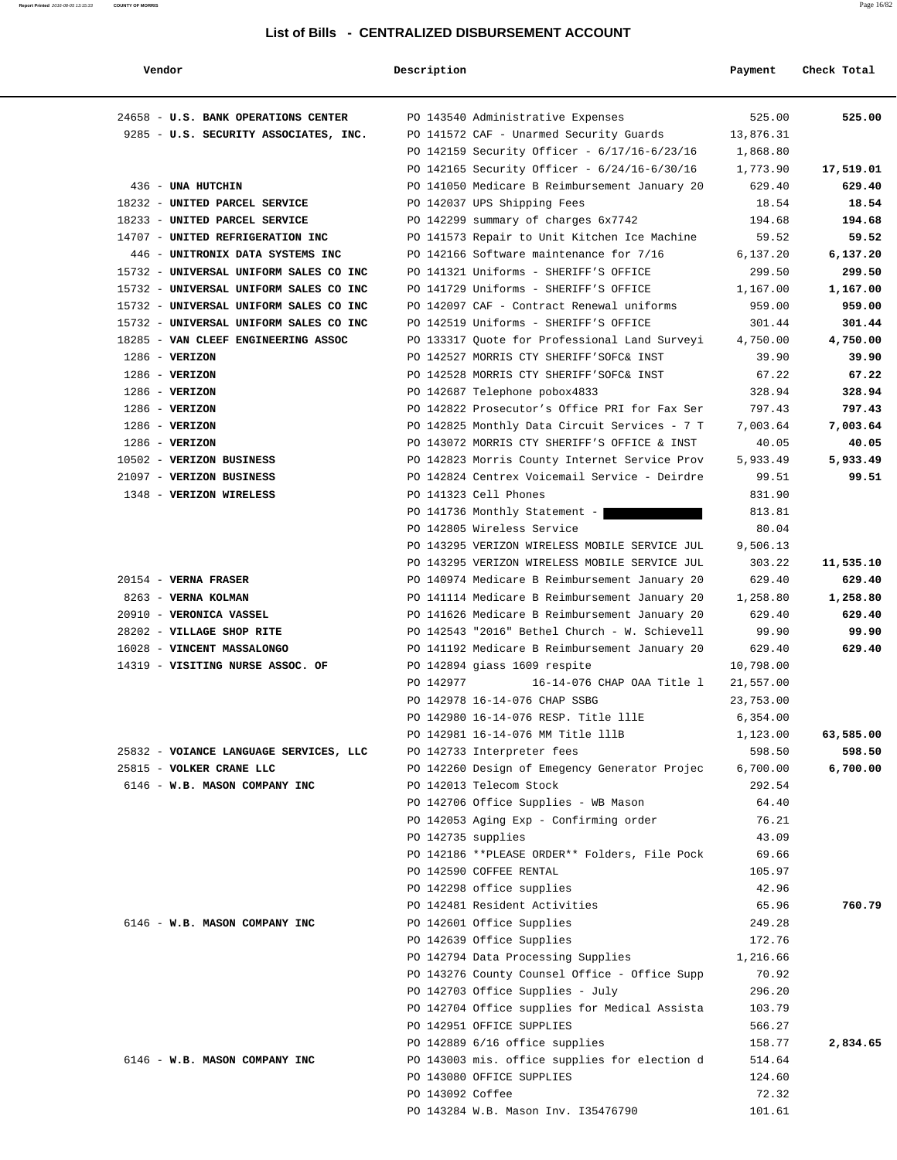#### **Report Printed** 2016-08-05 13:15:33 **COUNTY OF MORRIS** Page 16/82

#### **List of Bills - CENTRALIZED DISBURSEMENT ACCOUNT**

| Vendor                                                         | Description        |                                                                       | Payment            | Check Total         |
|----------------------------------------------------------------|--------------------|-----------------------------------------------------------------------|--------------------|---------------------|
|                                                                |                    |                                                                       |                    |                     |
| 24658 - U.S. BANK OPERATIONS CENTER                            |                    | PO 143540 Administrative Expenses                                     | 525.00             | 525.00              |
| 9285 - U.S. SECURITY ASSOCIATES, INC.                          |                    | PO 141572 CAF - Unarmed Security Guards                               | 13,876.31          |                     |
|                                                                |                    | PO 142159 Security Officer - 6/17/16-6/23/16                          | 1,868.80           |                     |
|                                                                |                    | PO 142165 Security Officer - 6/24/16-6/30/16                          | 1,773.90           | 17,519.01           |
| 436 - UNA HUTCHIN                                              |                    | PO 141050 Medicare B Reimbursement January 20                         | 629.40             | 629.40<br>18.54     |
| 18232 - UNITED PARCEL SERVICE<br>18233 - UNITED PARCEL SERVICE |                    | PO 142037 UPS Shipping Fees<br>PO 142299 summary of charges 6x7742    | 18.54<br>194.68    | 194.68              |
| 14707 - UNITED REFRIGERATION INC                               |                    | PO 141573 Repair to Unit Kitchen Ice Machine                          | 59.52              | 59.52               |
| 446 - UNITRONIX DATA SYSTEMS INC                               |                    | PO 142166 Software maintenance for 7/16                               | 6,137.20           | 6,137.20            |
| 15732 - UNIVERSAL UNIFORM SALES CO INC                         |                    | PO 141321 Uniforms - SHERIFF'S OFFICE                                 | 299.50             | 299.50              |
| 15732 - UNIVERSAL UNIFORM SALES CO INC                         |                    | PO 141729 Uniforms - SHERIFF'S OFFICE                                 | 1,167.00           | 1,167.00            |
| 15732 - UNIVERSAL UNIFORM SALES CO INC                         |                    | PO 142097 CAF - Contract Renewal uniforms                             | 959.00             | 959.00              |
| 15732 - UNIVERSAL UNIFORM SALES CO INC                         |                    | PO 142519 Uniforms - SHERIFF'S OFFICE                                 | 301.44             | 301.44              |
| 18285 - VAN CLEEF ENGINEERING ASSOC                            |                    | PO 133317 Quote for Professional Land Surveyi                         | 4,750.00           | 4,750.00            |
| $1286$ - VERIZON                                               |                    | PO 142527 MORRIS CTY SHERIFF'SOFC& INST                               | 39.90              | 39.90               |
| $1286 - VERIZON$                                               |                    | PO 142528 MORRIS CTY SHERIFF'SOFC& INST                               | 67.22              | 67.22               |
| $1286 - VERIZON$                                               |                    | PO 142687 Telephone pobox4833                                         | 328.94             | 328.94              |
| $1286$ - VERIZON                                               |                    | PO 142822 Prosecutor's Office PRI for Fax Ser                         | 797.43             | 797.43              |
| $1286$ - VERIZON                                               |                    | PO 142825 Monthly Data Circuit Services - 7 T                         | 7,003.64           | 7,003.64            |
| $1286$ - VERIZON                                               |                    | PO 143072 MORRIS CTY SHERIFF'S OFFICE & INST                          | 40.05              | 40.05               |
| 10502 - VERIZON BUSINESS                                       |                    | PO 142823 Morris County Internet Service Prov                         | 5,933.49           | 5,933.49            |
| 21097 - VERIZON BUSINESS                                       |                    | PO 142824 Centrex Voicemail Service - Deirdre                         | 99.51              | 99.51               |
| 1348 - VERIZON WIRELESS                                        |                    | PO 141323 Cell Phones                                                 | 831.90             |                     |
|                                                                |                    | PO 141736 Monthly Statement -                                         | 813.81             |                     |
|                                                                |                    | PO 142805 Wireless Service                                            | 80.04              |                     |
|                                                                |                    | PO 143295 VERIZON WIRELESS MOBILE SERVICE JUL                         | 9,506.13           |                     |
|                                                                |                    | PO 143295 VERIZON WIRELESS MOBILE SERVICE JUL                         | 303.22             | 11,535.10           |
| $20154$ - VERNA FRASER                                         |                    | PO 140974 Medicare B Reimbursement January 20                         | 629.40             | 629.40              |
| 8263 - VERNA KOLMAN                                            |                    | PO 141114 Medicare B Reimbursement January 20                         | 1,258.80           | 1,258.80            |
| 20910 - VERONICA VASSEL                                        |                    | PO 141626 Medicare B Reimbursement January 20                         | 629.40             | 629.40              |
| 28202 - VILLAGE SHOP RITE                                      |                    | PO 142543 "2016" Bethel Church - W. Schievell                         | 99.90              | 99.90               |
| 16028 - VINCENT MASSALONGO                                     |                    | PO 141192 Medicare B Reimbursement January 20                         | 629.40             | 629.40              |
| 14319 - VISITING NURSE ASSOC. OF                               |                    | PO 142894 giass 1609 respite                                          | 10,798.00          |                     |
|                                                                | PO 142977          | 16-14-076 CHAP OAA Title 1                                            | 21,557.00          |                     |
|                                                                |                    | PO 142978 16-14-076 CHAP SSBG<br>PO 142980 16-14-076 RESP. Title lllE | 23,753.00          |                     |
|                                                                |                    |                                                                       | 6,354.00           |                     |
| 25832 - VOIANCE LANGUAGE SERVICES, LLC                         |                    | PO 142981 16-14-076 MM Title 111B<br>PO 142733 Interpreter fees       | 1,123.00<br>598.50 | 63,585.00<br>598.50 |
| 25815 - VOLKER CRANE LLC                                       |                    | PO 142260 Design of Emegency Generator Projec                         | 6,700.00           | 6,700.00            |
| 6146 - W.B. MASON COMPANY INC                                  |                    | PO 142013 Telecom Stock                                               | 292.54             |                     |
|                                                                |                    | PO 142706 Office Supplies - WB Mason                                  | 64.40              |                     |
|                                                                |                    | PO 142053 Aging Exp - Confirming order                                | 76.21              |                     |
|                                                                | PO 142735 supplies |                                                                       | 43.09              |                     |
|                                                                |                    | PO 142186 **PLEASE ORDER** Folders, File Pock                         | 69.66              |                     |
|                                                                |                    | PO 142590 COFFEE RENTAL                                               | 105.97             |                     |
|                                                                |                    | PO 142298 office supplies                                             | 42.96              |                     |
|                                                                |                    | PO 142481 Resident Activities                                         | 65.96              | 760.79              |
| 6146 - W.B. MASON COMPANY INC                                  |                    | PO 142601 Office Supplies                                             | 249.28             |                     |
|                                                                |                    | PO 142639 Office Supplies                                             | 172.76             |                     |
|                                                                |                    | PO 142794 Data Processing Supplies                                    | 1,216.66           |                     |
|                                                                |                    | PO 143276 County Counsel Office - Office Supp                         | 70.92              |                     |
|                                                                |                    | PO 142703 Office Supplies - July                                      | 296.20             |                     |
|                                                                |                    | PO 142704 Office supplies for Medical Assista                         | 103.79             |                     |
|                                                                |                    | PO 142951 OFFICE SUPPLIES                                             | 566.27             |                     |
|                                                                |                    | PO 142889 6/16 office supplies                                        | 158.77             | 2,834.65            |
| 6146 - W.B. MASON COMPANY INC                                  |                    | PO 143003 mis. office supplies for election d                         | 514.64             |                     |
|                                                                |                    | PO 143080 OFFICE SUPPLIES                                             | 124.60             |                     |
|                                                                | PO 143092 Coffee   |                                                                       | 72.32              |                     |
|                                                                |                    | PO 143284 W.B. Mason Inv. I35476790                                   | 101.61             |                     |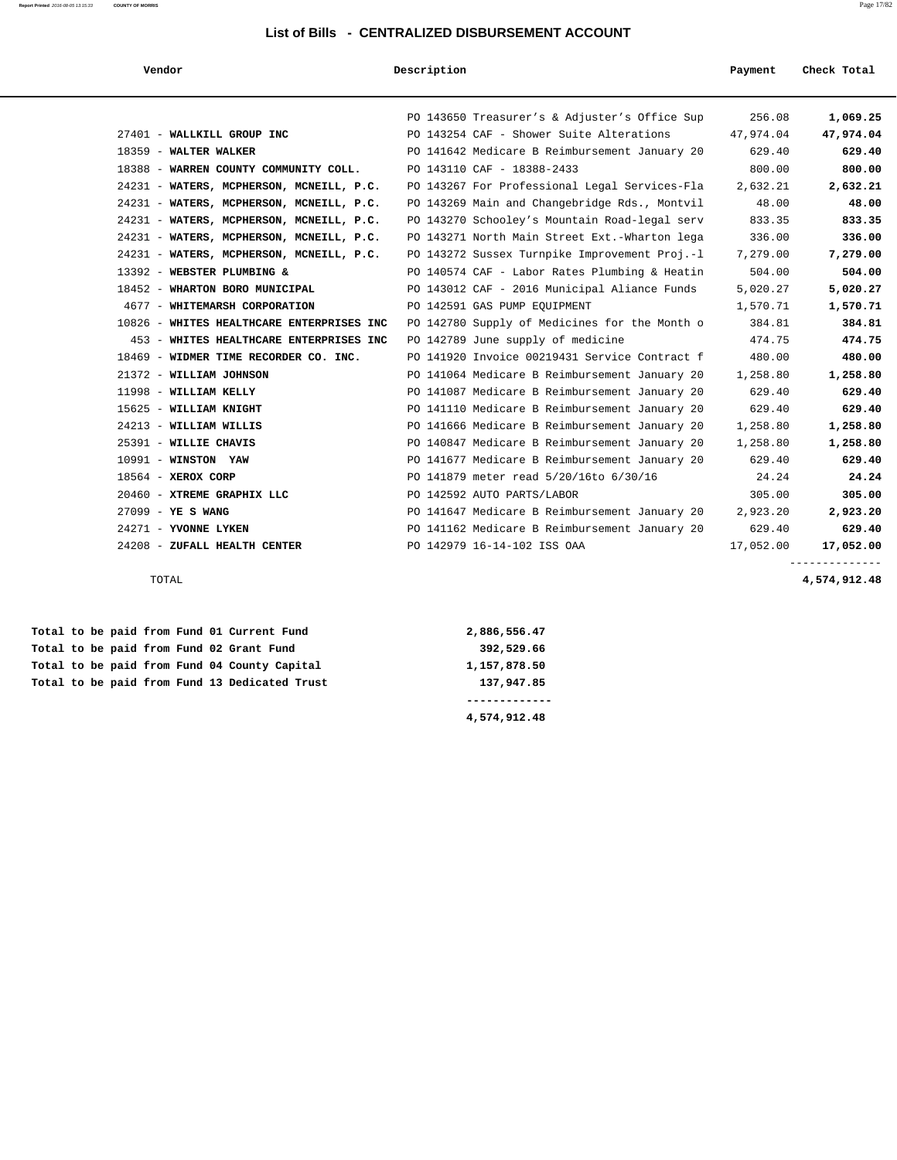| Vendor                                    | Description                                   | Payment   | Check Total |
|-------------------------------------------|-----------------------------------------------|-----------|-------------|
|                                           | PO 143650 Treasurer's & Adjuster's Office Sup | 256.08    | 1,069.25    |
| 27401 - WALLKILL GROUP INC                | PO 143254 CAF - Shower Suite Alterations      | 47,974.04 | 47,974.04   |
| 18359 - WALTER WALKER                     | PO 141642 Medicare B Reimbursement January 20 | 629.40    | 629.40      |
| 18388 - WARREN COUNTY COMMUNITY COLL.     | PO 143110 CAF - 18388-2433                    | 800.00    | 800.00      |
| 24231 - WATERS, MCPHERSON, MCNEILL, P.C.  | PO 143267 For Professional Legal Services-Fla | 2,632.21  | 2,632.21    |
| 24231 - WATERS, MCPHERSON, MCNEILL, P.C.  | PO 143269 Main and Changebridge Rds., Montvil | 48.00     | 48.00       |
| 24231 - WATERS, MCPHERSON, MCNEILL, P.C.  | PO 143270 Schooley's Mountain Road-legal serv | 833.35    | 833.35      |
| 24231 - WATERS, MCPHERSON, MCNEILL, P.C.  | PO 143271 North Main Street Ext.-Wharton lega | 336.00    | 336.00      |
| 24231 - WATERS, MCPHERSON, MCNEILL, P.C.  | PO 143272 Sussex Turnpike Improvement Proj.-1 | 7,279.00  | 7,279.00    |
| 13392 - WEBSTER PLUMBING &                | PO 140574 CAF - Labor Rates Plumbing & Heatin | 504.00    | 504.00      |
| 18452 - WHARTON BORO MUNICIPAL            | PO 143012 CAF - 2016 Municipal Aliance Funds  | 5,020.27  | 5,020.27    |
| 4677 - WHITEMARSH CORPORATION             | PO 142591 GAS PUMP EOUIPMENT                  | 1,570.71  | 1,570.71    |
| 10826 - WHITES HEALTHCARE ENTERPRISES INC | PO 142780 Supply of Medicines for the Month o | 384.81    | 384.81      |
| 453 - WHITES HEALTHCARE ENTERPRISES INC   | PO 142789 June supply of medicine             | 474.75    | 474.75      |
| 18469 - WIDMER TIME RECORDER CO. INC.     | PO 141920 Invoice 00219431 Service Contract f | 480.00    | 480.00      |
| 21372 - WILLIAM JOHNSON                   | PO 141064 Medicare B Reimbursement January 20 | 1,258.80  | 1,258.80    |
| 11998 - WILLIAM KELLY                     | PO 141087 Medicare B Reimbursement January 20 | 629.40    | 629.40      |
| 15625 - WILLIAM KNIGHT                    | PO 141110 Medicare B Reimbursement January 20 | 629.40    | 629.40      |
| 24213 - WILLIAM WILLIS                    | PO 141666 Medicare B Reimbursement January 20 | 1,258.80  | 1,258.80    |
| 25391 - WILLIE CHAVIS                     | PO 140847 Medicare B Reimbursement January 20 | 1,258.80  | 1,258.80    |
| $10991 - WINSTON YAW$                     | PO 141677 Medicare B Reimbursement January 20 | 629.40    | 629.40      |
| $18564$ - XEROX CORP                      | PO 141879 meter read 5/20/16to 6/30/16        | 24.24     | 24.24       |
| 20460 - XTREME GRAPHIX LLC                | PO 142592 AUTO PARTS/LABOR                    | 305.00    | 305.00      |
| $27099 - YE S WANG$                       | PO 141647 Medicare B Reimbursement January 20 | 2,923.20  | 2,923.20    |
| 24271 - YVONNE LYKEN                      | PO 141162 Medicare B Reimbursement January 20 | 629.40    | 629.40      |
| 24208 - ZUFALL HEALTH CENTER              | PO 142979 16-14-102 ISS OAA                   | 17,052.00 | 17,052.00   |
|                                           |                                               |           |             |

TOTAL **4,574,912.48**

 **Total to be paid from Fund 01 Current Fund 2,886,556.47 Total to be paid from Fund 02 Grant Fund 392,529.66 Total to be paid from Fund 04 County Capital 1,157,878.50 Total to be paid from Fund 13 Dedicated Trust 137,947.85**

 **------------- 4,574,912.48**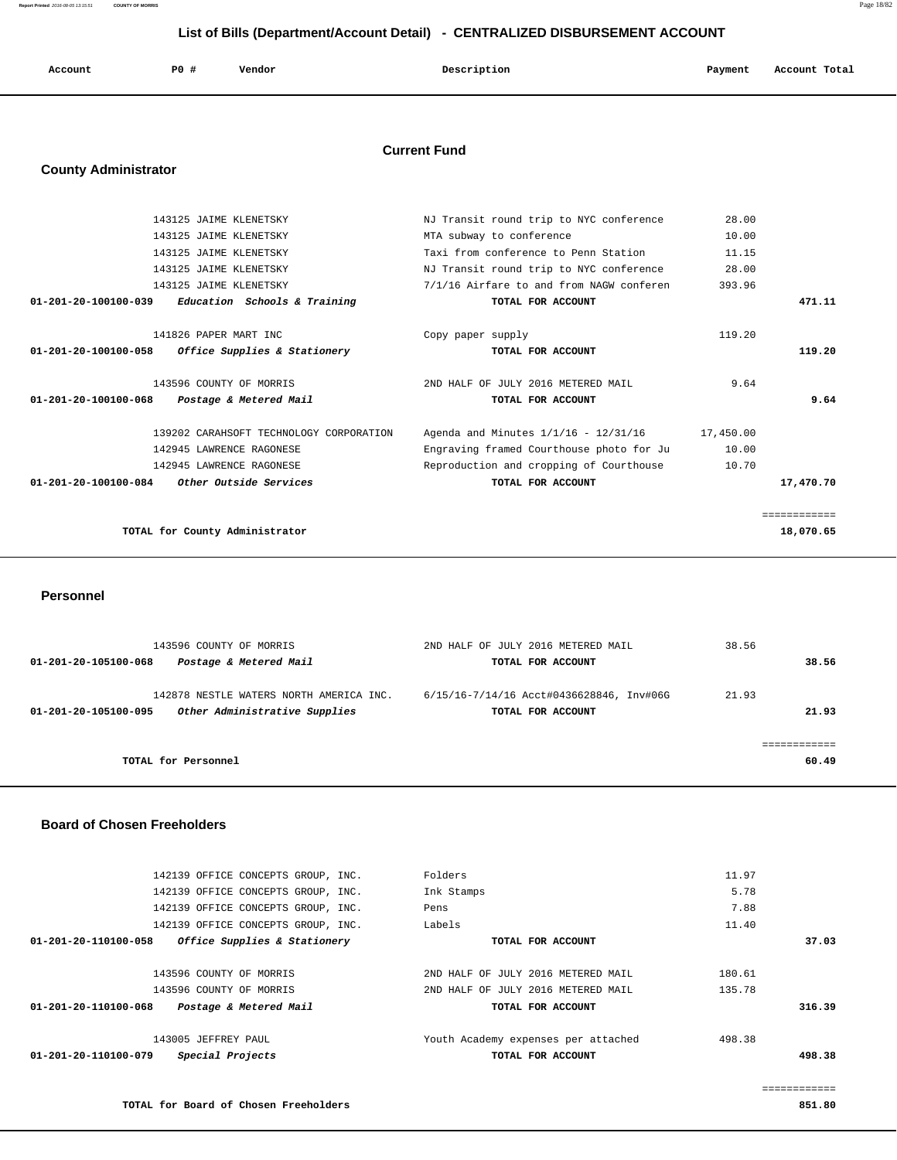**Report Printed** 2016-08-05 13:15:51 **COUNTY OF MORRIS** Page 18/82

# **List of Bills (Department/Account Detail) - CENTRALIZED DISBURSEMENT ACCOUNT**

| Account | <b>PO #</b> | Vendor | Description | Payment | Account Total |
|---------|-------------|--------|-------------|---------|---------------|
|         |             |        |             |         |               |

## **Current Fund**

## **County Administrator**

|                                             | 143125 JAIME KLENETSKY                  | NJ Transit round trip to NYC conference  | 28.00     |              |
|---------------------------------------------|-----------------------------------------|------------------------------------------|-----------|--------------|
|                                             | 143125 JAIME KLENETSKY                  | MTA subway to conference                 | 10.00     |              |
|                                             | 143125 JAIME KLENETSKY                  | Taxi from conference to Penn Station     | 11.15     |              |
|                                             | 143125 JAIME KLENETSKY                  | NJ Transit round trip to NYC conference  | 28.00     |              |
|                                             | 143125 JAIME KLENETSKY                  | 7/1/16 Airfare to and from NAGW conferen | 393.96    |              |
| $01 - 201 - 20 - 100100 - 039$              | <i>Education Schools &amp; Training</i> | TOTAL FOR ACCOUNT                        |           | 471.11       |
|                                             | 141826 PAPER MART INC                   | Copy paper supply                        | 119.20    |              |
| 01-201-20-100100-058                        | Office Supplies & Stationery            | TOTAL FOR ACCOUNT                        |           | 119.20       |
|                                             | 143596 COUNTY OF MORRIS                 | 2ND HALF OF JULY 2016 METERED MAIL       | 9.64      |              |
| 01-201-20-100100-068                        | Postage & Metered Mail                  | TOTAL FOR ACCOUNT                        |           | 9.64         |
|                                             | 139202 CARAHSOFT TECHNOLOGY CORPORATION | Agenda and Minutes 1/1/16 - 12/31/16     | 17,450.00 |              |
|                                             | 142945 LAWRENCE RAGONESE                | Engraving framed Courthouse photo for Ju | 10.00     |              |
|                                             | 142945 LAWRENCE RAGONESE                | Reproduction and cropping of Courthouse  | 10.70     |              |
| 01-201-20-100100-084 Other Outside Services |                                         | TOTAL FOR ACCOUNT                        |           | 17,470.70    |
|                                             |                                         |                                          |           | ============ |
|                                             | TOTAL for County Administrator          |                                          |           | 18,070.65    |
|                                             |                                         |                                          |           |              |

 **Personnel** 

| 143596 COUNTY OF MORRIS<br>Postage & Metered Mail<br>01-201-20-105100-068                        | 2ND HALF OF JULY 2016 METERED MAIL<br>TOTAL FOR ACCOUNT       | 38.56<br>38.56 |
|--------------------------------------------------------------------------------------------------|---------------------------------------------------------------|----------------|
| 142878 NESTLE WATERS NORTH AMERICA INC.<br>Other Administrative Supplies<br>01-201-20-105100-095 | 6/15/16-7/14/16 Acct#0436628846, Inv#06G<br>TOTAL FOR ACCOUNT | 21.93<br>21.93 |
| TOTAL for Personnel                                                                              |                                                               | 60.49          |

#### **Board of Chosen Freeholders**

|                      | 142139 OFFICE CONCEPTS GROUP, INC. | Folders                             | 11.97  |
|----------------------|------------------------------------|-------------------------------------|--------|
|                      | 142139 OFFICE CONCEPTS GROUP, INC. | Ink Stamps                          | 5.78   |
|                      | 142139 OFFICE CONCEPTS GROUP, INC. | Pens                                | 7.88   |
|                      | 142139 OFFICE CONCEPTS GROUP, INC. | Labels                              | 11.40  |
| 01-201-20-110100-058 | Office Supplies & Stationery       | TOTAL FOR ACCOUNT                   | 37.03  |
|                      |                                    |                                     |        |
|                      | 143596 COUNTY OF MORRIS            | 2ND HALF OF JULY 2016 METERED MAIL  | 180.61 |
|                      | 143596 COUNTY OF MORRIS            | 2ND HALF OF JULY 2016 METERED MAIL  | 135.78 |
| 01-201-20-110100-068 | Postage & Metered Mail             | TOTAL FOR ACCOUNT                   | 316.39 |
|                      |                                    |                                     |        |
|                      | 143005 JEFFREY PAUL                | Youth Academy expenses per attached | 498.38 |
| 01-201-20-110100-079 | Special Projects                   | TOTAL FOR ACCOUNT                   | 498.38 |
|                      |                                    |                                     |        |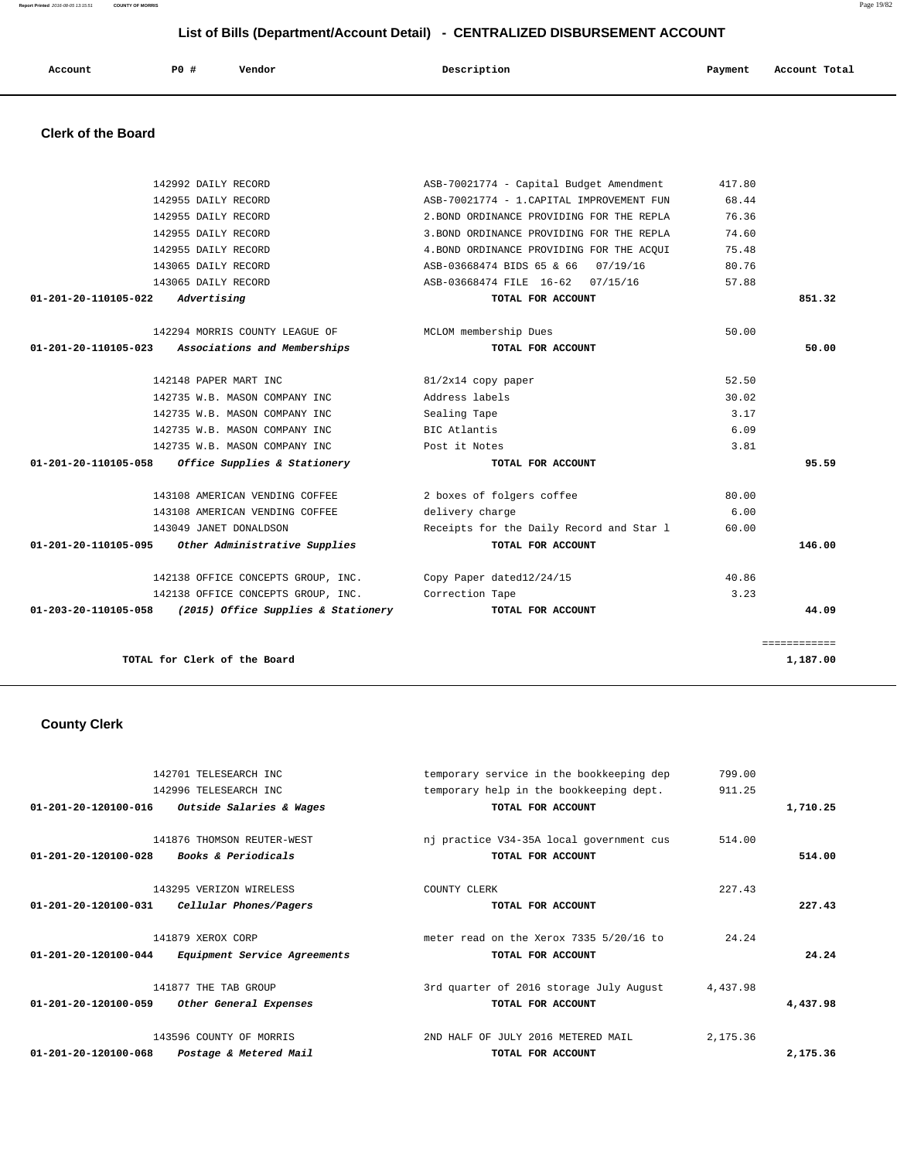**Report Printed** 2016-08-05 13:15:51 **COUNTY OF MORRIS** Page 19/82

| Account                        | PO#<br>Vendor                  | Description                               | Payment | Account Total |
|--------------------------------|--------------------------------|-------------------------------------------|---------|---------------|
|                                |                                |                                           |         |               |
| <b>Clerk of the Board</b>      |                                |                                           |         |               |
|                                | 142992 DAILY RECORD            | ASB-70021774 - Capital Budget Amendment   | 417.80  |               |
|                                | 142955 DAILY RECORD            | ASB-70021774 - 1. CAPITAL IMPROVEMENT FUN | 68.44   |               |
|                                | 142955 DAILY RECORD            | 2. BOND ORDINANCE PROVIDING FOR THE REPLA | 76.36   |               |
|                                | 142955 DAILY RECORD            | 3. BOND ORDINANCE PROVIDING FOR THE REPLA | 74.60   |               |
|                                | 142955 DAILY RECORD            | 4. BOND ORDINANCE PROVIDING FOR THE ACQUI | 75.48   |               |
|                                | 143065 DAILY RECORD            | ASB-03668474 BIDS 65 & 66<br>07/19/16     | 80.76   |               |
|                                | 143065 DAILY RECORD            | ASB-03668474 FILE 16-62<br>07/15/16       | 57.88   |               |
| $01 - 201 - 20 - 110105 - 022$ | Advertising                    | TOTAL FOR ACCOUNT                         |         | 851.32        |
|                                | 142294 MORRIS COUNTY LEAGUE OF | MCLOM membership Dues                     | 50.00   |               |
| 01-201-20-110105-023           | Associations and Memberships   | TOTAL FOR ACCOUNT                         |         | 50.00         |
|                                |                                |                                           |         |               |

#### **Clerk of the Board**

|        | 68.44 | ASB-70021774 - 1. CAPITAL IMPROVEMENT FUN | 142955 DAILY RECORD                                         |
|--------|-------|-------------------------------------------|-------------------------------------------------------------|
|        | 76.36 | 2. BOND ORDINANCE PROVIDING FOR THE REPLA | 142955 DAILY RECORD                                         |
|        | 74.60 | 3. BOND ORDINANCE PROVIDING FOR THE REPLA | 142955 DAILY RECORD                                         |
|        | 75.48 | 4. BOND ORDINANCE PROVIDING FOR THE ACOUI | 142955 DAILY RECORD                                         |
|        | 80.76 | ASB-03668474 BIDS 65 & 66 07/19/16        | 143065 DAILY RECORD                                         |
|        | 57.88 | ASB-03668474 FILE 16-62 07/15/16          | 143065 DAILY RECORD                                         |
| 851.32 |       | TOTAL FOR ACCOUNT                         | $01 - 201 - 20 - 110105 - 022$ Advertising                  |
|        | 50.00 | MCLOM membership Dues                     | 142294 MORRIS COUNTY LEAGUE OF                              |
| 50.00  |       | TOTAL FOR ACCOUNT                         | 01-201-20-110105-023 Associations and Memberships           |
|        | 52.50 | 81/2x14 copy paper                        | 142148 PAPER MART INC                                       |
|        | 30.02 | Address labels                            | 142735 W.B. MASON COMPANY INC                               |
|        | 3.17  | Sealing Tape                              | 142735 W.B. MASON COMPANY INC                               |
|        | 6.09  | BIC Atlantis                              | 142735 W.B. MASON COMPANY INC                               |
|        | 3.81  | Post it Notes                             | 142735 W.B. MASON COMPANY INC                               |
| 95.59  |       | TOTAL FOR ACCOUNT                         | $01-201-20-110105-058$ Office Supplies & Stationery         |
|        | 80.00 | 2 boxes of folgers coffee                 | 143108 AMERICAN VENDING COFFEE                              |
|        | 6.00  | delivery charge                           | 143108 AMERICAN VENDING COFFEE                              |
|        | 60.00 | Receipts for the Daily Record and Star 1  | 143049 JANET DONALDSON                                      |
| 146.00 |       | TOTAL FOR ACCOUNT                         | 01-201-20-110105-095 Other Administrative Supplies          |
|        | 40.86 |                                           | 142138 OFFICE CONCEPTS GROUP, INC. Copy Paper dated12/24/15 |
|        | 3.23  |                                           | 142138 OFFICE CONCEPTS GROUP, INC. Correction Tape          |
|        |       | TOTAL FOR ACCOUNT                         | $01-203-20-110105-058$ (2015) Office Supplies & Stationery  |

## **County Clerk**

| temporary service in the bookkeeping dep<br>799.00  | 142701 TELESEARCH INC          |                                |
|-----------------------------------------------------|--------------------------------|--------------------------------|
| temporary help in the bookkeeping dept.<br>911.25   | 142996 TELESEARCH INC          |                                |
| TOTAL FOR ACCOUNT<br>1,710.25                       | Outside Salaries & Wages       | $01 - 201 - 20 - 120100 - 016$ |
|                                                     |                                |                                |
| 514.00<br>nj practice V34-35A local government cus  | 141876 THOMSON REUTER-WEST     |                                |
| 514.00<br>TOTAL FOR ACCOUNT                         | <b>Books &amp; Periodicals</b> | 01-201-20-120100-028           |
|                                                     |                                |                                |
| 227.43<br>COUNTY CLERK                              | 143295 VERIZON WIRELESS        |                                |
| 227.43<br>TOTAL FOR ACCOUNT                         | Cellular Phones/Pagers         | $01 - 201 - 20 - 120100 - 031$ |
|                                                     |                                |                                |
| meter read on the Xerox 7335 5/20/16 to<br>24.24    | 141879 XEROX CORP              |                                |
| 24.24<br>TOTAL FOR ACCOUNT                          | Equipment Service Agreements   | 01-201-20-120100-044           |
|                                                     |                                |                                |
| 3rd quarter of 2016 storage July August<br>4,437.98 | 141877 THE TAB GROUP           |                                |
| 4,437.98<br>TOTAL FOR ACCOUNT                       | Other General Expenses         | 01-201-20-120100-059           |
|                                                     |                                |                                |
| 2ND HALF OF JULY 2016 METERED MAIL<br>2,175.36      | 143596 COUNTY OF MORRIS        |                                |
| 2,175.36<br>TOTAL FOR ACCOUNT                       | Postage & Metered Mail         | 01-201-20-120100-068           |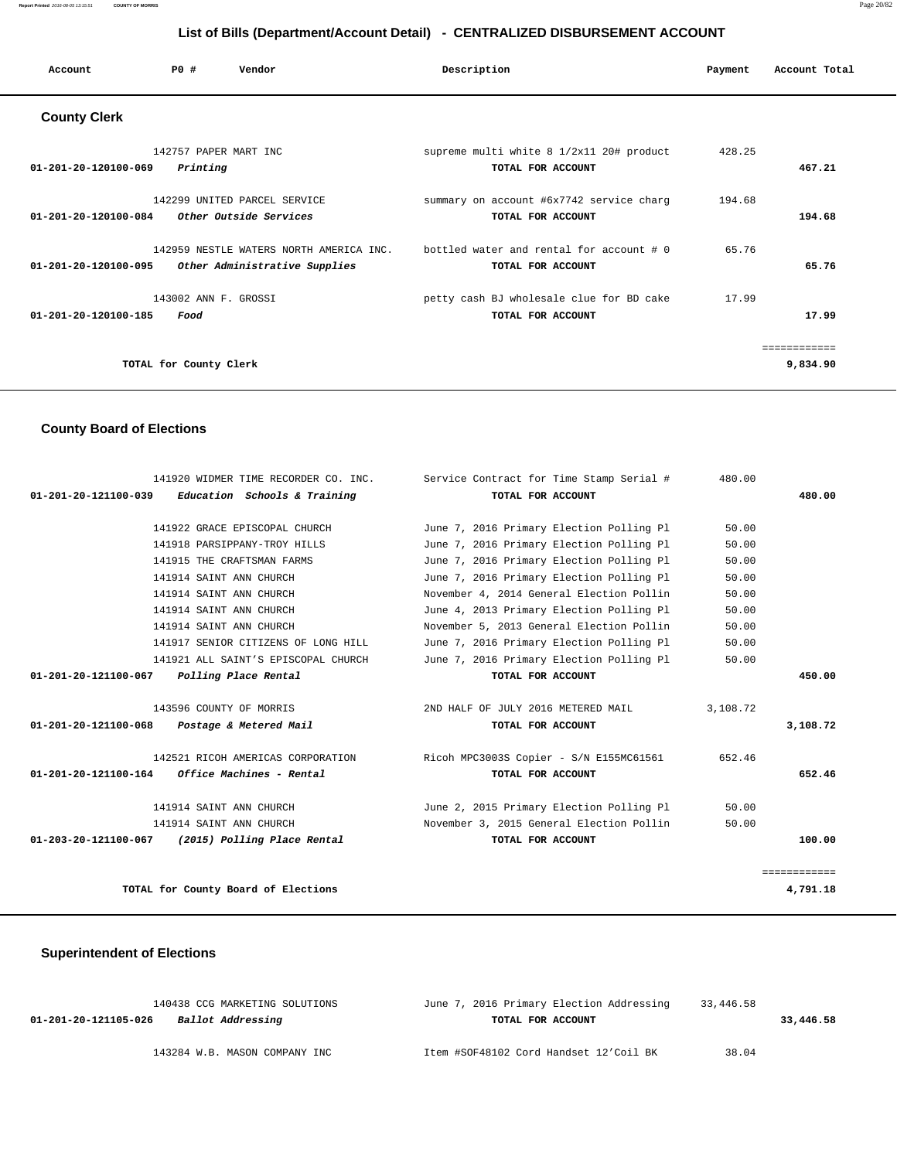| Account                        | PO#                               | Vendor                                                                   | Description                                                   | Payment | Account Total            |
|--------------------------------|-----------------------------------|--------------------------------------------------------------------------|---------------------------------------------------------------|---------|--------------------------|
| <b>County Clerk</b>            |                                   |                                                                          |                                                               |         |                          |
| $01 - 201 - 20 - 120100 - 069$ | 142757 PAPER MART INC<br>Printing |                                                                          | supreme multi white 8 1/2x11 20# product<br>TOTAL FOR ACCOUNT | 428.25  | 467.21                   |
| 01-201-20-120100-084           |                                   | 142299 UNITED PARCEL SERVICE<br>Other Outside Services                   | summary on account #6x7742 service charg<br>TOTAL FOR ACCOUNT | 194.68  | 194.68                   |
| $01 - 201 - 20 - 120100 - 095$ |                                   | 142959 NESTLE WATERS NORTH AMERICA INC.<br>Other Administrative Supplies | bottled water and rental for account # 0<br>TOTAL FOR ACCOUNT | 65.76   | 65.76                    |
| 01-201-20-120100-185           | 143002 ANN F. GROSSI<br>Food      |                                                                          | petty cash BJ wholesale clue for BD cake<br>TOTAL FOR ACCOUNT | 17.99   | 17.99                    |
|                                | TOTAL for County Clerk            |                                                                          |                                                               |         | ============<br>9,834.90 |

# **County Board of Elections**

| 141920 WIDMER TIME RECORDER CO. INC.                    | Service Contract for Time Stamp Serial # | 480.00   |              |
|---------------------------------------------------------|------------------------------------------|----------|--------------|
| $01-201-20-121100-039$ Education Schools & Training     | TOTAL FOR ACCOUNT                        |          | 480.00       |
|                                                         |                                          |          |              |
| 141922 GRACE EPISCOPAL CHURCH                           | June 7, 2016 Primary Election Polling Pl | 50.00    |              |
| 141918 PARSIPPANY-TROY HILLS                            | June 7, 2016 Primary Election Polling Pl | 50.00    |              |
| 141915 THE CRAFTSMAN FARMS                              | June 7, 2016 Primary Election Polling Pl | 50.00    |              |
| 141914 SAINT ANN CHURCH                                 | June 7, 2016 Primary Election Polling Pl | 50.00    |              |
| 141914 SAINT ANN CHURCH                                 | November 4, 2014 General Election Pollin | 50.00    |              |
| 141914 SAINT ANN CHURCH                                 | June 4, 2013 Primary Election Polling Pl | 50.00    |              |
| 141914 SAINT ANN CHURCH                                 | November 5, 2013 General Election Pollin | 50.00    |              |
| 141917 SENIOR CITIZENS OF LONG HILL                     | June 7, 2016 Primary Election Polling Pl | 50.00    |              |
| 141921 ALL SAINT'S EPISCOPAL CHURCH                     | June 7, 2016 Primary Election Polling Pl | 50.00    |              |
| 01-201-20-121100-067<br>Polling Place Rental            | TOTAL FOR ACCOUNT                        |          | 450.00       |
|                                                         |                                          |          |              |
| 143596 COUNTY OF MORRIS                                 | 2ND HALF OF JULY 2016 METERED MAIL       | 3,108.72 |              |
| 01-201-20-121100-068 Postage & Metered Mail             | TOTAL FOR ACCOUNT                        |          | 3,108.72     |
| 142521 RICOH AMERICAS CORPORATION                       | Ricoh MPC3003S Copier - S/N E155MC61561  | 652.46   |              |
| $01 - 201 - 20 - 121100 - 164$ Office Machines - Rental | TOTAL FOR ACCOUNT                        |          | 652.46       |
| 141914 SAINT ANN CHURCH                                 | June 2, 2015 Primary Election Polling Pl | 50.00    |              |
| 141914 SAINT ANN CHURCH                                 | November 3, 2015 General Election Pollin | 50.00    |              |
| 01-203-20-121100-067 (2015) Polling Place Rental        | TOTAL FOR ACCOUNT                        |          | 100.00       |
|                                                         |                                          |          |              |
|                                                         |                                          |          | ============ |
| TOTAL for County Board of Elections                     |                                          |          | 4,791.18     |

## **Superintendent of Elections**

| 140438 CCG MARKETING SOLUTIONS            | June 7, 2016 Primary Election Addressing | 33,446.58 |           |
|-------------------------------------------|------------------------------------------|-----------|-----------|
| Ballot Addressing<br>01-201-20-121105-026 | TOTAL FOR ACCOUNT                        |           | 33,446.58 |
|                                           |                                          |           |           |
| 143284 W.B. MASON COMPANY INC             | Item #SOF48102 Cord Handset 12'Coil BK   | 38.04     |           |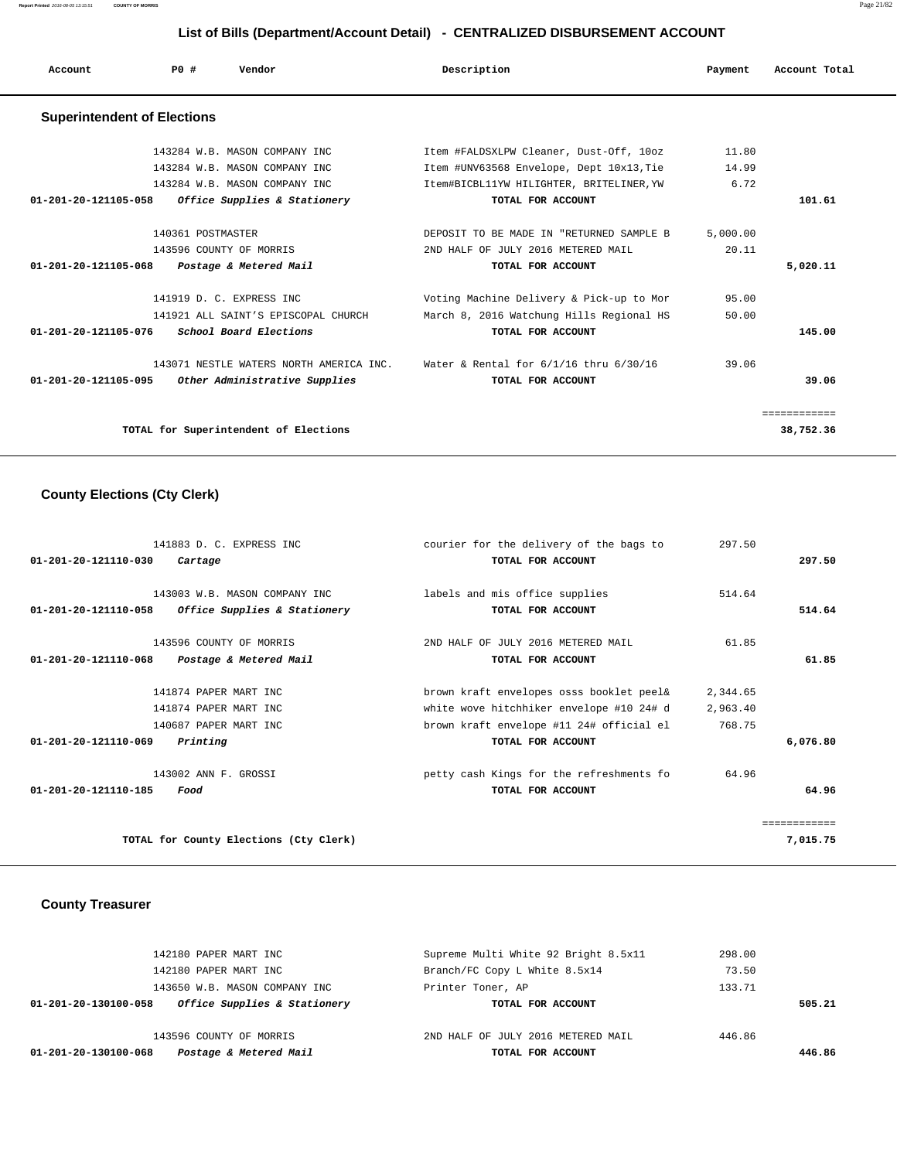**Report Printed** 2016-08-05 13:15:51 **COUNTY OF MORRIS** Page 21/82

# **List of Bills (Department/Account Detail) - CENTRALIZED DISBURSEMENT ACCOUNT**

| Account                            | Vendor<br>PO#                                                                                   | Description                                                                                                                     | Payment                | Account Total             |
|------------------------------------|-------------------------------------------------------------------------------------------------|---------------------------------------------------------------------------------------------------------------------------------|------------------------|---------------------------|
| <b>Superintendent of Elections</b> |                                                                                                 |                                                                                                                                 |                        |                           |
|                                    | 143284 W.B. MASON COMPANY INC<br>143284 W.B. MASON COMPANY INC<br>143284 W.B. MASON COMPANY INC | Item #FALDSXLPW Cleaner, Dust-Off, 10oz<br>Item #UNV63568 Envelope, Dept 10x13, Tie<br>Item#BICBL11YW HILIGHTER, BRITELINER, YW | 11.80<br>14.99<br>6.72 |                           |
| 01-201-20-121105-058               | Office Supplies & Stationery                                                                    | TOTAL FOR ACCOUNT                                                                                                               |                        | 101.61                    |
| 01-201-20-121105-068               | 140361 POSTMASTER<br>143596 COUNTY OF MORRIS<br>Postage & Metered Mail                          | DEPOSIT TO BE MADE IN "RETURNED SAMPLE B<br>2ND HALF OF JULY 2016 METERED MAIL<br>TOTAL FOR ACCOUNT                             | 5,000.00<br>20.11      | 5,020.11                  |
| 01-201-20-121105-076               | 141919 D. C. EXPRESS INC<br>141921 ALL SAINT'S EPISCOPAL CHURCH<br>School Board Elections       | Voting Machine Delivery & Pick-up to Mor<br>March 8, 2016 Watchung Hills Regional HS<br>TOTAL FOR ACCOUNT                       | 95.00<br>50.00         | 145.00                    |
| 01-201-20-121105-095               | 143071 NESTLE WATERS NORTH AMERICA INC.<br>Other Administrative Supplies                        | Water & Rental for 6/1/16 thru 6/30/16<br>TOTAL FOR ACCOUNT                                                                     | 39.06                  | 39.06                     |
|                                    | TOTAL for Superintendent of Elections                                                           |                                                                                                                                 |                        | ============<br>38,752.36 |

# **County Elections (Cty Clerk)**

| courier for the delivery of the bags to<br>297.50    |                                                                           |
|------------------------------------------------------|---------------------------------------------------------------------------|
| TOTAL FOR ACCOUNT                                    | 297.50                                                                    |
|                                                      |                                                                           |
|                                                      |                                                                           |
| Office Supplies & Stationery<br>TOTAL FOR ACCOUNT    | 514.64                                                                    |
| 61.85<br>2ND HALF OF JULY 2016 METERED MAIL          |                                                                           |
| Postage & Metered Mail<br>TOTAL FOR ACCOUNT          | 61.85                                                                     |
| brown kraft envelopes osss booklet peel&<br>2,344.65 |                                                                           |
| white wove hitchhiker envelope #10 24# d<br>2,963.40 |                                                                           |
| brown kraft envelope #11 24# official el<br>768.75   |                                                                           |
| TOTAL FOR ACCOUNT                                    | 6,076.80                                                                  |
| petty cash Kings for the refreshments fo<br>64.96    |                                                                           |
| TOTAL FOR ACCOUNT                                    | 64.96                                                                     |
|                                                      | . = = = = = = = = = = =                                                   |
| TOTAL for County Elections (Cty Clerk)               | 7,015.75                                                                  |
|                                                      | labels and mis office supplies<br>143003 W.B. MASON COMPANY INC<br>514.64 |

# **County Treasurer**

| Postage & Metered Mail<br>01-201-20-130100-068       | TOTAL FOR ACCOUNT                    |        | 446.86 |
|------------------------------------------------------|--------------------------------------|--------|--------|
| 143596 COUNTY OF MORRIS                              | 2ND HALF OF JULY 2016 METERED MAIL   | 446.86 |        |
| Office Supplies & Stationery<br>01-201-20-130100-058 | TOTAL FOR ACCOUNT                    |        | 505.21 |
| 143650 W.B. MASON COMPANY INC                        | Printer Toner, AP                    | 133.71 |        |
| 142180 PAPER MART INC                                | Branch/FC Copy L White 8.5x14        | 73.50  |        |
| 142180 PAPER MART INC                                | Supreme Multi White 92 Bright 8.5x11 | 298.00 |        |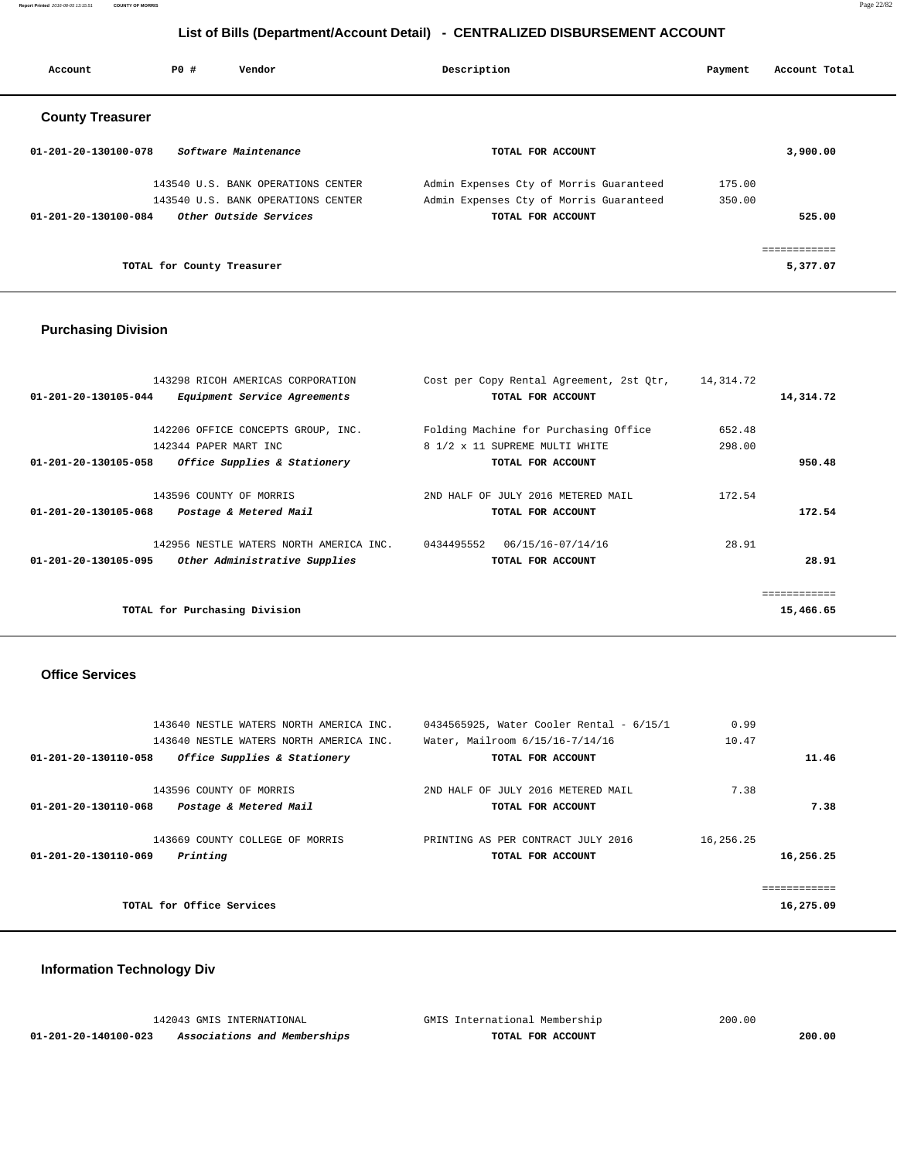**Report Printed** 2016-08-05 13:15:51 **COUNTY OF MORRIS** Page 22/82

# **List of Bills (Department/Account Detail) - CENTRALIZED DISBURSEMENT ACCOUNT**

| Account                 | PO#                        | Vendor                             | Description |                                         | Payment | Account Total |
|-------------------------|----------------------------|------------------------------------|-------------|-----------------------------------------|---------|---------------|
| <b>County Treasurer</b> |                            |                                    |             |                                         |         |               |
| 01-201-20-130100-078    |                            | Software Maintenance               |             | TOTAL FOR ACCOUNT                       |         | 3,900.00      |
|                         |                            | 143540 U.S. BANK OPERATIONS CENTER |             | Admin Expenses Cty of Morris Guaranteed | 175.00  |               |
|                         |                            | 143540 U.S. BANK OPERATIONS CENTER |             | Admin Expenses Cty of Morris Guaranteed | 350.00  |               |
| 01-201-20-130100-084    |                            | Other Outside Services             |             | TOTAL FOR ACCOUNT                       |         | 525.00        |
|                         |                            |                                    |             |                                         |         | ============  |
|                         | TOTAL for County Treasurer |                                    |             |                                         |         | 5,377.07      |

# **Purchasing Division**

| $01 - 201 - 20 - 130105 - 044$                  | 143298 RICOH AMERICAS CORPORATION<br>Equipment Service Agreements        |            | Cost per Copy Rental Agreement, 2st Otr,<br>TOTAL FOR ACCOUNT                                | 14,314.72        | 14,314.72 |
|-------------------------------------------------|--------------------------------------------------------------------------|------------|----------------------------------------------------------------------------------------------|------------------|-----------|
| 142344 PAPER MART INC<br>01-201-20-130105-058   | 142206 OFFICE CONCEPTS GROUP, INC.<br>Office Supplies & Stationery       |            | Folding Machine for Purchasing Office<br>8 1/2 x 11 SUPREME MULTI WHITE<br>TOTAL FOR ACCOUNT | 652.48<br>298.00 | 950.48    |
| 143596 COUNTY OF MORRIS<br>01-201-20-130105-068 | Postage & Metered Mail                                                   |            | 2ND HALF OF JULY 2016 METERED MAIL<br>TOTAL FOR ACCOUNT                                      | 172.54           | 172.54    |
| 01-201-20-130105-095                            | 142956 NESTLE WATERS NORTH AMERICA INC.<br>Other Administrative Supplies | 0434495552 | 06/15/16-07/14/16<br>TOTAL FOR ACCOUNT                                                       | 28.91            | 28.91     |
| TOTAL for Purchasing Division                   |                                                                          |            |                                                                                              |                  | 15,466.65 |

#### **Office Services**

| 143640 NESTLE WATERS NORTH AMERICA INC.              | 0434565925, Water Cooler Rental - 6/15/1 | 0.99      |           |
|------------------------------------------------------|------------------------------------------|-----------|-----------|
| 143640 NESTLE WATERS NORTH AMERICA INC.              | Water, Mailroom 6/15/16-7/14/16          | 10.47     |           |
| Office Supplies & Stationery<br>01-201-20-130110-058 | TOTAL FOR ACCOUNT                        |           | 11.46     |
| 143596 COUNTY OF MORRIS                              | 2ND HALF OF JULY 2016 METERED MAIL       | 7.38      |           |
| 01-201-20-130110-068<br>Postage & Metered Mail       | TOTAL FOR ACCOUNT                        |           | 7.38      |
| 143669 COUNTY COLLEGE OF MORRIS                      | PRINTING AS PER CONTRACT JULY 2016       | 16,256.25 |           |
| 01-201-20-130110-069<br>Printing                     | TOTAL FOR ACCOUNT                        |           | 16,256.25 |
|                                                      |                                          |           |           |
| TOTAL for Office Services                            |                                          |           | 16,275.09 |

# **Information Technology Div**

|                      | 142043 GMIS INTERNATIONAL    | GMIS International Membership | 200.00 |
|----------------------|------------------------------|-------------------------------|--------|
| 01-201-20-140100-023 | Associations and Memberships | TOTAL FOR ACCOUNT             | 200.00 |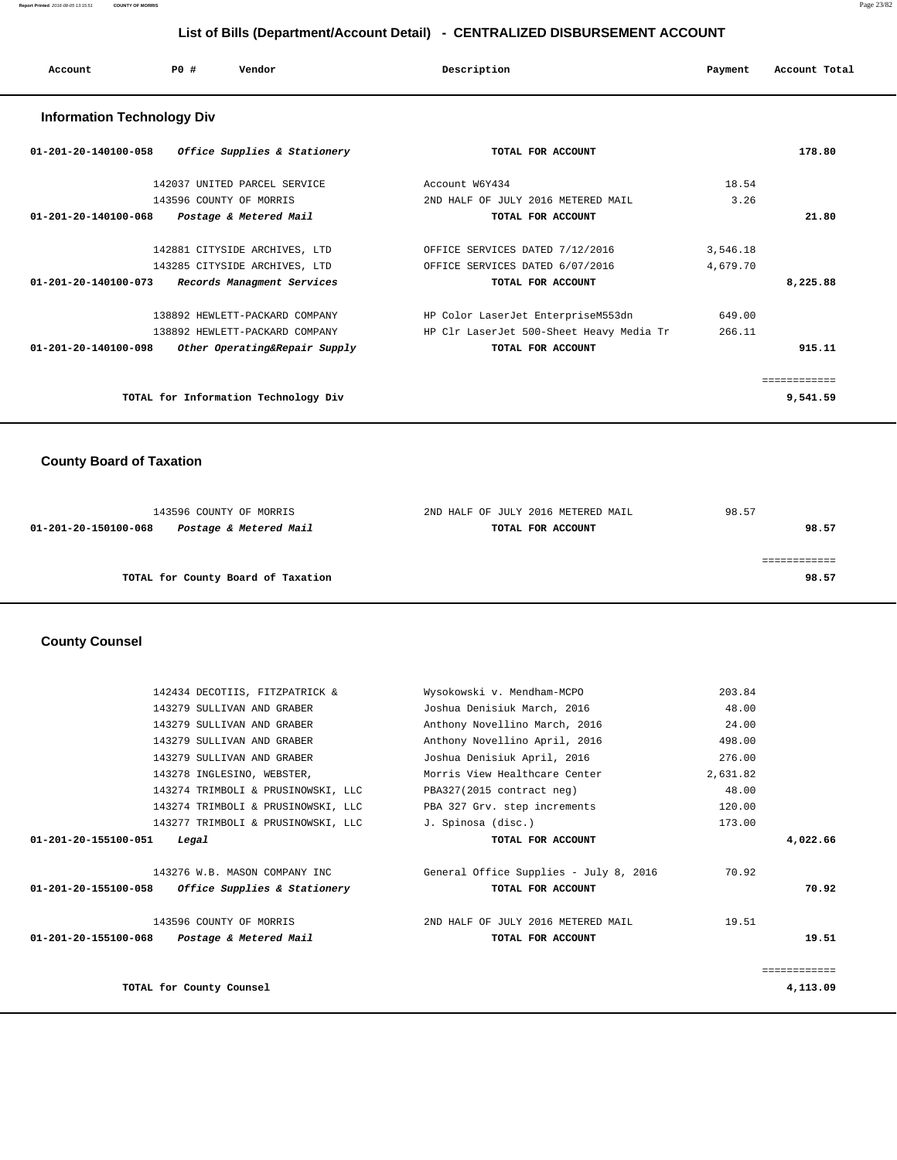| Account                           | PO# | Vendor                        | Description                        | Payment  | Account Total |
|-----------------------------------|-----|-------------------------------|------------------------------------|----------|---------------|
| <b>Information Technology Div</b> |     |                               |                                    |          |               |
| 01-201-20-140100-058              |     | Office Supplies & Stationery  | TOTAL FOR ACCOUNT                  |          | 178.80        |
|                                   |     | 142037 UNITED PARCEL SERVICE  | Account W6Y434                     | 18.54    |               |
|                                   |     | 143596 COUNTY OF MORRIS       | 2ND HALF OF JULY 2016 METERED MAIL | 3.26     |               |
| 01-201-20-140100-068              |     | Postage & Metered Mail        | TOTAL FOR ACCOUNT                  |          | 21.80         |
|                                   |     | 142881 CITYSIDE ARCHIVES, LTD | OFFICE SERVICES DATED 7/12/2016    | 3,546.18 |               |

|                                | 143285 CITYSIDE ARCHIVES, LTD        | OFFICE SERVICES DATED 6/07/2016          | 4,679.70 |          |
|--------------------------------|--------------------------------------|------------------------------------------|----------|----------|
| $01 - 201 - 20 - 140100 - 073$ | Records Managment Services           | TOTAL FOR ACCOUNT                        |          | 8,225.88 |
|                                | 138892 HEWLETT-PACKARD COMPANY       | HP Color LaserJet EnterpriseM553dn       | 649.00   |          |
|                                | 138892 HEWLETT-PACKARD COMPANY       | HP Clr LaserJet 500-Sheet Heavy Media Tr | 266.11   |          |
| 01-201-20-140100-098           | Other Operating&Repair Supply        | TOTAL FOR ACCOUNT                        |          | 915.11   |
|                                |                                      |                                          |          |          |
|                                | TOTAL for Information Technology Div |                                          |          | 9,541.59 |

## **County Board of Taxation**

| 143596 COUNTY OF MORRIS                        | 2ND HALF OF JULY 2016 METERED MAIL | 98.57 |
|------------------------------------------------|------------------------------------|-------|
| Postage & Metered Mail<br>01-201-20-150100-068 | TOTAL FOR ACCOUNT                  | 98.57 |
|                                                |                                    |       |
|                                                |                                    |       |
| TOTAL for County Board of Taxation             |                                    | 98.57 |
|                                                |                                    |       |

## **County Counsel**

|                                                   | 142434 DECOTIIS, FITZPATRICK &     | Wysokowski v. Mendham-MCPO             | 203.84   |              |
|---------------------------------------------------|------------------------------------|----------------------------------------|----------|--------------|
|                                                   | 143279 SULLIVAN AND GRABER         | Joshua Denisiuk March, 2016            | 48.00    |              |
|                                                   | 143279 SULLIVAN AND GRABER         | Anthony Novellino March, 2016          | 24.00    |              |
|                                                   | 143279 SULLIVAN AND GRABER         | Anthony Novellino April, 2016          | 498.00   |              |
|                                                   | 143279 SULLIVAN AND GRABER         | Joshua Denisiuk April, 2016            | 276.00   |              |
|                                                   | 143278 INGLESINO, WEBSTER,         | Morris View Healthcare Center          | 2,631.82 |              |
|                                                   | 143274 TRIMBOLI & PRUSINOWSKI, LLC | PBA327(2015 contract neg)              | 48.00    |              |
|                                                   | 143274 TRIMBOLI & PRUSINOWSKI, LLC | PBA 327 Grv. step increments           | 120.00   |              |
|                                                   | 143277 TRIMBOLI & PRUSINOWSKI, LLC | J. Spinosa (disc.)                     | 173.00   |              |
| $01 - 201 - 20 - 155100 - 051$                    | Legal                              | TOTAL FOR ACCOUNT                      |          | 4,022.66     |
|                                                   | 143276 W.B. MASON COMPANY INC      | General Office Supplies - July 8, 2016 | 70.92    |              |
| 01-201-20-155100-058 Office Supplies & Stationery |                                    | TOTAL FOR ACCOUNT                      |          | 70.92        |
|                                                   | 143596 COUNTY OF MORRIS            | 2ND HALF OF JULY 2016 METERED MAIL     | 19.51    |              |
| 01-201-20-155100-068 Postage & Metered Mail       |                                    | TOTAL FOR ACCOUNT                      |          | 19.51        |
|                                                   |                                    |                                        |          | ============ |
|                                                   | TOTAL for County Counsel           |                                        |          | 4,113.09     |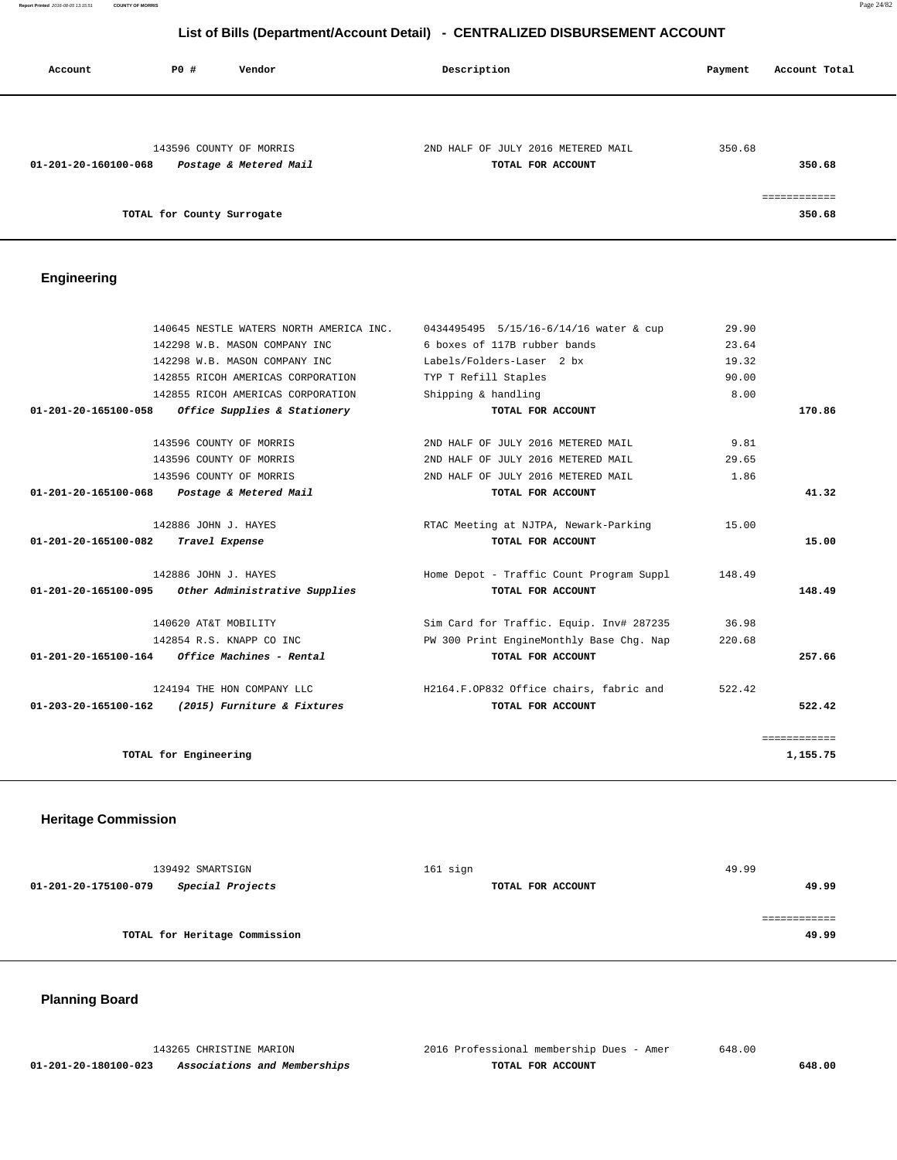**Report Printed** 2016-08-05 13:15:51 **COUNTY OF MORRIS** Page 24/82

# **List of Bills (Department/Account Detail) - CENTRALIZED DISBURSEMENT ACCOUNT**

| Account              | PO#                        | Vendor                  | Description                        | Account Total<br>Payment |
|----------------------|----------------------------|-------------------------|------------------------------------|--------------------------|
|                      |                            |                         |                                    |                          |
|                      |                            | 143596 COUNTY OF MORRIS | 2ND HALF OF JULY 2016 METERED MAIL | 350.68                   |
| 01-201-20-160100-068 |                            | Postage & Metered Mail  | TOTAL FOR ACCOUNT                  | 350.68                   |
|                      |                            |                         |                                    | ------------             |
|                      | TOTAL for County Surrogate |                         |                                    | 350.68                   |

# **Engineering**

| 140645 NESTLE WATERS NORTH AMERICA INC.               | 0434495495 5/15/16-6/14/16 water & cup   | 29.90  |              |
|-------------------------------------------------------|------------------------------------------|--------|--------------|
| 142298 W.B. MASON COMPANY INC                         | 6 boxes of 117B rubber bands             | 23.64  |              |
| 142298 W.B. MASON COMPANY INC                         | Labels/Folders-Laser 2 bx                | 19.32  |              |
| 142855 RICOH AMERICAS CORPORATION                     | TYP T Refill Staples                     | 90.00  |              |
| 142855 RICOH AMERICAS CORPORATION                     | Shipping & handling                      | 8.00   |              |
| 01-201-20-165100-058 Office Supplies & Stationery     | TOTAL FOR ACCOUNT                        |        | 170.86       |
| 143596 COUNTY OF MORRIS                               | 2ND HALF OF JULY 2016 METERED MAIL       | 9.81   |              |
| 143596 COUNTY OF MORRIS                               | 2ND HALF OF JULY 2016 METERED MAIL       | 29.65  |              |
| 143596 COUNTY OF MORRIS                               | 2ND HALF OF JULY 2016 METERED MAIL       | 1.86   |              |
| 01-201-20-165100-068<br>Postage & Metered Mail        | TOTAL FOR ACCOUNT                        |        | 41.32        |
| 142886 JOHN J. HAYES                                  | RTAC Meeting at NJTPA, Newark-Parking    | 15.00  |              |
| 01-201-20-165100-082<br>Travel Expense                | TOTAL FOR ACCOUNT                        |        | 15.00        |
| 142886 JOHN J. HAYES                                  | Home Depot - Traffic Count Program Suppl | 148.49 |              |
| 01-201-20-165100-095<br>Other Administrative Supplies | TOTAL FOR ACCOUNT                        |        | 148.49       |
| 140620 AT&T MOBILITY                                  | Sim Card for Traffic. Equip. Inv# 287235 | 36.98  |              |
| 142854 R.S. KNAPP CO INC                              | PW 300 Print EngineMonthly Base Chq. Nap | 220.68 |              |
| $01-201-20-165100-164$ Office Machines - Rental       | TOTAL FOR ACCOUNT                        |        | 257.66       |
| 124194 THE HON COMPANY LLC                            | H2164.F.OP832 Office chairs, fabric and  | 522.42 |              |
| 01-203-20-165100-162 (2015) Furniture & Fixtures      | TOTAL FOR ACCOUNT                        |        | 522.42       |
|                                                       |                                          |        | ============ |
| TOTAL for Engineering                                 |                                          |        | 1,155.75     |
|                                                       |                                          |        |              |

# **Heritage Commission**

| 139492 SMARTSIGN                         | 161 sign          | 49.99 |
|------------------------------------------|-------------------|-------|
| Special Projects<br>01-201-20-175100-079 | TOTAL FOR ACCOUNT | 49.99 |
|                                          |                   |       |
|                                          |                   |       |
| TOTAL for Heritage Commission            |                   | 49.99 |

# **Planning Board**

|                      | 143265 CHRISTINE MARION      | 2016 Professional membership Dues - Amer | 648.00 |
|----------------------|------------------------------|------------------------------------------|--------|
| 01-201-20-180100-023 | Associations and Memberships | TOTAL FOR ACCOUNT                        | 648.00 |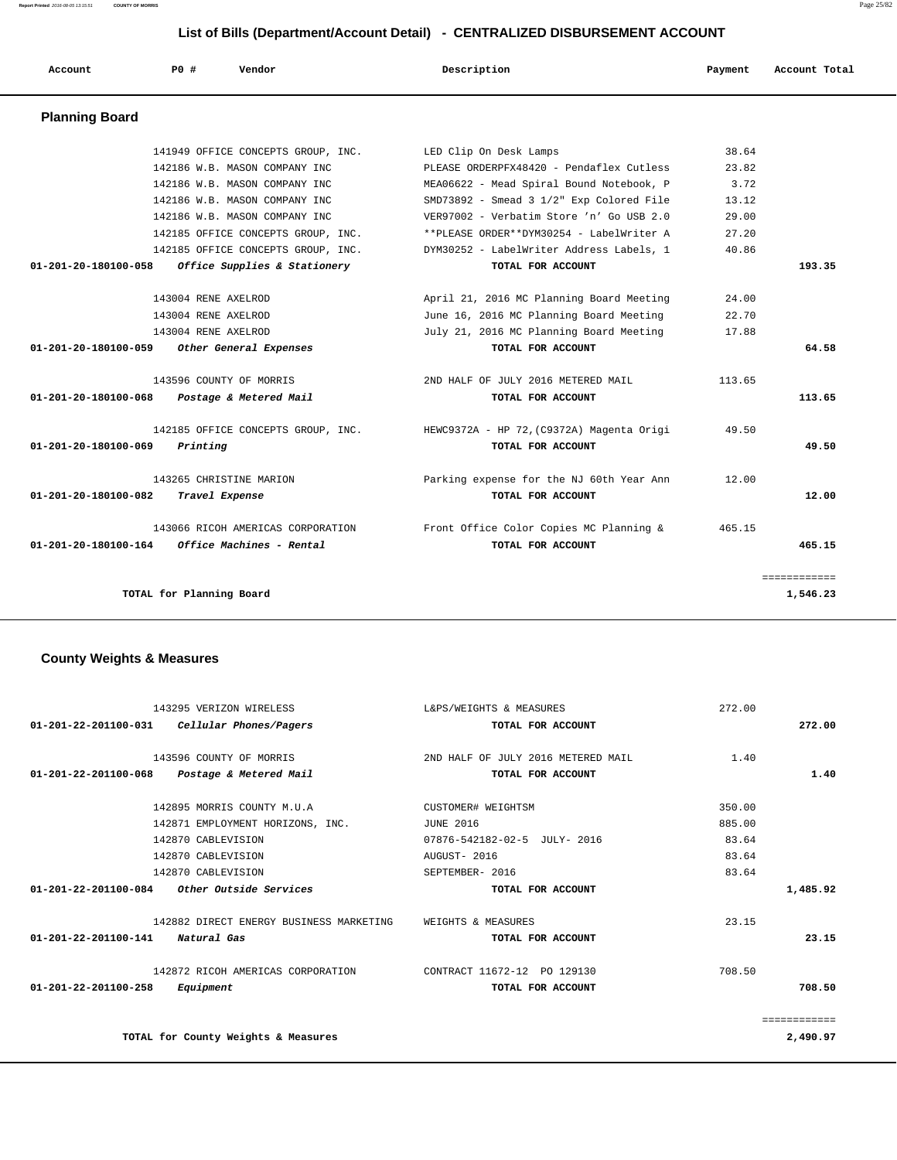**Report Printed** 2016-08-05 13:15:51 **COUNTY OF MORRIS** Page 25/82

# **List of Bills (Department/Account Detail) - CENTRALIZED DISBURSEMENT ACCOUNT**

| Account                        | PO#<br>Vendor                      | Description                               | Payment | Account Total |
|--------------------------------|------------------------------------|-------------------------------------------|---------|---------------|
| <b>Planning Board</b>          |                                    |                                           |         |               |
|                                | 141949 OFFICE CONCEPTS GROUP, INC. | LED Clip On Desk Lamps                    | 38.64   |               |
|                                | 142186 W.B. MASON COMPANY INC      | PLEASE ORDERPFX48420 - Pendaflex Cutless  | 23.82   |               |
|                                | 142186 W.B. MASON COMPANY INC      | MEA06622 - Mead Spiral Bound Notebook, P  | 3.72    |               |
|                                | 142186 W.B. MASON COMPANY INC      | SMD73892 - Smead 3 1/2" Exp Colored File  | 13.12   |               |
|                                | 142186 W.B. MASON COMPANY INC      | VER97002 - Verbatim Store 'n' Go USB 2.0  | 29.00   |               |
|                                | 142185 OFFICE CONCEPTS GROUP, INC. | **PLEASE ORDER**DYM30254 - LabelWriter A  | 27.20   |               |
|                                | 142185 OFFICE CONCEPTS GROUP, INC. | DYM30252 - LabelWriter Address Labels, 1  | 40.86   |               |
| 01-201-20-180100-058           | Office Supplies & Stationery       | TOTAL FOR ACCOUNT                         |         | 193.35        |
|                                | 143004 RENE AXELROD                | April 21, 2016 MC Planning Board Meeting  | 24.00   |               |
|                                | 143004 RENE AXELROD                | June 16, 2016 MC Planning Board Meeting   | 22.70   |               |
|                                | 143004 RENE AXELROD                | July 21, 2016 MC Planning Board Meeting   | 17.88   |               |
| $01 - 201 - 20 - 180100 - 059$ | Other General Expenses             | TOTAL FOR ACCOUNT                         |         | 64.58         |
|                                | 143596 COUNTY OF MORRIS            | 2ND HALF OF JULY 2016 METERED MAIL        | 113.65  |               |
| 01-201-20-180100-068           | Postage & Metered Mail             | TOTAL FOR ACCOUNT                         |         | 113.65        |
|                                | 142185 OFFICE CONCEPTS GROUP, INC. | HEWC9372A - HP 72, (C9372A) Magenta Origi | 49.50   |               |
| $01 - 201 - 20 - 180100 - 069$ | Printing                           | TOTAL FOR ACCOUNT                         |         | 49.50         |
|                                | 143265 CHRISTINE MARION            | Parking expense for the NJ 60th Year Ann  | 12.00   |               |
| 01-201-20-180100-082           | Travel Expense                     | TOTAL FOR ACCOUNT                         |         | 12.00         |
|                                | 143066 RICOH AMERICAS CORPORATION  | Front Office Color Copies MC Planning &   | 465.15  |               |
| $01 - 201 - 20 - 180100 - 164$ | Office Machines - Rental           | TOTAL FOR ACCOUNT                         |         | 465.15        |
|                                |                                    |                                           |         | ============  |
|                                | TOTAL for Planning Board           |                                           |         | 1,546.23      |

# **County Weights & Measures**

| 143295 VERIZON WIRELESS                                  | L&PS/WEIGHTS & MEASURES            | 272.00 |              |
|----------------------------------------------------------|------------------------------------|--------|--------------|
| $01 - 201 - 22 - 201100 - 031$<br>Cellular Phones/Pagers | TOTAL FOR ACCOUNT                  |        | 272.00       |
| 143596 COUNTY OF MORRIS                                  | 2ND HALF OF JULY 2016 METERED MAIL | 1.40   |              |
| 01-201-22-201100-068 Postage & Metered Mail              | TOTAL FOR ACCOUNT                  |        | 1.40         |
|                                                          |                                    |        |              |
| 142895 MORRIS COUNTY M.U.A                               | CUSTOMER# WEIGHTSM                 | 350.00 |              |
| 142871 EMPLOYMENT HORIZONS, INC.                         | <b>JUNE 2016</b>                   | 885.00 |              |
| 142870 CABLEVISION                                       | 07876-542182-02-5 JULY- 2016       | 83.64  |              |
| 142870 CABLEVISION                                       | AUGUST- 2016                       | 83.64  |              |
| 142870 CABLEVISION                                       | SEPTEMBER- 2016                    | 83.64  |              |
| 01-201-22-201100-084<br><i>Other Outside Services</i>    | TOTAL FOR ACCOUNT                  |        | 1,485.92     |
| 142882 DIRECT ENERGY BUSINESS MARKETING                  | WEIGHTS & MEASURES                 | 23.15  |              |
| $01 - 201 - 22 - 201100 - 141$<br>Natural Gas            | TOTAL FOR ACCOUNT                  |        | 23.15        |
| 142872 RICOH AMERICAS CORPORATION                        | CONTRACT 11672-12 PO 129130        | 708.50 |              |
| $01 - 201 - 22 - 201100 - 258$<br>Equipment              | TOTAL FOR ACCOUNT                  |        | 708.50       |
|                                                          |                                    |        | ============ |
| TOTAL for County Weights & Measures                      |                                    |        | 2,490.97     |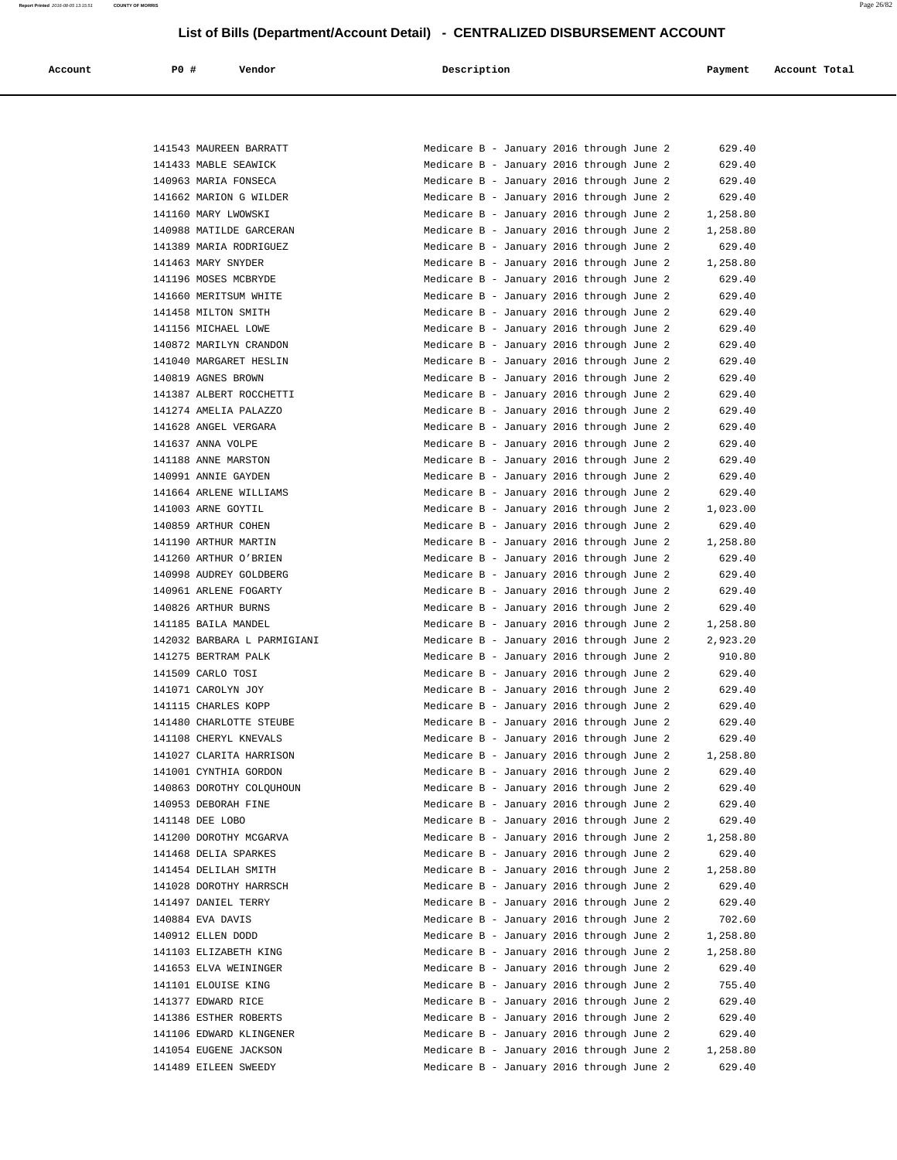| Account | <b>PO #</b> | Vendor<br>. | Description | Payment | Account Total |
|---------|-------------|-------------|-------------|---------|---------------|
|         |             |             |             |         |               |

|        | 141543 MAUREEN BARRATT              |
|--------|-------------------------------------|
|        | 141433 MABLE SEAWICK                |
| 140963 | MARIA FONSECA                       |
| 141662 | MARION G WILDER                     |
|        | 141160 MARY LWOWSKI                 |
|        | 140988 MATILDE GARCERAN             |
|        | 141389 MARIA RODRIGUEZ              |
|        | 141463 MARY SNYDER                  |
|        | 141196 MOSES MCBRYDE                |
| 141660 | MERITSUM WHITE                      |
| 141458 | MILTON SMITH                        |
| 141156 | MICHAEL LOWE                        |
|        | 140872 MARILYN CRANDON              |
|        | 141040 MARGARET HESLIN              |
|        |                                     |
|        | 140819 AGNES BROWN                  |
|        | 141387 ALBERT ROCCHETTI             |
|        | 141274 AMELIA PALAZZO               |
| 141628 | ANGEL VERGARA                       |
| 141637 | ANNA VOLPE                          |
| 141188 | ANNE<br>MARSTON                     |
|        | 140991 ANNIE GAYDEN                 |
|        | 141664 ARLENE WILLIAMS              |
|        | 141003 ARNE GOYTIL                  |
|        | 140859 ARTHUR COHEN                 |
| 141190 | ARTHUR MARTIN                       |
| 141260 | ARTHUR<br>O'BRIEN                   |
| 140998 | AUDREY GOLDBERG                     |
|        | 140961 ARLENE FOGARTY               |
|        | 140826 ARTHUR BURNS                 |
|        | 141185 BAILA MANDEL                 |
|        | 142032 BARBARA L PARMIGIA           |
|        | 141275 BERTRAM PALK                 |
| 141509 | CARLO TOSI                          |
|        | 141071 CAROLYN JOY                  |
|        | 141115 CHARLES KOPP                 |
|        | 141480 CHARLOTTE STEUBE             |
|        | 141108 CHERYL KNEVALS               |
|        | 141027 CLARITA HARRISON             |
|        | 141001 CYNTHIA GORDON               |
|        | 140863 DOROTHY COLQUHOUN            |
| 140953 | DEBORAH<br>FINE                     |
| 141148 | DEE LOBO                            |
|        | 141200 DOROTHY MCGARVA              |
|        | 141468 DELIA SPARKES                |
|        | 141454 DELILAH SMITH                |
|        |                                     |
|        | 141028 DOROTHY HARRSCH              |
|        | 141497 DANIEL TERRY                 |
| 140884 | EVA DAVIS                           |
| 140912 | ELLEN DODD<br>141103 ELIZABETH KING |
|        |                                     |
|        | 141653 ELVA WEININGER               |
|        | 141101 ELOUISE KING                 |
|        | 141377 EDWARD RICE                  |
|        | 141386 ESTHER ROBERTS               |
| 141106 | EDWARD KLINGENER                    |
| 141054 | EUGENE JACKSON                      |
|        | 141489 EILEEN SWEEDY                |

| 141543 MAUREEN BARRATT      | Medicare B - January 2016 through June 2 |  | 629.40   |
|-----------------------------|------------------------------------------|--|----------|
| 141433 MABLE SEAWICK        | Medicare B - January 2016 through June 2 |  | 629.40   |
| 140963 MARIA FONSECA        | Medicare B - January 2016 through June 2 |  | 629.40   |
| 141662 MARION G WILDER      | Medicare B - January 2016 through June 2 |  | 629.40   |
| 141160 MARY LWOWSKI         | Medicare B - January 2016 through June 2 |  | 1,258.80 |
| 140988 MATILDE GARCERAN     | Medicare B - January 2016 through June 2 |  | 1,258.80 |
| 141389 MARIA RODRIGUEZ      | Medicare B - January 2016 through June 2 |  | 629.40   |
| 141463 MARY SNYDER          | Medicare B - January 2016 through June 2 |  | 1,258.80 |
| 141196 MOSES MCBRYDE        | Medicare B - January 2016 through June 2 |  | 629.40   |
| 141660 MERITSUM WHITE       | Medicare B - January 2016 through June 2 |  | 629.40   |
| 141458 MILTON SMITH         | Medicare B - January 2016 through June 2 |  | 629.40   |
| 141156 MICHAEL LOWE         | Medicare B - January 2016 through June 2 |  | 629.40   |
| 140872 MARILYN CRANDON      | Medicare B - January 2016 through June 2 |  | 629.40   |
| 141040 MARGARET HESLIN      | Medicare B - January 2016 through June 2 |  | 629.40   |
| 140819 AGNES BROWN          | Medicare B - January 2016 through June 2 |  | 629.40   |
| 141387 ALBERT ROCCHETTI     | Medicare B - January 2016 through June 2 |  | 629.40   |
| 141274 AMELIA PALAZZO       | Medicare B - January 2016 through June 2 |  | 629.40   |
| 141628 ANGEL VERGARA        | Medicare B - January 2016 through June 2 |  | 629.40   |
| 141637 ANNA VOLPE           | Medicare B - January 2016 through June 2 |  | 629.40   |
| 141188 ANNE MARSTON         | Medicare B - January 2016 through June 2 |  | 629.40   |
| 140991 ANNIE GAYDEN         | Medicare B - January 2016 through June 2 |  | 629.40   |
| 141664 ARLENE WILLIAMS      | Medicare B - January 2016 through June 2 |  | 629.40   |
| 141003 ARNE GOYTIL          | Medicare B - January 2016 through June 2 |  | 1,023.00 |
| 140859 ARTHUR COHEN         | Medicare B - January 2016 through June 2 |  | 629.40   |
| 141190 ARTHUR MARTIN        | Medicare B - January 2016 through June 2 |  | 1,258.80 |
| 141260 ARTHUR O'BRIEN       | Medicare B - January 2016 through June 2 |  | 629.40   |
| 140998 AUDREY GOLDBERG      | Medicare B - January 2016 through June 2 |  | 629.40   |
| 140961 ARLENE FOGARTY       | Medicare B - January 2016 through June 2 |  | 629.40   |
| 140826 ARTHUR BURNS         | Medicare B - January 2016 through June 2 |  | 629.40   |
| 141185 BAILA MANDEL         | Medicare B - January 2016 through June 2 |  | 1,258.80 |
| 142032 BARBARA L PARMIGIANI | Medicare B - January 2016 through June 2 |  | 2,923.20 |
| 141275 BERTRAM PALK         | Medicare B - January 2016 through June 2 |  | 910.80   |
| 141509 CARLO TOSI           | Medicare B - January 2016 through June 2 |  | 629.40   |
| 141071 CAROLYN JOY          | Medicare B - January 2016 through June 2 |  | 629.40   |
| 141115 CHARLES KOPP         | Medicare B - January 2016 through June 2 |  | 629.40   |
| 141480 CHARLOTTE STEUBE     | Medicare B - January 2016 through June 2 |  | 629.40   |
| 141108 CHERYL KNEVALS       | Medicare B - January 2016 through June 2 |  | 629.40   |
| 141027 CLARITA HARRISON     | Medicare B - January 2016 through June 2 |  | 1,258.80 |
| 141001 CYNTHIA GORDON       | Medicare B - January 2016 through June 2 |  | 629.40   |
| 140863 DOROTHY COLQUHOUN    | Medicare B - January 2016 through June 2 |  | 629.40   |
| 140953 DEBORAH FINE         | Medicare B - January 2016 through June 2 |  | 629.40   |
| 141148 DEE LOBO             | Medicare B - January 2016 through June 2 |  | 629.40   |
| 141200 DOROTHY MCGARVA      | Medicare B - January 2016 through June 2 |  | 1,258.80 |
| 141468 DELIA SPARKES        | Medicare B - January 2016 through June 2 |  | 629.40   |
| 141454 DELILAH SMITH        | Medicare B - January 2016 through June 2 |  | 1,258.80 |
| 141028 DOROTHY HARRSCH      | Medicare B - January 2016 through June 2 |  | 629.40   |
| 141497 DANIEL TERRY         | Medicare B - January 2016 through June 2 |  | 629.40   |
| 140884 EVA DAVIS            | Medicare B - January 2016 through June 2 |  | 702.60   |
| 140912 ELLEN DODD           | Medicare B - January 2016 through June 2 |  | 1,258.80 |
| 141103 ELIZABETH KING       | Medicare B - January 2016 through June 2 |  | 1,258.80 |
| 141653 ELVA WEININGER       | Medicare B - January 2016 through June 2 |  | 629.40   |
| 141101 ELOUISE KING         | Medicare B - January 2016 through June 2 |  | 755.40   |
| 141377 EDWARD RICE          | Medicare B - January 2016 through June 2 |  | 629.40   |
| 141386 ESTHER ROBERTS       | Medicare B - January 2016 through June 2 |  | 629.40   |
| 141106 EDWARD KLINGENER     | Medicare B - January 2016 through June 2 |  | 629.40   |
| 141054 EUGENE JACKSON       | Medicare B - January 2016 through June 2 |  | 1,258.80 |
| 141489 EILEEN SWEEDY        | Medicare B - January 2016 through June 2 |  | 629.40   |
|                             |                                          |  |          |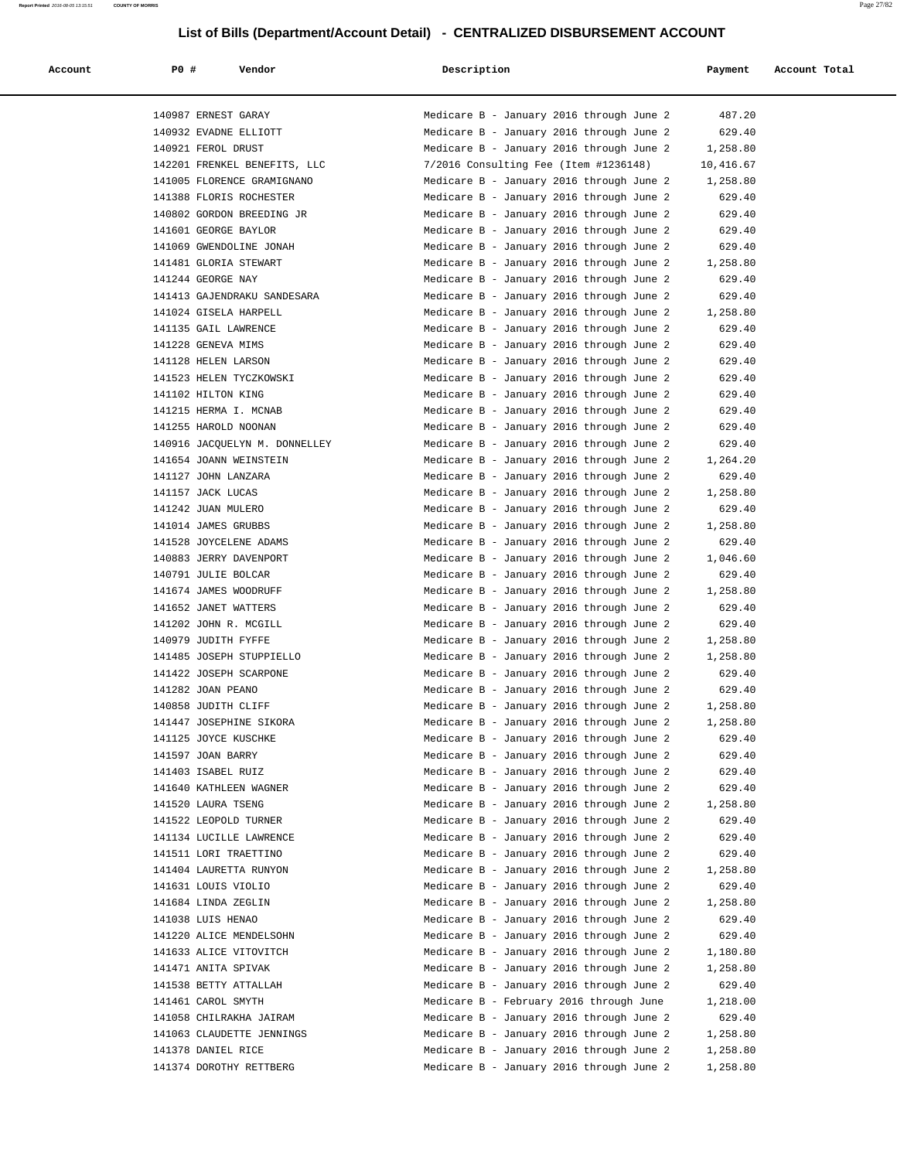| Account | P0 #                  | Vendor                        | Description                              | Payment   | Account Total |
|---------|-----------------------|-------------------------------|------------------------------------------|-----------|---------------|
|         |                       |                               |                                          |           |               |
|         | 140987 ERNEST GARAY   |                               | Medicare B - January 2016 through June 2 | 487.20    |               |
|         |                       | 140932 EVADNE ELLIOTT         | Medicare B - January 2016 through June 2 | 629.40    |               |
|         | 140921 FEROL DRUST    |                               | Medicare B - January 2016 through June 2 | 1,258.80  |               |
|         |                       | 142201 FRENKEL BENEFITS, LLC  | 7/2016 Consulting Fee (Item #1236148)    | 10,416.67 |               |
|         |                       | 141005 FLORENCE GRAMIGNANO    | Medicare B - January 2016 through June 2 | 1,258.80  |               |
|         |                       | 141388 FLORIS ROCHESTER       | Medicare B - January 2016 through June 2 | 629.40    |               |
|         |                       | 140802 GORDON BREEDING JR     | Medicare B - January 2016 through June 2 | 629.40    |               |
|         | 141601 GEORGE BAYLOR  |                               | Medicare B - January 2016 through June 2 | 629.40    |               |
|         |                       | 141069 GWENDOLINE JONAH       | Medicare B - January 2016 through June 2 | 629.40    |               |
|         | 141481 GLORIA STEWART |                               | Medicare B - January 2016 through June 2 | 1,258.80  |               |
|         | 141244 GEORGE NAY     |                               | Medicare B - January 2016 through June 2 | 629.40    |               |
|         |                       | 141413 GAJENDRAKU SANDESARA   | Medicare B - January 2016 through June 2 | 629.40    |               |
|         |                       | 141024 GISELA HARPELL         | Medicare B - January 2016 through June 2 | 1,258.80  |               |
|         | 141135 GAIL LAWRENCE  |                               | Medicare B - January 2016 through June 2 | 629.40    |               |
|         | 141228 GENEVA MIMS    |                               | Medicare B - January 2016 through June 2 | 629.40    |               |
|         | 141128 HELEN LARSON   |                               | Medicare B - January 2016 through June 2 | 629.40    |               |
|         |                       | 141523 HELEN TYCZKOWSKI       | Medicare B - January 2016 through June 2 | 629.40    |               |
|         | 141102 HILTON KING    |                               | Medicare B - January 2016 through June 2 | 629.40    |               |
|         |                       | 141215 HERMA I. MCNAB         | Medicare B - January 2016 through June 2 | 629.40    |               |
|         | 141255 HAROLD NOONAN  |                               | Medicare B - January 2016 through June 2 | 629.40    |               |
|         |                       | 140916 JACQUELYN M. DONNELLEY | Medicare B - January 2016 through June 2 | 629.40    |               |
|         |                       | 141654 JOANN WEINSTEIN        | Medicare B - January 2016 through June 2 | 1,264.20  |               |
|         | 141127 JOHN LANZARA   |                               | Medicare B - January 2016 through June 2 | 629.40    |               |
|         | 141157 JACK LUCAS     |                               | Medicare B - January 2016 through June 2 | 1,258.80  |               |
|         | 141242 JUAN MULERO    |                               | Medicare B - January 2016 through June 2 | 629.40    |               |
|         | 141014 JAMES GRUBBS   |                               | Medicare B - January 2016 through June 2 | 1,258.80  |               |
|         |                       | 141528 JOYCELENE ADAMS        | Medicare B - January 2016 through June 2 | 629.40    |               |
|         |                       | 140883 JERRY DAVENPORT        | Medicare B - January 2016 through June 2 | 1,046.60  |               |
|         | 140791 JULIE BOLCAR   |                               | Medicare B - January 2016 through June 2 | 629.40    |               |
|         |                       | 141674 JAMES WOODRUFF         | Medicare B - January 2016 through June 2 | 1,258.80  |               |
|         | 141652 JANET WATTERS  |                               | Medicare B - January 2016 through June 2 | 629.40    |               |
|         |                       | 141202 JOHN R. MCGILL         | Medicare B - January 2016 through June 2 | 629.40    |               |
|         | 140979 JUDITH FYFFE   |                               | Medicare B - January 2016 through June 2 | 1,258.80  |               |
|         |                       | 141485 JOSEPH STUPPIELLO      | Medicare B - January 2016 through June 2 | 1,258.80  |               |
|         |                       | 141422 JOSEPH SCARPONE        | Medicare B - January 2016 through June 2 | 629.40    |               |
|         | 141282 JOAN PEANO     |                               | Medicare B - January 2016 through June 2 | 629.40    |               |
|         | 140858 JUDITH CLIFF   |                               | Medicare B - January 2016 through June 2 | 1,258.80  |               |
|         |                       | 141447 JOSEPHINE SIKORA       | Medicare B - January 2016 through June 2 | 1,258.80  |               |
|         | 141125 JOYCE KUSCHKE  |                               | Medicare B - January 2016 through June 2 | 629.40    |               |
|         | 141597 JOAN BARRY     |                               | Medicare B - January 2016 through June 2 | 629.40    |               |
|         | 141403 ISABEL RUIZ    |                               | Medicare B - January 2016 through June 2 | 629.40    |               |
|         |                       | 141640 KATHLEEN WAGNER        | Medicare B - January 2016 through June 2 | 629.40    |               |
|         | 141520 LAURA TSENG    |                               | Medicare B - January 2016 through June 2 | 1,258.80  |               |
|         |                       | 141522 LEOPOLD TURNER         | Medicare B - January 2016 through June 2 | 629.40    |               |
|         |                       | 141134 LUCILLE LAWRENCE       | Medicare B - January 2016 through June 2 | 629.40    |               |
|         |                       | 141511 LORI TRAETTINO         | Medicare B - January 2016 through June 2 | 629.40    |               |
|         |                       | 141404 LAURETTA RUNYON        | Medicare B - January 2016 through June 2 | 1,258.80  |               |
|         | 141631 LOUIS VIOLIO   |                               | Medicare B - January 2016 through June 2 | 629.40    |               |
|         | 141684 LINDA ZEGLIN   |                               | Medicare B - January 2016 through June 2 | 1,258.80  |               |
|         | 141038 LUIS HENAO     |                               | Medicare B - January 2016 through June 2 | 629.40    |               |
|         |                       | 141220 ALICE MENDELSOHN       | Medicare B - January 2016 through June 2 | 629.40    |               |
|         |                       | 141633 ALICE VITOVITCH        | Medicare B - January 2016 through June 2 | 1,180.80  |               |
|         | 141471 ANITA SPIVAK   |                               | Medicare B - January 2016 through June 2 | 1,258.80  |               |
|         |                       | 141538 BETTY ATTALLAH         | Medicare B - January 2016 through June 2 | 629.40    |               |
|         | 141461 CAROL SMYTH    |                               | Medicare B - February 2016 through June  | 1,218.00  |               |
|         |                       | 141058 CHILRAKHA JAIRAM       | Medicare B - January 2016 through June 2 | 629.40    |               |
|         |                       | 141063 CLAUDETTE JENNINGS     | Medicare B - January 2016 through June 2 | 1,258.80  |               |
|         | 141378 DANIEL RICE    |                               | Medicare B - January 2016 through June 2 | 1,258.80  |               |
|         |                       | 141374 DOROTHY RETTBERG       | Medicare B - January 2016 through June 2 | 1,258.80  |               |
|         |                       |                               |                                          |           |               |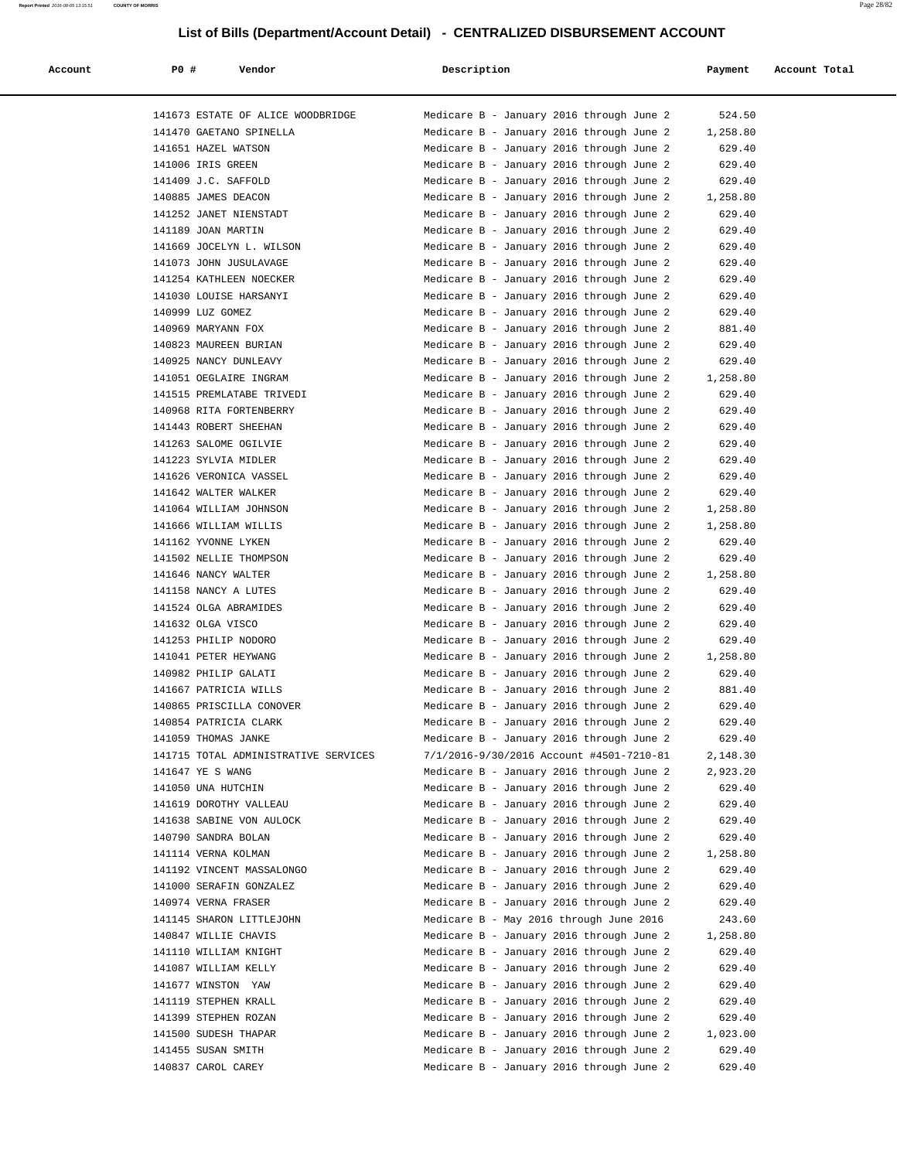| Account | <b>PO #</b><br>Vendor                | Description                              | Payment  | Account Total |
|---------|--------------------------------------|------------------------------------------|----------|---------------|
|         |                                      |                                          |          |               |
|         | 141673 ESTATE OF ALICE WOODBRIDGE    | Medicare B - January 2016 through June 2 | 524.50   |               |
|         | 141470 GAETANO SPINELLA              | Medicare B - January 2016 through June 2 | 1,258.80 |               |
|         | 141651 HAZEL WATSON                  | Medicare B - January 2016 through June 2 | 629.40   |               |
|         | 141006 IRIS GREEN                    | Medicare B - January 2016 through June 2 | 629.40   |               |
|         | 141409 J.C. SAFFOLD                  | Medicare B - January 2016 through June 2 | 629.40   |               |
|         | 140885 JAMES DEACON                  | Medicare B - January 2016 through June 2 | 1,258.80 |               |
|         | 141252 JANET NIENSTADT               | Medicare B - January 2016 through June 2 | 629.40   |               |
|         | 141189 JOAN MARTIN                   | Medicare B - January 2016 through June 2 | 629.40   |               |
|         | 141669 JOCELYN L. WILSON             | Medicare B - January 2016 through June 2 | 629.40   |               |
|         | 141073 JOHN JUSULAVAGE               | Medicare B - January 2016 through June 2 | 629.40   |               |
|         | 141254 KATHLEEN NOECKER              | Medicare B - January 2016 through June 2 | 629.40   |               |
|         | 141030 LOUISE HARSANYI               | Medicare B - January 2016 through June 2 | 629.40   |               |
|         | 140999 LUZ GOMEZ                     | Medicare B - January 2016 through June 2 | 629.40   |               |
|         | 140969 MARYANN FOX                   | Medicare B - January 2016 through June 2 | 881.40   |               |
|         | 140823 MAUREEN BURIAN                | Medicare B - January 2016 through June 2 | 629.40   |               |
|         | 140925 NANCY DUNLEAVY                | Medicare B - January 2016 through June 2 | 629.40   |               |
|         | 141051 OEGLAIRE INGRAM               | Medicare B - January 2016 through June 2 | 1,258.80 |               |
|         | 141515 PREMLATABE TRIVEDI            | Medicare B - January 2016 through June 2 | 629.40   |               |
|         | 140968 RITA FORTENBERRY              | Medicare B - January 2016 through June 2 | 629.40   |               |
|         | 141443 ROBERT SHEEHAN                | Medicare B - January 2016 through June 2 | 629.40   |               |
|         | 141263 SALOME OGILVIE                | Medicare B - January 2016 through June 2 | 629.40   |               |
|         | 141223 SYLVIA MIDLER                 | Medicare B - January 2016 through June 2 | 629.40   |               |
|         | 141626 VERONICA VASSEL               | Medicare B - January 2016 through June 2 | 629.40   |               |
|         | 141642 WALTER WALKER                 | Medicare B - January 2016 through June 2 | 629.40   |               |
|         | 141064 WILLIAM JOHNSON               | Medicare B - January 2016 through June 2 | 1,258.80 |               |
|         | 141666 WILLIAM WILLIS                | Medicare B - January 2016 through June 2 | 1,258.80 |               |
|         | 141162 YVONNE LYKEN                  | Medicare B - January 2016 through June 2 | 629.40   |               |
|         | 141502 NELLIE THOMPSON               | Medicare B - January 2016 through June 2 | 629.40   |               |
|         | 141646 NANCY WALTER                  | Medicare B - January 2016 through June 2 | 1,258.80 |               |
|         | 141158 NANCY A LUTES                 | Medicare B - January 2016 through June 2 | 629.40   |               |
|         | 141524 OLGA ABRAMIDES                | Medicare B - January 2016 through June 2 | 629.40   |               |
|         | 141632 OLGA VISCO                    | Medicare B - January 2016 through June 2 | 629.40   |               |
|         | 141253 PHILIP NODORO                 | Medicare B - January 2016 through June 2 | 629.40   |               |
|         | 141041 PETER HEYWANG                 | Medicare B - January 2016 through June 2 | 1,258.80 |               |
|         | 140982 PHILIP GALATI                 | Medicare B - January 2016 through June 2 | 629.40   |               |
|         | 141667 PATRICIA WILLS                | Medicare B - January 2016 through June 2 | 881.40   |               |
|         | 140865 PRISCILLA CONOVER             | Medicare B - January 2016 through June 2 | 629.40   |               |
|         | 140854 PATRICIA CLARK                | Medicare B - January 2016 through June 2 | 629.40   |               |
|         | 141059 THOMAS JANKE                  | Medicare B - January 2016 through June 2 | 629.40   |               |
|         | 141715 TOTAL ADMINISTRATIVE SERVICES | 7/1/2016-9/30/2016 Account #4501-7210-81 | 2,148.30 |               |
|         | 141647 YE S WANG                     | Medicare B - January 2016 through June 2 | 2,923.20 |               |
|         | 141050 UNA HUTCHIN                   | Medicare B - January 2016 through June 2 | 629.40   |               |
|         | 141619 DOROTHY VALLEAU               | Medicare B - January 2016 through June 2 | 629.40   |               |
|         | 141638 SABINE VON AULOCK             | Medicare B - January 2016 through June 2 | 629.40   |               |
|         | 140790 SANDRA BOLAN                  | Medicare B - January 2016 through June 2 | 629.40   |               |
|         | 141114 VERNA KOLMAN                  | Medicare B - January 2016 through June 2 | 1,258.80 |               |
|         | 141192 VINCENT MASSALONGO            | Medicare B - January 2016 through June 2 | 629.40   |               |
|         | 141000 SERAFIN GONZALEZ              | Medicare B - January 2016 through June 2 | 629.40   |               |
|         | 140974 VERNA FRASER                  | Medicare B - January 2016 through June 2 | 629.40   |               |
|         | 141145 SHARON LITTLEJOHN             | Medicare B - May 2016 through June 2016  | 243.60   |               |
|         | 140847 WILLIE CHAVIS                 | Medicare B - January 2016 through June 2 | 1,258.80 |               |
|         | 141110 WILLIAM KNIGHT                | Medicare B - January 2016 through June 2 | 629.40   |               |
|         | 141087 WILLIAM KELLY                 | Medicare B - January 2016 through June 2 | 629.40   |               |
|         | 141677 WINSTON YAW                   | Medicare B - January 2016 through June 2 | 629.40   |               |
|         | 141119 STEPHEN KRALL                 | Medicare B - January 2016 through June 2 | 629.40   |               |
|         | 141399 STEPHEN ROZAN                 | Medicare B - January 2016 through June 2 | 629.40   |               |
|         | 141500 SUDESH THAPAR                 | Medicare B - January 2016 through June 2 | 1,023.00 |               |
|         | 141455 SUSAN SMITH                   | Medicare B - January 2016 through June 2 | 629.40   |               |
|         | 140837 CAROL CAREY                   | Medicare B - January 2016 through June 2 | 629.40   |               |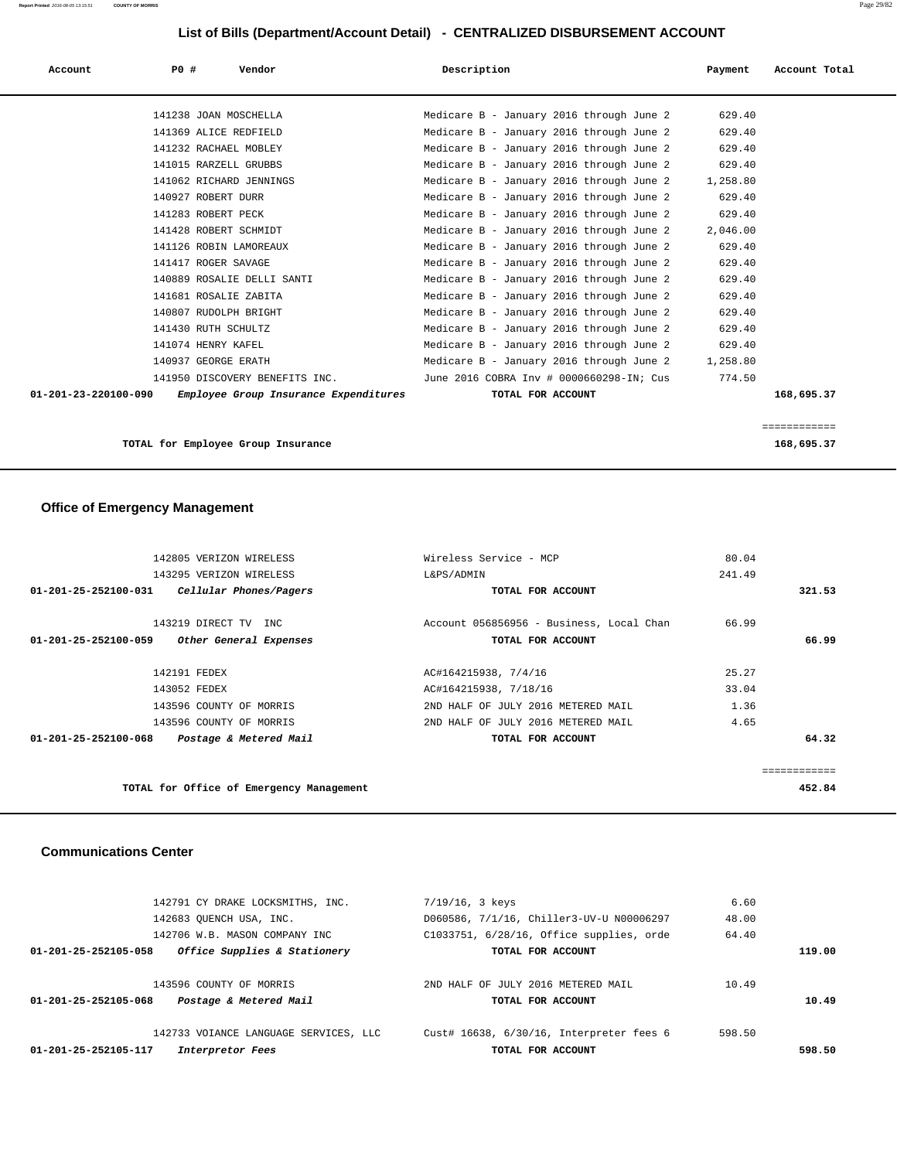| Account | PO# | Vendor                                                     | Description                                       | Payment  | Account Total |
|---------|-----|------------------------------------------------------------|---------------------------------------------------|----------|---------------|
|         |     | 141238 JOAN MOSCHELLA                                      | Medicare B - January 2016 through June 2          | 629.40   |               |
|         |     | 141369 ALICE REDFIELD                                      | Medicare B - January 2016 through June 2          | 629.40   |               |
|         |     | 141232 RACHAEL MOBLEY                                      | Medicare B - January 2016 through June 2          | 629.40   |               |
|         |     | 141015 RARZELL GRUBBS                                      | Medicare B - January 2016 through June 2          | 629.40   |               |
|         |     | 141062 RICHARD JENNINGS                                    | Medicare B - January 2016 through June 2 1,258.80 |          |               |
|         |     | 140927 ROBERT DURR                                         | Medicare B - January 2016 through June 2          | 629.40   |               |
|         |     | 141283 ROBERT PECK                                         | Medicare B - January 2016 through June 2          | 629.40   |               |
|         |     | 141428 ROBERT SCHMIDT                                      | Medicare B - January 2016 through June 2          | 2,046.00 |               |
|         |     | 141126 ROBIN LAMOREAUX                                     | Medicare B - January 2016 through June 2          | 629.40   |               |
|         |     | 141417 ROGER SAVAGE                                        | Medicare B - January 2016 through June 2          | 629.40   |               |
|         |     | 140889 ROSALIE DELLI SANTI                                 | Medicare B - January 2016 through June 2          | 629.40   |               |
|         |     | 141681 ROSALIE ZABITA                                      |                                                   | 629.40   |               |
|         |     |                                                            | Medicare B - January 2016 through June 2          |          |               |
|         |     | 140807 RUDOLPH BRIGHT                                      | Medicare B - January 2016 through June 2          | 629.40   |               |
|         |     | 141430 RUTH SCHULTZ                                        | Medicare B - January 2016 through June 2          | 629.40   |               |
|         |     | 141074 HENRY KAFEL                                         | Medicare B - January 2016 through June 2          | 629.40   |               |
|         |     | 140937 GEORGE ERATH                                        | Medicare B - January 2016 through June 2 1,258.80 |          |               |
|         |     | 141950 DISCOVERY BENEFITS INC.                             | June 2016 COBRA Inv # 0000660298-IN; Cus          | 774.50   |               |
|         |     | 01-201-23-220100-090 Employee Group Insurance Expenditures | TOTAL FOR ACCOUNT                                 |          | 168,695.37    |
|         |     |                                                            |                                                   |          | ============  |

**TOTAL for Employee Group Insurance 168,695.37**

# **Office of Emergency Management**

|              | 80.04  | Wireless Service - MCP                   | 142805 VERIZON WIRELESS                                  |
|--------------|--------|------------------------------------------|----------------------------------------------------------|
|              | 241.49 | L&PS/ADMIN                               | 143295 VERIZON WIRELESS                                  |
| 321.53       |        | TOTAL FOR ACCOUNT                        | $01 - 201 - 25 - 252100 - 031$<br>Cellular Phones/Pagers |
|              | 66.99  | Account 056856956 - Business, Local Chan | 143219 DIRECT TV INC                                     |
| 66.99        |        | TOTAL FOR ACCOUNT                        | Other General Expenses<br>$01 - 201 - 25 - 252100 - 059$ |
|              | 25.27  | AC#164215938, 7/4/16                     | 142191 FEDEX                                             |
|              | 33.04  | AC#164215938, 7/18/16                    | 143052 FEDEX                                             |
|              | 1.36   | 2ND HALF OF JULY 2016 METERED MAIL       | 143596 COUNTY OF MORRIS                                  |
|              | 4.65   | 2ND HALF OF JULY 2016 METERED MAIL       | 143596 COUNTY OF MORRIS                                  |
| 64.32        |        | TOTAL FOR ACCOUNT                        | $01 - 201 - 25 - 252100 - 068$<br>Postage & Metered Mail |
| ============ |        |                                          |                                                          |
| 452.84       |        |                                          | TOTAL for Office of Emergency Management                 |

#### **Communications Center**

| 01-201-25-252105-117<br>Interpretor Fees             | TOTAL FOR ACCOUNT                        |        | 598.50 |
|------------------------------------------------------|------------------------------------------|--------|--------|
| 142733 VOIANCE LANGUAGE SERVICES, LLC                | Cust# 16638, 6/30/16, Interpreter fees 6 | 598.50 |        |
| 01-201-25-252105-068<br>Postage & Metered Mail       | TOTAL FOR ACCOUNT                        |        | 10.49  |
| 143596 COUNTY OF MORRIS                              | 2ND HALF OF JULY 2016 METERED MAIL       | 10.49  |        |
| Office Supplies & Stationery<br>01-201-25-252105-058 | TOTAL FOR ACCOUNT                        |        | 119.00 |
| 142706 W.B. MASON COMPANY INC                        | C1033751, 6/28/16, Office supplies, orde | 64.40  |        |
| 142683 OUENCH USA, INC.                              | D060586, 7/1/16, Chiller3-UV-U N00006297 | 48.00  |        |
| 142791 CY DRAKE LOCKSMITHS, INC.                     | 7/19/16, 3 keys                          | 6.60   |        |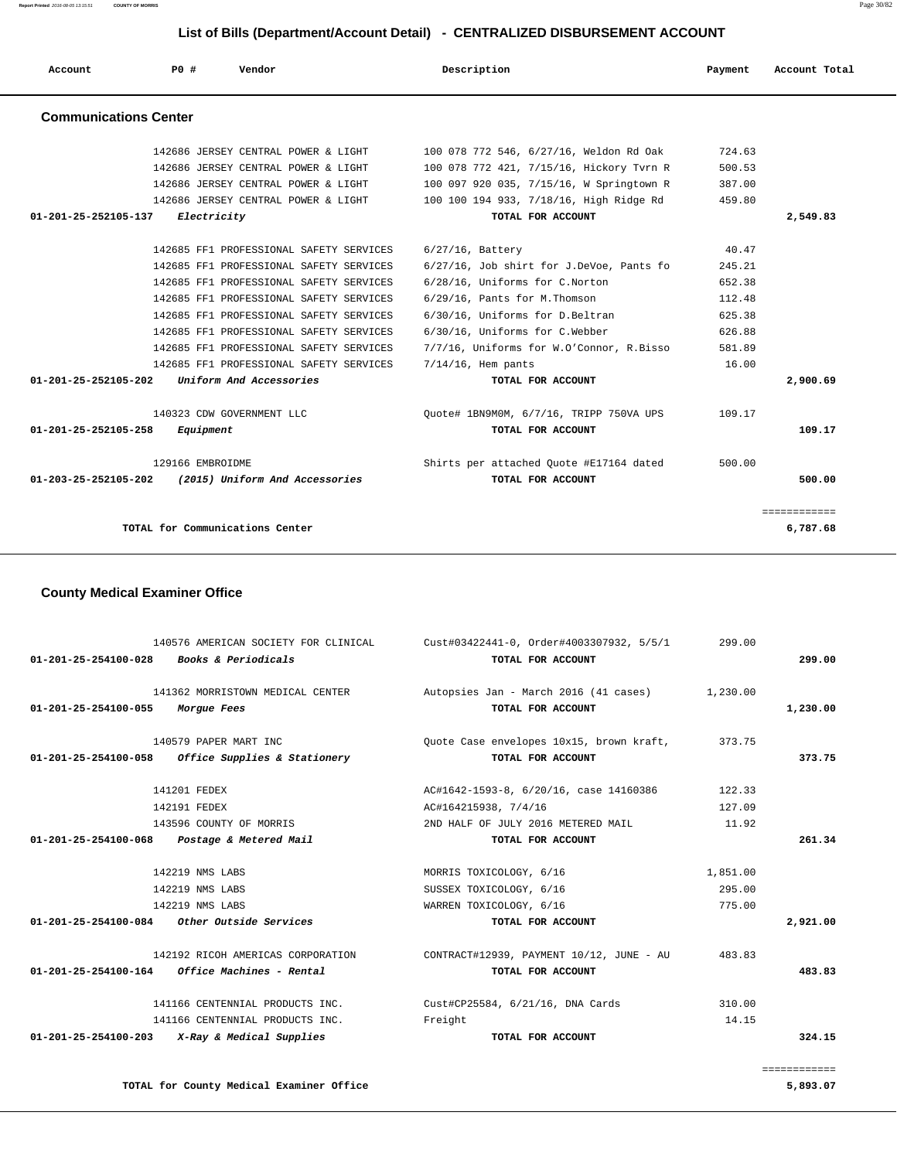**Report Printed** 2016-08-05 13:15:51 **COUNTY OF MORRIS** Page 30/82

## **List of Bills (Department/Account Detail) - CENTRALIZED DISBURSEMENT ACCOUNT**

| Account                      | PO#              | Vendor                                  | Description                              | Payment | Account Total |
|------------------------------|------------------|-----------------------------------------|------------------------------------------|---------|---------------|
| <b>Communications Center</b> |                  |                                         |                                          |         |               |
|                              |                  | 142686 JERSEY CENTRAL POWER & LIGHT     | 100 078 772 546, 6/27/16, Weldon Rd Oak  | 724.63  |               |
|                              |                  | 142686 JERSEY CENTRAL POWER & LIGHT     | 100 078 772 421, 7/15/16, Hickory Tvrn R | 500.53  |               |
|                              |                  | 142686 JERSEY CENTRAL POWER & LIGHT     | 100 097 920 035, 7/15/16, W Springtown R | 387.00  |               |
|                              |                  | 142686 JERSEY CENTRAL POWER & LIGHT     | 100 100 194 933, 7/18/16, High Ridge Rd  | 459.80  |               |
| 01-201-25-252105-137         | Electricity      |                                         | TOTAL FOR ACCOUNT                        |         | 2,549.83      |
|                              |                  | 142685 FF1 PROFESSIONAL SAFETY SERVICES | $6/27/16$ , Battery                      | 40.47   |               |
|                              |                  | 142685 FF1 PROFESSIONAL SAFETY SERVICES | 6/27/16, Job shirt for J.DeVoe, Pants fo | 245.21  |               |
|                              |                  | 142685 FF1 PROFESSIONAL SAFETY SERVICES | 6/28/16, Uniforms for C.Norton           | 652.38  |               |
|                              |                  | 142685 FF1 PROFESSIONAL SAFETY SERVICES | 6/29/16, Pants for M.Thomson             | 112.48  |               |
|                              |                  | 142685 FF1 PROFESSIONAL SAFETY SERVICES | 6/30/16, Uniforms for D.Beltran          | 625.38  |               |
|                              |                  | 142685 FF1 PROFESSIONAL SAFETY SERVICES | 6/30/16, Uniforms for C.Webber           | 626.88  |               |
|                              |                  | 142685 FF1 PROFESSIONAL SAFETY SERVICES | 7/7/16, Uniforms for W.O'Connor, R.Bisso | 581.89  |               |
|                              |                  | 142685 FF1 PROFESSIONAL SAFETY SERVICES | $7/14/16$ , Hem pants                    | 16.00   |               |
| 01-201-25-252105-202         |                  | Uniform And Accessories                 | TOTAL FOR ACCOUNT                        |         | 2,900.69      |
|                              |                  | 140323 CDW GOVERNMENT LLC               | Ouote# 1BN9MOM, 6/7/16, TRIPP 750VA UPS  | 109.17  |               |
| 01-201-25-252105-258         | Equipment        |                                         | TOTAL FOR ACCOUNT                        |         | 109.17        |
|                              | 129166 EMBROIDME |                                         | Shirts per attached Quote #E17164 dated  | 500.00  |               |
| 01-203-25-252105-202         |                  | (2015) Uniform And Accessories          | TOTAL FOR ACCOUNT                        |         | 500.00        |
|                              |                  |                                         |                                          |         | ============  |
|                              |                  | TOTAL for Communications Center         |                                          |         | 6,787.68      |

 **County Medical Examiner Office**

|                                  | 140576 AMERICAN SOCIETY FOR CLINICAL                    | Cust#03422441-0, Order#4003307932, 5/5/1                                        | 299.00   |              |
|----------------------------------|---------------------------------------------------------|---------------------------------------------------------------------------------|----------|--------------|
|                                  | 01-201-25-254100-028 Books & Periodicals                | TOTAL FOR ACCOUNT                                                               |          | 299.00       |
|                                  |                                                         | 141362 MORRISTOWN MEDICAL CENTER Autopsies Jan - March 2016 (41 cases) 1,230.00 |          |              |
| 01-201-25-254100-055 Morgue Fees |                                                         | TOTAL FOR ACCOUNT                                                               |          | 1,230.00     |
|                                  | 140579 PAPER MART INC                                   | Ouote Case envelopes 10x15, brown kraft, 373.75                                 |          |              |
|                                  | 01-201-25-254100-058 Office Supplies & Stationery       | TOTAL FOR ACCOUNT                                                               |          | 373.75       |
|                                  | 141201 FEDEX                                            | AC#1642-1593-8, 6/20/16, case 14160386                                          | 122.33   |              |
|                                  | 142191 FEDEX                                            | AC#164215938, 7/4/16                                                            | 127.09   |              |
|                                  | 143596 COUNTY OF MORRIS                                 | 2ND HALF OF JULY 2016 METERED MAIL                                              | 11.92    |              |
|                                  | 01-201-25-254100-068 Postage & Metered Mail             | TOTAL FOR ACCOUNT                                                               |          | 261.34       |
|                                  | 142219 NMS LABS                                         | MORRIS TOXICOLOGY, 6/16                                                         | 1,851.00 |              |
|                                  | 142219 NMS LABS                                         | SUSSEX TOXICOLOGY, 6/16                                                         | 295.00   |              |
|                                  | 142219 NMS LABS                                         | WARREN TOXICOLOGY, 6/16                                                         | 775.00   |              |
|                                  | $01-201-25-254100-084$ Other Outside Services           | TOTAL FOR ACCOUNT                                                               |          | 2,921.00     |
|                                  | 142192 RICOH AMERICAS CORPORATION                       | CONTRACT#12939, PAYMENT 10/12, JUNE - AU                                        | 483.83   |              |
|                                  | $01 - 201 - 25 - 254100 - 164$ Office Machines - Rental | TOTAL FOR ACCOUNT                                                               |          | 483.83       |
|                                  | 141166 CENTENNIAL PRODUCTS INC.                         | Cust#CP25584, 6/21/16, DNA Cards                                                | 310.00   |              |
|                                  | 141166 CENTENNIAL PRODUCTS INC.                         | Freight                                                                         | 14.15    |              |
|                                  | $01-201-25-254100-203$ X-Ray & Medical Supplies         | TOTAL FOR ACCOUNT                                                               |          | 324.15       |
|                                  |                                                         |                                                                                 |          | ============ |
|                                  | TOTAL for County Medical Examiner Office                |                                                                                 |          | 5,893.07     |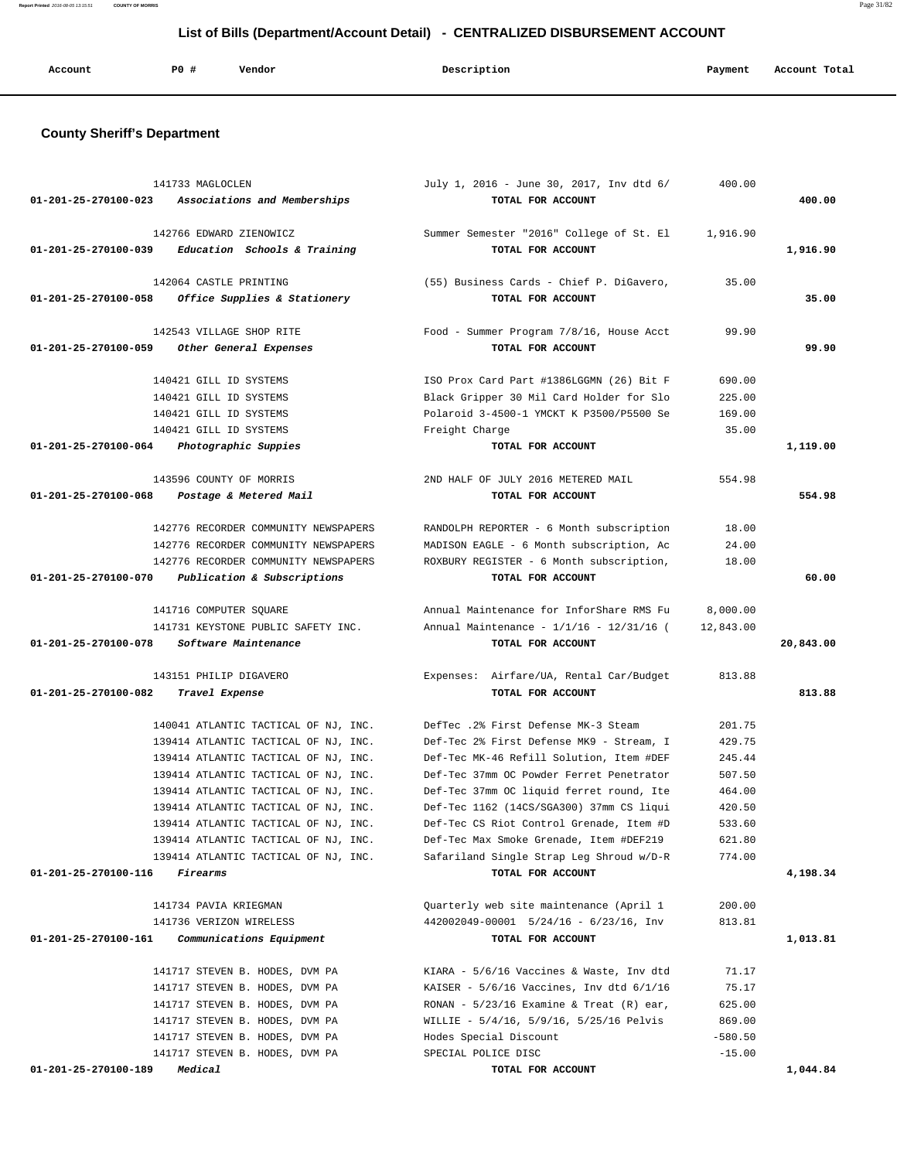|  |  | Account | P0 # | Vendor | Description | Payment | Account Total |
|--|--|---------|------|--------|-------------|---------|---------------|
|--|--|---------|------|--------|-------------|---------|---------------|

## **County Sheriff's Department**

|                                | 141733 MAGLOCLEN                     | July 1, 2016 - June 30, 2017, Inv dtd 6/     | 400.00    |           |
|--------------------------------|--------------------------------------|----------------------------------------------|-----------|-----------|
| $01 - 201 - 25 - 270100 - 023$ | Associations and Memberships         | TOTAL FOR ACCOUNT                            |           | 400.00    |
|                                |                                      |                                              |           |           |
|                                | 142766 EDWARD ZIENOWICZ              | Summer Semester "2016" College of St. El     | 1,916.90  |           |
| 01-201-25-270100-039           | Education Schools & Training         | TOTAL FOR ACCOUNT                            |           | 1,916.90  |
|                                | 142064 CASTLE PRINTING               | (55) Business Cards - Chief P. DiGavero,     | 35.00     |           |
| 01-201-25-270100-058           | Office Supplies & Stationery         | TOTAL FOR ACCOUNT                            |           | 35.00     |
|                                |                                      |                                              |           |           |
|                                | 142543 VILLAGE SHOP RITE             | Food - Summer Program 7/8/16, House Acct     | 99.90     |           |
| 01-201-25-270100-059           | Other General Expenses               | TOTAL FOR ACCOUNT                            |           | 99.90     |
|                                | 140421 GILL ID SYSTEMS               | ISO Prox Card Part #1386LGGMN (26) Bit F     | 690.00    |           |
|                                | 140421 GILL ID SYSTEMS               | Black Gripper 30 Mil Card Holder for Slo     | 225.00    |           |
|                                | 140421 GILL ID SYSTEMS               | Polaroid 3-4500-1 YMCKT K P3500/P5500 Se     | 169.00    |           |
|                                | 140421 GILL ID SYSTEMS               | Freight Charge                               | 35.00     |           |
| 01-201-25-270100-064           | Photographic Suppies                 | TOTAL FOR ACCOUNT                            |           | 1,119.00  |
|                                | 143596 COUNTY OF MORRIS              | 2ND HALF OF JULY 2016 METERED MAIL           | 554.98    |           |
| 01-201-25-270100-068           | Postage & Metered Mail               | TOTAL FOR ACCOUNT                            |           | 554.98    |
|                                |                                      |                                              |           |           |
|                                | 142776 RECORDER COMMUNITY NEWSPAPERS | RANDOLPH REPORTER - 6 Month subscription     | 18.00     |           |
|                                | 142776 RECORDER COMMUNITY NEWSPAPERS | MADISON EAGLE - 6 Month subscription, Ac     | 24.00     |           |
|                                | 142776 RECORDER COMMUNITY NEWSPAPERS | ROXBURY REGISTER - 6 Month subscription,     | 18.00     |           |
| 01-201-25-270100-070           | Publication & Subscriptions          | TOTAL FOR ACCOUNT                            |           | 60.00     |
|                                | 141716 COMPUTER SQUARE               | Annual Maintenance for InforShare RMS Fu     | 8,000.00  |           |
|                                | 141731 KEYSTONE PUBLIC SAFETY INC.   | Annual Maintenance - 1/1/16 - 12/31/16 (     | 12,843.00 |           |
| 01-201-25-270100-078           | Software Maintenance                 | TOTAL FOR ACCOUNT                            |           | 20,843.00 |
|                                |                                      |                                              |           |           |
|                                | 143151 PHILIP DIGAVERO               | Expenses: Airfare/UA, Rental Car/Budget      | 813.88    |           |
| 01-201-25-270100-082           | Travel Expense                       | TOTAL FOR ACCOUNT                            |           | 813.88    |
|                                | 140041 ATLANTIC TACTICAL OF NJ, INC. | DefTec .2% First Defense MK-3 Steam          | 201.75    |           |
|                                | 139414 ATLANTIC TACTICAL OF NJ, INC. | Def-Tec 2% First Defense MK9 - Stream, I     | 429.75    |           |
|                                | 139414 ATLANTIC TACTICAL OF NJ, INC. | Def-Tec MK-46 Refill Solution, Item #DEF     | 245.44    |           |
|                                | 139414 ATLANTIC TACTICAL OF NJ, INC. | Def-Tec 37mm OC Powder Ferret Penetrator     | 507.50    |           |
|                                | 139414 ATLANTIC TACTICAL OF NJ, INC. | Def-Tec 37mm OC liquid ferret round, Ite     | 464.00    |           |
|                                | 139414 ATLANTIC TACTICAL OF NJ, INC. | Def-Tec 1162 (14CS/SGA300) 37mm CS liqui     | 420.50    |           |
|                                | 139414 ATLANTIC TACTICAL OF NJ, INC. | Def-Tec CS Riot Control Grenade, Item #D     | 533.60    |           |
|                                | 139414 ATLANTIC TACTICAL OF NJ, INC. | Def-Tec Max Smoke Grenade, Item #DEF219      | 621.80    |           |
|                                | 139414 ATLANTIC TACTICAL OF NJ, INC. | Safariland Single Strap Leg Shroud w/D-R     | 774.00    |           |
| 01-201-25-270100-116           | Firearms                             | TOTAL FOR ACCOUNT                            |           | 4,198.34  |
|                                | 141734 PAVIA KRIEGMAN                | Ouarterly web site maintenance (April 1      | 200.00    |           |
|                                | 141736 VERIZON WIRELESS              | $442002049 - 00001$ 5/24/16 - 6/23/16, Inv   | 813.81    |           |
| 01-201-25-270100-161           | Communications Equipment             | TOTAL FOR ACCOUNT                            |           | 1,013.81  |
|                                |                                      |                                              |           |           |
|                                | 141717 STEVEN B. HODES, DVM PA       | KIARA - 5/6/16 Vaccines & Waste, Inv dtd     | 71.17     |           |
|                                | 141717 STEVEN B. HODES, DVM PA       | KAISER - $5/6/16$ Vaccines, Inv dtd $6/1/16$ | 75.17     |           |
|                                | 141717 STEVEN B. HODES, DVM PA       | RONAN - $5/23/16$ Examine & Treat (R) ear,   | 625.00    |           |
|                                | 141717 STEVEN B. HODES, DVM PA       | WILLIE - 5/4/16, 5/9/16, 5/25/16 Pelvis      | 869.00    |           |
|                                | 141717 STEVEN B. HODES, DVM PA       | Hodes Special Discount                       | $-580.50$ |           |
|                                | 141717 STEVEN B. HODES, DVM PA       | SPECIAL POLICE DISC                          | $-15.00$  |           |
| 01-201-25-270100-189           | Medical                              | TOTAL FOR ACCOUNT                            |           | 1,044.84  |

**Report Printed** 2016-08-05 13:15:51 **COUNTY OF MORRIS** Page 31/82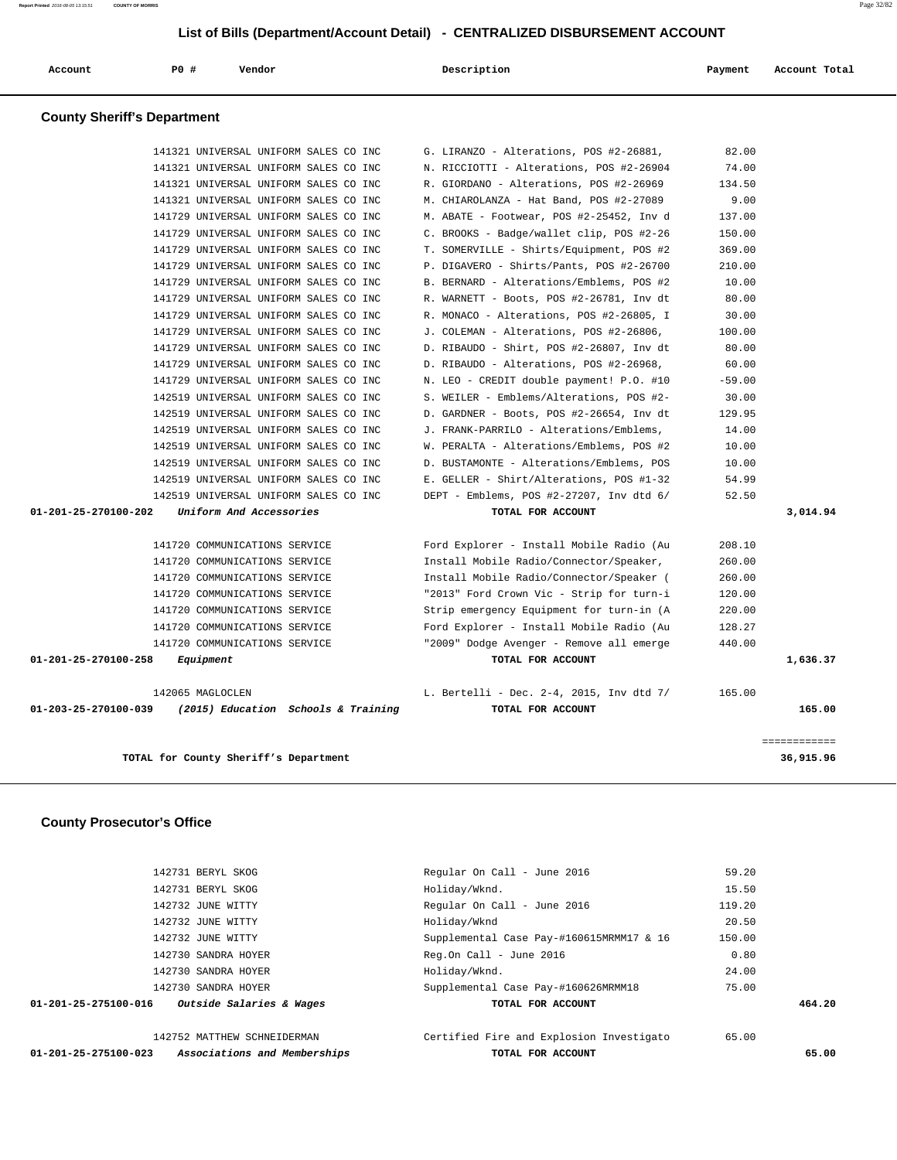**Report Printed** 2016-08-05 13:15:51 **COUNTY OF MORRIS** Page 32/82

 **List of Bills (Department/Account Detail) - CENTRALIZED DISBURSEMENT ACCOUNT**

| PO#<br>Account                     | Vendor                                                                         | Description                                                                          | Payment          | Account Total      |
|------------------------------------|--------------------------------------------------------------------------------|--------------------------------------------------------------------------------------|------------------|--------------------|
| <b>County Sheriff's Department</b> |                                                                                |                                                                                      |                  |                    |
|                                    | 141321 UNIVERSAL UNIFORM SALES CO INC                                          | G. LIRANZO - Alterations, POS #2-26881,                                              | 82.00            |                    |
|                                    | 141321 UNIVERSAL UNIFORM SALES CO INC                                          | N. RICCIOTTI - Alterations, POS #2-26904                                             | 74.00            |                    |
|                                    | 141321 UNIVERSAL UNIFORM SALES CO INC                                          | R. GIORDANO - Alterations, POS #2-26969                                              | 134.50           |                    |
|                                    | 141321 UNIVERSAL UNIFORM SALES CO INC                                          | M. CHIAROLANZA - Hat Band, POS #2-27089                                              | 9.00             |                    |
|                                    | 141729 UNIVERSAL UNIFORM SALES CO INC                                          | M. ABATE - Footwear, POS #2-25452, Inv d                                             | 137.00           |                    |
|                                    | 141729 UNIVERSAL UNIFORM SALES CO INC                                          | C. BROOKS - Badge/wallet clip, POS #2-26                                             | 150.00           |                    |
|                                    | 141729 UNIVERSAL UNIFORM SALES CO INC                                          | T. SOMERVILLE - Shirts/Equipment, POS #2                                             | 369.00           |                    |
|                                    | 141729 UNIVERSAL UNIFORM SALES CO INC                                          | P. DIGAVERO - Shirts/Pants, POS #2-26700                                             | 210.00           |                    |
|                                    | 141729 UNIVERSAL UNIFORM SALES CO INC                                          | B. BERNARD - Alterations/Emblems, POS #2                                             | 10.00            |                    |
|                                    | 141729 UNIVERSAL UNIFORM SALES CO INC                                          | R. WARNETT - Boots, POS #2-26781, Inv dt                                             | 80.00            |                    |
|                                    | 141729 UNIVERSAL UNIFORM SALES CO INC                                          | R. MONACO - Alterations, POS #2-26805, I                                             | 30.00            |                    |
|                                    | 141729 UNIVERSAL UNIFORM SALES CO INC                                          | J. COLEMAN - Alterations, POS #2-26806,                                              | 100.00           |                    |
|                                    | 141729 UNIVERSAL UNIFORM SALES CO INC                                          | D. RIBAUDO - Shirt, POS #2-26807, Inv dt                                             | 80.00            |                    |
|                                    | 141729 UNIVERSAL UNIFORM SALES CO INC                                          | D. RIBAUDO - Alterations, POS #2-26968,                                              | 60.00            |                    |
|                                    | 141729 UNIVERSAL UNIFORM SALES CO INC                                          | N. LEO - CREDIT double payment! P.O. #10                                             | $-59.00$         |                    |
|                                    | 142519 UNIVERSAL UNIFORM SALES CO INC                                          | S. WEILER - Emblems/Alterations, POS #2-                                             | 30.00            |                    |
|                                    | 142519 UNIVERSAL UNIFORM SALES CO INC                                          | D. GARDNER - Boots, POS #2-26654, Inv dt                                             | 129.95           |                    |
|                                    | 142519 UNIVERSAL UNIFORM SALES CO INC                                          | J. FRANK-PARRILO - Alterations/Emblems,                                              | 14.00            |                    |
|                                    | 142519 UNIVERSAL UNIFORM SALES CO INC                                          | W. PERALTA - Alterations/Emblems, POS #2                                             | 10.00            |                    |
|                                    | 142519 UNIVERSAL UNIFORM SALES CO INC<br>142519 UNIVERSAL UNIFORM SALES CO INC | D. BUSTAMONTE - Alterations/Emblems, POS<br>E. GELLER - Shirt/Alterations, POS #1-32 | 10.00<br>54.99   |                    |
|                                    | 142519 UNIVERSAL UNIFORM SALES CO INC                                          | DEPT - Emblems, POS #2-27207, Inv dtd 6/                                             | 52.50            |                    |
| 01-201-25-270100-202               | Uniform And Accessories                                                        | TOTAL FOR ACCOUNT                                                                    |                  | 3,014.94           |
|                                    |                                                                                |                                                                                      |                  |                    |
|                                    | 141720 COMMUNICATIONS SERVICE                                                  | Ford Explorer - Install Mobile Radio (Au                                             | 208.10           |                    |
|                                    | 141720 COMMUNICATIONS SERVICE                                                  | Install Mobile Radio/Connector/Speaker,                                              | 260.00           |                    |
|                                    | 141720 COMMUNICATIONS SERVICE                                                  | Install Mobile Radio/Connector/Speaker (                                             | 260.00           |                    |
|                                    | 141720 COMMUNICATIONS SERVICE                                                  | "2013" Ford Crown Vic - Strip for turn-i                                             | 120.00<br>220.00 |                    |
|                                    | 141720 COMMUNICATIONS SERVICE<br>141720 COMMUNICATIONS SERVICE                 | Strip emergency Equipment for turn-in (A<br>Ford Explorer - Install Mobile Radio (Au | 128.27           |                    |
|                                    | 141720 COMMUNICATIONS SERVICE                                                  |                                                                                      | 440.00           |                    |
| 01-201-25-270100-258               | Equipment                                                                      | "2009" Dodge Avenger - Remove all emerge<br>TOTAL FOR ACCOUNT                        |                  | 1,636.37           |
|                                    |                                                                                |                                                                                      |                  |                    |
| 01-203-25-270100-039               | 142065 MAGLOCLEN<br>(2015) Education Schools & Training                        | L. Bertelli - Dec. 2-4, 2015, Inv dtd 7/<br>TOTAL FOR ACCOUNT                        | 165.00           | 165.00             |
|                                    |                                                                                |                                                                                      |                  | <b>EEEEEEEEEEE</b> |
|                                    | TOTAL for County Sheriff's Department                                          |                                                                                      |                  | 36,915.96          |
| <b>County Prosecutor's Office</b>  |                                                                                |                                                                                      |                  |                    |
|                                    | 142731 BERYL SKOG                                                              | Regular On Call - June 2016                                                          | 59.20            |                    |
|                                    | 142731 BERYL SKOG                                                              | Holiday/Wknd.                                                                        | 15.50            |                    |
|                                    | 142732 JUNE WITTY                                                              | Regular On Call - June 2016                                                          | 119.20           |                    |
|                                    | 142732 JUNE WITTY                                                              | Holiday/Wknd                                                                         | 20.50            |                    |
|                                    | 142732 JUNE WITTY                                                              | Supplemental Case Pay-#160615MRMM17 & 16                                             | 150.00           |                    |
|                                    | 142730 SANDRA HOYER                                                            | Reg.On Call - June 2016                                                              | 0.80             |                    |
|                                    | 142730 SANDRA HOYER                                                            | Holiday/Wknd.                                                                        | 24.00            |                    |
|                                    | 142730 SANDRA HOYER                                                            | Supplemental Case Pay-#160626MRMM18                                                  | 75.00            |                    |

 **01-201-25-275100-016 Outside Salaries & Wages TOTAL FOR ACCOUNT 464.20**

142752 MATTHEW SCHNEIDERMAN Certified Fire and Explosion Investigato 65.00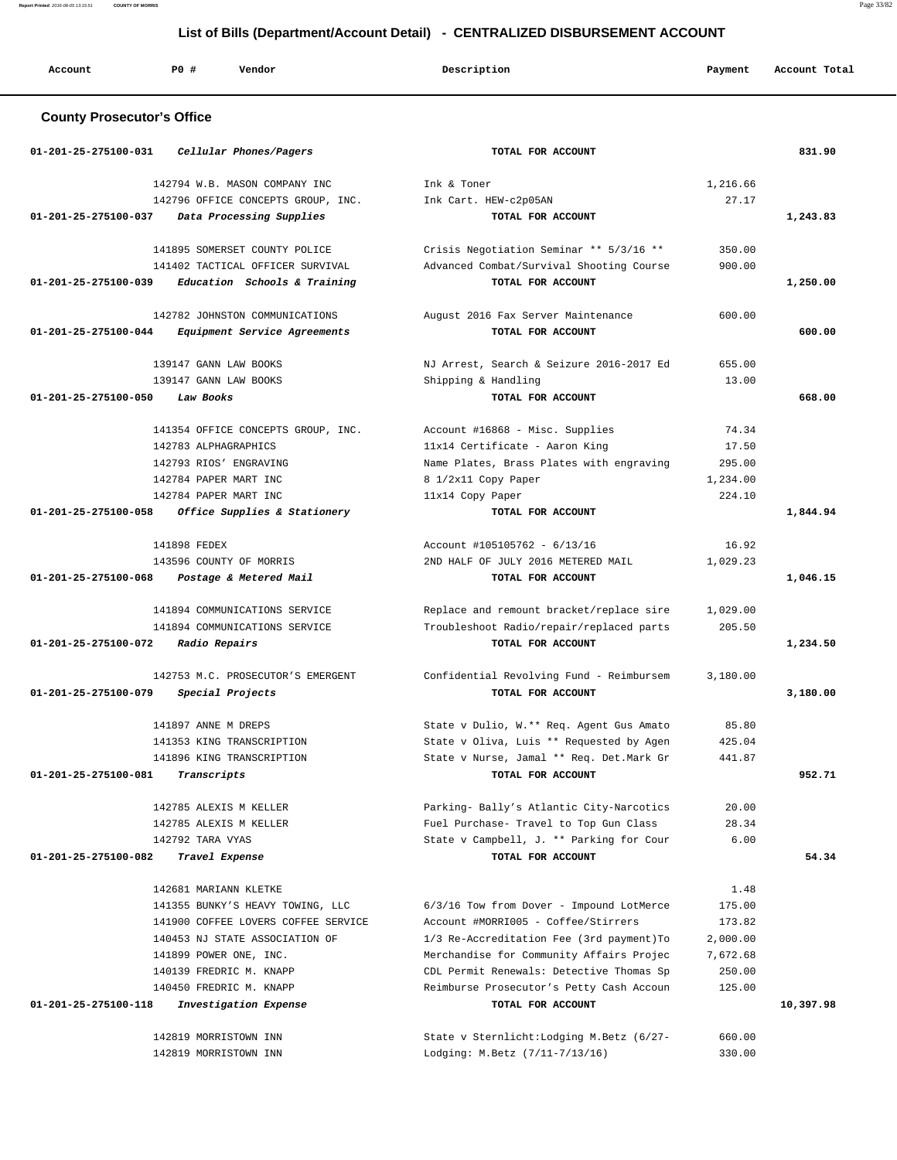**Report Printed** 2016-08-05 13:15:51 **COUNTY OF MORRIS** Page 33/82

# **List of Bills (Department/Account Detail) - CENTRALIZED DISBURSEMENT ACCOUNT**

| Account                           | <b>PO #</b>          | Vendor                                             | Description                                                   | Payment  | Account Total |
|-----------------------------------|----------------------|----------------------------------------------------|---------------------------------------------------------------|----------|---------------|
| <b>County Prosecutor's Office</b> |                      |                                                    |                                                               |          |               |
| 01-201-25-275100-031              |                      | Cellular Phones/Pagers                             | TOTAL FOR ACCOUNT                                             |          | 831.90        |
|                                   |                      | 142794 W.B. MASON COMPANY INC                      | Ink & Toner                                                   | 1,216.66 |               |
|                                   |                      | 142796 OFFICE CONCEPTS GROUP, INC.                 | Ink Cart. HEW-c2p05AN                                         | 27.17    |               |
| 01-201-25-275100-037              |                      | Data Processing Supplies                           | TOTAL FOR ACCOUNT                                             |          | 1,243.83      |
|                                   |                      | 141895 SOMERSET COUNTY POLICE                      | Crisis Negotiation Seminar ** 5/3/16 **                       | 350.00   |               |
|                                   |                      | 141402 TACTICAL OFFICER SURVIVAL                   | Advanced Combat/Survival Shooting Course                      | 900.00   |               |
| 01-201-25-275100-039              |                      | Education Schools & Training                       | TOTAL FOR ACCOUNT                                             |          | 1,250.00      |
|                                   |                      |                                                    |                                                               |          |               |
|                                   |                      | 142782 JOHNSTON COMMUNICATIONS                     | August 2016 Fax Server Maintenance                            | 600.00   |               |
| 01-201-25-275100-044              |                      | <i>Equipment Service Agreements</i>                | TOTAL FOR ACCOUNT                                             |          | 600.00        |
|                                   |                      | 139147 GANN LAW BOOKS                              | NJ Arrest, Search & Seizure 2016-2017 Ed                      | 655.00   |               |
|                                   |                      | 139147 GANN LAW BOOKS                              | Shipping & Handling                                           | 13.00    |               |
| 01-201-25-275100-050              | Law Books            |                                                    | TOTAL FOR ACCOUNT                                             |          | 668.00        |
|                                   |                      |                                                    |                                                               |          |               |
|                                   |                      | 141354 OFFICE CONCEPTS GROUP, INC.                 | Account #16868 - Misc. Supplies                               | 74.34    |               |
|                                   | 142783 ALPHAGRAPHICS |                                                    | 11x14 Certificate - Aaron King                                | 17.50    |               |
|                                   |                      | 142793 RIOS' ENGRAVING                             | Name Plates, Brass Plates with engraving                      | 295.00   |               |
|                                   |                      | 142784 PAPER MART INC                              | 8 1/2x11 Copy Paper                                           | 1,234.00 |               |
| 01-201-25-275100-058              |                      | 142784 PAPER MART INC                              | 11x14 Copy Paper<br>TOTAL FOR ACCOUNT                         | 224.10   |               |
|                                   |                      | Office Supplies & Stationery                       |                                                               |          | 1,844.94      |
|                                   | 141898 FEDEX         |                                                    | Account #105105762 - $6/13/16$                                | 16.92    |               |
|                                   |                      | 143596 COUNTY OF MORRIS                            | 2ND HALF OF JULY 2016 METERED MAIL                            | 1,029.23 |               |
| 01-201-25-275100-068              |                      | Postage & Metered Mail                             | TOTAL FOR ACCOUNT                                             |          | 1,046.15      |
|                                   |                      | 141894 COMMUNICATIONS SERVICE                      | Replace and remount bracket/replace sire                      | 1,029.00 |               |
|                                   |                      | 141894 COMMUNICATIONS SERVICE                      | Troubleshoot Radio/repair/replaced parts                      | 205.50   |               |
| 01-201-25-275100-072              |                      | Radio Repairs                                      | TOTAL FOR ACCOUNT                                             |          | 1,234.50      |
|                                   |                      | 142753 M.C. PROSECUTOR'S EMERGENT                  | Confidential Revolving Fund - Reimbursem                      | 3,180.00 |               |
| 01-201-25-275100-079              |                      | Special Projects                                   | TOTAL FOR ACCOUNT                                             |          | 3,180.00      |
|                                   |                      |                                                    |                                                               |          |               |
|                                   | 141897 ANNE M DREPS  |                                                    | State v Dulio, W.** Req. Agent Gus Amato                      | 85.80    |               |
|                                   |                      | 141353 KING TRANSCRIPTION                          | State v Oliva, Luis ** Requested by Agen                      | 425.04   |               |
|                                   |                      | 141896 KING TRANSCRIPTION                          | State v Nurse, Jamal ** Req. Det.Mark Gr                      | 441.87   |               |
| 01-201-25-275100-081              | Transcripts          |                                                    | TOTAL FOR ACCOUNT                                             |          | 952.71        |
|                                   |                      | 142785 ALEXIS M KELLER                             | Parking- Bally's Atlantic City-Narcotics                      | 20.00    |               |
|                                   |                      | 142785 ALEXIS M KELLER                             | Fuel Purchase- Travel to Top Gun Class                        | 28.34    |               |
|                                   | 142792 TARA VYAS     |                                                    | State v Campbell, J. ** Parking for Cour                      | 6.00     |               |
| 01-201-25-275100-082              |                      | Travel Expense                                     | TOTAL FOR ACCOUNT                                             |          | 54.34         |
|                                   |                      |                                                    |                                                               |          |               |
|                                   |                      | 142681 MARIANN KLETKE                              |                                                               | 1.48     |               |
|                                   |                      | 141355 BUNKY'S HEAVY TOWING, LLC                   | 6/3/16 Tow from Dover - Impound LotMerce                      | 175.00   |               |
|                                   |                      | 141900 COFFEE LOVERS COFFEE SERVICE                | Account #MORRI005 - Coffee/Stirrers                           | 173.82   |               |
|                                   |                      | 140453 NJ STATE ASSOCIATION OF                     | 1/3 Re-Accreditation Fee (3rd payment) To                     | 2,000.00 |               |
|                                   |                      | 141899 POWER ONE, INC.                             | Merchandise for Community Affairs Projec                      | 7,672.68 |               |
|                                   |                      | 140139 FREDRIC M. KNAPP<br>140450 FREDRIC M. KNAPP | CDL Permit Renewals: Detective Thomas Sp                      | 250.00   |               |
| 01-201-25-275100-118              |                      | Investigation Expense                              | Reimburse Prosecutor's Petty Cash Accoun<br>TOTAL FOR ACCOUNT | 125.00   | 10,397.98     |
|                                   |                      |                                                    |                                                               |          |               |
|                                   |                      | 142819 MORRISTOWN INN                              | State v Sternlicht: Lodging M. Betz (6/27-                    | 660.00   |               |
|                                   |                      | 142819 MORRISTOWN INN                              | Lodging: M.Betz (7/11-7/13/16)                                | 330.00   |               |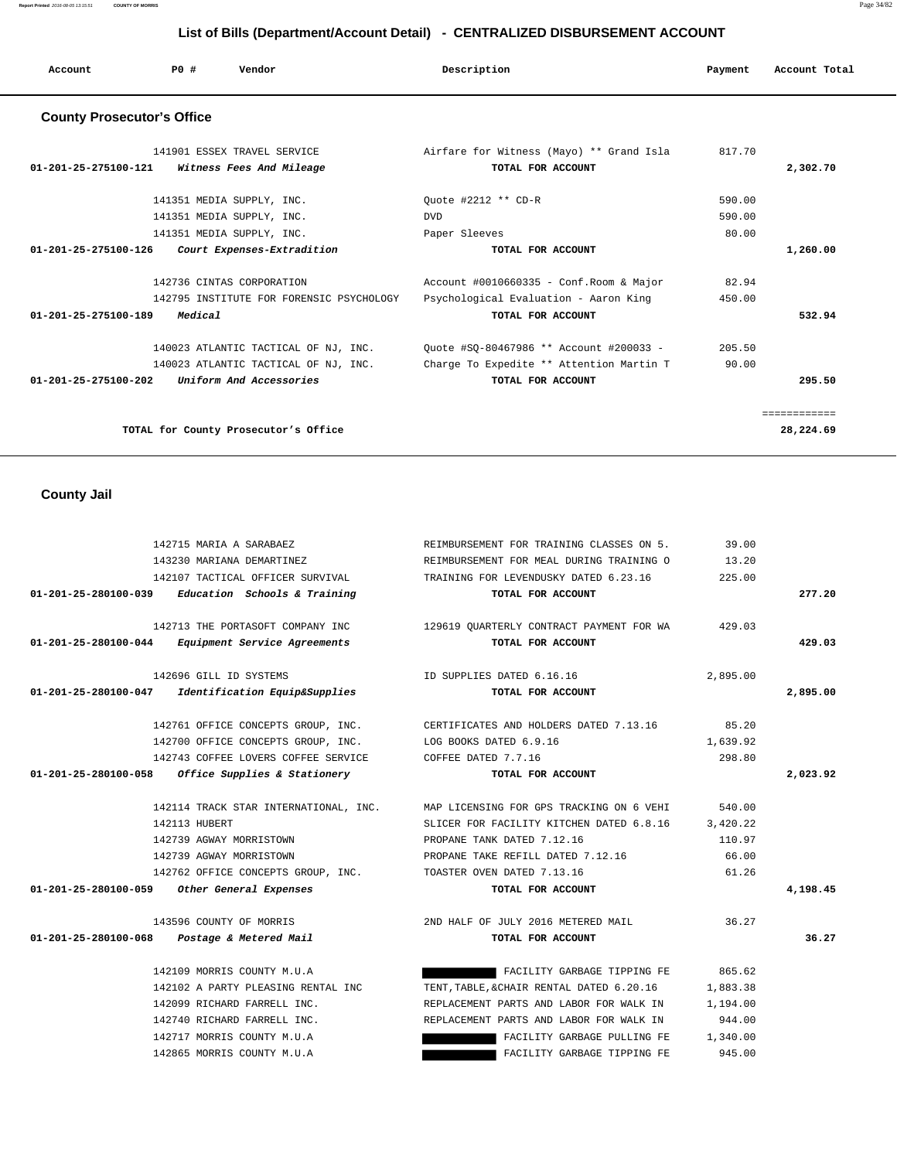| Account                           | PO# | Vendor                      | Description                              | Payment | Account Total |
|-----------------------------------|-----|-----------------------------|------------------------------------------|---------|---------------|
| <b>County Prosecutor's Office</b> |     |                             |                                          |         |               |
|                                   |     | 141901 ESSEX TRAVEL SERVICE | Airfare for Witness (Mayo) ** Grand Isla | 817.70  |               |
| $01 - 201 - 25 - 275100 - 121$    |     | Witness Fees And Mileage    | TOTAL FOR ACCOUNT                        |         | 2,302.70      |
|                                   |     | 141351 MEDIA SUPPLY, INC.   | Ouote #2212 ** CD-R                      | 590.00  |               |
|                                   |     | 141351 MEDIA SUPPLY, INC.   | <b>DVD</b>                               | 590.00  |               |
|                                   |     | 141351 MEDIA SUPPLY, INC.   | Paper Sleeves                            | 80.00   |               |

 **01-201-25-275100-126 Court Expenses-Extradition TOTAL FOR ACCOUNT 1,260.00**

 **01-201-25-275100-189 Medical TOTAL FOR ACCOUNT 532.94**

 **01-201-25-275100-202 Uniform And Accessories TOTAL FOR ACCOUNT 295.50**

**TOTAL for County Prosecutor's Office 28,224.69**

============

 142736 CINTAS CORPORATION Account #0010660335 - Conf.Room & Major 82.94 142795 INSTITUTE FOR FORENSIC PSYCHOLOGY Psychological Evaluation - Aaron King 450.00

 140023 ATLANTIC TACTICAL OF NJ, INC. Quote #SQ-80467986 \*\* Account #200033 - 205.50 140023 ATLANTIC TACTICAL OF NJ, INC. Charge To Expedite \*\* Attention Martin T 90.00

 **County Jail** 

| 142715 MARIA A SARABAEZ                             |                                                         | REIMBURSEMENT FOR TRAINING CLASSES ON 5.                                       | 39.00    |          |
|-----------------------------------------------------|---------------------------------------------------------|--------------------------------------------------------------------------------|----------|----------|
| 143230 MARIANA DEMARTINEZ                           |                                                         | REIMBURSEMENT FOR MEAL DURING TRAINING O 13.20                                 |          |          |
|                                                     |                                                         | 142107 TACTICAL OFFICER SURVIVAL TRAINING FOR LEVENDUSKY DATED 6.23.16         | 225.00   |          |
| 01-201-25-280100-039                                | Education Schools & Training                            | TOTAL FOR ACCOUNT                                                              |          | 277.20   |
|                                                     |                                                         | 142713 THE PORTASOFT COMPANY INC 129619 OUARTERLY CONTRACT PAYMENT FOR WA      | 429.03   |          |
| 01-201-25-280100-044 Equipment Service Agreements   |                                                         | TOTAL FOR ACCOUNT                                                              |          | 429.03   |
| 142696 GILL ID SYSTEMS                              |                                                         | ID SUPPLIES DATED 6.16.16                                                      | 2,895.00 |          |
| 01-201-25-280100-047                                | Identification Equip&Supplies                           | TOTAL FOR ACCOUNT                                                              |          | 2,895.00 |
|                                                     |                                                         | 142761 OFFICE CONCEPTS GROUP, INC. CERTIFICATES AND HOLDERS DATED 7.13.16      | 85.20    |          |
|                                                     |                                                         | 142700 OFFICE CONCEPTS GROUP, INC. LOG BOOKS DATED 6.9.16                      | 1,639.92 |          |
|                                                     | 142743 COFFEE LOVERS COFFEE SERVICE COFFEE DATED 7.7.16 |                                                                                | 298.80   |          |
| $01-201-25-280100-058$ Office Supplies & Stationery |                                                         | TOTAL FOR ACCOUNT                                                              |          | 2,023.92 |
|                                                     |                                                         | 142114 TRACK STAR INTERNATIONAL, INC. MAP LICENSING FOR GPS TRACKING ON 6 VEHI | 540.00   |          |
| 142113 HUBERT                                       |                                                         | SLICER FOR FACILITY KITCHEN DATED 6.8.16                                       | 3,420.22 |          |
| 142739 AGWAY MORRISTOWN                             |                                                         | PROPANE TANK DATED 7.12.16                                                     | 110.97   |          |
| 142739 AGWAY MORRISTOWN                             |                                                         | PROPANE TAKE REFILL DATED 7.12.16                                              | 66.00    |          |
|                                                     |                                                         | 142762 OFFICE CONCEPTS GROUP, INC. TOASTER OVEN DATED 7.13.16                  | 61.26    |          |
| 01-201-25-280100-059 Other General Expenses         |                                                         | TOTAL FOR ACCOUNT                                                              |          | 4,198.45 |
| 143596 COUNTY OF MORRIS                             |                                                         | 2ND HALF OF JULY 2016 METERED MAIL                                             | 36.27    |          |
| 01-201-25-280100-068<br>Postage & Metered Mail      |                                                         | TOTAL FOR ACCOUNT                                                              |          | 36.27    |
| 142109 MORRIS COUNTY M.U.A                          |                                                         | FACILITY GARBAGE TIPPING FE                                                    | 865.62   |          |
|                                                     | 142102 A PARTY PLEASING RENTAL INC                      | TENT, TABLE, & CHAIR RENTAL DATED 6.20.16                                      | 1,883.38 |          |
| 142099 RICHARD FARRELL INC.                         |                                                         | REPLACEMENT PARTS AND LABOR FOR WALK IN                                        | 1,194.00 |          |
| 142740 RICHARD FARRELL INC.                         |                                                         | REPLACEMENT PARTS AND LABOR FOR WALK IN                                        | 944.00   |          |
| 142717 MORRIS COUNTY M.U.A                          |                                                         | FACILITY GARBAGE PULLING FE                                                    | 1,340.00 |          |
| 142865 MORRIS COUNTY M.U.A                          |                                                         | FACILITY GARBAGE TIPPING FE                                                    | 945.00   |          |

**Report Printed** 2016-08-05 13:15:51 **COUNTY OF MORRIS** Page 34/82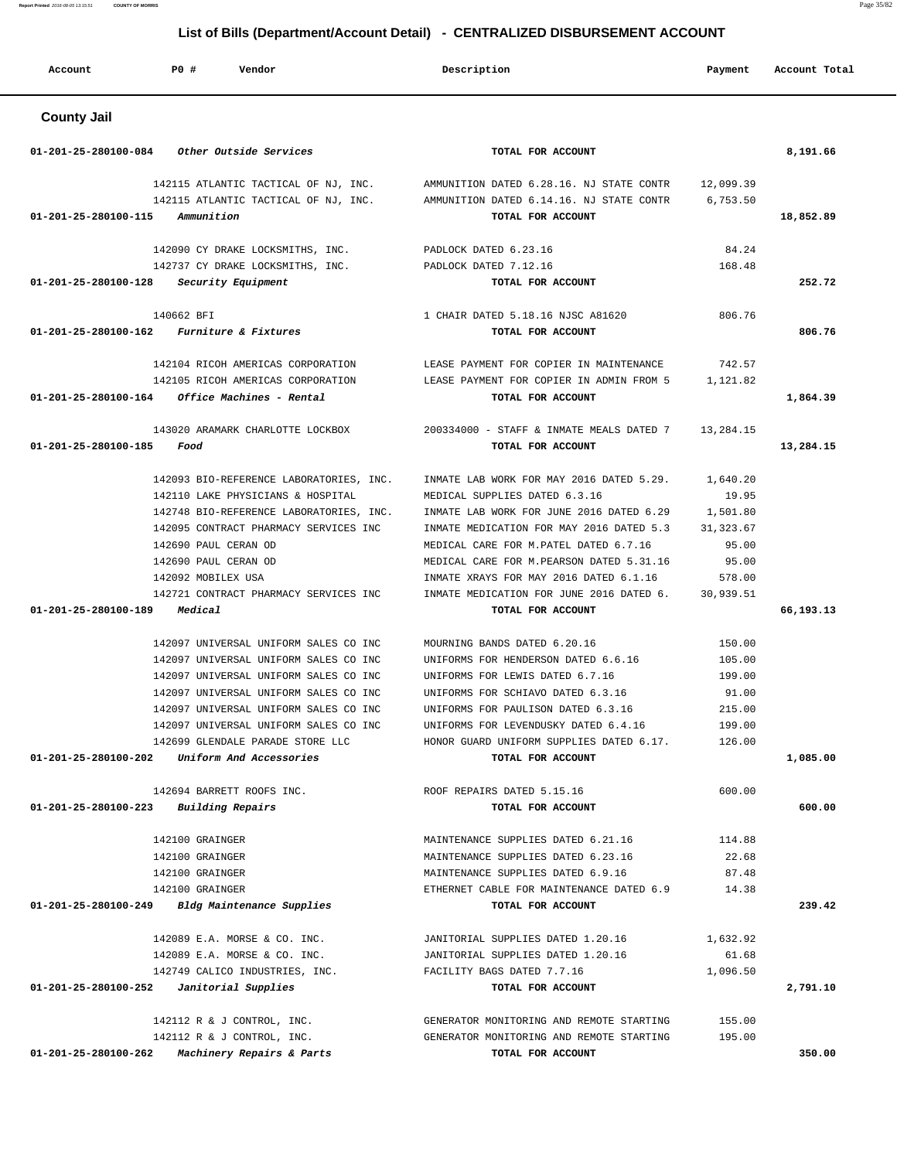| Account              | PO#<br>Vendor                                    | Description                                                   | Payment    | Account Total |
|----------------------|--------------------------------------------------|---------------------------------------------------------------|------------|---------------|
| <b>County Jail</b>   |                                                  |                                                               |            |               |
| 01-201-25-280100-084 | Other Outside Services                           | TOTAL FOR ACCOUNT                                             |            | 8,191.66      |
|                      | 142115 ATLANTIC TACTICAL OF NJ, INC.             | AMMUNITION DATED 6.28.16. NJ STATE CONTR                      | 12,099.39  |               |
| 01-201-25-280100-115 | 142115 ATLANTIC TACTICAL OF NJ, INC.             | AMMUNITION DATED 6.14.16. NJ STATE CONTR<br>TOTAL FOR ACCOUNT | 6,753.50   |               |
|                      | Ammunition                                       |                                                               |            | 18,852.89     |
|                      | 142090 CY DRAKE LOCKSMITHS, INC.                 | PADLOCK DATED 6.23.16                                         | 84.24      |               |
|                      | 142737 CY DRAKE LOCKSMITHS, INC.                 | PADLOCK DATED 7.12.16                                         | 168.48     |               |
| 01-201-25-280100-128 | Security Equipment                               | TOTAL FOR ACCOUNT                                             |            | 252.72        |
|                      | 140662 BFI                                       | 1 CHAIR DATED 5.18.16 NJSC A81620                             | 806.76     |               |
| 01-201-25-280100-162 | Furniture & Fixtures                             | TOTAL FOR ACCOUNT                                             |            | 806.76        |
|                      |                                                  |                                                               |            |               |
|                      | 142104 RICOH AMERICAS CORPORATION                | LEASE PAYMENT FOR COPIER IN MAINTENANCE                       | 742.57     |               |
|                      | 142105 RICOH AMERICAS CORPORATION                | LEASE PAYMENT FOR COPIER IN ADMIN FROM 5                      | 1,121.82   |               |
| 01-201-25-280100-164 | Office Machines - Rental                         | TOTAL FOR ACCOUNT                                             |            | 1,864.39      |
|                      | 143020 ARAMARK CHARLOTTE LOCKBOX                 | 200334000 - STAFF & INMATE MEALS DATED 7                      | 13,284.15  |               |
| 01-201-25-280100-185 | Food                                             | TOTAL FOR ACCOUNT                                             |            | 13,284.15     |
|                      |                                                  |                                                               |            |               |
|                      | 142093 BIO-REFERENCE LABORATORIES, INC.          | INMATE LAB WORK FOR MAY 2016 DATED 5.29.                      | 1,640.20   |               |
|                      | 142110 LAKE PHYSICIANS & HOSPITAL                | MEDICAL SUPPLIES DATED 6.3.16                                 | 19.95      |               |
|                      | 142748 BIO-REFERENCE LABORATORIES, INC.          | INMATE LAB WORK FOR JUNE 2016 DATED 6.29                      | 1,501.80   |               |
|                      | 142095 CONTRACT PHARMACY SERVICES INC            | INMATE MEDICATION FOR MAY 2016 DATED 5.3                      | 31, 323.67 |               |
|                      | 142690 PAUL CERAN OD                             | MEDICAL CARE FOR M. PATEL DATED 6.7.16                        | 95.00      |               |
|                      | 142690 PAUL CERAN OD                             | MEDICAL CARE FOR M. PEARSON DATED 5.31.16                     | 95.00      |               |
|                      | 142092 MOBILEX USA                               | INMATE XRAYS FOR MAY 2016 DATED 6.1.16                        | 578.00     |               |
| 01-201-25-280100-189 | 142721 CONTRACT PHARMACY SERVICES INC<br>Medical | INMATE MEDICATION FOR JUNE 2016 DATED 6.<br>TOTAL FOR ACCOUNT | 30,939.51  | 66,193.13     |
|                      |                                                  |                                                               |            |               |
|                      | 142097 UNIVERSAL UNIFORM SALES CO INC            | MOURNING BANDS DATED 6.20.16                                  | 150.00     |               |
|                      | 142097 UNIVERSAL UNIFORM SALES CO INC            | UNIFORMS FOR HENDERSON DATED 6.6.16                           | 105.00     |               |
|                      | 142097 UNIVERSAL UNIFORM SALES CO INC            | UNIFORMS FOR LEWIS DATED 6.7.16                               | 199.00     |               |
|                      | 142097 UNIVERSAL UNIFORM SALES CO INC            | UNIFORMS FOR SCHIAVO DATED 6.3.16                             | 91.00      |               |
|                      | 142097 UNIVERSAL UNIFORM SALES CO INC            | UNIFORMS FOR PAULISON DATED 6.3.16                            | 215.00     |               |
|                      | 142097 UNIVERSAL UNIFORM SALES CO INC            | UNIFORMS FOR LEVENDUSKY DATED 6.4.16                          | 199.00     |               |
|                      | 142699 GLENDALE PARADE STORE LLC                 | HONOR GUARD UNIFORM SUPPLIES DATED 6.17.                      | 126.00     |               |
| 01-201-25-280100-202 | Uniform And Accessories                          | TOTAL FOR ACCOUNT                                             |            | 1,085.00      |
|                      | 142694 BARRETT ROOFS INC.                        | ROOF REPAIRS DATED 5.15.16                                    | 600.00     |               |
| 01-201-25-280100-223 | Building Repairs                                 | TOTAL FOR ACCOUNT                                             |            | 600.00        |
|                      |                                                  |                                                               |            |               |
|                      | 142100 GRAINGER                                  | MAINTENANCE SUPPLIES DATED 6.21.16                            | 114.88     |               |
|                      | 142100 GRAINGER                                  | MAINTENANCE SUPPLIES DATED 6.23.16                            | 22.68      |               |
|                      | 142100 GRAINGER                                  | MAINTENANCE SUPPLIES DATED 6.9.16                             | 87.48      |               |
|                      | 142100 GRAINGER                                  | ETHERNET CABLE FOR MAINTENANCE DATED 6.9                      | 14.38      |               |
| 01-201-25-280100-249 | Bldg Maintenance Supplies                        | TOTAL FOR ACCOUNT                                             |            | 239.42        |
|                      | 142089 E.A. MORSE & CO. INC.                     | JANITORIAL SUPPLIES DATED 1.20.16                             | 1,632.92   |               |
|                      | 142089 E.A. MORSE & CO. INC.                     | JANITORIAL SUPPLIES DATED 1.20.16                             | 61.68      |               |
|                      | 142749 CALICO INDUSTRIES, INC.                   | FACILITY BAGS DATED 7.7.16                                    | 1,096.50   |               |
| 01-201-25-280100-252 | Janitorial Supplies                              | TOTAL FOR ACCOUNT                                             |            | 2,791.10      |
|                      |                                                  |                                                               |            |               |
|                      | 142112 R & J CONTROL, INC.                       | GENERATOR MONITORING AND REMOTE STARTING                      | 155.00     |               |
|                      | 142112 R & J CONTROL, INC.                       | GENERATOR MONITORING AND REMOTE STARTING                      | 195.00     |               |
| 01-201-25-280100-262 | Machinery Repairs & Parts                        | TOTAL FOR ACCOUNT                                             |            | 350.00        |

**Report Printed** 2016-08-05 13:15:51 **COUNTY OF MORRIS** Page 35/82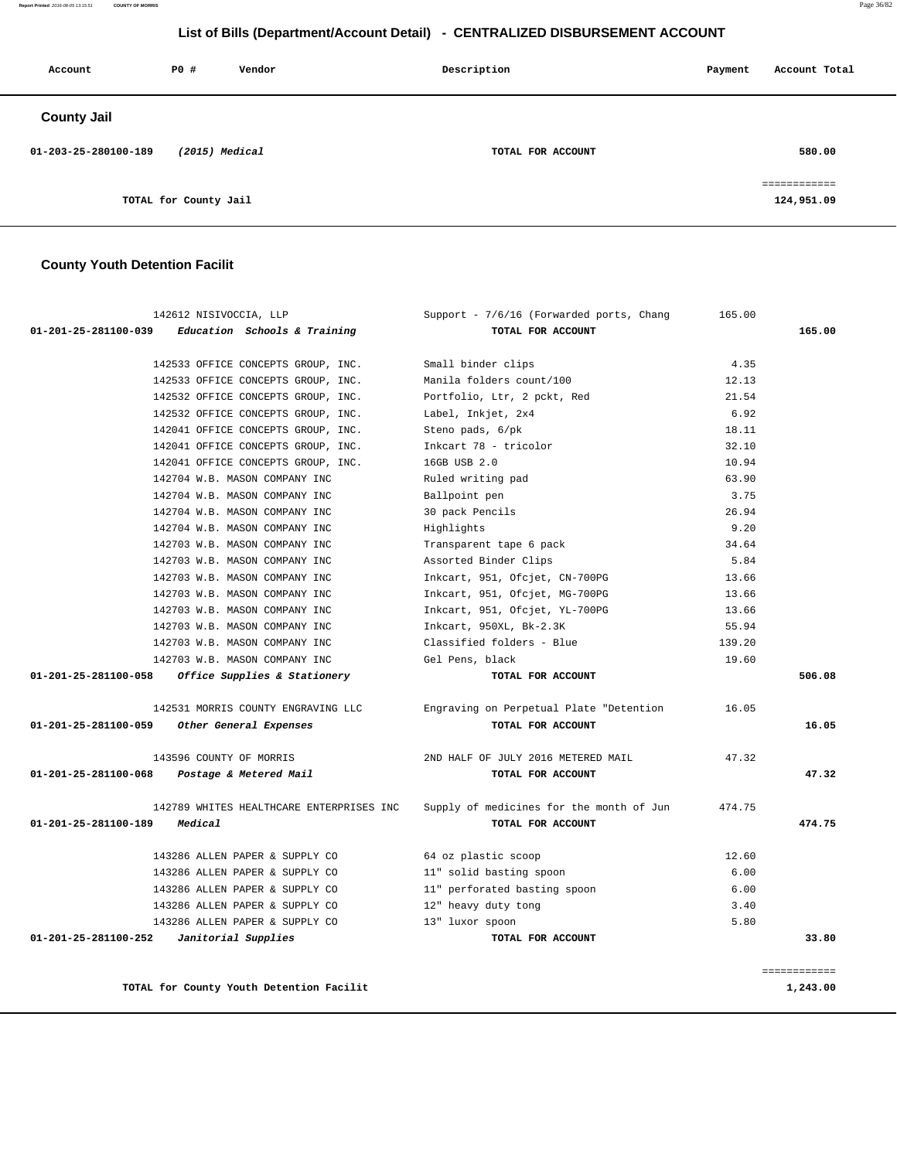**Report Printed** 2016-08-05 13:15:51 **COUNTY OF MORRIS** Page 36/82

# **List of Bills (Department/Account Detail) - CENTRALIZED DISBURSEMENT ACCOUNT**

| Account              | P0 #                  | Vendor | Description       | Payment | Account Total              |
|----------------------|-----------------------|--------|-------------------|---------|----------------------------|
| <b>County Jail</b>   |                       |        |                   |         |                            |
| 01-203-25-280100-189 | $(2015)$ Medical      |        | TOTAL FOR ACCOUNT |         | 580.00                     |
|                      | TOTAL for County Jail |        |                   |         | ============<br>124,951.09 |

# **County Youth Detention Facilit**

| 142612 NISIVOCCIA, LLP                      |                                          | Support - 7/6/16 (Forwarded ports, Chang | 165.00 |               |  |
|---------------------------------------------|------------------------------------------|------------------------------------------|--------|---------------|--|
| 01-201-25-281100-039                        | Education Schools & Training             | TOTAL FOR ACCOUNT                        |        | 165.00        |  |
|                                             | 142533 OFFICE CONCEPTS GROUP, INC.       | Small binder clips                       | 4.35   |               |  |
|                                             | 142533 OFFICE CONCEPTS GROUP, INC.       | Manila folders count/100                 | 12.13  |               |  |
|                                             | 142532 OFFICE CONCEPTS GROUP, INC.       | Portfolio, Ltr, 2 pckt, Red              | 21.54  |               |  |
|                                             | 142532 OFFICE CONCEPTS GROUP, INC.       | Label, Inkjet, 2x4                       | 6.92   |               |  |
|                                             | 142041 OFFICE CONCEPTS GROUP, INC.       | Steno pads, 6/pk                         | 18.11  |               |  |
|                                             | 142041 OFFICE CONCEPTS GROUP, INC.       | Inkcart 78 - tricolor                    | 32.10  |               |  |
|                                             | 142041 OFFICE CONCEPTS GROUP, INC.       | 16GB USB 2.0                             | 10.94  |               |  |
|                                             | 142704 W.B. MASON COMPANY INC            | Ruled writing pad                        | 63.90  |               |  |
|                                             | 142704 W.B. MASON COMPANY INC            | Ballpoint pen                            | 3.75   |               |  |
|                                             | 142704 W.B. MASON COMPANY INC            | 30 pack Pencils                          | 26.94  |               |  |
|                                             | 142704 W.B. MASON COMPANY INC            | Highlights                               | 9.20   |               |  |
|                                             | 142703 W.B. MASON COMPANY INC            | Transparent tape 6 pack                  | 34.64  |               |  |
|                                             | 142703 W.B. MASON COMPANY INC            | Assorted Binder Clips                    | 5.84   |               |  |
|                                             | 142703 W.B. MASON COMPANY INC            | Inkcart, 951, Ofcjet, CN-700PG           | 13.66  |               |  |
|                                             | 142703 W.B. MASON COMPANY INC            | Inkcart, 951, Ofcjet, MG-700PG           | 13.66  |               |  |
|                                             | 142703 W.B. MASON COMPANY INC            | Inkcart, 951, Ofcjet, YL-700PG           | 13.66  |               |  |
|                                             | 142703 W.B. MASON COMPANY INC            | Inkcart, 950XL, Bk-2.3K                  | 55.94  |               |  |
|                                             | 142703 W.B. MASON COMPANY INC            | Classified folders - Blue                | 139.20 |               |  |
|                                             | 142703 W.B. MASON COMPANY INC            | Gel Pens, black                          | 19.60  |               |  |
| 01-201-25-281100-058                        | Office Supplies & Stationery             | TOTAL FOR ACCOUNT                        |        | 506.08        |  |
|                                             | 142531 MORRIS COUNTY ENGRAVING LLC       | Engraving on Perpetual Plate "Detention  | 16.05  |               |  |
| 01-201-25-281100-059                        | Other General Expenses                   | TOTAL FOR ACCOUNT                        |        | 16.05         |  |
|                                             | 143596 COUNTY OF MORRIS                  | 2ND HALF OF JULY 2016 METERED MAIL       | 47.32  |               |  |
| 01-201-25-281100-068 Postage & Metered Mail |                                          | TOTAL FOR ACCOUNT                        |        | 47.32         |  |
|                                             | 142789 WHITES HEALTHCARE ENTERPRISES INC | Supply of medicines for the month of Jun | 474.75 |               |  |
| 01-201-25-281100-189                        | Medical                                  | TOTAL FOR ACCOUNT                        |        | 474.75        |  |
|                                             | 143286 ALLEN PAPER & SUPPLY CO           | 64 oz plastic scoop                      | 12.60  |               |  |
|                                             | 143286 ALLEN PAPER & SUPPLY CO           | 11" solid basting spoon                  | 6.00   |               |  |
|                                             | 143286 ALLEN PAPER & SUPPLY CO           | 11" perforated basting spoon             | 6.00   |               |  |
|                                             | 143286 ALLEN PAPER & SUPPLY CO           | 12" heavy duty tong                      | 3.40   |               |  |
|                                             | 143286 ALLEN PAPER & SUPPLY CO           | 13" luxor spoon                          | 5.80   |               |  |
| 01-201-25-281100-252                        | Janitorial Supplies                      | TOTAL FOR ACCOUNT                        |        | 33.80         |  |
|                                             |                                          |                                          |        | ============= |  |
|                                             | TOTAL for County Youth Detention Facilit |                                          |        | 1,243.00      |  |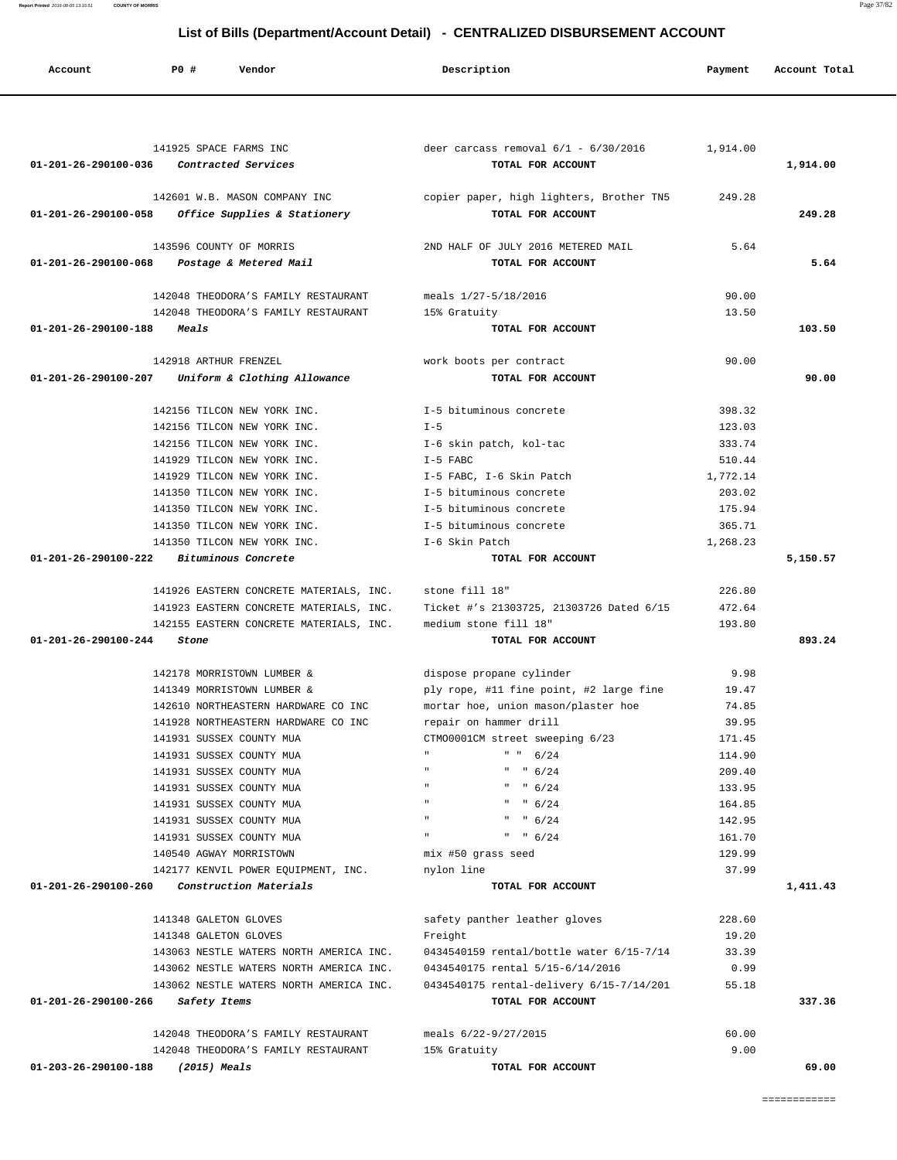| 141925 SPACE FARMS INC                                                                | deer carcass removal $6/1 - 6/30/2016$ 1,914.00               |          |          |
|---------------------------------------------------------------------------------------|---------------------------------------------------------------|----------|----------|
| 01-201-26-290100-036<br>Contracted Services                                           | TOTAL FOR ACCOUNT                                             |          | 1,914.00 |
| 142601 W.B. MASON COMPANY INC<br>Office Supplies & Stationery<br>01-201-26-290100-058 | copier paper, high lighters, Brother TN5<br>TOTAL FOR ACCOUNT | 249.28   | 249.28   |
| 143596 COUNTY OF MORRIS                                                               | 2ND HALF OF JULY 2016 METERED MAIL                            | 5.64     |          |
| 01-201-26-290100-068<br>Postage & Metered Mail                                        | TOTAL FOR ACCOUNT                                             |          | 5.64     |
|                                                                                       |                                                               |          |          |
| 142048 THEODORA'S FAMILY RESTAURANT                                                   | meals 1/27-5/18/2016                                          | 90.00    |          |
| 142048 THEODORA'S FAMILY RESTAURANT<br>01-201-26-290100-188 Meals                     | 15% Gratuity<br>TOTAL FOR ACCOUNT                             | 13.50    | 103.50   |
|                                                                                       |                                                               |          |          |
| 142918 ARTHUR FRENZEL                                                                 | work boots per contract                                       | 90.00    |          |
| Uniform & Clothing Allowance<br>01-201-26-290100-207                                  | TOTAL FOR ACCOUNT                                             |          | 90.00    |
| 142156 TILCON NEW YORK INC.                                                           | I-5 bituminous concrete                                       | 398.32   |          |
| 142156 TILCON NEW YORK INC.                                                           | $I - 5$                                                       | 123.03   |          |
| 142156 TILCON NEW YORK INC.                                                           | I-6 skin patch, kol-tac                                       | 333.74   |          |
| 141929 TILCON NEW YORK INC.                                                           | I-5 FABC                                                      | 510.44   |          |
| 141929 TILCON NEW YORK INC.                                                           | I-5 FABC, I-6 Skin Patch                                      | 1,772.14 |          |
| 141350 TILCON NEW YORK INC.                                                           | I-5 bituminous concrete                                       | 203.02   |          |
| 141350 TILCON NEW YORK INC.                                                           | I-5 bituminous concrete                                       | 175.94   |          |
| 141350 TILCON NEW YORK INC.                                                           | I-5 bituminous concrete                                       | 365.71   |          |
| 141350 TILCON NEW YORK INC.                                                           | I-6 Skin Patch                                                | 1,268.23 |          |
| $01-201-26-290100-222$ Bituminous Concrete                                            | TOTAL FOR ACCOUNT                                             |          | 5,150.57 |
| 141926 EASTERN CONCRETE MATERIALS, INC. stone fill 18"                                |                                                               | 226.80   |          |
| 141923 EASTERN CONCRETE MATERIALS, INC.                                               | Ticket #'s 21303725, 21303726 Dated 6/15                      | 472.64   |          |
| 142155 EASTERN CONCRETE MATERIALS, INC.                                               | medium stone fill 18"                                         | 193.80   |          |
| 01-201-26-290100-244<br>Stone                                                         | TOTAL FOR ACCOUNT                                             |          | 893.24   |
| 142178 MORRISTOWN LUMBER &                                                            | dispose propane cylinder                                      | 9.98     |          |
| 141349 MORRISTOWN LUMBER &                                                            | ply rope, #11 fine point, #2 large fine                       | 19.47    |          |
| 142610 NORTHEASTERN HARDWARE CO INC                                                   | mortar hoe, union mason/plaster hoe                           | 74.85    |          |
| 141928 NORTHEASTERN HARDWARE CO INC                                                   | repair on hammer drill                                        | 39.95    |          |
| 141931 SUSSEX COUNTY MUA                                                              | CTM00001CM street sweeping 6/23                               | 171.45   |          |
| 141931 SUSSEX COUNTY MUA                                                              | " " 6/24                                                      | 114.90   |          |
| 141931 SUSSEX COUNTY MUA                                                              | " " 6/24"                                                     | 209.40   |          |
| 141931 SUSSEX COUNTY MUA                                                              | " " 6/24"                                                     | 133.95   |          |
| 141931 SUSSEX COUNTY MUA                                                              | " $6/24$                                                      | 164.85   |          |
| 141931 SUSSEX COUNTY MUA                                                              | " $6/24$                                                      | 142.95   |          |
| 141931 SUSSEX COUNTY MUA                                                              | " $6/24$                                                      | 161.70   |          |
| 140540 AGWAY MORRISTOWN                                                               | mix #50 grass seed                                            | 129.99   |          |
| 142177 KENVIL POWER EQUIPMENT, INC.                                                   | nylon line                                                    | 37.99    |          |
| Construction Materials<br>01-201-26-290100-260                                        | TOTAL FOR ACCOUNT                                             |          | 1,411.43 |
| 141348 GALETON GLOVES                                                                 | safety panther leather gloves                                 | 228.60   |          |
| 141348 GALETON GLOVES                                                                 | Freight                                                       | 19.20    |          |
| 143063 NESTLE WATERS NORTH AMERICA INC.                                               | 0434540159 rental/bottle water 6/15-7/14                      | 33.39    |          |
| 143062 NESTLE WATERS NORTH AMERICA INC.                                               | 0434540175 rental 5/15-6/14/2016                              | 0.99     |          |
| 143062 NESTLE WATERS NORTH AMERICA INC.                                               | 0434540175 rental-delivery 6/15-7/14/201                      | 55.18    |          |
| 01-201-26-290100-266<br>Safety Items                                                  | TOTAL FOR ACCOUNT                                             |          | 337.36   |
| 142048 THEODORA'S FAMILY RESTAURANT                                                   | meals 6/22-9/27/2015                                          | 60.00    |          |
| 142048 THEODORA'S FAMILY RESTAURANT                                                   | 15% Gratuity                                                  | 9.00     |          |
| 01-203-26-290100-188<br>$(2015)$ Meals                                                | TOTAL FOR ACCOUNT                                             |          | 69.00    |
|                                                                                       |                                                               |          |          |

 **Account P0 # Vendor Description Payment Account Total**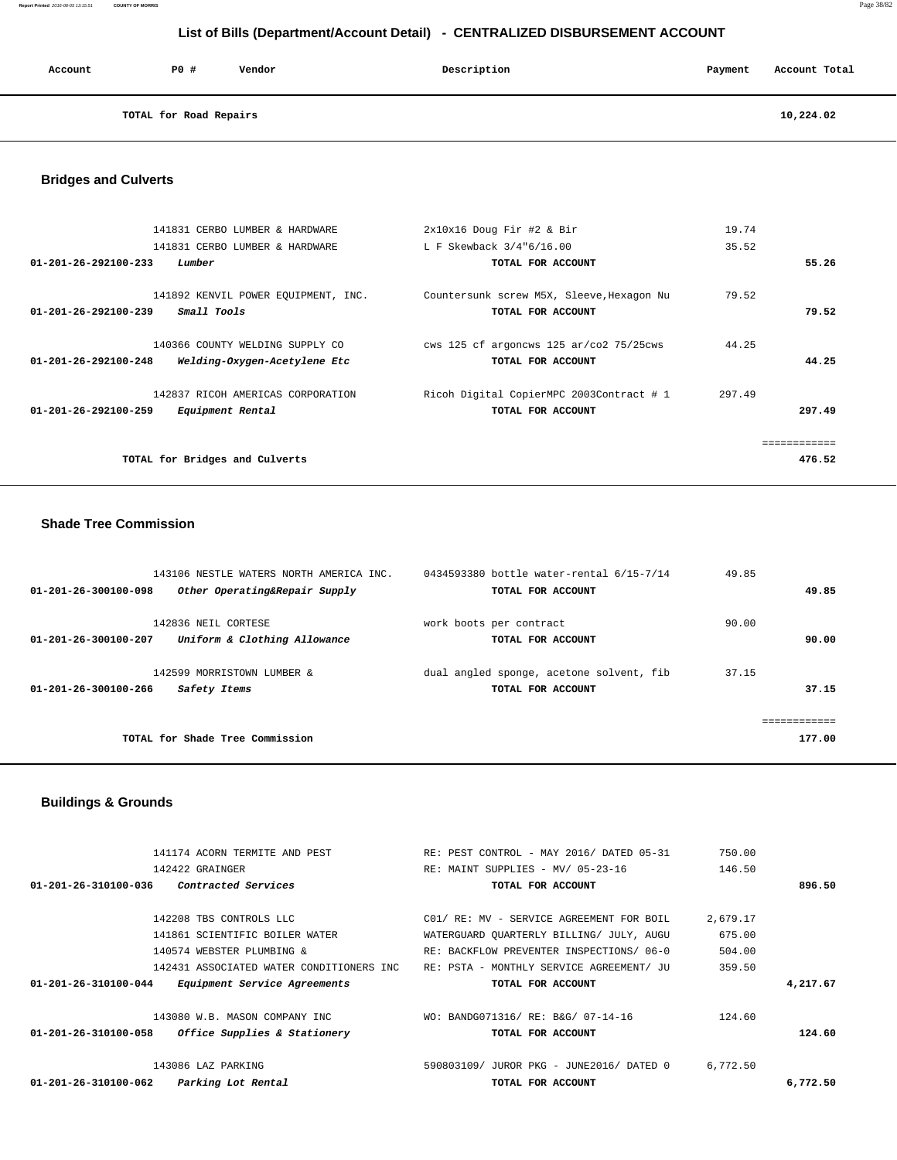**Report Printed** 2016-08-05 13:15:51 **COUNTY OF MORRIS** Page 38/82

# **List of Bills (Department/Account Detail) - CENTRALIZED DISBURSEMENT ACCOUNT**

| Account | PO#                    | Vendor | Description | Payment | Account Total |
|---------|------------------------|--------|-------------|---------|---------------|
|         | TOTAL for Road Repairs |        |             |         | 10,224.02     |

# **Bridges and Culverts**

| 141831 CERBO LUMBER & HARDWARE                                                                    | $2x10x16$ Doug Fir #2 & Bir                                    | 19.74  |        |
|---------------------------------------------------------------------------------------------------|----------------------------------------------------------------|--------|--------|
| 141831 CERBO LUMBER & HARDWARE                                                                    | L F Skewback 3/4"6/16.00                                       | 35.52  |        |
| 01-201-26-292100-233<br>Lumber                                                                    | TOTAL FOR ACCOUNT                                              |        | 55.26  |
| 141892 KENVIL POWER EQUIPMENT, INC.<br>Small Tools<br>$01 - 201 - 26 - 292100 - 239$              | Countersunk screw M5X, Sleeve, Hexagon Nu<br>TOTAL FOR ACCOUNT | 79.52  | 79.52  |
| 140366 COUNTY WELDING SUPPLY CO<br>$01 - 201 - 26 - 292100 - 248$<br>Welding-Oxygen-Acetylene Etc | cws 125 cf argoncws 125 ar/co2 75/25cws<br>TOTAL FOR ACCOUNT   | 44.25  | 44.25  |
| 142837 RICOH AMERICAS CORPORATION<br>01-201-26-292100-259<br>Equipment Rental                     | Ricoh Digital CopierMPC 2003Contract # 1<br>TOTAL FOR ACCOUNT  | 297.49 | 297.49 |
|                                                                                                   |                                                                |        |        |
| TOTAL for Bridges and Culverts                                                                    |                                                                |        | 476.52 |

# **Shade Tree Commission**

| 143106 NESTLE WATERS NORTH AMERICA INC.<br>Other Operating&Repair Supply<br>01-201-26-300100-098 | 0434593380 bottle water-rental 6/15-7/14<br>TOTAL FOR ACCOUNT | 49.85<br>49.85         |
|--------------------------------------------------------------------------------------------------|---------------------------------------------------------------|------------------------|
| 142836 NEIL CORTESE<br>Uniform & Clothing Allowance<br>$01 - 201 - 26 - 300100 - 207$            | work boots per contract<br>TOTAL FOR ACCOUNT                  | 90.00<br>90.00         |
| 142599 MORRISTOWN LUMBER &<br>$01 - 201 - 26 - 300100 - 266$<br>Safety Items                     | dual angled sponge, acetone solvent, fib<br>TOTAL FOR ACCOUNT | 37.15<br>37.15         |
| TOTAL for Shade Tree Commission                                                                  |                                                               | ============<br>177.00 |

# **Buildings & Grounds**

|          | 750.00   | RE: PEST CONTROL - MAY 2016/ DATED 05-31 | 141174 ACORN TERMITE AND PEST                                         |
|----------|----------|------------------------------------------|-----------------------------------------------------------------------|
|          | 146.50   | RE: MAINT SUPPLIES - MV/ 05-23-16        | 142422 GRAINGER                                                       |
| 896.50   |          | TOTAL FOR ACCOUNT                        | 01-201-26-310100-036<br><i>Contracted Services</i>                    |
|          |          |                                          |                                                                       |
|          | 2,679.17 | C01/ RE: MV - SERVICE AGREEMENT FOR BOIL | 142208 TBS CONTROLS LLC                                               |
|          | 675.00   | WATERGUARD QUARTERLY BILLING/ JULY, AUGU | 141861 SCIENTIFIC BOILER WATER                                        |
|          | 504.00   | RE: BACKFLOW PREVENTER INSPECTIONS/06-0  | 140574 WEBSTER PLUMBING &                                             |
|          | 359.50   | RE: PSTA - MONTHLY SERVICE AGREEMENT/ JU | 142431 ASSOCIATED WATER CONDITIONERS INC                              |
| 4,217.67 |          | TOTAL FOR ACCOUNT                        | <i>Equipment Service Agreements</i><br>$01 - 201 - 26 - 310100 - 044$ |
|          | 124.60   | WO: BANDG071316/ RE: B&G/ 07-14-16       | 143080 W.B. MASON COMPANY INC                                         |
| 124.60   |          | TOTAL FOR ACCOUNT                        | Office Supplies & Stationery<br>01-201-26-310100-058                  |
|          | 6,772.50 | 590803109/ JUROR PKG - JUNE2016/ DATED 0 | 143086 LAZ PARKING                                                    |
| 6,772.50 |          | TOTAL FOR ACCOUNT                        | Parking Lot Rental<br>$01 - 201 - 26 - 310100 - 062$                  |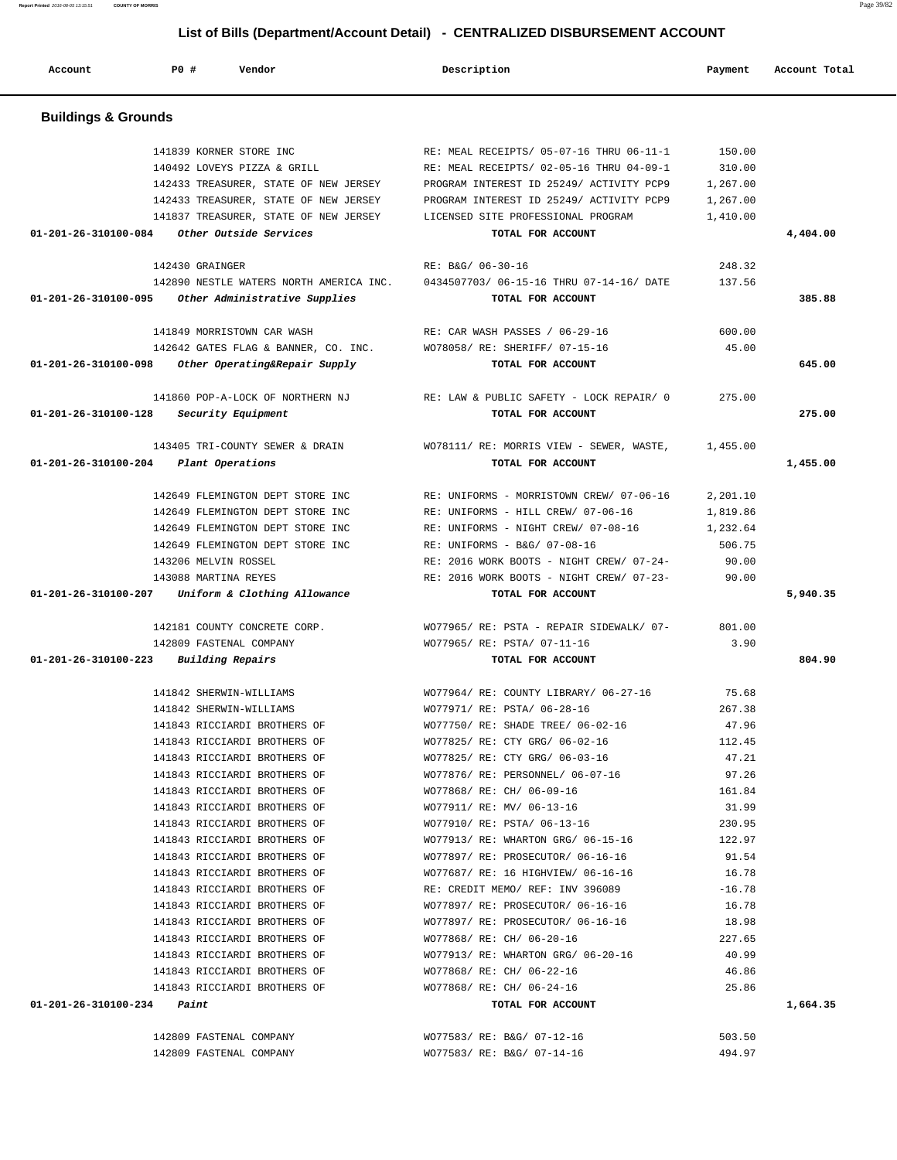| Account                              | P0 #                        | Vendor                                  | Description                                                                                        | Payment  | Account Total |
|--------------------------------------|-----------------------------|-----------------------------------------|----------------------------------------------------------------------------------------------------|----------|---------------|
| <b>Buildings &amp; Grounds</b>       |                             |                                         |                                                                                                    |          |               |
|                                      | 141839 KORNER STORE INC     |                                         | RE: MEAL RECEIPTS/ 05-07-16 THRU 06-11-1                                                           | 150.00   |               |
|                                      | 140492 LOVEYS PIZZA & GRILL |                                         | RE: MEAL RECEIPTS/ 02-05-16 THRU 04-09-1                                                           | 310.00   |               |
|                                      |                             | 142433 TREASURER, STATE OF NEW JERSEY   | PROGRAM INTEREST ID 25249/ ACTIVITY PCP9                                                           | 1,267.00 |               |
|                                      |                             | 142433 TREASURER, STATE OF NEW JERSEY   | PROGRAM INTEREST ID 25249/ ACTIVITY PCP9                                                           | 1,267.00 |               |
|                                      |                             | 141837 TREASURER, STATE OF NEW JERSEY   | LICENSED SITE PROFESSIONAL PROGRAM                                                                 | 1,410.00 |               |
| 01-201-26-310100-084                 |                             | Other Outside Services                  | TOTAL FOR ACCOUNT                                                                                  |          | 4,404.00      |
|                                      | 142430 GRAINGER             |                                         | RE: B&G/ 06-30-16                                                                                  | 248.32   |               |
|                                      |                             | 142890 NESTLE WATERS NORTH AMERICA INC. | 0434507703/06-15-16 THRU 07-14-16/DATE                                                             | 137.56   |               |
| 01-201-26-310100-095                 |                             | Other Administrative Supplies           | TOTAL FOR ACCOUNT                                                                                  |          | 385.88        |
|                                      | 141849 MORRISTOWN CAR WASH  |                                         | RE: CAR WASH PASSES / 06-29-16                                                                     | 600.00   |               |
|                                      |                             | 142642 GATES FLAG & BANNER, CO. INC.    | WO78058/ RE: SHERIFF/ 07-15-16                                                                     | 45.00    |               |
| 01-201-26-310100-098                 |                             | Other Operating&Repair Supply           | TOTAL FOR ACCOUNT                                                                                  |          | 645.00        |
|                                      |                             | 141860 POP-A-LOCK OF NORTHERN NJ        | RE: LAW & PUBLIC SAFETY - LOCK REPAIR/ 0                                                           | 275.00   |               |
| 01-201-26-310100-128                 | Security Equipment          |                                         | TOTAL FOR ACCOUNT                                                                                  |          | 275.00        |
|                                      |                             | 143405 TRI-COUNTY SEWER & DRAIN         | WO78111/ RE: MORRIS VIEW - SEWER, WASTE,                                                           | 1,455.00 |               |
| 01-201-26-310100-204                 | Plant Operations            |                                         | TOTAL FOR ACCOUNT                                                                                  |          | 1,455.00      |
|                                      |                             | 142649 FLEMINGTON DEPT STORE INC        | RE: UNIFORMS - MORRISTOWN CREW/ 07-06-16                                                           | 2,201.10 |               |
|                                      |                             | 142649 FLEMINGTON DEPT STORE INC        | RE: UNIFORMS - HILL CREW/ 07-06-16                                                                 | 1,819.86 |               |
|                                      |                             | 142649 FLEMINGTON DEPT STORE INC        | RE: UNIFORMS - NIGHT CREW/ 07-08-16                                                                | 1,232.64 |               |
|                                      |                             | 142649 FLEMINGTON DEPT STORE INC        | RE: UNIFORMS - B&G/ 07-08-16                                                                       | 506.75   |               |
|                                      | 143206 MELVIN ROSSEL        |                                         | RE: 2016 WORK BOOTS - NIGHT CREW/ 07-24-                                                           | 90.00    |               |
|                                      | 143088 MARTINA REYES        |                                         | RE: 2016 WORK BOOTS - NIGHT CREW/ 07-23-                                                           | 90.00    |               |
| 01-201-26-310100-207                 |                             | Uniform & Clothing Allowance            | TOTAL FOR ACCOUNT                                                                                  |          | 5,940.35      |
|                                      |                             | 142181 COUNTY CONCRETE CORP.            | WO77965/ RE: PSTA - REPAIR SIDEWALK/ 07-                                                           | 801.00   |               |
|                                      | 142809 FASTENAL COMPANY     |                                         | WO77965/ RE: PSTA/ 07-11-16                                                                        | 3.90     |               |
| 01-201-26-310100-223                 | Building Repairs            |                                         | TOTAL FOR ACCOUNT                                                                                  |          | 804.90        |
|                                      | 141842 SHERWIN-WILLIAMS     |                                         | WO77964/ RE: COUNTY LIBRARY/ 06-27-16                                                              | 75.68    |               |
|                                      | 141842 SHERWIN-WILLIAMS     |                                         | WO77971/ RE: PSTA/ 06-28-16                                                                        | 267.38   |               |
|                                      |                             | 141843 RICCIARDI BROTHERS OF            | WO77750/ RE: SHADE TREE/ 06-02-16 47.96                                                            |          |               |
|                                      |                             |                                         | 112.45 112.45 NOT7825/ RE: CTY GRG/ 06-02-16                                                       |          |               |
|                                      |                             |                                         | 141843 RICCIARDI BROTHERS OF WO77825/RE: CTY GRG/06-03-16                                          | 47.21    |               |
|                                      |                             | 141843 RICCIARDI BROTHERS OF            | WO77876/ RE: PERSONNEL/ 06-07-16<br>WO77868/ RE: CH/ 06-09-16                                      | 97.26    |               |
|                                      |                             | 141843 RICCIARDI BROTHERS OF            |                                                                                                    | 161.84   |               |
|                                      |                             | 141843 RICCIARDI BROTHERS OF            | WO77911/ RE: MV/ 06-13-16<br>141843 RICCIARDI BROTHERS OF WO77910/ RE: PSTA/ 06-13-16              | 31.99    |               |
|                                      |                             |                                         | 141843 RICCIARDI BROTHERS OF WO77913/ RE: WHARTON GRG/ 06-15-16 122.97                             | 230.95   |               |
|                                      |                             |                                         | 141843 RICCIARDI BROTHERS OF WO77897/RE: PROSECUTOR/06-16-16                                       | 91.54    |               |
|                                      |                             |                                         |                                                                                                    |          |               |
|                                      |                             |                                         | 141843 RICCIARDI BROTHERS OF WO77687/ RE: 16 HIGHVIEW/ 06-16-16 16.78                              | $-16.78$ |               |
|                                      |                             | 141843 RICCIARDI BROTHERS OF            | 141843 RICCIARDI BROTHERS OF RE: CREDIT MEMO/ REF: INV 396089<br>WO77897/ RE: PROSECUTOR/ 06-16-16 | 16.78    |               |
|                                      |                             | 141843 RICCIARDI BROTHERS OF            | WO77897/ RE: PROSECUTOR/ 06-16-16                                                                  | 18.98    |               |
|                                      |                             |                                         | 141843 RICCIARDI BROTHERS OF WO77868/ RE: CH/ 06-20-16                                             | 227.65   |               |
|                                      |                             |                                         | 141843 RICCIARDI BROTHERS OF WO77913/RE: WHARTON GRG/06-20-16                                      | 40.99    |               |
|                                      |                             |                                         | 141843 RICCIARDI BROTHERS OF WO77868/RE: CH/06-22-16                                               | 46.86    |               |
|                                      |                             |                                         | 141843 RICCIARDI BROTHERS OF WO77868/ RE: CH/ 06-24-16                                             | 25.86    |               |
| $01 - 201 - 26 - 310100 - 234$ Paint |                             |                                         | TOTAL FOR ACCOUNT                                                                                  |          | 1,664.35      |
|                                      | 142809 FASTENAL COMPANY     |                                         | WO77583/ RE: B&G/ 07-12-16                                                                         | 503.50   |               |
|                                      | 142809 FASTENAL COMPANY     |                                         | WO77583/ RE: B&G/ 07-14-16                                                                         | 494.97   |               |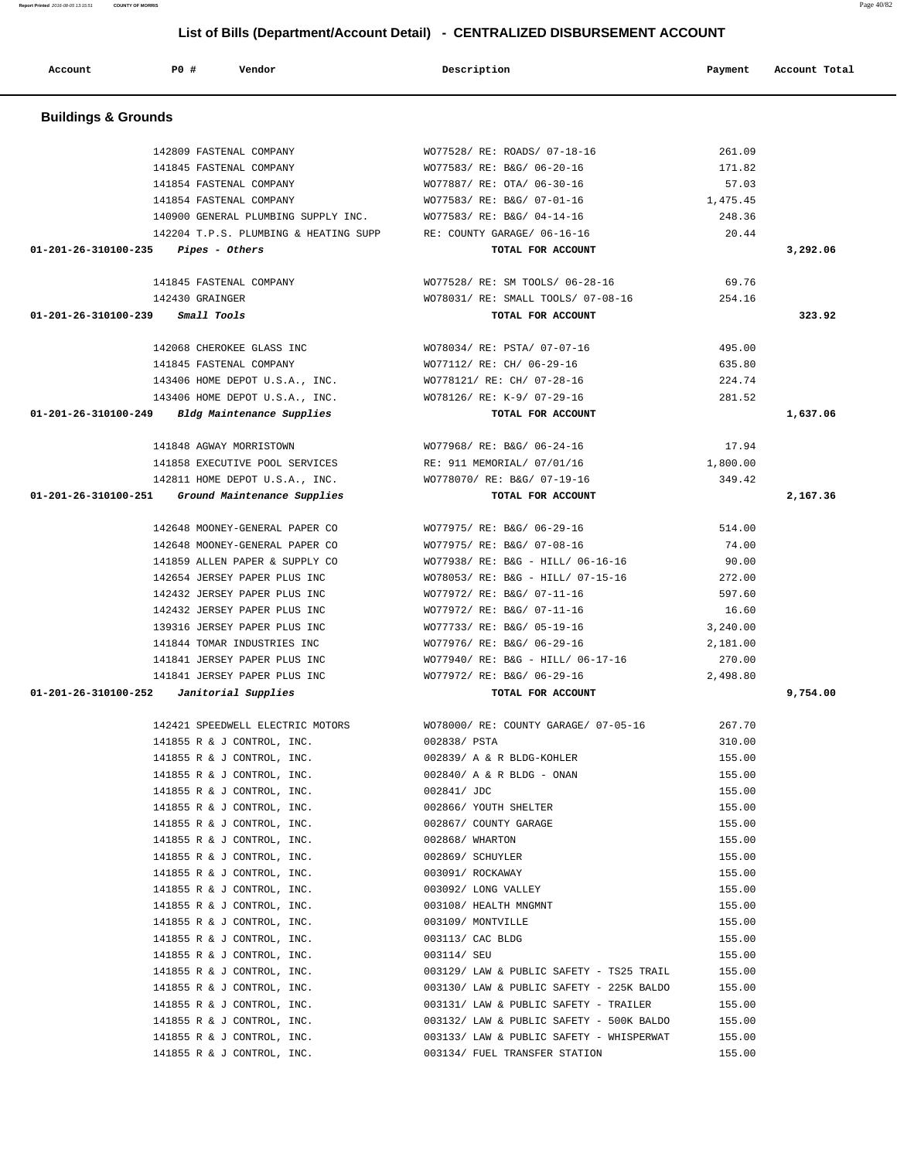| <b>Buildings &amp; Grounds</b>        |                                                                   |                                      |          |          |
|---------------------------------------|-------------------------------------------------------------------|--------------------------------------|----------|----------|
|                                       | 142809 FASTENAL COMPANY                                           | WO77528/ RE: ROADS/ 07-18-16         | 261.09   |          |
|                                       | 141845 FASTENAL COMPANY                                           | WO77583/ RE: B&G/ 06-20-16           | 171.82   |          |
|                                       | 141854 FASTENAL COMPANY                                           | WO77887/ RE: OTA/ 06-30-16           | 57.03    |          |
|                                       | 141854 FASTENAL COMPANY                                           | WO77583/ RE: B&G/ 07-01-16           | 1,475.45 |          |
|                                       | 140900 GENERAL PLUMBING SUPPLY INC. WO77583/RE: B&G/04-14-16      |                                      | 248.36   |          |
|                                       | 142204 T.P.S. PLUMBING & HEATING SUPP RE: COUNTY GARAGE/ 06-16-16 |                                      | 20.44    |          |
| $01-201-26-310100-235$ Pipes - Others |                                                                   | TOTAL FOR ACCOUNT                    |          | 3,292.06 |
|                                       | 141845 FASTENAL COMPANY                                           | WO77528/ RE: SM TOOLS/ 06-28-16      | 69.76    |          |
|                                       | 142430 GRAINGER                                                   | WO78031/ RE: SMALL TOOLS/ 07-08-16   | 254.16   |          |
| 01-201-26-310100-239                  | Small Tools                                                       | TOTAL FOR ACCOUNT                    |          | 323.92   |
|                                       | 142068 CHEROKEE GLASS INC                                         | WO78034/ RE: PSTA/ 07-07-16          | 495.00   |          |
|                                       | 141845 FASTENAL COMPANY                                           | WO77112/ RE: CH/ 06-29-16            | 635.80   |          |
|                                       | 143406 HOME DEPOT U.S.A., INC.                                    | WO778121/ RE: CH/ 07-28-16           | 224.74   |          |
|                                       | 143406 HOME DEPOT U.S.A., INC.                                    | WO78126/ RE: K-9/ 07-29-16           | 281.52   |          |
|                                       | $01-201-26-310100-249$ Bldg Maintenance Supplies                  | TOTAL FOR ACCOUNT                    |          | 1,637.06 |
|                                       | 141848 AGWAY MORRISTOWN                                           | WO77968/ RE: B&G/ 06-24-16           | 17.94    |          |
|                                       | 141858 EXECUTIVE POOL SERVICES RE: 911 MEMORIAL/ 07/01/16         |                                      | 1,800.00 |          |
|                                       | 142811 HOME DEPOT U.S.A., INC.                                    | WO778070/ RE: B&G/ 07-19-16          | 349.42   |          |
|                                       | 01-201-26-310100-251 Ground Maintenance Supplies                  | TOTAL FOR ACCOUNT                    |          | 2,167.36 |
|                                       | 142648 MOONEY-GENERAL PAPER CO                                    | WO77975/ RE: B&G/ 06-29-16           | 514.00   |          |
|                                       | 142648 MOONEY-GENERAL PAPER CO                                    | WO77975/ RE: B&G/ 07-08-16           | 74.00    |          |
|                                       | 141859 ALLEN PAPER & SUPPLY CO                                    | WO77938/ RE: B&G - HILL/ 06-16-16    | 90.00    |          |
|                                       | 142654 JERSEY PAPER PLUS INC                                      | WO78053/ RE: B&G - HILL/ 07-15-16    | 272.00   |          |
|                                       | 142432 JERSEY PAPER PLUS INC                                      | WO77972/ RE: B&G/ 07-11-16           | 597.60   |          |
|                                       | 142432 JERSEY PAPER PLUS INC                                      | WO77972/ RE: B&G/ 07-11-16           | 16.60    |          |
|                                       | 139316 JERSEY PAPER PLUS INC                                      | WO77733/ RE: B&G/ 05-19-16           | 3,240.00 |          |
|                                       | 141844 TOMAR INDUSTRIES INC                                       | WO77976/ RE: B&G/ 06-29-16           | 2,181.00 |          |
|                                       | 141841 JERSEY PAPER PLUS INC                                      | WO77940/ RE: B&G - HILL/ 06-17-16    | 270.00   |          |
|                                       | 141841 JERSEY PAPER PLUS INC                                      | WO77972/ RE: B&G/ 06-29-16           | 2,498.80 |          |
| 01-201-26-310100-252                  | Janitorial Supplies                                               | TOTAL FOR ACCOUNT                    |          | 9,754.00 |
|                                       | 142421 SPEEDWELL ELECTRIC MOTORS                                  | WO78000/ RE: COUNTY GARAGE/ 07-05-16 | 267.70   |          |
|                                       | 141855 R & J CONTROL, INC.                                        | 002838/ PSTA                         | 310.00   |          |
|                                       | 141855 R & J CONTROL, INC.                                        | 002839/ A & R BLDG-KOHLER            | 155.00   |          |
|                                       | 141855 R & J CONTROL, INC.                                        | 002840/ A & R BLDG - ONAN            | 155.00   |          |
|                                       | 141855 R & J CONTROL, INC.                                        | 002841/ JDC                          | 155.00   |          |
|                                       | 141855 R & J CONTROL, INC.                                        | 002866/ YOUTH SHELTER                | 155.00   |          |
|                                       | 141855 R & J CONTROL, INC.                                        | 002867/ COUNTY GARAGE                | 155.00   |          |
|                                       | 141855 R & J CONTROL, INC.                                        | 002868/ WHARTON                      | 155.00   |          |
|                                       | 141855 R & J CONTROL, INC.                                        | 002869/ SCHUYLER                     | 155.00   |          |
|                                       | 141855 R & J CONTROL, INC.                                        | 003091/ ROCKAWAY                     | 155.00   |          |
|                                       | 141855 R & J CONTROL, INC.                                        | 003092/ LONG VALLEY                  | 155.00   |          |
|                                       | 141855 R & J CONTROL, INC.                                        | 003108/ HEALTH MNGMNT                | 155.00   |          |

141855 R & J CONTROL, INC. 003109/ MONTVILLE 155.00 141855 R & J CONTROL, INC. 003113/ CAC BLDG 155.00 141855 R & J CONTROL, INC. 003114/ SEU 155.00 141855 R & J CONTROL, INC. 003129/ LAW & PUBLIC SAFETY - TS25 TRAIL 155.00 141855 R & J CONTROL, INC. 003130/ LAW & PUBLIC SAFETY - 225K BALDO 155.00 141855 R & J CONTROL, INC. 003131/ LAW & PUBLIC SAFETY - TRAILER 155.00 141855 R & J CONTROL, INC. 003132/ LAW & PUBLIC SAFETY - 500K BALDO 155.00 141855 R & J CONTROL, INC. 003133/ LAW & PUBLIC SAFETY - WHISPERWAT 155.00 141855 R & J CONTROL, INC. 003134/ FUEL TRANSFER STATION 155.00

# **List of Bills (Department/Account Detail) - CENTRALIZED DISBURSEMENT ACCOUNT**

 **Account P0 # Vendor Description Payment Account Total**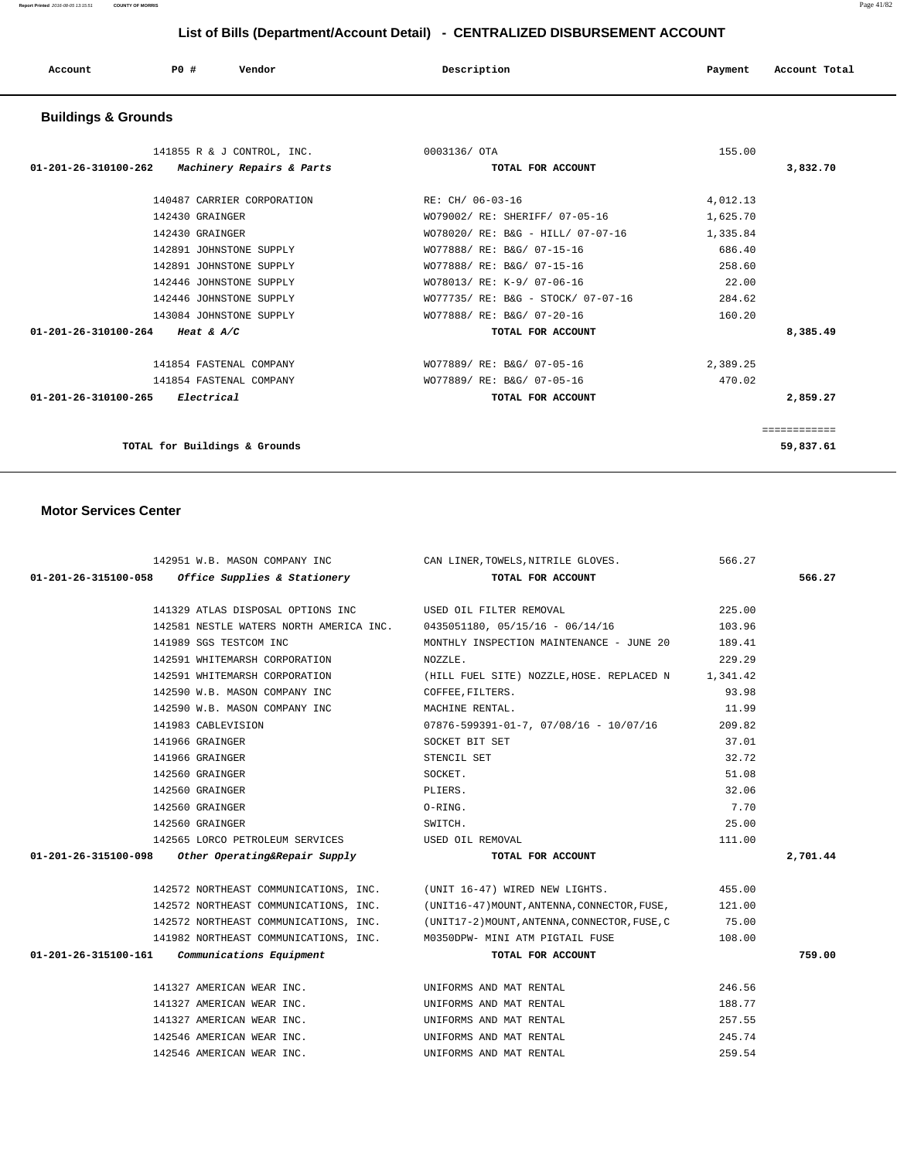| Account<br>. | PO# | Vendor<br>. | Description | Payment | Account Total<br>. |
|--------------|-----|-------------|-------------|---------|--------------------|
|              |     |             |             |         |                    |

# **Buildings & Grounds**

| 141855 R & J CONTROL, INC.                                  | 0003136/ OTA                       | 155.00   |              |
|-------------------------------------------------------------|------------------------------------|----------|--------------|
| $01 - 201 - 26 - 310100 - 262$<br>Machinery Repairs & Parts | TOTAL FOR ACCOUNT                  |          | 3,832.70     |
|                                                             |                                    |          |              |
| 140487 CARRIER CORPORATION                                  | RE: CH/ 06-03-16                   | 4,012.13 |              |
| 142430 GRAINGER                                             | WO79002/ RE: SHERIFF/ 07-05-16     | 1,625.70 |              |
| 142430 GRAINGER                                             | WO78020/ RE: B&G - HILL/ 07-07-16  | 1,335.84 |              |
| 142891 JOHNSTONE SUPPLY                                     | WO77888/ RE: B&G/ 07-15-16         | 686.40   |              |
| 142891 JOHNSTONE SUPPLY                                     | WO77888/ RE: B&G/ 07-15-16         | 258.60   |              |
| 142446 JOHNSTONE SUPPLY                                     | WO78013/ RE: K-9/ 07-06-16         | 22.00    |              |
| 142446 JOHNSTONE SUPPLY                                     | WO77735/ RE: B&G - STOCK/ 07-07-16 | 284.62   |              |
| 143084 JOHNSTONE SUPPLY                                     | WO77888/ RE: B&G/ 07-20-16         | 160.20   |              |
| 01-201-26-310100-264<br><i>Heat &amp; A/C</i>               | TOTAL FOR ACCOUNT                  |          | 8,385.49     |
| 141854 FASTENAL COMPANY                                     | WO77889/ RE: B&G/ 07-05-16         | 2,389.25 |              |
| 141854 FASTENAL COMPANY                                     | WO77889/ RE: B&G/ 07-05-16         | 470.02   |              |
| 01-201-26-310100-265<br>Electrical                          | TOTAL FOR ACCOUNT                  |          | 2,859.27     |
|                                                             |                                    |          | ============ |
| TOTAL for Buildings & Grounds                               |                                    |          | 59,837.61    |

| 142951 W.B. MASON COMPANY INC                              | CAN LINER, TOWELS, NITRILE GLOVES.                                                        | 566.27   |          |
|------------------------------------------------------------|-------------------------------------------------------------------------------------------|----------|----------|
| $01-201-26-315100-058$ Office Supplies & Stationery        | TOTAL FOR ACCOUNT                                                                         |          | 566.27   |
|                                                            |                                                                                           |          |          |
| 141329 ATLAS DISPOSAL OPTIONS INC  USED OIL FILTER REMOVAL |                                                                                           | 225.00   |          |
|                                                            | 142581 NESTLE WATERS NORTH AMERICA INC. 0435051180, 05/15/16 - 06/14/16                   | 103.96   |          |
| 141989 SGS TESTCOM INC                                     | MONTHLY INSPECTION MAINTENANCE - JUNE 20 189.41                                           |          |          |
| 142591 WHITEMARSH CORPORATION                              | NOZZLE.                                                                                   | 229.29   |          |
|                                                            | 142591 WHITEMARSH CORPORATION (HILL FUEL SITE) NOZZLE, HOSE. REPLACED N                   | 1,341.42 |          |
| 142590 W.B. MASON COMPANY INC COFFEE, FILTERS.             |                                                                                           | 93.98    |          |
| 142590 W.B. MASON COMPANY INC                              | MACHINE RENTAL.                                                                           | 11.99    |          |
| 141983 CABLEVISION                                         | $07876 - 599391 - 01 - 7$ , $07/08/16$ - $10/07/16$                                       | 209.82   |          |
| 141966 GRAINGER                                            | SOCKET BIT SET                                                                            | 37.01    |          |
| 141966 GRAINGER                                            | STENCIL SET                                                                               | 32.72    |          |
| 142560 GRAINGER                                            | SOCKET.                                                                                   | 51.08    |          |
| 142560 GRAINGER                                            | PLIERS.                                                                                   | 32.06    |          |
| 142560 GRAINGER                                            | O-RING.                                                                                   | 7.70     |          |
| 142560 GRAINGER                                            | SWITCH.                                                                                   | 25.00    |          |
| 142565 LORCO PETROLEUM SERVICES WED OIL REMOVAL            |                                                                                           | 111.00   |          |
| $01-201-26-315100-098$ Other Operating&Repair Supply       | TOTAL FOR ACCOUNT                                                                         |          | 2,701.44 |
|                                                            |                                                                                           |          |          |
|                                                            | 142572 NORTHEAST COMMUNICATIONS, INC. (UNIT 16-47) WIRED NEW LIGHTS.                      | 455.00   |          |
|                                                            | 142572 NORTHEAST COMMUNICATIONS, INC. (UNIT16-47) MOUNT, ANTENNA, CONNECTOR, FUSE,        | 121.00   |          |
|                                                            | 142572 NORTHEAST COMMUNICATIONS, INC. (UNIT17-2) MOUNT, ANTENNA, CONNECTOR, FUSE, C 35.00 |          |          |
|                                                            | 141982 NORTHEAST COMMUNICATIONS, INC. M0350DPW- MINI ATM PIGTAIL FUSE                     | 108.00   |          |
| $01-201-26-315100-161$ Communications Equipment            | TOTAL FOR ACCOUNT                                                                         |          | 759.00   |
|                                                            |                                                                                           |          |          |
| 141327 AMERICAN WEAR INC.                                  | UNIFORMS AND MAT RENTAL                                                                   | 246.56   |          |
| 141327 AMERICAN WEAR INC.                                  | UNIFORMS AND MAT RENTAL                                                                   | 188.77   |          |
| 141327 AMERICAN WEAR INC.                                  | UNIFORMS AND MAT RENTAL                                                                   | 257.55   |          |
| 142546 AMERICAN WEAR INC.                                  | UNIFORMS AND MAT RENTAL                                                                   | 245.74   |          |
| 142546 AMERICAN WEAR INC.                                  | UNIFORMS AND MAT RENTAL                                                                   | 259.54   |          |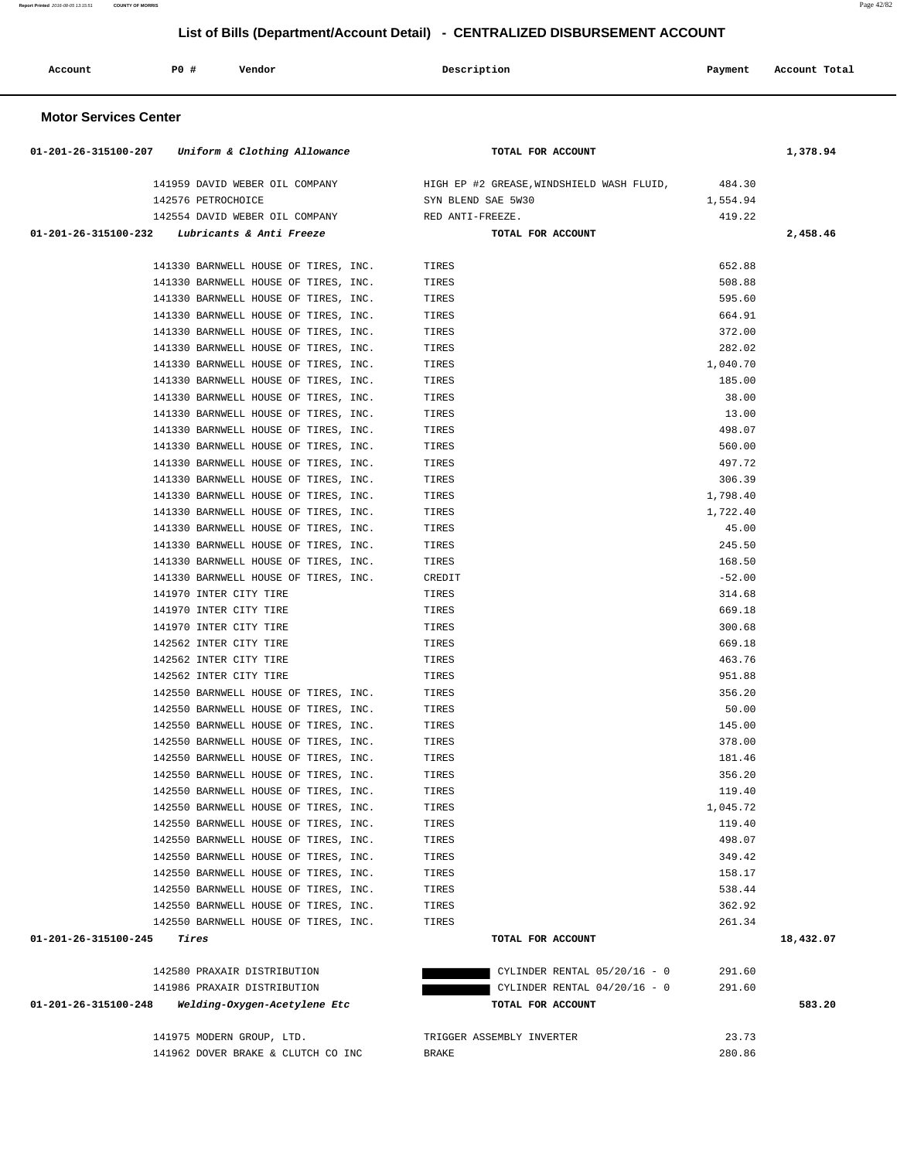| Account | PO# | Vendor | Description | Payment | Account Total |
|---------|-----|--------|-------------|---------|---------------|
|         |     |        |             |         |               |

|                      | 01-201-26-315100-207 Uniform & Clothing Allowance               | TOTAL FOR ACCOUNT                                                               |                  | 1,378.94  |
|----------------------|-----------------------------------------------------------------|---------------------------------------------------------------------------------|------------------|-----------|
|                      |                                                                 |                                                                                 |                  |           |
|                      |                                                                 | 141959 DAVID WEBER OIL COMPANY HIGH EP #2 GREASE, WINDSHIELD WASH FLUID, 484.30 |                  |           |
|                      | 142576 PETROCHOICE                                              | SYN BLEND SAE 5W30                                                              | 1,554.94         |           |
|                      | 142554 DAVID WEBER OIL COMPANY NED ANTI-FREEZE.                 |                                                                                 | 419.22           |           |
|                      | $01-201-26-315100-232$ Lubricants & Anti Freeze                 | TOTAL FOR ACCOUNT                                                               |                  | 2,458.46  |
|                      | 141330 BARNWELL HOUSE OF TIRES, INC.                            | TIRES                                                                           | 652.88           |           |
|                      | 141330 BARNWELL HOUSE OF TIRES, INC.                            | TIRES                                                                           | 508.88           |           |
|                      | 141330 BARNWELL HOUSE OF TIRES, INC.                            | TIRES                                                                           | 595.60           |           |
|                      | 141330 BARNWELL HOUSE OF TIRES, INC.                            | TIRES                                                                           | 664.91           |           |
|                      | 141330 BARNWELL HOUSE OF TIRES, INC.                            | TIRES                                                                           | 372.00           |           |
|                      | 141330 BARNWELL HOUSE OF TIRES, INC.                            | TIRES                                                                           | 282.02           |           |
|                      | 141330 BARNWELL HOUSE OF TIRES, INC.                            | TIRES                                                                           | 1,040.70         |           |
|                      | 141330 BARNWELL HOUSE OF TIRES, INC.                            | TIRES                                                                           | 185.00           |           |
|                      | 141330 BARNWELL HOUSE OF TIRES, INC.                            | TIRES                                                                           | 38.00            |           |
|                      | 141330 BARNWELL HOUSE OF TIRES, INC.                            | TIRES                                                                           | 13.00            |           |
|                      | 141330 BARNWELL HOUSE OF TIRES, INC.                            | TIRES                                                                           | 498.07           |           |
|                      | 141330 BARNWELL HOUSE OF TIRES, INC.                            | TIRES                                                                           | 560.00           |           |
|                      | 141330 BARNWELL HOUSE OF TIRES, INC.                            | TIRES                                                                           | 497.72           |           |
|                      | 141330 BARNWELL HOUSE OF TIRES, INC.                            | TIRES                                                                           | 306.39           |           |
|                      | 141330 BARNWELL HOUSE OF TIRES, INC.                            | TIRES                                                                           | 1,798.40         |           |
|                      | 141330 BARNWELL HOUSE OF TIRES, INC.                            | TIRES                                                                           | 1,722.40         |           |
|                      | 141330 BARNWELL HOUSE OF TIRES, INC.                            | TIRES                                                                           | 45.00            |           |
|                      | 141330 BARNWELL HOUSE OF TIRES, INC.                            | TIRES                                                                           | 245.50           |           |
|                      | 141330 BARNWELL HOUSE OF TIRES, INC.                            | TIRES                                                                           | 168.50           |           |
|                      | 141330 BARNWELL HOUSE OF TIRES, INC.                            | CREDIT                                                                          | $-52.00$         |           |
|                      | 141970 INTER CITY TIRE                                          | TIRES                                                                           | 314.68           |           |
|                      | 141970 INTER CITY TIRE                                          | TIRES                                                                           | 669.18           |           |
|                      | 141970 INTER CITY TIRE                                          | TIRES                                                                           | 300.68           |           |
|                      | 142562 INTER CITY TIRE                                          | TIRES                                                                           | 669.18           |           |
|                      | 142562 INTER CITY TIRE<br>142562 INTER CITY TIRE                | TIRES<br>TIRES                                                                  | 463.76<br>951.88 |           |
|                      | 142550 BARNWELL HOUSE OF TIRES, INC.                            | TIRES                                                                           | 356.20           |           |
|                      | 142550 BARNWELL HOUSE OF TIRES, INC.                            | TIRES                                                                           | 50.00            |           |
|                      | 142550 BARNWELL HOUSE OF TIRES, INC.                            | TIRES                                                                           | 145.00           |           |
|                      | 142550 BARNWELL HOUSE OF TIRES, INC.                            | TIRES                                                                           | 378.00           |           |
|                      | 142550 BARNWELL HOUSE OF TIRES, INC.                            | TIRES                                                                           | 181.46           |           |
|                      | 142550 BARNWELL HOUSE OF TIRES, INC.                            | TIRES                                                                           | 356.20           |           |
|                      | 142550 BARNWELL HOUSE OF TIRES, INC.                            | TIRES                                                                           | 119.40           |           |
|                      | 142550 BARNWELL HOUSE OF TIRES, INC.                            | TIRES                                                                           | 1,045.72         |           |
|                      | 142550 BARNWELL HOUSE OF TIRES, INC.                            | TIRES                                                                           | 119.40           |           |
|                      | 142550 BARNWELL HOUSE OF TIRES, INC.                            | TIRES                                                                           | 498.07           |           |
|                      | 142550 BARNWELL HOUSE OF TIRES, INC.                            | TIRES                                                                           | 349.42           |           |
|                      | 142550 BARNWELL HOUSE OF TIRES, INC.                            | TIRES                                                                           | 158.17           |           |
|                      | 142550 BARNWELL HOUSE OF TIRES, INC.                            | TIRES                                                                           | 538.44           |           |
|                      | 142550 BARNWELL HOUSE OF TIRES, INC.                            | TIRES                                                                           | 362.92           |           |
|                      | 142550 BARNWELL HOUSE OF TIRES, INC.                            | TIRES                                                                           | 261.34           |           |
| 01-201-26-315100-245 | Tires                                                           | TOTAL FOR ACCOUNT                                                               |                  | 18,432.07 |
|                      | 142580 PRAXAIR DISTRIBUTION                                     | CYLINDER RENTAL $05/20/16 - 0$                                                  | 291.60           |           |
|                      | 141986 PRAXAIR DISTRIBUTION                                     | CYLINDER RENTAL $04/20/16 - 0$                                                  | 291.60           |           |
| 01-201-26-315100-248 | Welding-Oxygen-Acetylene Etc                                    | TOTAL FOR ACCOUNT                                                               |                  | 583.20    |
|                      |                                                                 |                                                                                 |                  |           |
|                      | 141975 MODERN GROUP, LTD.<br>141962 DOVER BRAKE & CLUTCH CO INC | TRIGGER ASSEMBLY INVERTER<br><b>BRAKE</b>                                       | 23.73<br>280.86  |           |
|                      |                                                                 |                                                                                 |                  |           |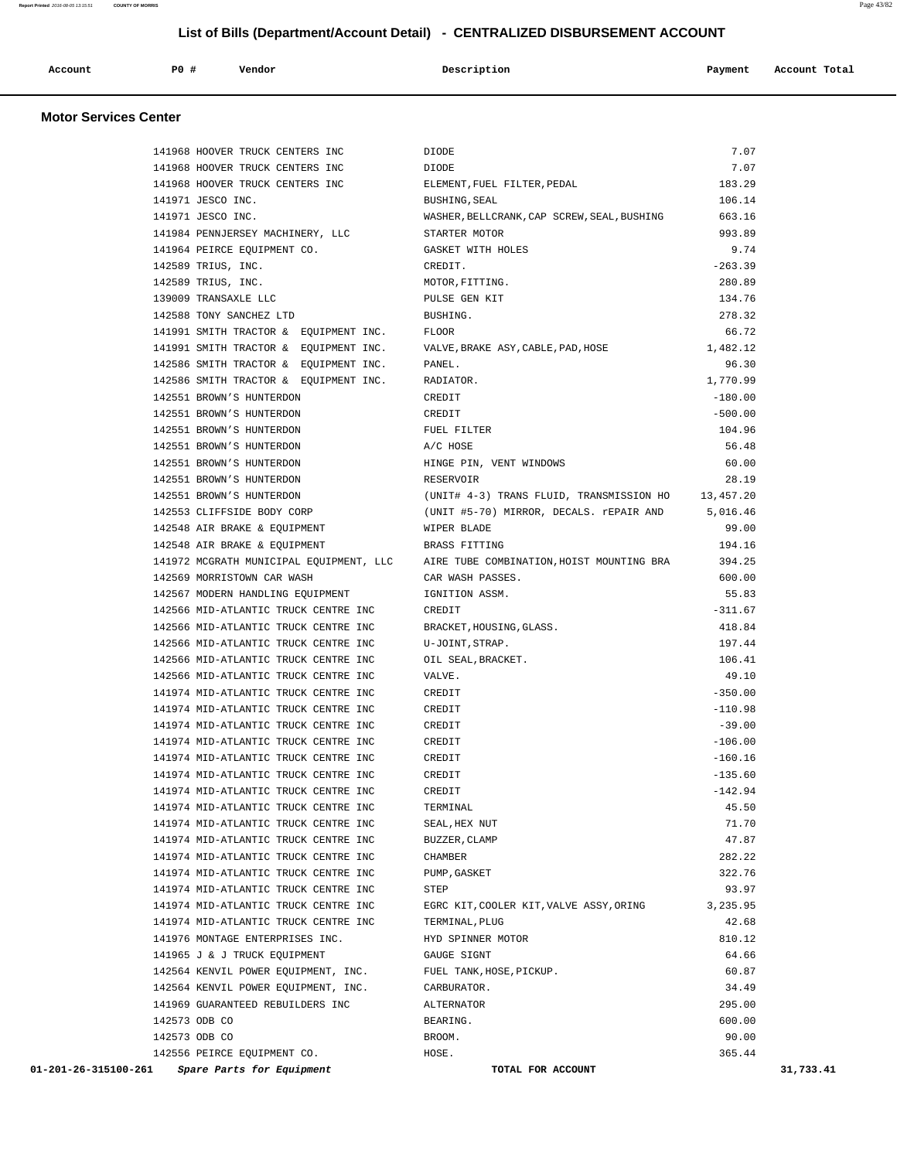| Account | P0 # | Vendor<br>. | Description | Payment | Account Total |
|---------|------|-------------|-------------|---------|---------------|
|         |      |             |             |         |               |

| 141968 HOOVER TRUCK CENTERS INC                   | DIODE                                                                             | 7.07      |           |
|---------------------------------------------------|-----------------------------------------------------------------------------------|-----------|-----------|
| 141968 HOOVER TRUCK CENTERS INC                   | DIODE                                                                             | 7.07      |           |
| 141968 HOOVER TRUCK CENTERS INC                   | ELEMENT, FUEL FILTER, PEDAL                                                       | 183.29    |           |
| 141971 JESCO INC.                                 | BUSHING, SEAL                                                                     | 106.14    |           |
| 141971 JESCO INC.                                 | WASHER, BELLCRANK, CAP SCREW, SEAL, BUSHING                                       | 663.16    |           |
| 141984 PENNJERSEY MACHINERY, LLC                  | STARTER MOTOR                                                                     | 993.89    |           |
| 141964 PEIRCE EQUIPMENT CO.                       | GASKET WITH HOLES                                                                 | 9.74      |           |
| 142589 TRIUS, INC.                                | CREDIT.                                                                           | $-263.39$ |           |
| 142589 TRIUS, INC.                                | MOTOR, FITTING.                                                                   | 280.89    |           |
| 139009 TRANSAXLE LLC                              | PULSE GEN KIT                                                                     | 134.76    |           |
| 142588 TONY SANCHEZ LTD                           | BUSHING.                                                                          | 278.32    |           |
| 141991 SMITH TRACTOR & EQUIPMENT INC.             | <b>FLOOR</b>                                                                      | 66.72     |           |
| 141991 SMITH TRACTOR & EQUIPMENT INC.             | VALVE, BRAKE ASY, CABLE, PAD, HOSE                                                | 1,482.12  |           |
| 142586 SMITH TRACTOR & EQUIPMENT INC.             | PANEL.                                                                            | 96.30     |           |
| 142586 SMITH TRACTOR & EQUIPMENT INC.             | RADIATOR.                                                                         | 1,770.99  |           |
| 142551 BROWN'S HUNTERDON                          | CREDIT                                                                            | $-180.00$ |           |
| 142551 BROWN'S HUNTERDON                          | CREDIT                                                                            | $-500.00$ |           |
| 142551 BROWN'S HUNTERDON                          | FUEL FILTER                                                                       | 104.96    |           |
| 142551 BROWN'S HUNTERDON                          | A/C HOSE                                                                          | 56.48     |           |
| 142551 BROWN'S HUNTERDON                          | HINGE PIN, VENT WINDOWS                                                           | 60.00     |           |
| 142551 BROWN'S HUNTERDON                          | RESERVOIR                                                                         | 28.19     |           |
| 142551 BROWN'S HUNTERDON                          | (UNIT# 4-3) TRANS FLUID, TRANSMISSION HO 13,457.20                                |           |           |
| 142553 CLIFFSIDE BODY CORP                        | (UNIT #5-70) MIRROR, DECALS. rEPAIR AND                                           | 5,016.46  |           |
| 142548 AIR BRAKE & EQUIPMENT                      | WIPER BLADE                                                                       | 99.00     |           |
| 142548 AIR BRAKE & EQUIPMENT                      | BRASS FITTING                                                                     | 194.16    |           |
|                                                   | 141972 MCGRATH MUNICIPAL EQUIPMENT, LLC AIRE TUBE COMBINATION, HOIST MOUNTING BRA | 394.25    |           |
| 142569 MORRISTOWN CAR WASH                        | CAR WASH PASSES.                                                                  | 600.00    |           |
| 142567 MODERN HANDLING EQUIPMENT                  | IGNITION ASSM.                                                                    | 55.83     |           |
| 142566 MID-ATLANTIC TRUCK CENTRE INC              | CREDIT                                                                            | $-311.67$ |           |
| 142566 MID-ATLANTIC TRUCK CENTRE INC              | BRACKET, HOUSING, GLASS.                                                          | 418.84    |           |
| 142566 MID-ATLANTIC TRUCK CENTRE INC              | U-JOINT, STRAP.                                                                   | 197.44    |           |
| 142566 MID-ATLANTIC TRUCK CENTRE INC              | OIL SEAL, BRACKET.                                                                | 106.41    |           |
| 142566 MID-ATLANTIC TRUCK CENTRE INC              | VALVE.                                                                            | 49.10     |           |
| 141974 MID-ATLANTIC TRUCK CENTRE INC              | CREDIT                                                                            | $-350.00$ |           |
| 141974 MID-ATLANTIC TRUCK CENTRE INC              | CREDIT                                                                            | $-110.98$ |           |
| 141974 MID-ATLANTIC TRUCK CENTRE INC              | CREDIT                                                                            | $-39.00$  |           |
| 141974 MID-ATLANTIC TRUCK CENTRE INC              | CREDIT                                                                            | $-106.00$ |           |
| 141974 MID-ATLANTIC TRUCK CENTRE INC              | CREDIT                                                                            | $-160.16$ |           |
| 141974 MID-ATLANTIC TRUCK CENTRE INC              | CREDIT                                                                            | $-135.60$ |           |
| 141974 MID-ATLANTIC TRUCK CENTRE INC              | CREDIT                                                                            | $-142.94$ |           |
| 141974 MID-ATLANTIC TRUCK CENTRE INC              | TERMINAL                                                                          | 45.50     |           |
| 141974 MID-ATLANTIC TRUCK CENTRE INC              | SEAL, HEX NUT                                                                     | 71.70     |           |
| 141974 MID-ATLANTIC TRUCK CENTRE INC              | BUZZER, CLAMP                                                                     | 47.87     |           |
| 141974 MID-ATLANTIC TRUCK CENTRE INC              | CHAMBER                                                                           | 282.22    |           |
| 141974 MID-ATLANTIC TRUCK CENTRE INC              | PUMP, GASKET                                                                      | 322.76    |           |
| 141974 MID-ATLANTIC TRUCK CENTRE INC              | STEP                                                                              | 93.97     |           |
| 141974 MID-ATLANTIC TRUCK CENTRE INC              | EGRC KIT, COOLER KIT, VALVE ASSY, ORING                                           | 3,235.95  |           |
| 141974 MID-ATLANTIC TRUCK CENTRE INC              | TERMINAL, PLUG                                                                    | 42.68     |           |
| 141976 MONTAGE ENTERPRISES INC.                   | HYD SPINNER MOTOR                                                                 | 810.12    |           |
| 141965 J & J TRUCK EQUIPMENT                      | GAUGE SIGNT                                                                       | 64.66     |           |
| 142564 KENVIL POWER EQUIPMENT, INC.               | FUEL TANK, HOSE, PICKUP.                                                          | 60.87     |           |
| 142564 KENVIL POWER EQUIPMENT, INC.               | CARBURATOR.                                                                       | 34.49     |           |
| 141969 GUARANTEED REBUILDERS INC                  | ALTERNATOR                                                                        | 295.00    |           |
| 142573 ODB CO                                     | BEARING.                                                                          | 600.00    |           |
| 142573 ODB CO                                     | BROOM.                                                                            | 90.00     |           |
| 142556 PEIRCE EQUIPMENT CO.                       | HOSE.                                                                             | 365.44    |           |
| 01-201-26-315100-261<br>Spare Parts for Equipment | TOTAL FOR ACCOUNT                                                                 |           | 31,733.41 |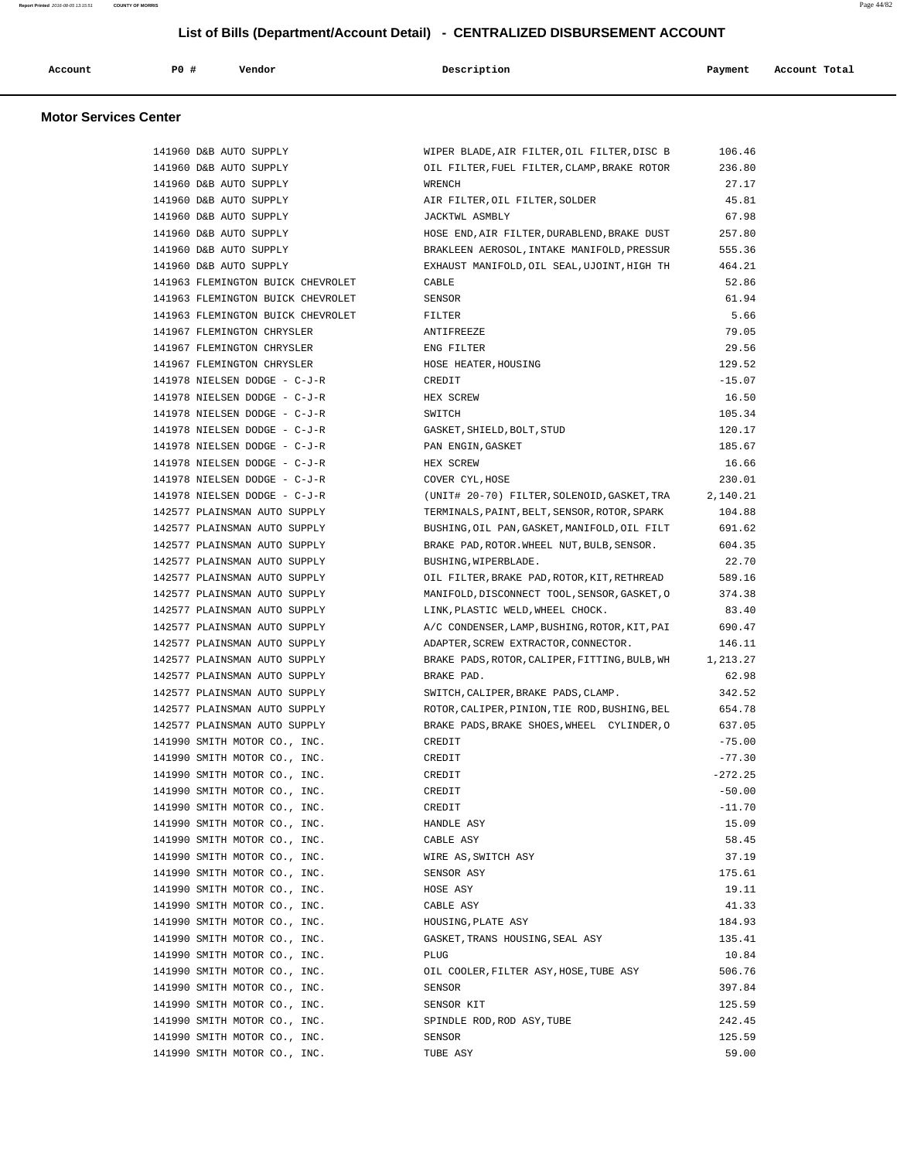| Account | <b>PO #</b> | Vendor | Description | Payment | Account Total |
|---------|-------------|--------|-------------|---------|---------------|
|         |             |        |             |         | .             |
|         |             |        |             |         |               |

| 141960 D&B AUTO SUPPLY            | WIPER BLADE, AIR FILTER, OIL FILTER, DISC B   | 106.46    |
|-----------------------------------|-----------------------------------------------|-----------|
| 141960 D&B AUTO SUPPLY            | OIL FILTER, FUEL FILTER, CLAMP, BRAKE ROTOR   | 236.80    |
| 141960 D&B AUTO SUPPLY            | WRENCH                                        | 27.17     |
| 141960 D&B AUTO SUPPLY            | AIR FILTER, OIL FILTER, SOLDER                | 45.81     |
| 141960 D&B AUTO SUPPLY            | JACKTWL ASMBLY                                | 67.98     |
| 141960 D&B AUTO SUPPLY            | HOSE END, AIR FILTER, DURABLEND, BRAKE DUST   | 257.80    |
| 141960 D&B AUTO SUPPLY            | BRAKLEEN AEROSOL, INTAKE MANIFOLD, PRESSUR    | 555.36    |
| 141960 D&B AUTO SUPPLY            | EXHAUST MANIFOLD, OIL SEAL, UJOINT, HIGH TH   | 464.21    |
| 141963 FLEMINGTON BUICK CHEVROLET | CABLE                                         | 52.86     |
| 141963 FLEMINGTON BUICK CHEVROLET | SENSOR                                        | 61.94     |
| 141963 FLEMINGTON BUICK CHEVROLET | FILTER                                        | 5.66      |
| 141967 FLEMINGTON CHRYSLER        | ANTIFREEZE                                    | 79.05     |
| 141967 FLEMINGTON CHRYSLER        | ENG FILTER                                    | 29.56     |
| 141967 FLEMINGTON CHRYSLER        | HOSE HEATER, HOUSING                          | 129.52    |
| 141978 NIELSEN DODGE - C-J-R      | CREDIT                                        | $-15.07$  |
| 141978 NIELSEN DODGE - C-J-R      | HEX SCREW                                     | 16.50     |
| 141978 NIELSEN DODGE - C-J-R      | SWITCH                                        | 105.34    |
| 141978 NIELSEN DODGE - C-J-R      | GASKET, SHIELD, BOLT, STUD                    | 120.17    |
| 141978 NIELSEN DODGE - C-J-R      | PAN ENGIN, GASKET                             | 185.67    |
| 141978 NIELSEN DODGE - C-J-R      |                                               | 16.66     |
| 141978 NIELSEN DODGE - C-J-R      | HEX SCREW                                     |           |
|                                   | COVER CYL, HOSE                               | 230.01    |
| 141978 NIELSEN DODGE - C-J-R      | (UNIT# 20-70) FILTER, SOLENOID, GASKET, TRA   | 2,140.21  |
| 142577 PLAINSMAN AUTO SUPPLY      | TERMINALS, PAINT, BELT, SENSOR, ROTOR, SPARK  | 104.88    |
| 142577 PLAINSMAN AUTO SUPPLY      | BUSHING, OIL PAN, GASKET, MANIFOLD, OIL FILT  | 691.62    |
| 142577 PLAINSMAN AUTO SUPPLY      | BRAKE PAD, ROTOR. WHEEL NUT, BULB, SENSOR.    | 604.35    |
| 142577 PLAINSMAN AUTO SUPPLY      | BUSHING, WIPERBLADE.                          | 22.70     |
| 142577 PLAINSMAN AUTO SUPPLY      | OIL FILTER, BRAKE PAD, ROTOR, KIT, RETHREAD   | 589.16    |
| 142577 PLAINSMAN AUTO SUPPLY      | MANIFOLD, DISCONNECT TOOL, SENSOR, GASKET, O  | 374.38    |
| 142577 PLAINSMAN AUTO SUPPLY      | LINK, PLASTIC WELD, WHEEL CHOCK.              | 83.40     |
| 142577 PLAINSMAN AUTO SUPPLY      | A/C CONDENSER, LAMP, BUSHING, ROTOR, KIT, PAI | 690.47    |
| 142577 PLAINSMAN AUTO SUPPLY      | ADAPTER, SCREW EXTRACTOR, CONNECTOR.          | 146.11    |
| 142577 PLAINSMAN AUTO SUPPLY      | BRAKE PADS, ROTOR, CALIPER, FITTING, BULB, WH | 1,213.27  |
| 142577 PLAINSMAN AUTO SUPPLY      | BRAKE PAD.                                    | 62.98     |
| 142577 PLAINSMAN AUTO SUPPLY      | SWITCH, CALIPER, BRAKE PADS, CLAMP.           | 342.52    |
| 142577 PLAINSMAN AUTO SUPPLY      | ROTOR, CALIPER, PINION, TIE ROD, BUSHING, BEL | 654.78    |
| 142577 PLAINSMAN AUTO SUPPLY      | BRAKE PADS, BRAKE SHOES, WHEEL CYLINDER, O    | 637.05    |
| 141990 SMITH MOTOR CO., INC.      | CREDIT                                        | $-75.00$  |
| 141990 SMITH MOTOR CO., INC.      | CREDIT                                        | $-77.30$  |
| 141990 SMITH MOTOR CO., INC.      | CREDIT                                        | $-272.25$ |
| 141990 SMITH MOTOR CO., INC.      | CREDIT                                        | $-50.00$  |
| 141990 SMITH MOTOR CO., INC.      | CREDIT                                        | $-11.70$  |
| 141990 SMITH MOTOR CO., INC.      | HANDLE ASY                                    | 15.09     |
| 141990 SMITH MOTOR CO., INC.      | CABLE ASY                                     | 58.45     |
| 141990 SMITH MOTOR CO., INC.      | WIRE AS, SWITCH ASY                           | 37.19     |
| 141990 SMITH MOTOR CO., INC.      | SENSOR ASY                                    | 175.61    |
| 141990 SMITH MOTOR CO., INC.      | HOSE ASY                                      | 19.11     |
| 141990 SMITH MOTOR CO., INC.      | CABLE ASY                                     | 41.33     |
| 141990 SMITH MOTOR CO., INC.      | HOUSING, PLATE ASY                            | 184.93    |
| 141990 SMITH MOTOR CO., INC.      | GASKET, TRANS HOUSING, SEAL ASY               | 135.41    |
| 141990 SMITH MOTOR CO., INC.      | PLUG                                          | 10.84     |
| 141990 SMITH MOTOR CO., INC.      | OIL COOLER, FILTER ASY, HOSE, TUBE ASY        | 506.76    |
| 141990 SMITH MOTOR CO., INC.      | SENSOR                                        | 397.84    |
| 141990 SMITH MOTOR CO., INC.      | SENSOR KIT                                    | 125.59    |
| 141990 SMITH MOTOR CO., INC.      | SPINDLE ROD, ROD ASY, TUBE                    | 242.45    |
| 141990 SMITH MOTOR CO., INC.      | SENSOR                                        | 125.59    |
| 141990 SMITH MOTOR CO., INC.      | TUBE ASY                                      | 59.00     |
|                                   |                                               |           |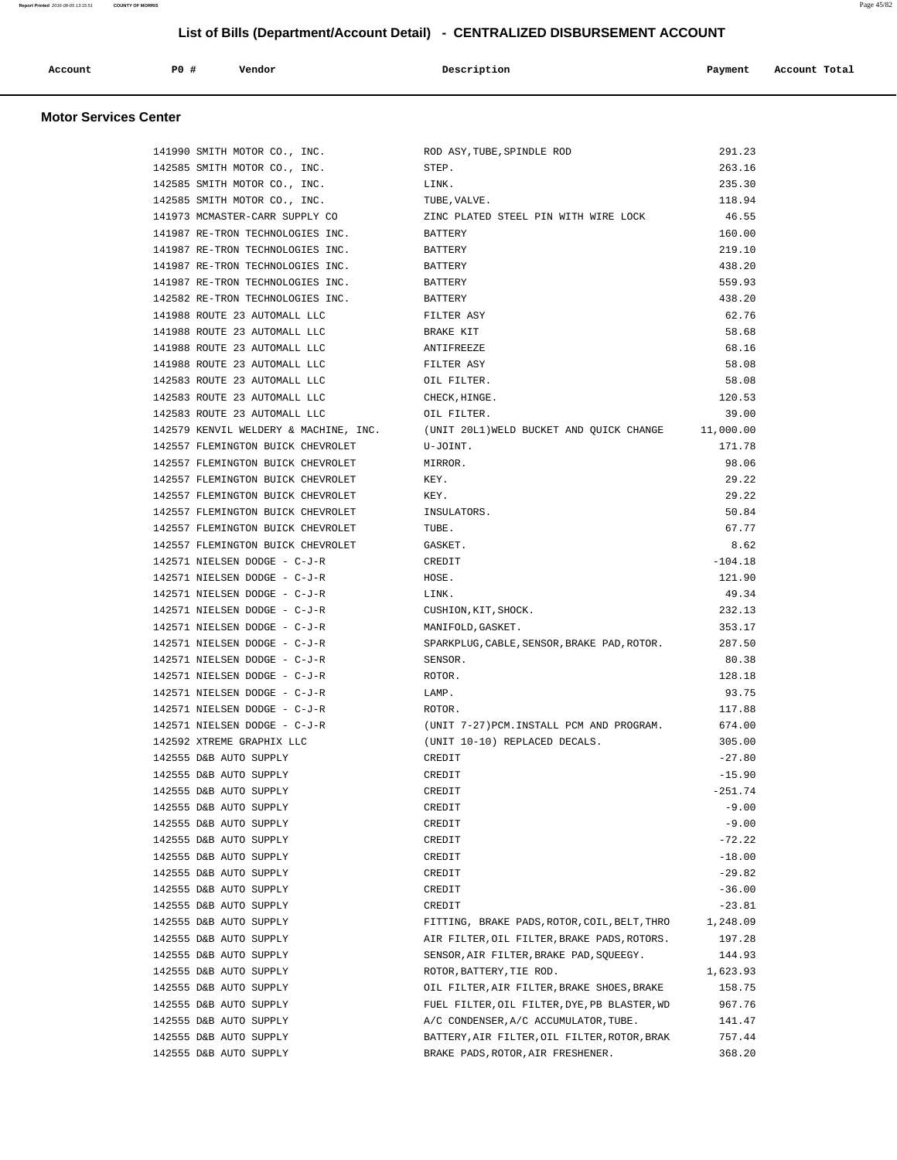|  | Account<br>. | P0 | Vendor | Description | Payment | Account Total<br>.<br>. |
|--|--------------|----|--------|-------------|---------|-------------------------|
|--|--------------|----|--------|-------------|---------|-------------------------|

| 141990 SMITH MOTOR CO., INC.          | ROD ASY, TUBE, SPINDLE ROD                         | 291.23    |
|---------------------------------------|----------------------------------------------------|-----------|
| 142585 SMITH MOTOR CO., INC.          | STEP.                                              | 263.16    |
| 142585 SMITH MOTOR CO., INC.          | LINK.                                              | 235.30    |
| 142585 SMITH MOTOR CO., INC.          | TUBE, VALVE.                                       | 118.94    |
| 141973 MCMASTER-CARR SUPPLY CO        | ZINC PLATED STEEL PIN WITH WIRE LOCK               | 46.55     |
| 141987 RE-TRON TECHNOLOGIES INC.      | BATTERY                                            | 160.00    |
| 141987 RE-TRON TECHNOLOGIES INC.      | BATTERY                                            | 219.10    |
| 141987 RE-TRON TECHNOLOGIES INC.      | BATTERY                                            | 438.20    |
| 141987 RE-TRON TECHNOLOGIES INC.      | BATTERY                                            | 559.93    |
| 142582 RE-TRON TECHNOLOGIES INC.      | BATTERY                                            | 438.20    |
| 141988 ROUTE 23 AUTOMALL LLC          | FILTER ASY                                         | 62.76     |
| 141988 ROUTE 23 AUTOMALL LLC          | BRAKE KIT                                          | 58.68     |
| 141988 ROUTE 23 AUTOMALL LLC          | ANTIFREEZE                                         | 68.16     |
| 141988 ROUTE 23 AUTOMALL LLC          | FILTER ASY                                         | 58.08     |
| 142583 ROUTE 23 AUTOMALL LLC          | OIL FILTER.                                        | 58.08     |
| 142583 ROUTE 23 AUTOMALL LLC          | CHECK, HINGE.                                      | 120.53    |
| 142583 ROUTE 23 AUTOMALL LLC          | OIL FILTER.                                        | 39.00     |
| 142579 KENVIL WELDERY & MACHINE, INC. | (UNIT 20L1) WELD BUCKET AND QUICK CHANGE 11,000.00 |           |
| 142557 FLEMINGTON BUICK CHEVROLET     | U-JOINT.                                           | 171.78    |
| 142557 FLEMINGTON BUICK CHEVROLET     | MIRROR.                                            | 98.06     |
| 142557 FLEMINGTON BUICK CHEVROLET     | KEY.                                               | 29.22     |
| 142557 FLEMINGTON BUICK CHEVROLET     | KEY.                                               | 29.22     |
| 142557 FLEMINGTON BUICK CHEVROLET     | INSULATORS.                                        | 50.84     |
| 142557 FLEMINGTON BUICK CHEVROLET     | TUBE.                                              | 67.77     |
| 142557 FLEMINGTON BUICK CHEVROLET     | GASKET.                                            | 8.62      |
| 142571 NIELSEN DODGE - C-J-R          | CREDIT                                             | $-104.18$ |
| 142571 NIELSEN DODGE - C-J-R          | HOSE.                                              | 121.90    |
| 142571 NIELSEN DODGE - C-J-R          | LINK.                                              | 49.34     |
| 142571 NIELSEN DODGE - C-J-R          | CUSHION, KIT, SHOCK.                               | 232.13    |
| 142571 NIELSEN DODGE - C-J-R          | MANIFOLD, GASKET.                                  | 353.17    |
| 142571 NIELSEN DODGE - C-J-R          | SPARKPLUG, CABLE, SENSOR, BRAKE PAD, ROTOR.        | 287.50    |
| 142571 NIELSEN DODGE - C-J-R          | SENSOR.                                            | 80.38     |
| 142571 NIELSEN DODGE - C-J-R          | ROTOR.                                             | 128.18    |
| 142571 NIELSEN DODGE - C-J-R          | LAMP.                                              | 93.75     |
| 142571 NIELSEN DODGE - C-J-R          | ROTOR.                                             | 117.88    |
| 142571 NIELSEN DODGE - C-J-R          | (UNIT 7-27) PCM.INSTALL PCM AND PROGRAM.           | 674.00    |
| 142592 XTREME GRAPHIX LLC             | (UNIT 10-10) REPLACED DECALS.                      | 305.00    |
| 142555 D&B AUTO SUPPLY                | CREDIT                                             | $-27.80$  |
| 142555 D&B AUTO SUPPLY                | CREDIT                                             | $-15.90$  |
| 142555 D&B AUTO SUPPLY                | CREDIT                                             | $-251.74$ |
| 142555 D&B AUTO SUPPLY                | CREDIT                                             | $-9.00$   |
| 142555 D&B AUTO SUPPLY                | CREDIT                                             | $-9.00$   |
| 142555 D&B AUTO SUPPLY                | CREDIT                                             | $-72.22$  |
| 142555 D&B AUTO SUPPLY                | CREDIT                                             | $-18.00$  |
| 142555 D&B AUTO SUPPLY                | CREDIT                                             | $-29.82$  |
| 142555 D&B AUTO SUPPLY                | CREDIT                                             | $-36.00$  |
| 142555 D&B AUTO SUPPLY                | CREDIT                                             | $-23.81$  |
| 142555 D&B AUTO SUPPLY                | FITTING, BRAKE PADS, ROTOR, COIL, BELT, THRO       | 1,248.09  |
| 142555 D&B AUTO SUPPLY                | AIR FILTER, OIL FILTER, BRAKE PADS, ROTORS.        | 197.28    |
| 142555 D&B AUTO SUPPLY                | SENSOR, AIR FILTER, BRAKE PAD, SOUEEGY.            | 144.93    |
| 142555 D&B AUTO SUPPLY                | ROTOR, BATTERY, TIE ROD.                           | 1,623.93  |
| 142555 D&B AUTO SUPPLY                | OIL FILTER, AIR FILTER, BRAKE SHOES, BRAKE         | 158.75    |
| 142555 D&B AUTO SUPPLY                | FUEL FILTER, OIL FILTER, DYE, PB BLASTER, WD       | 967.76    |
| 142555 D&B AUTO SUPPLY                | A/C CONDENSER, A/C ACCUMULATOR, TUBE.              | 141.47    |
| 142555 D&B AUTO SUPPLY                | BATTERY, AIR FILTER, OIL FILTER, ROTOR, BRAK       | 757.44    |
| 142555 D&B AUTO SUPPLY                | BRAKE PADS, ROTOR, AIR FRESHENER.                  | 368.20    |
|                                       |                                                    |           |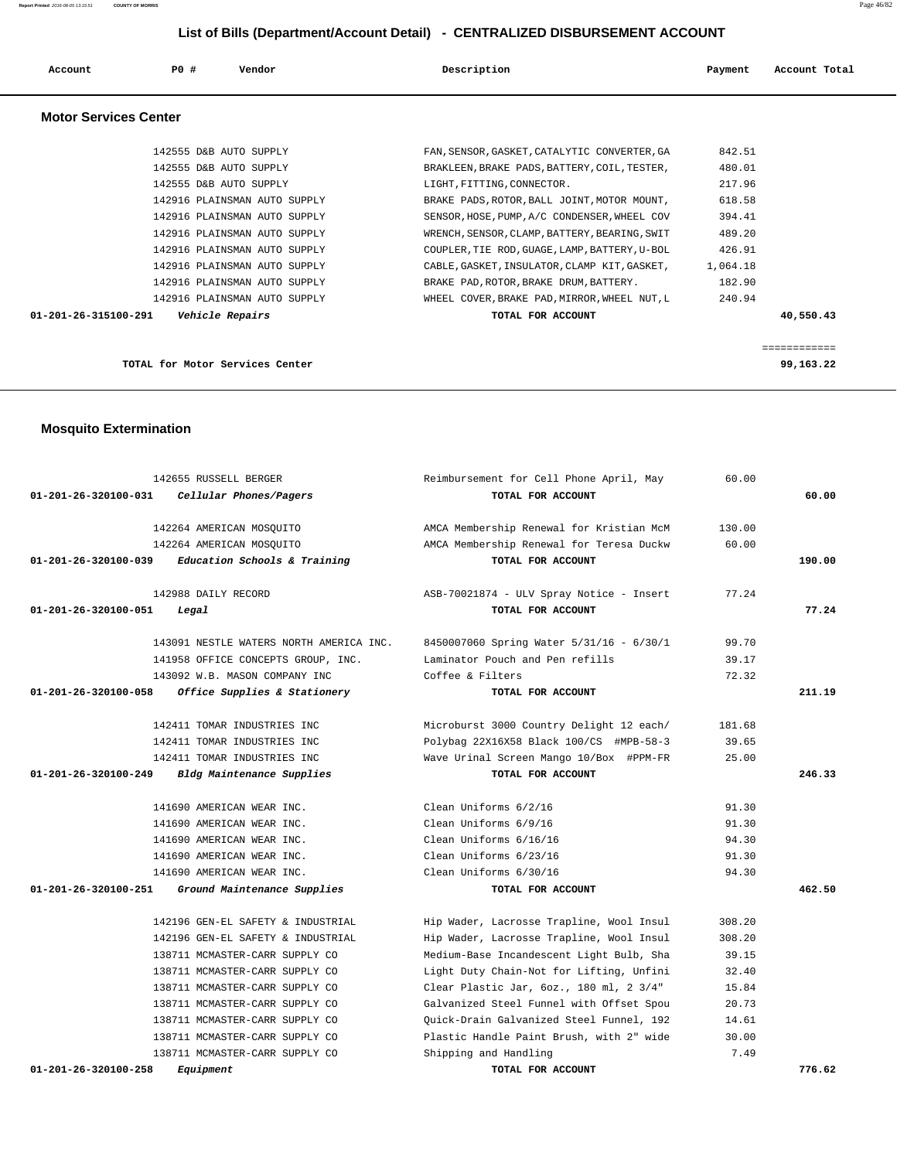| Account                      | PO#<br>Vendor                | Description                                   | Payment<br>Account Total |
|------------------------------|------------------------------|-----------------------------------------------|--------------------------|
| <b>Motor Services Center</b> |                              |                                               |                          |
|                              | 142555 D&B AUTO SUPPLY       | FAN, SENSOR, GASKET, CATALYTIC CONVERTER, GA  | 842.51                   |
|                              | 142555 D&B AUTO SUPPLY       | BRAKLEEN, BRAKE PADS, BATTERY, COIL, TESTER,  | 480.01                   |
|                              | 142555 D&B AUTO SUPPLY       | LIGHT, FITTING, CONNECTOR.                    | 217.96                   |
|                              | 142916 PLAINSMAN AUTO SUPPLY | BRAKE PADS, ROTOR, BALL JOINT, MOTOR MOUNT,   | 618.58                   |
|                              | 142916 PLAINSMAN AUTO SUPPLY | SENSOR, HOSE, PUMP, A/C CONDENSER, WHEEL COV  | 394.41                   |
|                              | 142916 PLAINSMAN AUTO SUPPLY | WRENCH, SENSOR, CLAMP, BATTERY, BEARING, SWIT | 489.20                   |
|                              | 142916 PLAINSMAN AUTO SUPPLY | COUPLER, TIE ROD, GUAGE, LAMP, BATTERY, U-BOL | 426.91                   |
|                              | 142916 PLAINSMAN AUTO SUPPLY | CABLE, GASKET, INSULATOR, CLAMP KIT, GASKET,  | 1,064.18                 |

 **01-201-26-315100-291 Vehicle Repairs TOTAL FOR ACCOUNT 40,550.43**

 142916 PLAINSMAN AUTO SUPPLY BRAKE PAD,ROTOR,BRAKE DRUM,BATTERY. 182.90 142916 PLAINSMAN AUTO SUPPLY WHEEL COVER,BRAKE PAD,MIRROR,WHEEL NUT,L 240.94

============

**TOTAL for Motor Services Center 99,163.22**

#### **Mosquito Extermination**

| 142655 RUSSELL BERGER                                | Reimbursement for Cell Phone April, May  | 60.00  |        |
|------------------------------------------------------|------------------------------------------|--------|--------|
| 01-201-26-320100-031<br>Cellular Phones/Pagers       | TOTAL FOR ACCOUNT                        |        | 60.00  |
| 142264 AMERICAN MOSOUITO                             | AMCA Membership Renewal for Kristian McM | 130.00 |        |
| 142264 AMERICAN MOSQUITO                             | AMCA Membership Renewal for Teresa Duckw | 60.00  |        |
| Education Schools & Training<br>01-201-26-320100-039 | TOTAL FOR ACCOUNT                        |        | 190.00 |
| 142988 DAILY RECORD                                  | ASB-70021874 - ULV Spray Notice - Insert | 77.24  |        |
| 01-201-26-320100-051<br>Legal                        | TOTAL FOR ACCOUNT                        |        | 77.24  |
|                                                      |                                          |        |        |
| 143091 NESTLE WATERS NORTH AMERICA INC.              | 8450007060 Spring Water 5/31/16 - 6/30/1 | 99.70  |        |
| 141958 OFFICE CONCEPTS GROUP, INC.                   | Laminator Pouch and Pen refills          | 39.17  |        |
| 143092 W.B. MASON COMPANY INC                        | Coffee & Filters                         | 72.32  |        |
| Office Supplies & Stationery<br>01-201-26-320100-058 | TOTAL FOR ACCOUNT                        |        | 211.19 |
|                                                      |                                          |        |        |
| 142411 TOMAR INDUSTRIES INC                          | Microburst 3000 Country Delight 12 each/ | 181.68 |        |
| 142411 TOMAR INDUSTRIES INC                          | Polybag 22X16X58 Black 100/CS #MPB-58-3  | 39.65  |        |
| 142411 TOMAR INDUSTRIES INC                          | Wave Urinal Screen Mango 10/Box #PPM-FR  | 25.00  |        |
| 01-201-26-320100-249<br>Bldg Maintenance Supplies    | TOTAL FOR ACCOUNT                        |        | 246.33 |
|                                                      |                                          |        |        |
| 141690 AMERICAN WEAR INC.                            | Clean Uniforms 6/2/16                    | 91.30  |        |
| 141690 AMERICAN WEAR INC.                            | Clean Uniforms 6/9/16                    | 91.30  |        |
| 141690 AMERICAN WEAR INC.                            | Clean Uniforms 6/16/16                   | 94.30  |        |
| 141690 AMERICAN WEAR INC.                            | Clean Uniforms 6/23/16                   | 91.30  |        |
| 141690 AMERICAN WEAR INC.                            | Clean Uniforms 6/30/16                   | 94.30  |        |
| Ground Maintenance Supplies<br>01-201-26-320100-251  | TOTAL FOR ACCOUNT                        |        | 462.50 |
| 142196 GEN-EL SAFETY & INDUSTRIAL                    | Hip Wader, Lacrosse Trapline, Wool Insul | 308.20 |        |
| 142196 GEN-EL SAFETY & INDUSTRIAL                    | Hip Wader, Lacrosse Trapline, Wool Insul | 308.20 |        |
| 138711 MCMASTER-CARR SUPPLY CO                       | Medium-Base Incandescent Light Bulb, Sha | 39.15  |        |
| 138711 MCMASTER-CARR SUPPLY CO                       | Light Duty Chain-Not for Lifting, Unfini | 32.40  |        |
| 138711 MCMASTER-CARR SUPPLY CO                       | Clear Plastic Jar, 60z., 180 ml, 2 3/4"  | 15.84  |        |
| 138711 MCMASTER-CARR SUPPLY CO                       | Galvanized Steel Funnel with Offset Spou | 20.73  |        |
| 138711 MCMASTER-CARR SUPPLY CO                       | Ouick-Drain Galvanized Steel Funnel, 192 | 14.61  |        |
| 138711 MCMASTER-CARR SUPPLY CO                       | Plastic Handle Paint Brush, with 2" wide | 30.00  |        |
| 138711 MCMASTER-CARR SUPPLY CO                       | Shipping and Handling                    | 7.49   |        |
| $01 - 201 - 26 - 320100 - 258$<br>Equipment          | TOTAL FOR ACCOUNT                        |        | 776.62 |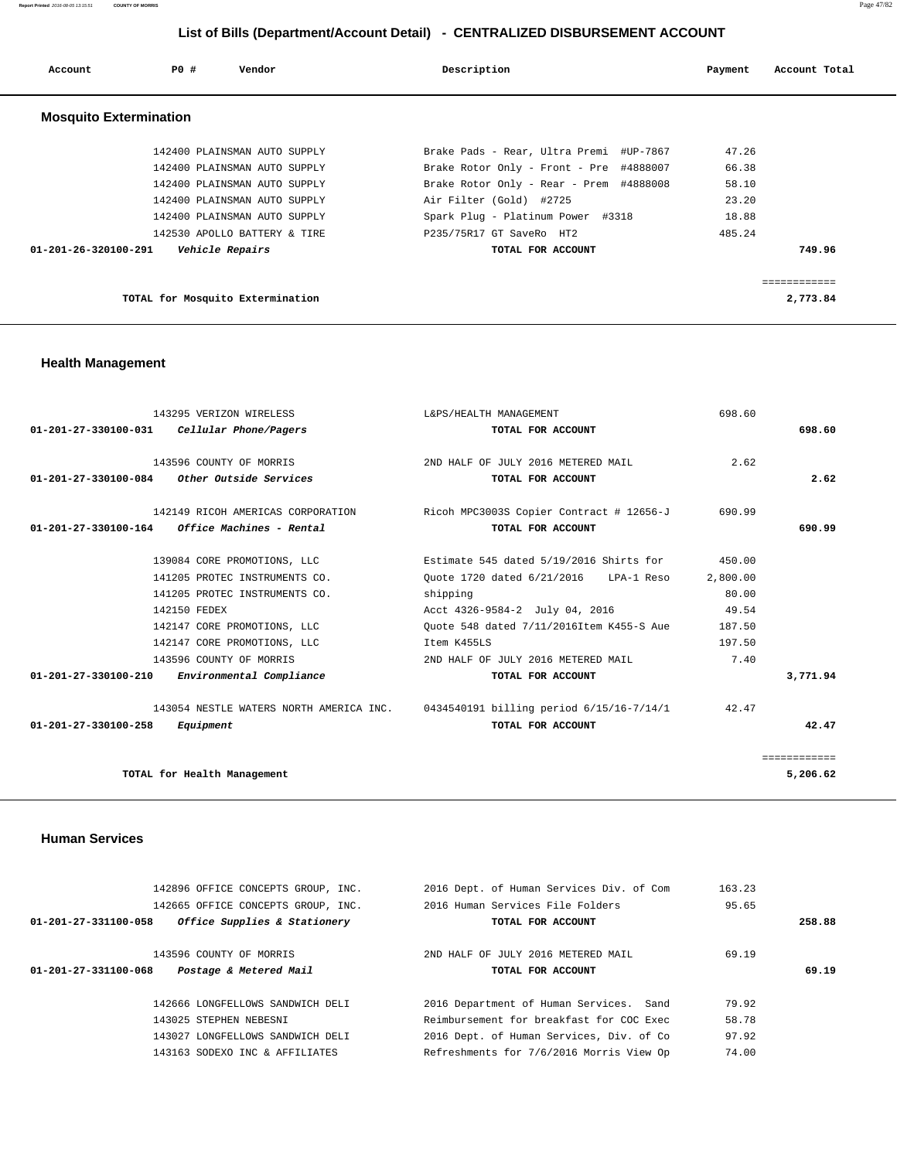**Report Printed** 2016-08-05 13:15:51 **COUNTY OF MORRIS** Page 47/82

# **List of Bills (Department/Account Detail) - CENTRALIZED DISBURSEMENT ACCOUNT**

| Account                        | PO#<br>Vendor                    | Description                             | Payment | Account Total |
|--------------------------------|----------------------------------|-----------------------------------------|---------|---------------|
| <b>Mosquito Extermination</b>  |                                  |                                         |         |               |
|                                | 142400 PLAINSMAN AUTO SUPPLY     | Brake Pads - Rear, Ultra Premi #UP-7867 | 47.26   |               |
|                                | 142400 PLAINSMAN AUTO SUPPLY     | Brake Rotor Only - Front - Pre #4888007 | 66.38   |               |
|                                | 142400 PLAINSMAN AUTO SUPPLY     | Brake Rotor Only - Rear - Prem #4888008 | 58.10   |               |
|                                | 142400 PLAINSMAN AUTO SUPPLY     | Air Filter (Gold) #2725                 | 23.20   |               |
|                                | 142400 PLAINSMAN AUTO SUPPLY     | Spark Plug - Platinum Power #3318       | 18.88   |               |
|                                | 142530 APOLLO BATTERY & TIRE     | P235/75R17 GT SaveRo HT2                | 485.24  |               |
| $01 - 201 - 26 - 320100 - 291$ | Vehicle Repairs                  | TOTAL FOR ACCOUNT                       |         | 749.96        |
|                                |                                  |                                         |         |               |
|                                |                                  |                                         |         | ============  |
|                                | TOTAL for Mosquito Extermination |                                         |         | 2,773.84      |

# **Health Management**

| 143295 VERIZON WIRELESS                                    | L&PS/HEALTH MANAGEMENT                                                           | 698.60   |              |
|------------------------------------------------------------|----------------------------------------------------------------------------------|----------|--------------|
| $01 - 201 - 27 - 330100 - 031$<br>Cellular Phone/Pagers    | TOTAL FOR ACCOUNT                                                                |          | 698.60       |
| 143596 COUNTY OF MORRIS                                    | 2ND HALF OF JULY 2016 METERED MAIL                                               | 2.62     |              |
| Other Outside Services<br>01-201-27-330100-084             | TOTAL FOR ACCOUNT                                                                |          | 2.62         |
| 142149 RICOH AMERICAS CORPORATION                          | Ricoh MPC3003S Copier Contract # 12656-J                                         | 690.99   |              |
| Office Machines - Rental<br>01-201-27-330100-164           | TOTAL FOR ACCOUNT                                                                |          | 690.99       |
| 139084 CORE PROMOTIONS, LLC                                | Estimate 545 dated 5/19/2016 Shirts for                                          | 450.00   |              |
| 141205 PROTEC INSTRUMENTS CO.                              | Ouote 1720 dated 6/21/2016 LPA-1 Reso                                            | 2,800.00 |              |
| 141205 PROTEC INSTRUMENTS CO.                              | shipping                                                                         | 80.00    |              |
| 142150 FEDEX                                               | Acct 4326-9584-2 July 04, 2016                                                   | 49.54    |              |
| 142147 CORE PROMOTIONS, LLC                                | Ouote 548 dated 7/11/2016Item K455-S Aue                                         | 187.50   |              |
| 142147 CORE PROMOTIONS, LLC                                | Item K455LS                                                                      | 197.50   |              |
| 143596 COUNTY OF MORRIS                                    | 2ND HALF OF JULY 2016 METERED MAIL                                               | 7.40     |              |
| $01 - 201 - 27 - 330100 - 210$<br>Environmental Compliance | TOTAL FOR ACCOUNT                                                                |          | 3,771.94     |
|                                                            | 143054 NESTLE WATERS NORTH AMERICA INC. 0434540191 billing period 6/15/16-7/14/1 | 42.47    |              |
| $01 - 201 - 27 - 330100 - 258$<br>Equipment                | TOTAL FOR ACCOUNT                                                                |          | 42.47        |
|                                                            |                                                                                  |          | ============ |
| TOTAL for Health Management                                |                                                                                  |          | 5,206.62     |

# **Human Services**

| 142896 OFFICE CONCEPTS GROUP, INC.                       | 2016 Dept. of Human Services Div. of Com | 163.23 |        |
|----------------------------------------------------------|------------------------------------------|--------|--------|
| 142665 OFFICE CONCEPTS GROUP, INC.                       | 2016 Human Services File Folders         | 95.65  |        |
| Office Supplies & Stationery<br>01-201-27-331100-058     | TOTAL FOR ACCOUNT                        |        | 258.88 |
|                                                          |                                          |        |        |
| 143596 COUNTY OF MORRIS                                  | 2ND HALF OF JULY 2016 METERED MAIL       | 69.19  |        |
| Postage & Metered Mail<br>$01 - 201 - 27 - 331100 - 068$ | TOTAL FOR ACCOUNT                        |        | 69.19  |
|                                                          |                                          |        |        |
|                                                          |                                          |        |        |
| 142666 LONGFELLOWS SANDWICH DELI                         | 2016 Department of Human Services. Sand  | 79.92  |        |
| 143025 STEPHEN NEBESNI                                   | Reimbursement for breakfast for COC Exec | 58.78  |        |
| 143027 LONGFELLOWS SANDWICH DELI                         | 2016 Dept. of Human Services, Div. of Co | 97.92  |        |
| 143163 SODEXO INC & AFFILIATES                           | Refreshments for 7/6/2016 Morris View Op | 74.00  |        |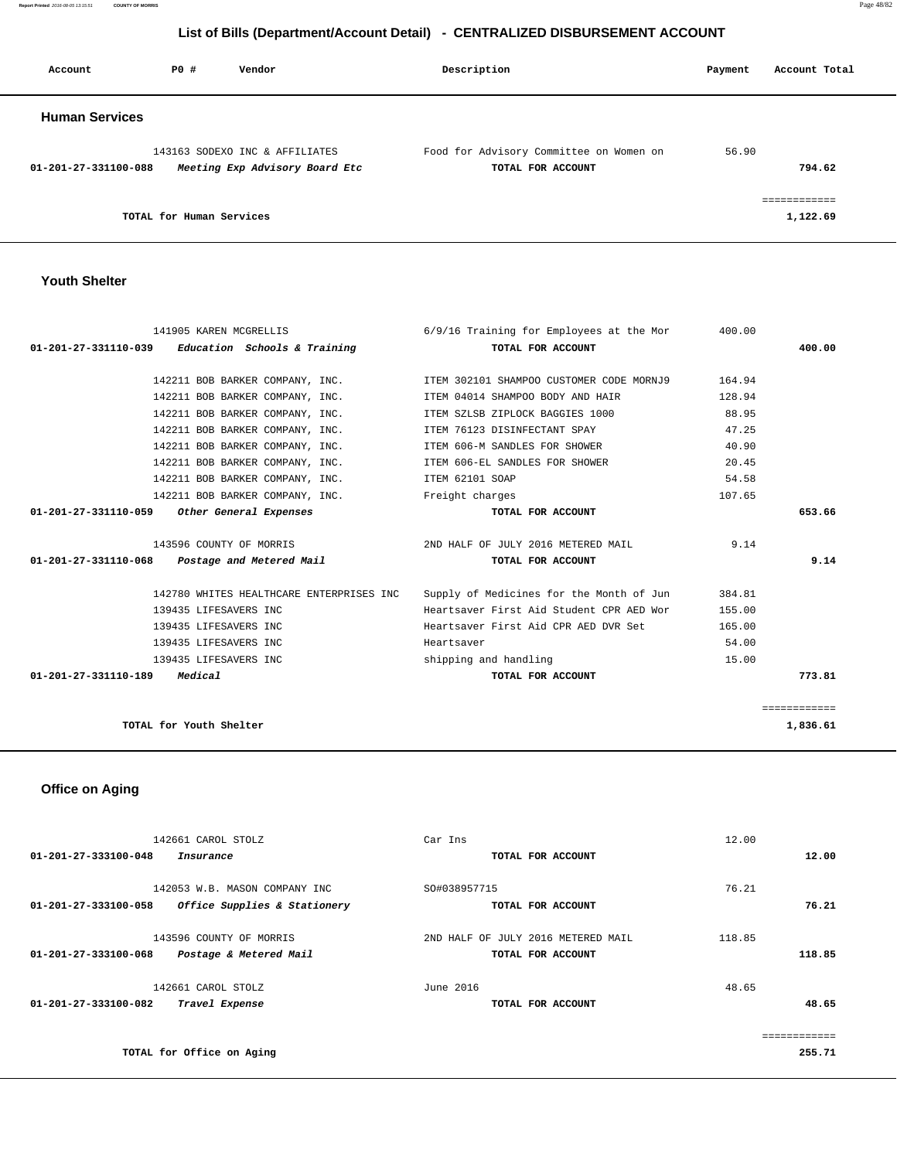**Report Printed** 2016-08-05 13:15:51 **COUNTY OF MORRIS** Page 48/82

# **List of Bills (Department/Account Detail) - CENTRALIZED DISBURSEMENT ACCOUNT**

| Account               | PO#                      | Vendor                                                           | Description                                                  | Payment | Account Total |
|-----------------------|--------------------------|------------------------------------------------------------------|--------------------------------------------------------------|---------|---------------|
| <b>Human Services</b> |                          |                                                                  |                                                              |         |               |
| 01-201-27-331100-088  |                          | 143163 SODEXO INC & AFFILIATES<br>Meeting Exp Advisory Board Etc | Food for Advisory Committee on Women on<br>TOTAL FOR ACCOUNT | 56.90   | 794.62        |
|                       | TOTAL for Human Services |                                                                  |                                                              |         | 1,122.69      |

# **Youth Shelter**

| 141905 KAREN MCGRELLIS                              | 6/9/16 Training for Employees at the Mor                                | 400.00 |              |
|-----------------------------------------------------|-------------------------------------------------------------------------|--------|--------------|
| $01-201-27-331110-039$ Education Schools & Training | TOTAL FOR ACCOUNT                                                       |        | 400.00       |
|                                                     |                                                                         |        |              |
|                                                     | 142211 BOB BARKER COMPANY, INC. TEM 302101 SHAMPOO CUSTOMER CODE MORNJ9 | 164.94 |              |
| 142211 BOB BARKER COMPANY, INC.                     | ITEM 04014 SHAMPOO BODY AND HAIR                                        | 128.94 |              |
| 142211 BOB BARKER COMPANY, INC.                     | ITEM SZLSB ZIPLOCK BAGGIES 1000                                         | 88.95  |              |
| 142211 BOB BARKER COMPANY, INC.                     | ITEM 76123 DISINFECTANT SPAY                                            | 47.25  |              |
| 142211 BOB BARKER COMPANY, INC.                     | ITEM 606-M SANDLES FOR SHOWER                                           | 40.90  |              |
| 142211 BOB BARKER COMPANY, INC.                     | ITEM 606-EL SANDLES FOR SHOWER                                          | 20.45  |              |
| 142211 BOB BARKER COMPANY, INC.                     | ITEM 62101 SOAP                                                         | 54.58  |              |
| 142211 BOB BARKER COMPANY, INC. Theight charges     |                                                                         | 107.65 |              |
| 01-201-27-331110-059 Other General Expenses         | TOTAL FOR ACCOUNT                                                       |        | 653.66       |
|                                                     |                                                                         |        |              |
| 143596 COUNTY OF MORRIS                             | 2ND HALF OF JULY 2016 METERED MAIL                                      | 9.14   |              |
| $01-201-27-331110-068$ Postage and Metered Mail     | TOTAL FOR ACCOUNT                                                       |        | 9.14         |
|                                                     |                                                                         |        |              |
| 142780 WHITES HEALTHCARE ENTERPRISES INC            | Supply of Medicines for the Month of Jun                                | 384.81 |              |
| 139435 LIFESAVERS INC                               | Heartsaver First Aid Student CPR AED Wor                                | 155.00 |              |
| 139435 LIFESAVERS INC                               | Heartsaver First Aid CPR AED DVR Set                                    | 165.00 |              |
| 139435 LIFESAVERS INC                               | Heartsaver                                                              | 54.00  |              |
| 139435 LIFESAVERS INC                               | shipping and handling                                                   | 15.00  |              |
| 01-201-27-331110-189 Medical                        | TOTAL FOR ACCOUNT                                                       |        | 773.81       |
|                                                     |                                                                         |        |              |
|                                                     |                                                                         |        | ============ |
| TOTAL for Youth Shelter                             |                                                                         |        | 1,836.61     |
|                                                     |                                                                         |        |              |

# **Office on Aging**

| 142661 CAROL STOLZ                                   | Car Ins                            | 12.00  |
|------------------------------------------------------|------------------------------------|--------|
| 01-201-27-333100-048<br>Insurance                    | TOTAL FOR ACCOUNT                  | 12.00  |
|                                                      |                                    |        |
| 142053 W.B. MASON COMPANY INC                        | SO#038957715                       | 76.21  |
| 01-201-27-333100-058<br>Office Supplies & Stationery | TOTAL FOR ACCOUNT                  | 76.21  |
| 143596 COUNTY OF MORRIS                              | 2ND HALF OF JULY 2016 METERED MAIL | 118.85 |
| Postage & Metered Mail<br>01-201-27-333100-068       | TOTAL FOR ACCOUNT                  | 118.85 |
| 142661 CAROL STOLZ                                   | June 2016                          | 48.65  |
| $01 - 201 - 27 - 333100 - 082$<br>Travel Expense     | TOTAL FOR ACCOUNT                  | 48.65  |
|                                                      |                                    |        |
| TOTAL for Office on Aging                            |                                    | 255.71 |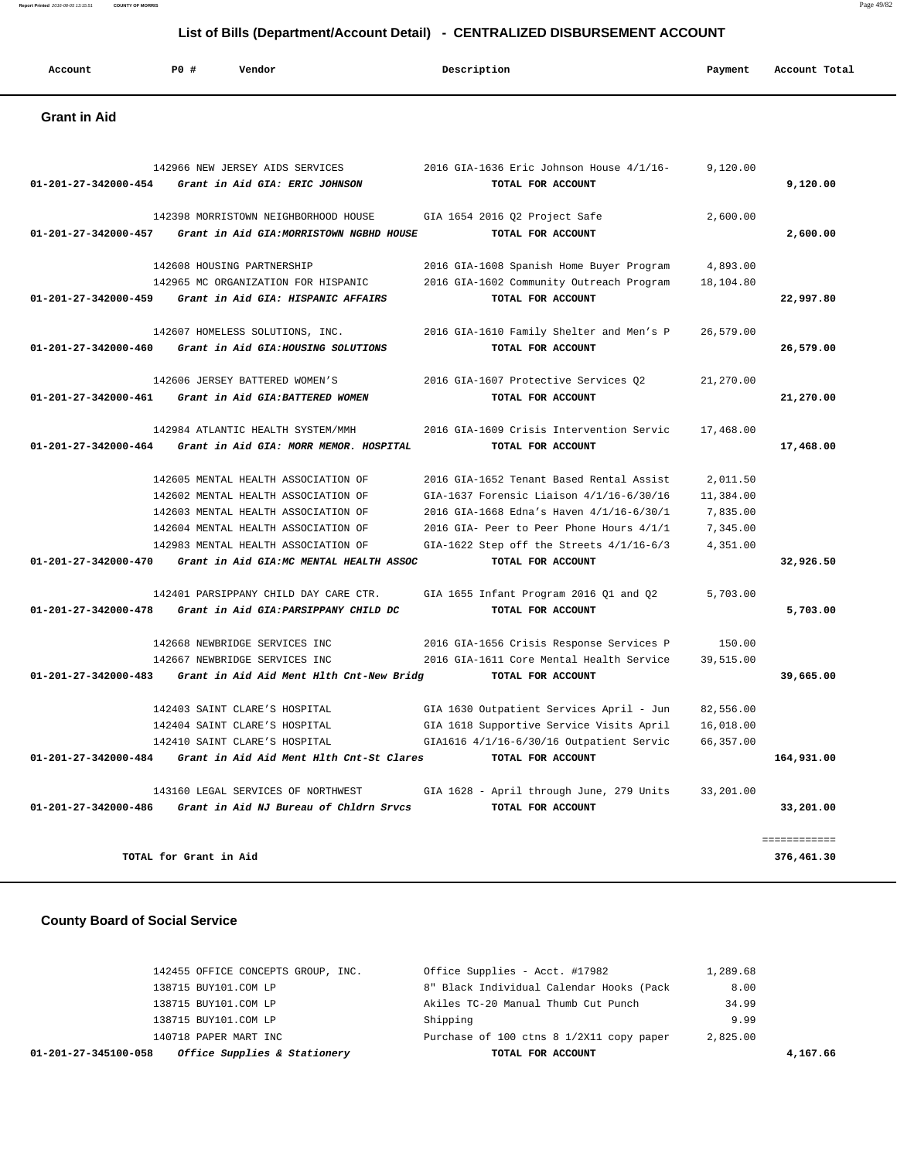| Account             | PO# | Vendor | Description | Payment | Account Total |
|---------------------|-----|--------|-------------|---------|---------------|
| <b>Grant in Aid</b> |     |        |             |         |               |

|                      | 142966 NEW JERSEY AIDS SERVICES                               | 2016 GIA-1636 Eric Johnson House 4/1/16- | 9,120.00  |              |
|----------------------|---------------------------------------------------------------|------------------------------------------|-----------|--------------|
|                      | 01-201-27-342000-454 Grant in Aid GIA: ERIC JOHNSON           | TOTAL FOR ACCOUNT                        |           | 9,120.00     |
|                      | 142398 MORRISTOWN NEIGHBORHOOD HOUSE                          | GIA 1654 2016 Q2 Project Safe            | 2,600.00  |              |
| 01-201-27-342000-457 | Grant in Aid GIA: MORRISTOWN NGBHD HOUSE                      | TOTAL FOR ACCOUNT                        |           | 2,600.00     |
|                      | 142608 HOUSING PARTNERSHIP                                    | 2016 GIA-1608 Spanish Home Buyer Program | 4,893.00  |              |
|                      | 142965 MC ORGANIZATION FOR HISPANIC                           | 2016 GIA-1602 Community Outreach Program | 18,104.80 |              |
|                      | 01-201-27-342000-459 Grant in Aid GIA: HISPANIC AFFAIRS       | TOTAL FOR ACCOUNT                        |           | 22,997.80    |
|                      | 142607 HOMELESS SOLUTIONS, INC.                               | 2016 GIA-1610 Family Shelter and Men's P | 26,579.00 |              |
| 01-201-27-342000-460 | Grant in Aid GIA: HOUSING SOLUTIONS                           | TOTAL FOR ACCOUNT                        |           | 26,579.00    |
|                      | 142606 JERSEY BATTERED WOMEN'S                                | 2016 GIA-1607 Protective Services 02     | 21,270.00 |              |
| 01-201-27-342000-461 | Grant in Aid GIA:BATTERED WOMEN                               | TOTAL FOR ACCOUNT                        |           | 21,270.00    |
|                      | 142984 ATLANTIC HEALTH SYSTEM/MMH                             | 2016 GIA-1609 Crisis Intervention Servic | 17,468.00 |              |
|                      | 01-201-27-342000-464 Grant in Aid GIA: MORR MEMOR. HOSPITAL   | TOTAL FOR ACCOUNT                        |           | 17,468.00    |
|                      | 142605 MENTAL HEALTH ASSOCIATION OF                           | 2016 GIA-1652 Tenant Based Rental Assist | 2,011.50  |              |
|                      | 142602 MENTAL HEALTH ASSOCIATION OF                           | GIA-1637 Forensic Liaison 4/1/16-6/30/16 | 11,384.00 |              |
|                      | 142603 MENTAL HEALTH ASSOCIATION OF                           | 2016 GIA-1668 Edna's Haven 4/1/16-6/30/1 | 7,835.00  |              |
|                      | 142604 MENTAL HEALTH ASSOCIATION OF                           | 2016 GIA- Peer to Peer Phone Hours 4/1/1 | 7,345.00  |              |
|                      | 142983 MENTAL HEALTH ASSOCIATION OF                           | GIA-1622 Step off the Streets 4/1/16-6/3 | 4,351.00  |              |
|                      | 01-201-27-342000-470 Grant in Aid GIA:MC MENTAL HEALTH ASSOC  | TOTAL FOR ACCOUNT                        |           | 32,926.50    |
|                      | 142401 PARSIPPANY CHILD DAY CARE CTR.                         | GIA 1655 Infant Program 2016 Q1 and Q2   | 5,703.00  |              |
| 01-201-27-342000-478 | Grant in Aid GIA: PARSIPPANY CHILD DC                         | TOTAL FOR ACCOUNT                        |           | 5,703.00     |
|                      | 142668 NEWBRIDGE SERVICES INC                                 | 2016 GIA-1656 Crisis Response Services P | 150.00    |              |
|                      | 142667 NEWBRIDGE SERVICES INC                                 | 2016 GIA-1611 Core Mental Health Service | 39,515.00 |              |
|                      | 01-201-27-342000-483 Grant in Aid Aid Ment Hlth Cnt-New Bridg | TOTAL FOR ACCOUNT                        |           | 39,665.00    |
|                      | 142403 SAINT CLARE'S HOSPITAL                                 | GIA 1630 Outpatient Services April - Jun | 82,556.00 |              |
|                      | 142404 SAINT CLARE'S HOSPITAL                                 | GIA 1618 Supportive Service Visits April | 16,018.00 |              |
|                      | 142410 SAINT CLARE'S HOSPITAL                                 | GIA1616 4/1/16-6/30/16 Outpatient Servic | 66,357.00 |              |
|                      | 01-201-27-342000-484 Grant in Aid Aid Ment Hlth Cnt-St Clares | TOTAL FOR ACCOUNT                        |           | 164,931.00   |
|                      | 143160 LEGAL SERVICES OF NORTHWEST                            | GIA 1628 - April through June, 279 Units | 33,201.00 |              |
| 01-201-27-342000-486 | Grant in Aid NJ Bureau of Chldrn Srvcs                        | TOTAL FOR ACCOUNT                        |           | 33,201.00    |
|                      |                                                               |                                          |           | ============ |
|                      | TOTAL for Grant in Aid                                        |                                          |           | 376,461.30   |

# **County Board of Social Service**

| Office Supplies & Stationery<br>01-201-27-345100-058 | TOTAL FOR ACCOUNT                        |          | 4,167.66 |
|------------------------------------------------------|------------------------------------------|----------|----------|
| 140718 PAPER MART INC                                | Purchase of 100 ctns 8 1/2X11 copy paper | 2,825.00 |          |
| 138715 BUY101.COM LP                                 | Shipping                                 | 9.99     |          |
| 138715 BUY101.COM LP                                 | Akiles TC-20 Manual Thumb Cut Punch      | 34.99    |          |
| 138715 BUY101.COM LP                                 | 8" Black Individual Calendar Hooks (Pack | 8.00     |          |
| 142455 OFFICE CONCEPTS GROUP, INC.                   | Office Supplies - Acct. #17982           | 1,289.68 |          |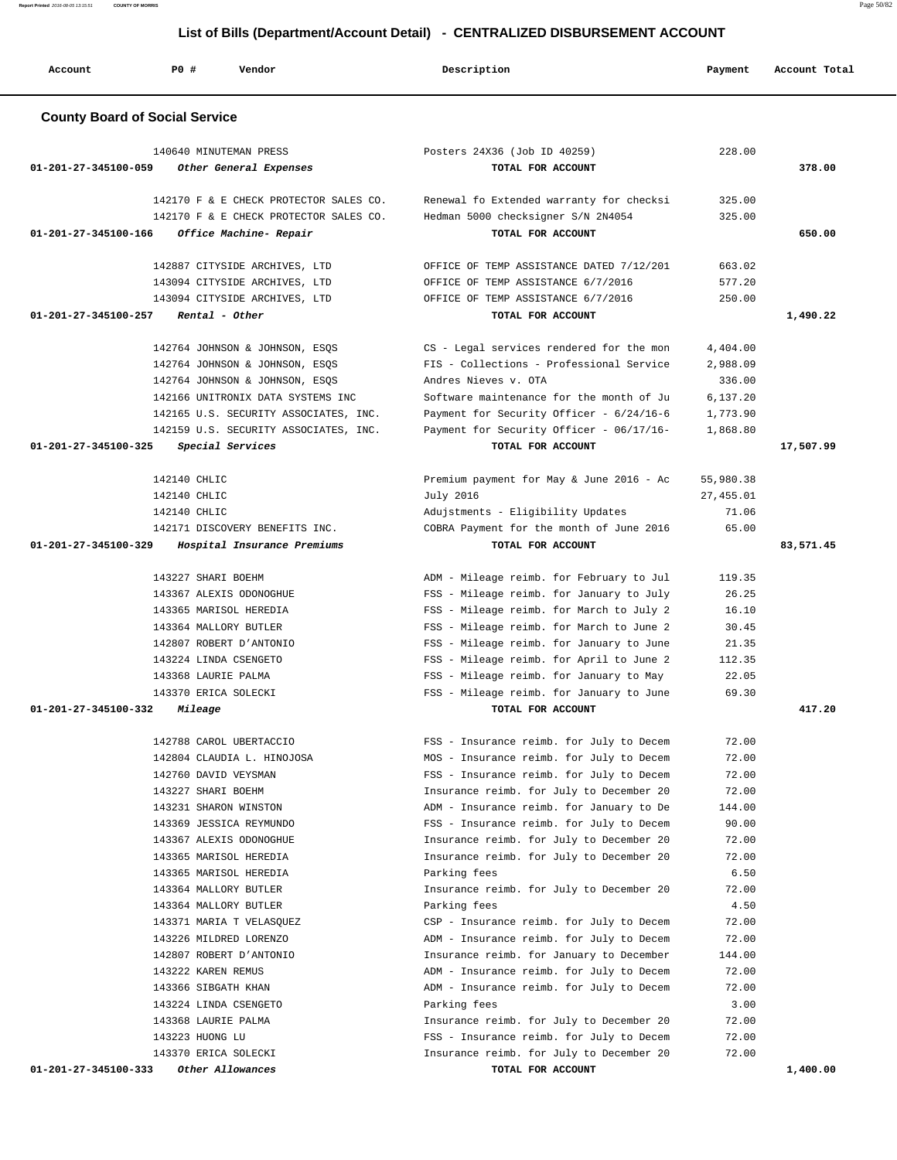**Report Printed** 2016-08-05 13:15:51 **COUNTY OF MORRIS** Page 50/82

# **List of Bills (Department/Account Detail) - CENTRALIZED DISBURSEMENT ACCOUNT**

|                                | 0. DMO (DODG: GNONCATOOOGIIL DOLGII)               |                                                                                      |                 |               |
|--------------------------------|----------------------------------------------------|--------------------------------------------------------------------------------------|-----------------|---------------|
| Account                        | P0 #<br>Vendor                                     | Description                                                                          | Payment         | Account Total |
|                                | <b>County Board of Social Service</b>              |                                                                                      |                 |               |
|                                |                                                    |                                                                                      |                 |               |
| 01-201-27-345100-059           | 140640 MINUTEMAN PRESS<br>Other General Expenses   | Posters 24X36 (Job ID 40259)<br>TOTAL FOR ACCOUNT                                    | 228.00          | 378.00        |
|                                |                                                    |                                                                                      |                 |               |
|                                | 142170 F & E CHECK PROTECTOR SALES CO.             | Renewal fo Extended warranty for checksi                                             | 325.00          |               |
|                                | 142170 F & E CHECK PROTECTOR SALES CO.             | Hedman 5000 checksigner S/N 2N4054                                                   | 325.00          |               |
| 01-201-27-345100-166           | Office Machine- Repair                             | TOTAL FOR ACCOUNT                                                                    |                 | 650.00        |
|                                | 142887 CITYSIDE ARCHIVES, LTD                      | OFFICE OF TEMP ASSISTANCE DATED 7/12/201                                             | 663.02          |               |
|                                | 143094 CITYSIDE ARCHIVES, LTD                      | OFFICE OF TEMP ASSISTANCE 6/7/2016                                                   | 577.20          |               |
|                                | 143094 CITYSIDE ARCHIVES, LTD                      | OFFICE OF TEMP ASSISTANCE 6/7/2016                                                   | 250.00          |               |
| 01-201-27-345100-257           | Rental - Other                                     | TOTAL FOR ACCOUNT                                                                    |                 | 1,490.22      |
|                                | 142764 JOHNSON & JOHNSON, ESQS                     | CS - Legal services rendered for the mon                                             | 4,404.00        |               |
|                                | 142764 JOHNSON & JOHNSON, ESQS                     | FIS - Collections - Professional Service                                             | 2,988.09        |               |
|                                | 142764 JOHNSON & JOHNSON, ESOS                     | Andres Nieves v. OTA                                                                 | 336.00          |               |
|                                | 142166 UNITRONIX DATA SYSTEMS INC                  | Software maintenance for the month of Ju                                             | 6,137.20        |               |
|                                | 142165 U.S. SECURITY ASSOCIATES, INC.              | Payment for Security Officer - 6/24/16-6                                             | 1,773.90        |               |
|                                | 142159 U.S. SECURITY ASSOCIATES, INC.              | Payment for Security Officer - 06/17/16-                                             | 1,868.80        |               |
| $01 - 201 - 27 - 345100 - 325$ | Special Services                                   | TOTAL FOR ACCOUNT                                                                    |                 | 17,507.99     |
|                                | 142140 CHLIC                                       | Premium payment for May & June 2016 - Ac                                             | 55,980.38       |               |
|                                | 142140 CHLIC                                       | July 2016                                                                            | 27, 455.01      |               |
|                                | 142140 CHLIC                                       | Adujstments - Eligibility Updates                                                    | 71.06           |               |
|                                | 142171 DISCOVERY BENEFITS INC.                     | COBRA Payment for the month of June 2016                                             | 65.00           |               |
| 01-201-27-345100-329           | Hospital Insurance Premiums                        | TOTAL FOR ACCOUNT                                                                    |                 | 83,571.45     |
|                                | 143227 SHARI BOEHM                                 | ADM - Mileage reimb. for February to Jul                                             | 119.35          |               |
|                                | 143367 ALEXIS ODONOGHUE                            | FSS - Mileage reimb. for January to July                                             | 26.25           |               |
|                                | 143365 MARISOL HEREDIA                             | FSS - Mileage reimb. for March to July 2                                             | 16.10           |               |
|                                | 143364 MALLORY BUTLER                              | FSS - Mileage reimb. for March to June 2                                             | 30.45           |               |
|                                | 142807 ROBERT D'ANTONIO                            | FSS - Mileage reimb. for January to June                                             | 21.35           |               |
|                                | 143224 LINDA CSENGETO                              | FSS - Mileage reimb. for April to June 2                                             | 112.35          |               |
|                                | 143368 LAURIE PALMA<br>143370 ERICA SOLECKI        | FSS - Mileage reimb. for January to May<br>FSS - Mileage reimb. for January to June  | 22.05<br>69.30  |               |
| 01-201-27-345100-332           | <i>Mileage</i>                                     | TOTAL FOR ACCOUNT                                                                    |                 | 417.20        |
|                                |                                                    |                                                                                      |                 |               |
|                                | 142788 CAROL UBERTACCIO                            | FSS - Insurance reimb. for July to Decem                                             | 72.00           |               |
|                                | 142804 CLAUDIA L. HINOJOSA                         | MOS - Insurance reimb. for July to Decem                                             | 72.00           |               |
|                                | 142760 DAVID VEYSMAN                               | FSS - Insurance reimb. for July to Decem                                             | 72.00           |               |
|                                | 143227 SHARI BOEHM<br>143231 SHARON WINSTON        | Insurance reimb. for July to December 20<br>ADM - Insurance reimb. for January to De | 72.00<br>144.00 |               |
|                                | 143369 JESSICA REYMUNDO                            | FSS - Insurance reimb. for July to Decem                                             | 90.00           |               |
|                                | 143367 ALEXIS ODONOGHUE                            | Insurance reimb. for July to December 20                                             | 72.00           |               |
|                                | 143365 MARISOL HEREDIA                             | Insurance reimb. for July to December 20                                             | 72.00           |               |
|                                | 143365 MARISOL HEREDIA                             | Parking fees                                                                         | 6.50            |               |
|                                | 143364 MALLORY BUTLER                              | Insurance reimb. for July to December 20                                             | 72.00           |               |
|                                | 143364 MALLORY BUTLER                              | Parking fees                                                                         | 4.50            |               |
|                                | 143371 MARIA T VELASQUEZ<br>143226 MILDRED LORENZO | CSP - Insurance reimb. for July to Decem<br>ADM - Insurance reimb. for July to Decem | 72.00<br>72.00  |               |
|                                | 142807 ROBERT D'ANTONIO                            | Insurance reimb. for January to December                                             | 144.00          |               |
|                                | 143222 KAREN REMUS                                 | ADM - Insurance reimb. for July to Decem                                             | 72.00           |               |
|                                | 143366 SIBGATH KHAN                                | ADM - Insurance reimb. for July to Decem                                             | 72.00           |               |
|                                | 143224 LINDA CSENGETO                              | Parking fees                                                                         | 3.00            |               |
|                                | 143368 LAURIE PALMA                                | Insurance reimb. for July to December 20                                             | 72.00           |               |
|                                | 143223 HUONG LU                                    | FSS - Insurance reimb. for July to Decem                                             | 72.00           |               |
| 01-201-27-345100-333           | 143370 ERICA SOLECKI<br>Other Allowances           | Insurance reimb. for July to December 20<br>TOTAL FOR ACCOUNT                        | 72.00           | 1,400.00      |
|                                |                                                    |                                                                                      |                 |               |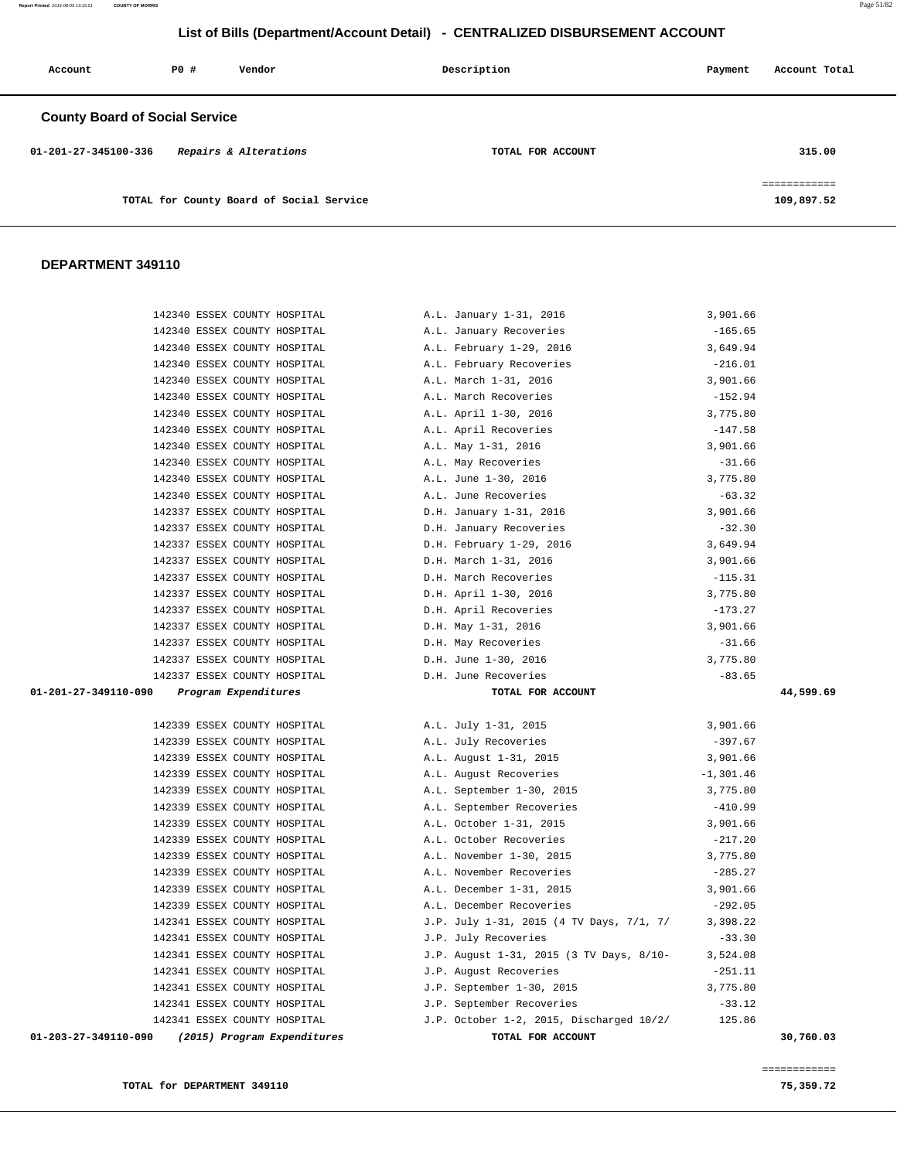| Account                               | PO# | Vendor                                   | Description       | Payment | Account Total                              |
|---------------------------------------|-----|------------------------------------------|-------------------|---------|--------------------------------------------|
| <b>County Board of Social Service</b> |     |                                          |                   |         |                                            |
| 01-201-27-345100-336                  |     | Repairs & Alterations                    | TOTAL FOR ACCOUNT |         | 315.00                                     |
|                                       |     | TOTAL for County Board of Social Service |                   |         | ------------<br>------------<br>109,897.52 |

| 142340 ESSEX COUNTY HOSPITAL                                 | A.L. January 1-31, 2016                                | 3,901.66              |
|--------------------------------------------------------------|--------------------------------------------------------|-----------------------|
| 142340 ESSEX COUNTY HOSPITAL                                 | A.L. January Recoveries                                | $-165.65$             |
| 142340 ESSEX COUNTY HOSPITAL                                 | A.L. February 1-29, 2016                               | 3,649.94              |
| 142340 ESSEX COUNTY HOSPITAL                                 | A.L. February Recoveries                               | $-216.01$             |
| 142340 ESSEX COUNTY HOSPITAL                                 | A.L. March 1-31, 2016                                  | 3,901.66              |
| 142340 ESSEX COUNTY HOSPITAL                                 | A.L. March Recoveries                                  | $-152.94$             |
| 142340 ESSEX COUNTY HOSPITAL                                 | A.L. April 1-30, 2016                                  | 3,775.80              |
| 142340 ESSEX COUNTY HOSPITAL                                 | A.L. April Recoveries                                  | $-147.58$             |
| 142340 ESSEX COUNTY HOSPITAL                                 | A.L. May 1-31, 2016                                    | 3,901.66              |
| 142340 ESSEX COUNTY HOSPITAL                                 | A.L. May Recoveries                                    | $-31.66$              |
| 142340 ESSEX COUNTY HOSPITAL                                 | A.L. June 1-30, 2016                                   | 3,775.80              |
| 142340 ESSEX COUNTY HOSPITAL                                 | A.L. June Recoveries                                   | $-63.32$              |
| 142337 ESSEX COUNTY HOSPITAL                                 | D.H. January 1-31, 2016                                | 3,901.66              |
| 142337 ESSEX COUNTY HOSPITAL                                 | D.H. January Recoveries                                | $-32.30$              |
| 142337 ESSEX COUNTY HOSPITAL                                 | D.H. February 1-29, 2016                               | 3,649.94              |
| 142337 ESSEX COUNTY HOSPITAL                                 | D.H. March 1-31, 2016                                  | 3,901.66              |
| 142337 ESSEX COUNTY HOSPITAL                                 | D.H. March Recoveries                                  | $-115.31$             |
| 142337 ESSEX COUNTY HOSPITAL                                 | D.H. April 1-30, 2016                                  | 3,775.80              |
| 142337 ESSEX COUNTY HOSPITAL                                 | D.H. April Recoveries                                  | $-173.27$             |
| 142337 ESSEX COUNTY HOSPITAL                                 | D.H. May 1-31, 2016                                    | 3,901.66              |
| 142337 ESSEX COUNTY HOSPITAL                                 | D.H. May Recoveries                                    | $-31.66$              |
| 142337 ESSEX COUNTY HOSPITAL                                 | D.H. June 1-30, 2016                                   | 3,775.80              |
|                                                              |                                                        | $-83.65$              |
| 142337 ESSEX COUNTY HOSPITAL                                 | D.H. June Recoveries                                   |                       |
| 01-201-27-349110-090 Program Expenditures                    | TOTAL FOR ACCOUNT                                      | 44,599.69             |
|                                                              |                                                        |                       |
| 142339 ESSEX COUNTY HOSPITAL                                 | A.L. July 1-31, 2015                                   | 3,901.66              |
| 142339 ESSEX COUNTY HOSPITAL                                 | A.L. July Recoveries                                   | $-397.67$             |
| 142339 ESSEX COUNTY HOSPITAL                                 | A.L. August 1-31, 2015                                 | 3,901.66              |
| 142339 ESSEX COUNTY HOSPITAL                                 | A.L. August Recoveries                                 | $-1,301.46$           |
| 142339 ESSEX COUNTY HOSPITAL                                 | A.L. September 1-30, 2015                              | 3,775.80              |
| 142339 ESSEX COUNTY HOSPITAL                                 | A.L. September Recoveries                              | $-410.99$             |
| 142339 ESSEX COUNTY HOSPITAL<br>142339 ESSEX COUNTY HOSPITAL | A.L. October 1-31, 2015<br>A.L. October Recoveries     | 3,901.66<br>$-217.20$ |
| 142339 ESSEX COUNTY HOSPITAL                                 |                                                        |                       |
| 142339 ESSEX COUNTY HOSPITAL                                 | A.L. November 1-30, 2015<br>A.L. November Recoveries   | 3,775.80<br>$-285.27$ |
| 142339 ESSEX COUNTY HOSPITAL                                 | A.L. December 1-31, 2015                               | 3,901.66              |
| 142339 ESSEX COUNTY HOSPITAL                                 | A.L. December Recoveries                               | $-292.05$             |
| 142341 ESSEX COUNTY HOSPITAL                                 | J.P. July 1-31, 2015 (4 TV Days, 7/1, 7/      3,398.22 |                       |
| 142341 ESSEX COUNTY HOSPITAL                                 | J.P. July Recoveries                                   | $-33.30$              |
| 142341 ESSEX COUNTY HOSPITAL                                 | J.P. August 1-31, 2015 (3 TV Days, 8/10-               | 3,524.08              |
| 142341 ESSEX COUNTY HOSPITAL                                 | J.P. August Recoveries                                 | $-251.11$             |
| 142341 ESSEX COUNTY HOSPITAL                                 | J.P. September 1-30, 2015                              | 3,775.80              |
| 142341 ESSEX COUNTY HOSPITAL                                 | J.P. September Recoveries                              | $-33.12$              |
| 142341 ESSEX COUNTY HOSPITAL                                 | J.P. October 1-2, 2015, Discharged 10/2/               | 125.86                |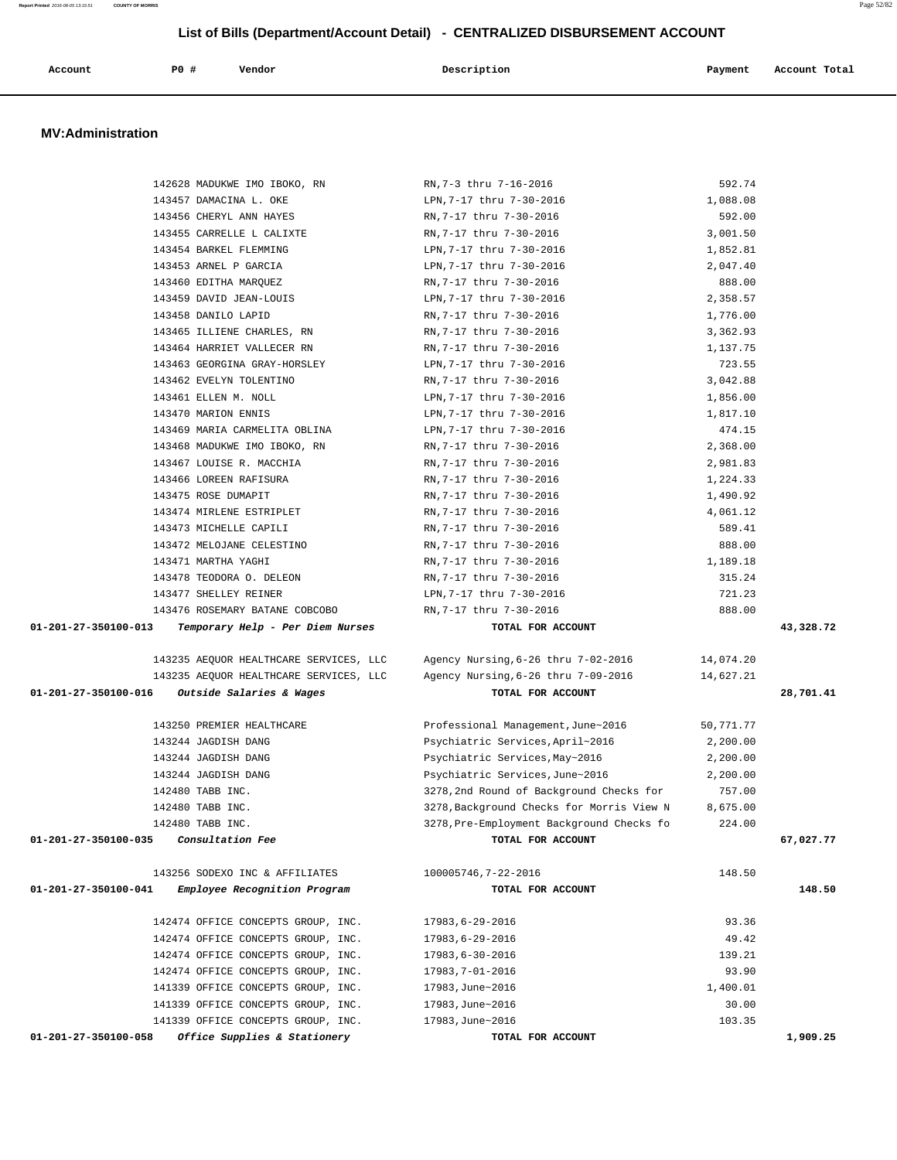| Account | <b>PO #</b> | Vendor | Description | Payment | Account Total |
|---------|-------------|--------|-------------|---------|---------------|
|         |             |        |             |         |               |

#### **MV:Administration**

|                                               | 142628 MADUKWE IMO IBOKO, RN           | RN, 7-3 thru 7-16-2016                    | 592.74    |           |
|-----------------------------------------------|----------------------------------------|-------------------------------------------|-----------|-----------|
|                                               | 143457 DAMACINA L. OKE                 | LPN,7-17 thru 7-30-2016                   | 1,088.08  |           |
|                                               | 143456 CHERYL ANN HAYES                | RN,7-17 thru 7-30-2016                    | 592.00    |           |
|                                               | 143455 CARRELLE L CALIXTE              | RN,7-17 thru 7-30-2016                    | 3,001.50  |           |
|                                               | 143454 BARKEL FLEMMING                 | LPN, 7-17 thru 7-30-2016                  | 1,852.81  |           |
|                                               | 143453 ARNEL P GARCIA                  | LPN, 7-17 thru 7-30-2016                  | 2,047.40  |           |
|                                               | 143460 EDITHA MAROUEZ                  | RN, 7-17 thru 7-30-2016                   | 888.00    |           |
|                                               | 143459 DAVID JEAN-LOUIS                | LPN, 7-17 thru 7-30-2016                  | 2,358.57  |           |
|                                               | 143458 DANILO LAPID                    | RN, 7-17 thru 7-30-2016                   | 1,776.00  |           |
|                                               | 143465 ILLIENE CHARLES, RN             | RN, 7-17 thru 7-30-2016                   | 3,362.93  |           |
|                                               | 143464 HARRIET VALLECER RN             | RN, 7-17 thru 7-30-2016                   | 1,137.75  |           |
|                                               | 143463 GEORGINA GRAY-HORSLEY           | LPN, 7-17 thru 7-30-2016                  | 723.55    |           |
|                                               | 143462 EVELYN TOLENTINO                | RN, 7-17 thru 7-30-2016                   | 3,042.88  |           |
|                                               | 143461 ELLEN M. NOLL                   | LPN, 7-17 thru 7-30-2016                  | 1,856.00  |           |
|                                               | 143470 MARION ENNIS                    | LPN, 7-17 thru 7-30-2016                  | 1,817.10  |           |
|                                               | 143469 MARIA CARMELITA OBLINA          | LPN, 7-17 thru 7-30-2016                  | 474.15    |           |
|                                               | 143468 MADUKWE IMO IBOKO, RN           | RN,7-17 thru 7-30-2016                    | 2,368.00  |           |
|                                               | 143467 LOUISE R. MACCHIA               | RN, 7-17 thru 7-30-2016                   | 2,981.83  |           |
|                                               | 143466 LOREEN RAFISURA                 | RN, 7-17 thru 7-30-2016                   | 1,224.33  |           |
|                                               | 143475 ROSE DUMAPIT                    | RN, 7-17 thru 7-30-2016                   | 1,490.92  |           |
|                                               | 143474 MIRLENE ESTRIPLET               | RN, 7-17 thru 7-30-2016                   | 4,061.12  |           |
|                                               | 143473 MICHELLE CAPILI                 | RN, 7-17 thru 7-30-2016                   | 589.41    |           |
|                                               | 143472 MELOJANE CELESTINO              | RN, 7-17 thru 7-30-2016                   | 888.00    |           |
|                                               | 143471 MARTHA YAGHI                    | RN, 7-17 thru 7-30-2016                   | 1,189.18  |           |
|                                               | 143478 TEODORA O. DELEON               | RN, 7-17 thru 7-30-2016                   | 315.24    |           |
|                                               | 143477 SHELLEY REINER                  | LPN, 7-17 thru 7-30-2016                  | 721.23    |           |
|                                               | 143476 ROSEMARY BATANE COBCOBO         | RN, 7-17 thru 7-30-2016                   | 888.00    |           |
| 01-201-27-350100-013                          | Temporary Help - Per Diem Nurses       | TOTAL FOR ACCOUNT                         |           | 43,328.72 |
|                                               | 143235 AEQUOR HEALTHCARE SERVICES, LLC | Agency Nursing,6-26 thru 7-02-2016        | 14,074.20 |           |
|                                               | 143235 AEQUOR HEALTHCARE SERVICES, LLC | Agency Nursing, 6-26 thru 7-09-2016       | 14,627.21 |           |
| 01-201-27-350100-016 Outside Salaries & Wages |                                        | TOTAL FOR ACCOUNT                         |           | 28,701.41 |
|                                               | 143250 PREMIER HEALTHCARE              | Professional Management, June~2016        | 50,771.77 |           |
|                                               | 143244 JAGDISH DANG                    | Psychiatric Services, April~2016          | 2,200.00  |           |
|                                               | 143244 JAGDISH DANG                    | Psychiatric Services, May~2016            | 2,200.00  |           |
|                                               | 143244 JAGDISH DANG                    | Psychiatric Services, June~2016           | 2,200.00  |           |
|                                               | 142480 TABB INC.                       | 3278, 2nd Round of Background Checks for  | 757.00    |           |
|                                               | 142480 TABB INC.                       | 3278, Background Checks for Morris View N | 8,675.00  |           |
|                                               | 142480 TABB INC.                       | 3278, Pre-Employment Background Checks fo | 224.00    |           |
| 01-201-27-350100-035                          | <i>Consultation Fee</i>                | TOTAL FOR ACCOUNT                         |           | 67,027.77 |
|                                               | 143256 SODEXO INC & AFFILIATES         | 100005746, 7-22-2016                      | 148.50    |           |
| 01-201-27-350100-041                          | Employee Recognition Program           | TOTAL FOR ACCOUNT                         |           | 148.50    |
|                                               | 142474 OFFICE CONCEPTS GROUP, INC.     | 17983,6-29-2016                           | 93.36     |           |
|                                               | 142474 OFFICE CONCEPTS GROUP, INC.     | 17983,6-29-2016                           | 49.42     |           |
|                                               | 142474 OFFICE CONCEPTS GROUP, INC.     | 17983,6-30-2016                           | 139.21    |           |
|                                               | 142474 OFFICE CONCEPTS GROUP, INC.     | 17983, 7-01-2016                          | 93.90     |           |
|                                               |                                        |                                           | 1,400.01  |           |
|                                               | 141339 OFFICE CONCEPTS GROUP, INC.     | 17983, June~2016                          |           |           |
|                                               | 141339 OFFICE CONCEPTS GROUP, INC.     | 17983, June~2016                          | 30.00     |           |
|                                               | 141339 OFFICE CONCEPTS GROUP, INC.     | 17983, June~2016                          | 103.35    |           |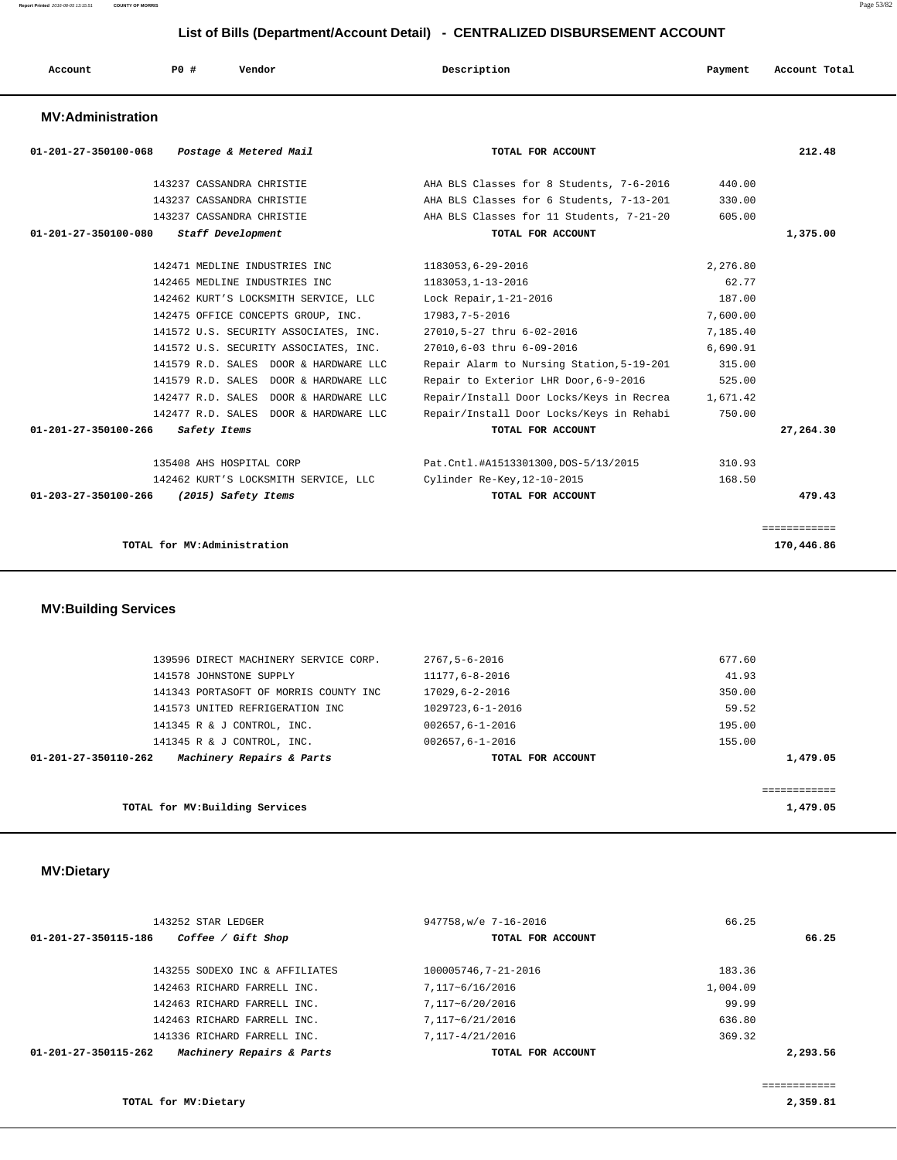| P <sub>0</sub><br>Description<br>Vendor<br>Account<br>Payment<br>Account Total<br>. |  |  |  |  |  |  |  |
|-------------------------------------------------------------------------------------|--|--|--|--|--|--|--|
|-------------------------------------------------------------------------------------|--|--|--|--|--|--|--|

#### **MV:Administration**

|          | 212.48       |
|----------|--------------|
| 440.00   |              |
| 330.00   |              |
| 605.00   |              |
|          | 1,375.00     |
| 2,276.80 |              |
| 62.77    |              |
| 187.00   |              |
| 7,600.00 |              |
| 7,185.40 |              |
| 6,690.91 |              |
| 315.00   |              |
| 525.00   |              |
| 1,671.42 |              |
| 750.00   |              |
|          | 27,264.30    |
| 310.93   |              |
| 168.50   |              |
|          | 479.43       |
|          | ============ |
|          | 170,446.86   |
|          |              |

| 01-201-27-350110-262 | Machinery Repairs & Parts             | TOTAL FOR ACCOUNT     | 1,479.05 |
|----------------------|---------------------------------------|-----------------------|----------|
|                      | 141345 R & J CONTROL, INC.            | $002657.6 - 1 - 2016$ | 155.00   |
|                      | 141345 R & J CONTROL, INC.            | $002657.6 - 1 - 2016$ | 195.00   |
|                      | 141573 UNITED REFRIGERATION INC       | 1029723,6-1-2016      | 59.52    |
|                      | 141343 PORTASOFT OF MORRIS COUNTY INC | 17029,6-2-2016        | 350.00   |
|                      | 141578 JOHNSTONE SUPPLY               | 11177,6-8-2016        | 41.93    |
|                      | 139596 DIRECT MACHINERY SERVICE CORP. | 2767,5-6-2016         | 677.60   |
|                      |                                       |                       |          |

**TOTAL for MV:Building Services 1,479.05**

# **MV:Dietary**

| 143252 STAR LEDGER                                | 947758, w/e 7-16-2016 | 66.25    |
|---------------------------------------------------|-----------------------|----------|
| Coffee / Gift Shop<br>01-201-27-350115-186        | TOTAL FOR ACCOUNT     | 66.25    |
| 143255 SODEXO INC & AFFILIATES                    | 100005746.7-21-2016   | 183.36   |
| 142463 RICHARD FARRELL INC.                       | 7,117~6/16/2016       | 1,004.09 |
| 142463 RICHARD FARRELL INC.                       | 7,117~6/20/2016       | 99.99    |
| 142463 RICHARD FARRELL INC.                       | 7,117~6/21/2016       | 636.80   |
| 141336 RICHARD FARRELL INC.                       | 7,117-4/21/2016       | 369.32   |
| Machinery Repairs & Parts<br>01-201-27-350115-262 | TOTAL FOR ACCOUNT     | 2,293.56 |
|                                                   |                       |          |

============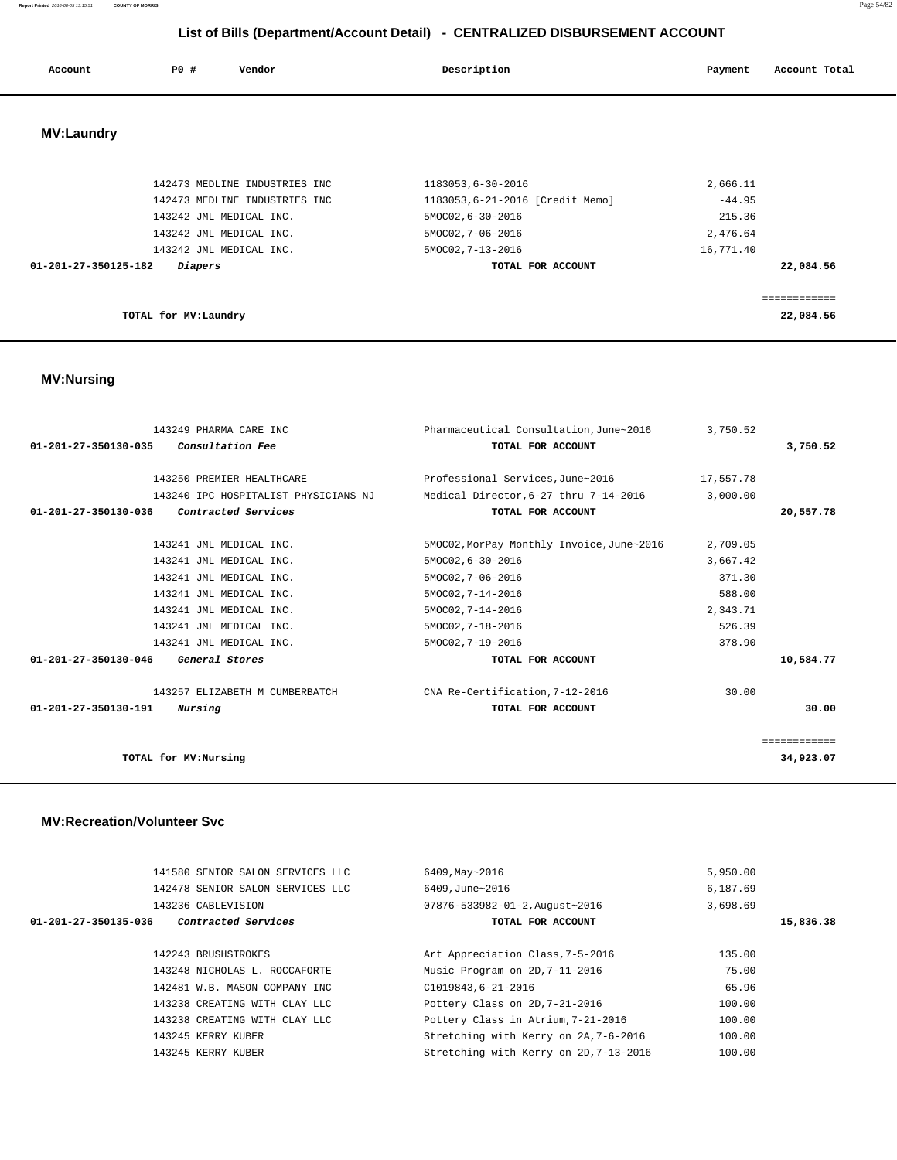| Account           | <b>PO #</b><br>Vendor                                                                     | Description                                                               | Account Total<br>Payment       |
|-------------------|-------------------------------------------------------------------------------------------|---------------------------------------------------------------------------|--------------------------------|
| <b>MV:Laundry</b> |                                                                                           |                                                                           |                                |
|                   | 142473 MEDLINE INDUSTRIES INC<br>142473 MEDLINE INDUSTRIES INC<br>143242 JML MEDICAL INC. | 1183053,6-30-2016<br>1183053,6-21-2016 [Credit Memo]<br>5MOC02, 6-30-2016 | 2,666.11<br>$-44.95$<br>215.36 |

 **01-201-27-350125-182 Diapers TOTAL FOR ACCOUNT 22,084.56**

============

 143242 JML MEDICAL INC. 5MOC02,7-06-2016 2,476.64 143242 JML MEDICAL INC. 5MOC02, 7-13-2016 16,771.40

| TOTAL for MV:Laundry | 22,084.56<br>. |
|----------------------|----------------|
|                      |                |

 **MV:Nursing** 

|                      | 143249 PHARMA CARE INC               | Pharmaceutical Consultation, June~2016    | 3,750.52  |              |
|----------------------|--------------------------------------|-------------------------------------------|-----------|--------------|
| 01-201-27-350130-035 | Consultation Fee                     | TOTAL FOR ACCOUNT                         |           | 3,750.52     |
|                      |                                      |                                           |           |              |
|                      | 143250 PREMIER HEALTHCARE            | Professional Services.June~2016           | 17,557.78 |              |
|                      | 143240 IPC HOSPITALIST PHYSICIANS NJ | Medical Director, 6-27 thru 7-14-2016     | 3.000.00  |              |
| 01-201-27-350130-036 | Contracted Services                  | TOTAL FOR ACCOUNT                         |           | 20,557.78    |
|                      |                                      |                                           |           |              |
|                      | 143241 JML MEDICAL INC.              | 5MOC02, MorPay Monthly Invoice, June~2016 | 2,709.05  |              |
|                      | 143241 JML MEDICAL INC.              | 5MOC02, 6-30-2016                         | 3,667.42  |              |
|                      | 143241 JML MEDICAL INC.              | 5MOC02, 7-06-2016                         | 371.30    |              |
|                      | 143241 JML MEDICAL INC.              | 5MOC02, 7-14-2016                         | 588.00    |              |
|                      | 143241 JML MEDICAL INC.              | 5MOC02, 7-14-2016                         | 2,343.71  |              |
|                      | 143241 JML MEDICAL INC.              | 5MOC02, 7-18-2016                         | 526.39    |              |
|                      | 143241 JML MEDICAL INC.              | 5MOC02, 7-19-2016                         | 378.90    |              |
| 01-201-27-350130-046 | General Stores                       | TOTAL FOR ACCOUNT                         |           | 10,584.77    |
|                      | 143257 ELIZABETH M CUMBERBATCH       | CNA Re-Certification, 7-12-2016           | 30.00     |              |
| 01-201-27-350130-191 | Nursing                              | TOTAL FOR ACCOUNT                         |           | 30.00        |
|                      |                                      |                                           |           | ============ |
| TOTAL for MV:Nursing |                                      |                                           |           | 34,923.07    |

#### **MV:Recreation/Volunteer Svc**

|                      | 141580 SENIOR SALON SERVICES LLC | 6409, May~2016                         | 5,950.00  |
|----------------------|----------------------------------|----------------------------------------|-----------|
|                      | 142478 SENIOR SALON SERVICES LLC | 6409.June~2016                         | 6,187.69  |
|                      | 143236 CABLEVISION               | 07876-533982-01-2, August~2016         | 3,698.69  |
| 01-201-27-350135-036 | Contracted Services              | TOTAL FOR ACCOUNT                      | 15,836.38 |
|                      |                                  |                                        |           |
|                      | 142243 BRUSHSTROKES              | Art Appreciation Class, 7-5-2016       | 135.00    |
|                      | 143248 NICHOLAS L. ROCCAFORTE    | Music Program on 2D, 7-11-2016         | 75.00     |
|                      | 142481 W.B. MASON COMPANY INC    | C1019843,6-21-2016                     | 65.96     |
|                      | 143238 CREATING WITH CLAY LLC    | Pottery Class on 2D, 7-21-2016         | 100.00    |
|                      | 143238 CREATING WITH CLAY LLC    | Pottery Class in Atrium, 7-21-2016     | 100.00    |
|                      | 143245 KERRY KUBER               | Stretching with Kerry on 2A, 7-6-2016  | 100.00    |
|                      | 143245 KERRY KUBER               | Stretching with Kerry on 2D, 7-13-2016 | 100.00    |
|                      |                                  |                                        |           |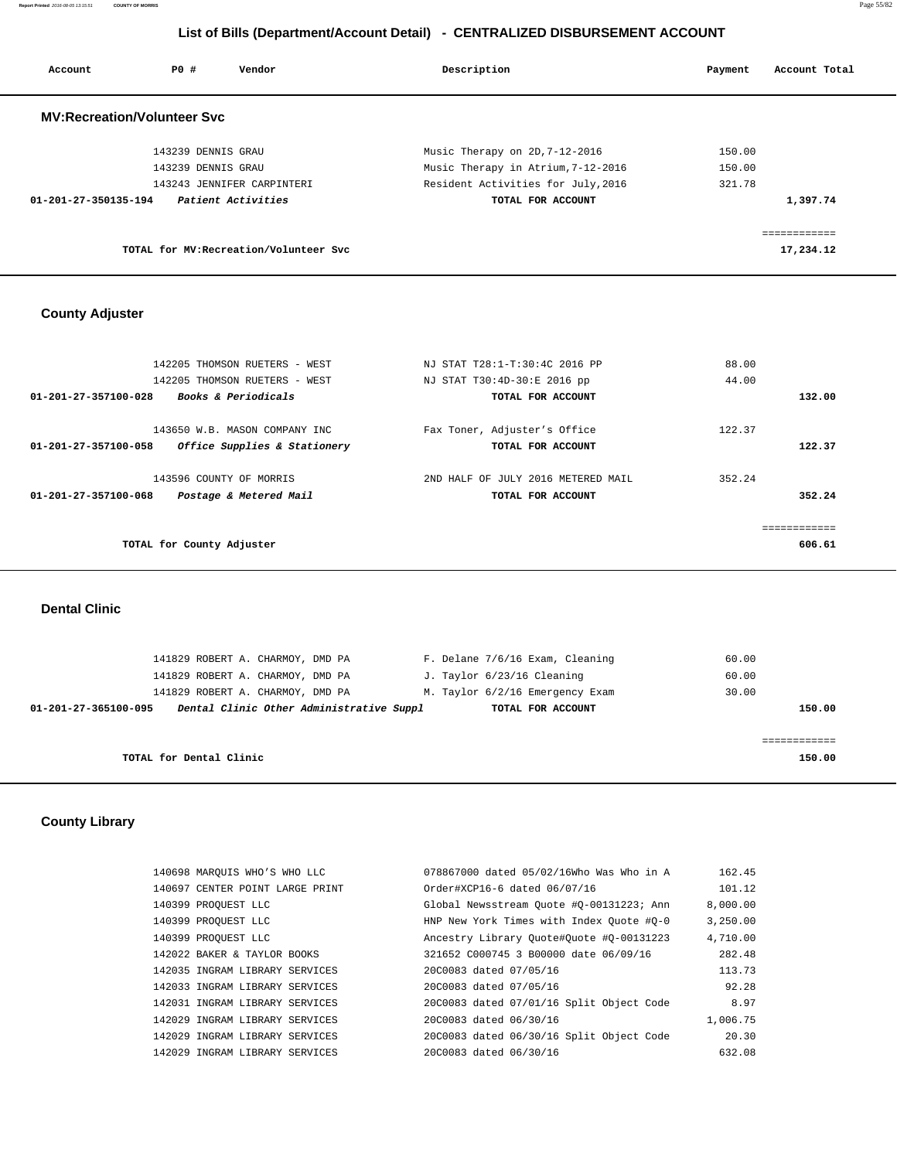**Report Printed** 2016-08-05 13:15:51 **COUNTY OF MORRIS** Page 55/82

# **List of Bills (Department/Account Detail) - CENTRALIZED DISBURSEMENT ACCOUNT**

| Account                            | PO #               | Vendor                                 | Description                        | Payment | Account Total |
|------------------------------------|--------------------|----------------------------------------|------------------------------------|---------|---------------|
| <b>MV:Recreation/Volunteer Svc</b> |                    |                                        |                                    |         |               |
|                                    | 143239 DENNIS GRAU |                                        | Music Therapy on 2D, 7-12-2016     | 150.00  |               |
|                                    | 143239 DENNIS GRAU |                                        | Music Therapy in Atrium, 7-12-2016 | 150.00  |               |
|                                    |                    | 143243 JENNIFER CARPINTERI             | Resident Activities for July, 2016 | 321.78  |               |
| 01-201-27-350135-194               |                    | Patient Activities                     | TOTAL FOR ACCOUNT                  |         | 1,397.74      |
|                                    |                    |                                        |                                    |         |               |
|                                    |                    | TOTAL for MV: Recreation/Volunteer Svc |                                    |         | 17,234.12     |

# **County Adjuster**

| 142205 THOMSON RUETERS - WEST                        | NJ STAT T28:1-T:30:4C 2016 PP      | 88.00  |  |
|------------------------------------------------------|------------------------------------|--------|--|
| 142205 THOMSON RUETERS - WEST                        | NJ STAT T30:4D-30:E 2016 pp        | 44.00  |  |
| Books & Periodicals<br>01-201-27-357100-028          | TOTAL FOR ACCOUNT                  | 132.00 |  |
| 143650 W.B. MASON COMPANY INC                        | Fax Toner, Adjuster's Office       | 122.37 |  |
| 01-201-27-357100-058<br>Office Supplies & Stationery | TOTAL FOR ACCOUNT                  | 122.37 |  |
| 143596 COUNTY OF MORRIS                              | 2ND HALF OF JULY 2016 METERED MAIL | 352.24 |  |
| 01-201-27-357100-068<br>Postage & Metered Mail       | TOTAL FOR ACCOUNT                  | 352.24 |  |
|                                                      |                                    |        |  |
|                                                      |                                    | 606.61 |  |
| TOTAL for County Adjuster                            |                                    |        |  |

#### **Dental Clinic**

| F. Delane 7/6/16 Exam, Cleaning<br>141829 ROBERT A. CHARMOY, DMD PA<br>J. Taylor 6/23/16 Cleaning<br>141829 ROBERT A. CHARMOY, DMD PA<br>141829 ROBERT A. CHARMOY, DMD PA<br>M. Taylor 6/2/16 Emergency Exam | 60.00<br>60.00<br>30.00 |
|--------------------------------------------------------------------------------------------------------------------------------------------------------------------------------------------------------------|-------------------------|
| Dental Clinic Other Administrative Suppl<br>TOTAL FOR ACCOUNT                                                                                                                                                | 150.00                  |
| TOTAL for Dental Clinic                                                                                                                                                                                      | 150.00                  |

# **County Library**

| 140698 MAROUIS WHO'S WHO LLC    | 078867000 dated 05/02/16Who Was Who in A | 162.45   |
|---------------------------------|------------------------------------------|----------|
| 140697 CENTER POINT LARGE PRINT | Order#XCP16-6 dated 06/07/16             | 101.12   |
| 140399 PROOUEST LLC             | Global Newsstream Ouote #0-00131223; Ann | 8,000.00 |
| 140399 PROOUEST LLC             | HNP New York Times with Index Ouote #0-0 | 3,250.00 |
| 140399 PROOUEST LLC             | Ancestry Library Ouote#Ouote #0-00131223 | 4,710.00 |
| 142022 BAKER & TAYLOR BOOKS     | 321652 C000745 3 B00000 date 06/09/16    | 282.48   |
| 142035 INGRAM LIBRARY SERVICES  | 20C0083 dated 07/05/16                   | 113.73   |
| 142033 INGRAM LIBRARY SERVICES  | 20C0083 dated 07/05/16                   | 92.28    |
| 142031 INGRAM LIBRARY SERVICES  | 20C0083 dated 07/01/16 Split Object Code | 8.97     |
| 142029 INGRAM LIBRARY SERVICES  | 20C0083 dated 06/30/16                   | 1,006.75 |
| 142029 INGRAM LIBRARY SERVICES  | 20C0083 dated 06/30/16 Split Object Code | 20.30    |
| 142029 INGRAM LIBRARY SERVICES  | 20C0083 dated 06/30/16                   | 632.08   |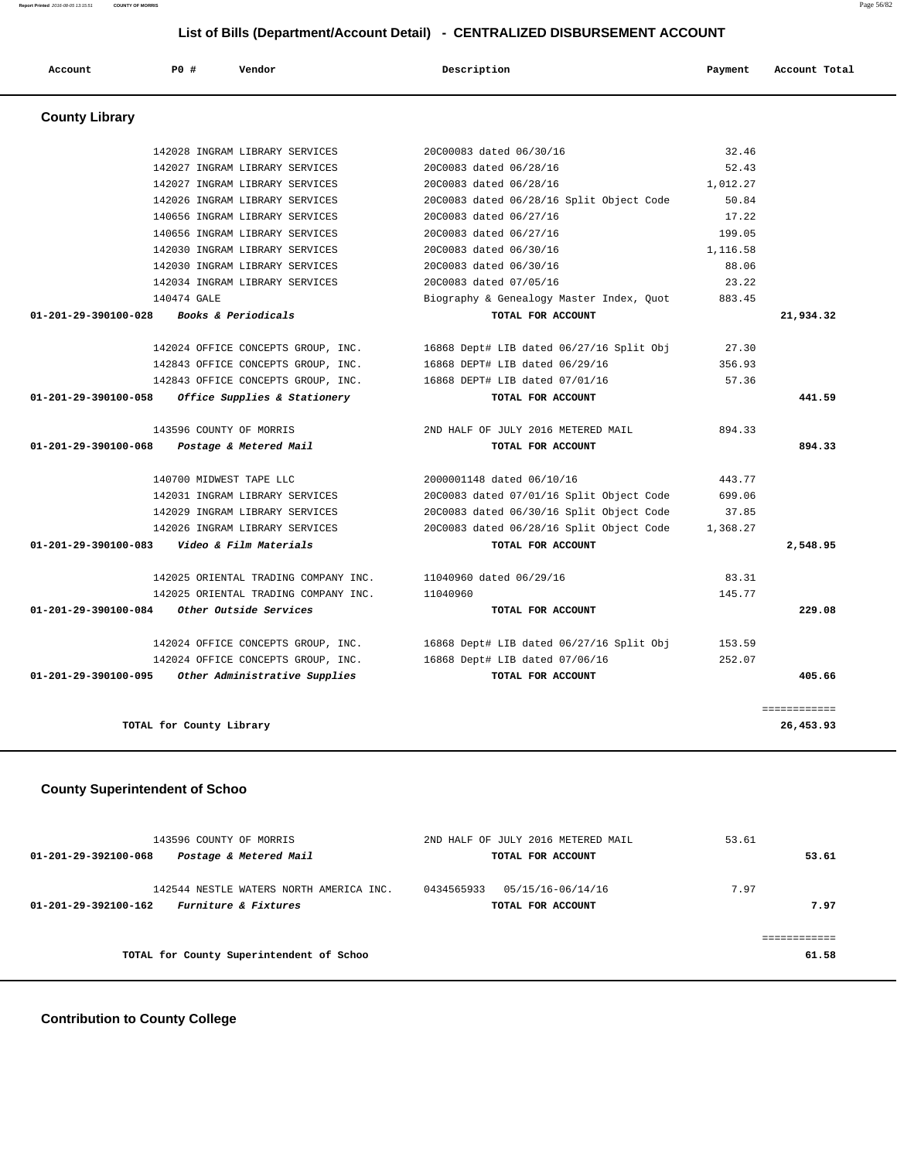142028 INGRAM LIBRARY SERVICES 20C00083 dated 06/30/16 32.46 142027 INGRAM LIBRARY SERVICES 20C0083 dated 06/28/16 52.43 142027 INGRAM LIBRARY SERVICES 20C0083 dated 06/28/16 1,012.27 142026 INGRAM LIBRARY SERVICES 20C0083 dated 06/28/16 Split Object Code 50.84 140656 INGRAM LIBRARY SERVICES 20C0083 dated 06/27/16 17.22 140656 INGRAM LIBRARY SERVICES 20C0083 dated 06/27/16 199.05

 **Account P0 # Vendor Description Payment Account Total**

 142030 INGRAM LIBRARY SERVICES 20C0083 dated 06/30/16 1,116.58 142030 INGRAM LIBRARY SERVICES 20C0083 dated 06/30/16 88.06 142034 INGRAM LIBRARY SERVICES 20C0083 dated 07/05/16 23.22 140474 GALE Biography & Genealogy Master Index, Quot 883.45  **01-201-29-390100-028 Books & Periodicals TOTAL FOR ACCOUNT 21,934.32** 142024 OFFICE CONCEPTS GROUP, INC. 16868 Dept# LIB dated 06/27/16 Split Obj 27.30 142843 OFFICE CONCEPTS GROUP, INC. 16868 DEPT# LIB dated 06/29/16 356.93 142843 OFFICE CONCEPTS GROUP, INC. 16868 DEPT# LIB dated 07/01/16 57.36  **01-201-29-390100-058 Office Supplies & Stationery TOTAL FOR ACCOUNT 441.59** 143596 COUNTY OF MORRIS 2ND HALF OF JULY 2016 METERED MAIL 894.33  **01-201-29-390100-068 Postage & Metered Mail TOTAL FOR ACCOUNT 894.33** 140700 MIDWEST TAPE LLC 2000001148 dated 06/10/16 443.77 142031 INGRAM LIBRARY SERVICES 20C0083 dated 07/01/16 Split Object Code 699.06 142029 INGRAM LIBRARY SERVICES 20C0083 dated 06/30/16 Split Object Code 37.85 142026 INGRAM LIBRARY SERVICES 20C0083 dated 06/28/16 Split Object Code 1,368.27  **01-201-29-390100-083 Video & Film Materials TOTAL FOR ACCOUNT 2,548.95** 142025 ORIENTAL TRADING COMPANY INC. 11040960 dated 06/29/16 83.31 142025 ORIENTAL TRADING COMPANY INC. 11040960 145.77

 **01-201-29-390100-084 Other Outside Services TOTAL FOR ACCOUNT 229.08** 142024 OFFICE CONCEPTS GROUP, INC. 16868 Dept# LIB dated 06/27/16 Split Obj 153.59 142024 OFFICE CONCEPTS GROUP, INC. 16868 Dept# LIB dated 07/06/16 252.07  **01-201-29-390100-095 Other Administrative Supplies TOTAL FOR ACCOUNT 405.66** ============ **TOTAL for County Library 26,453.93**

#### **County Superintendent of Schoo**

| 143596 COUNTY OF MORRIS                                                                 | 2ND HALF OF JULY 2016 METERED MAIL                   | 53.61        |
|-----------------------------------------------------------------------------------------|------------------------------------------------------|--------------|
| Postage & Metered Mail<br>01-201-29-392100-068                                          | TOTAL FOR ACCOUNT                                    | 53.61        |
| 142544 NESTLE WATERS NORTH AMERICA INC.<br>Furniture & Fixtures<br>01-201-29-392100-162 | 0434565933<br>05/15/16-06/14/16<br>TOTAL FOR ACCOUNT | 7.97<br>7.97 |
|                                                                                         |                                                      | ------------ |
| TOTAL for County Superintendent of Schoo                                                |                                                      | 61.58        |
|                                                                                         |                                                      |              |

#### **Contribution to County College**

# **County Library**

# **Report Printed** 2016-08-05 13:15:51 **COUNTY OF MORRIS** Page 56/82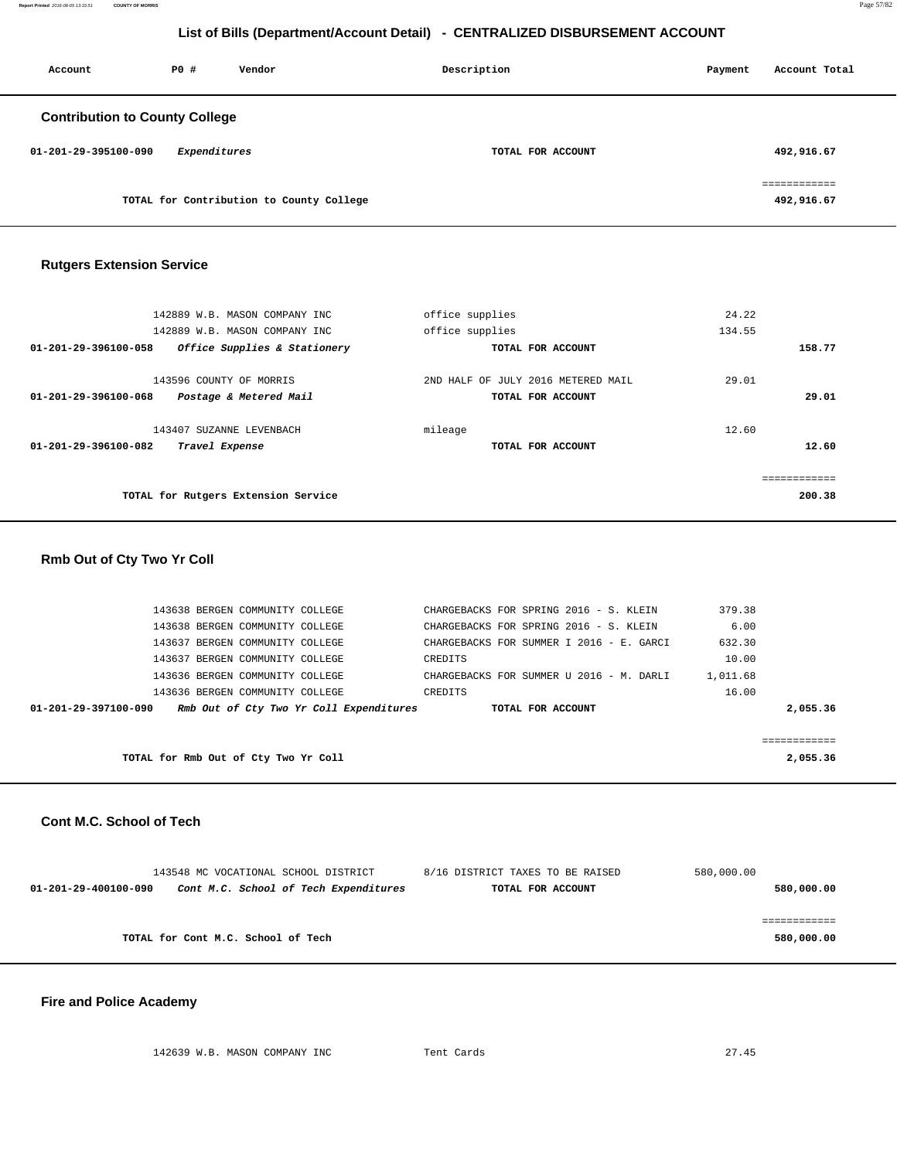| Account                               | PO#          | Vendor                                   | Description       |  | Account Total              |
|---------------------------------------|--------------|------------------------------------------|-------------------|--|----------------------------|
| <b>Contribution to County College</b> |              |                                          |                   |  |                            |
| 01-201-29-395100-090                  | Expenditures |                                          | TOTAL FOR ACCOUNT |  | 492,916.67                 |
|                                       |              | TOTAL for Contribution to County College |                   |  | ============<br>492,916.67 |

#### **Rutgers Extension Service**

| 142889 W.B. MASON COMPANY INC                        | office supplies                    | 24.22  |
|------------------------------------------------------|------------------------------------|--------|
| 142889 W.B. MASON COMPANY INC                        | office supplies                    | 134.55 |
| 01-201-29-396100-058<br>Office Supplies & Stationery | TOTAL FOR ACCOUNT                  | 158.77 |
| 143596 COUNTY OF MORRIS                              | 2ND HALF OF JULY 2016 METERED MAIL | 29.01  |
| 01-201-29-396100-068<br>Postage & Metered Mail       | TOTAL FOR ACCOUNT                  | 29.01  |
| 143407 SUZANNE LEVENBACH                             | mileage                            | 12.60  |
| 01-201-29-396100-082<br>Travel Expense               | TOTAL FOR ACCOUNT                  | 12.60  |
|                                                      |                                    |        |
| TOTAL for Rutgers Extension Service                  |                                    | 200.38 |

| <b>Rmb Out of Cty Two Yr Coll</b>    |                                         |                                          |          |              |
|--------------------------------------|-----------------------------------------|------------------------------------------|----------|--------------|
|                                      |                                         |                                          |          |              |
| 143638 BERGEN COMMUNITY COLLEGE      |                                         | CHARGEBACKS FOR SPRING 2016 - S. KLEIN   | 379.38   |              |
| 143638 BERGEN COMMUNITY COLLEGE      |                                         | CHARGEBACKS FOR SPRING 2016 - S. KLEIN   | 6.00     |              |
| 143637 BERGEN COMMUNITY COLLEGE      |                                         | CHARGEBACKS FOR SUMMER I 2016 - E. GARCI | 632.30   |              |
| 143637 BERGEN COMMUNITY COLLEGE      |                                         | CREDITS                                  | 10.00    |              |
| 143636 BERGEN COMMUNITY COLLEGE      |                                         | CHARGEBACKS FOR SUMMER U 2016 - M. DARLI | 1,011.68 |              |
| 143636 BERGEN COMMUNITY COLLEGE      |                                         | CREDITS                                  | 16.00    |              |
| 01-201-29-397100-090                 | Rmb Out of Cty Two Yr Coll Expenditures | TOTAL FOR ACCOUNT                        |          | 2,055.36     |
|                                      |                                         |                                          |          |              |
|                                      |                                         |                                          |          | ============ |
| TOTAL for Rmb Out of Cty Two Yr Coll |                                         |                                          |          | 2,055.36     |
|                                      |                                         |                                          |          |              |

#### **Cont M.C. School of Tech**

|                      | 143548 MC VOCATIONAL SCHOOL DISTRICT  | 8/16 DISTRICT TAXES TO BE RAISED | 580,000.00 |
|----------------------|---------------------------------------|----------------------------------|------------|
| 01-201-29-400100-090 | Cont M.C. School of Tech Expenditures | TOTAL FOR ACCOUNT                | 580,000.00 |
|                      |                                       |                                  |            |
|                      |                                       |                                  |            |
|                      | TOTAL for Cont M.C. School of Tech    |                                  | 580,000.00 |
|                      |                                       |                                  |            |

# **Fire and Police Academy**

142639 W.B. MASON COMPANY INC Tent Cards 27.45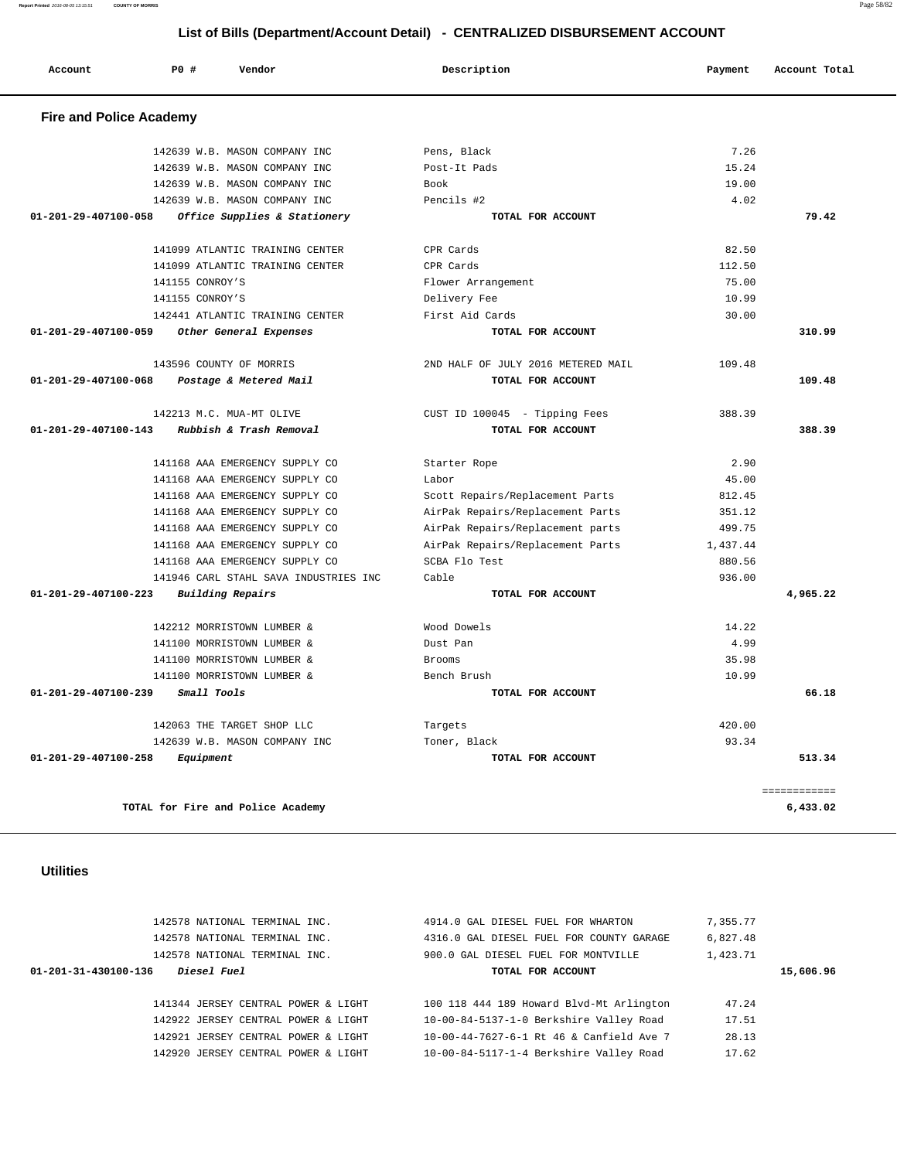| Account                        | <b>PO #</b><br>Vendor                 | Description                        | Payment  | Account Total            |
|--------------------------------|---------------------------------------|------------------------------------|----------|--------------------------|
| <b>Fire and Police Academy</b> |                                       |                                    |          |                          |
|                                | 142639 W.B. MASON COMPANY INC         | Pens, Black                        | 7.26     |                          |
|                                | 142639 W.B. MASON COMPANY INC         | Post-It Pads                       | 15.24    |                          |
|                                | 142639 W.B. MASON COMPANY INC         | Book                               | 19.00    |                          |
|                                | 142639 W.B. MASON COMPANY INC         | Pencils #2                         | 4.02     |                          |
| 01-201-29-407100-058           | Office Supplies & Stationery          | TOTAL FOR ACCOUNT                  |          | 79.42                    |
|                                | 141099 ATLANTIC TRAINING CENTER       | CPR Cards                          | 82.50    |                          |
|                                | 141099 ATLANTIC TRAINING CENTER       | CPR Cards                          | 112.50   |                          |
|                                | 141155 CONROY'S                       | Flower Arrangement                 | 75.00    |                          |
|                                | 141155 CONROY'S                       | Delivery Fee                       | 10.99    |                          |
|                                | 142441 ATLANTIC TRAINING CENTER       | First Aid Cards                    | 30.00    |                          |
| 01-201-29-407100-059           | Other General Expenses                | TOTAL FOR ACCOUNT                  |          | 310.99                   |
|                                | 143596 COUNTY OF MORRIS               | 2ND HALF OF JULY 2016 METERED MAIL | 109.48   |                          |
| 01-201-29-407100-068           | Postage & Metered Mail                | TOTAL FOR ACCOUNT                  |          | 109.48                   |
|                                | 142213 M.C. MUA-MT OLIVE              | CUST ID 100045 - Tipping Fees      | 388.39   |                          |
| 01-201-29-407100-143           | Rubbish & Trash Removal               | TOTAL FOR ACCOUNT                  |          | 388.39                   |
|                                | 141168 AAA EMERGENCY SUPPLY CO        | Starter Rope                       | 2.90     |                          |
|                                | 141168 AAA EMERGENCY SUPPLY CO        | Labor                              | 45.00    |                          |
|                                | 141168 AAA EMERGENCY SUPPLY CO        | Scott Repairs/Replacement Parts    | 812.45   |                          |
|                                | 141168 AAA EMERGENCY SUPPLY CO        | AirPak Repairs/Replacement Parts   | 351.12   |                          |
|                                | 141168 AAA EMERGENCY SUPPLY CO        | AirPak Repairs/Replacement parts   | 499.75   |                          |
|                                | 141168 AAA EMERGENCY SUPPLY CO        | AirPak Repairs/Replacement Parts   | 1,437.44 |                          |
|                                | 141168 AAA EMERGENCY SUPPLY CO        | SCBA Flo Test                      | 880.56   |                          |
|                                | 141946 CARL STAHL SAVA INDUSTRIES INC | Cable                              | 936.00   |                          |
| 01-201-29-407100-223           | <b>Building Repairs</b>               | TOTAL FOR ACCOUNT                  |          | 4,965.22                 |
|                                | 142212 MORRISTOWN LUMBER &            | Wood Dowels                        | 14.22    |                          |
|                                | 141100 MORRISTOWN LUMBER &            | Dust Pan                           | 4.99     |                          |
|                                | 141100 MORRISTOWN LUMBER &            | Brooms                             | 35.98    |                          |
|                                | 141100 MORRISTOWN LUMBER &            | Bench Brush                        | 10.99    |                          |
| 01-201-29-407100-239           | Small Tools                           | TOTAL FOR ACCOUNT                  |          | 66.18                    |
|                                | 142063 THE TARGET SHOP LLC            | Targets                            | 420.00   |                          |
|                                | 142639 W.B. MASON COMPANY INC         | Toner, Black                       | 93.34    |                          |
| $01 - 201 - 29 - 407100 - 258$ | Equipment                             | TOTAL FOR ACCOUNT                  |          | 513.34                   |
|                                | TOTAL for Fire and Police Academy     |                                    |          | ============<br>6,433.02 |

# **Utilities**

|                      | 142578 NATIONAL TERMINAL INC.       | 4914.0 GAL DIESEL FUEL FOR WHARTON       | 7,355.77  |
|----------------------|-------------------------------------|------------------------------------------|-----------|
|                      | 142578 NATIONAL TERMINAL INC.       | 4316.0 GAL DIESEL FUEL FOR COUNTY GARAGE | 6,827.48  |
|                      | 142578 NATIONAL TERMINAL INC.       | 900.0 GAL DIESEL FUEL FOR MONTVILLE      | 1,423.71  |
| 01-201-31-430100-136 | <i>Diesel Fuel</i>                  | TOTAL FOR ACCOUNT                        | 15,606.96 |
|                      |                                     |                                          |           |
|                      | 141344 JERSEY CENTRAL POWER & LIGHT | 100 118 444 189 Howard Blvd-Mt Arlington | 47.24     |
|                      | 142922 JERSEY CENTRAL POWER & LIGHT | 10-00-84-5137-1-0 Berkshire Valley Road  | 17.51     |
|                      | 142921 JERSEY CENTRAL POWER & LIGHT | 10-00-44-7627-6-1 Rt 46 & Canfield Ave 7 | 28.13     |
|                      | 142920 JERSEY CENTRAL POWER & LIGHT | 10-00-84-5117-1-4 Berkshire Valley Road  | 17.62     |

**Report Printed** 2016-08-05 13:15:51 **COUNTY OF MORRIS** Page 58/82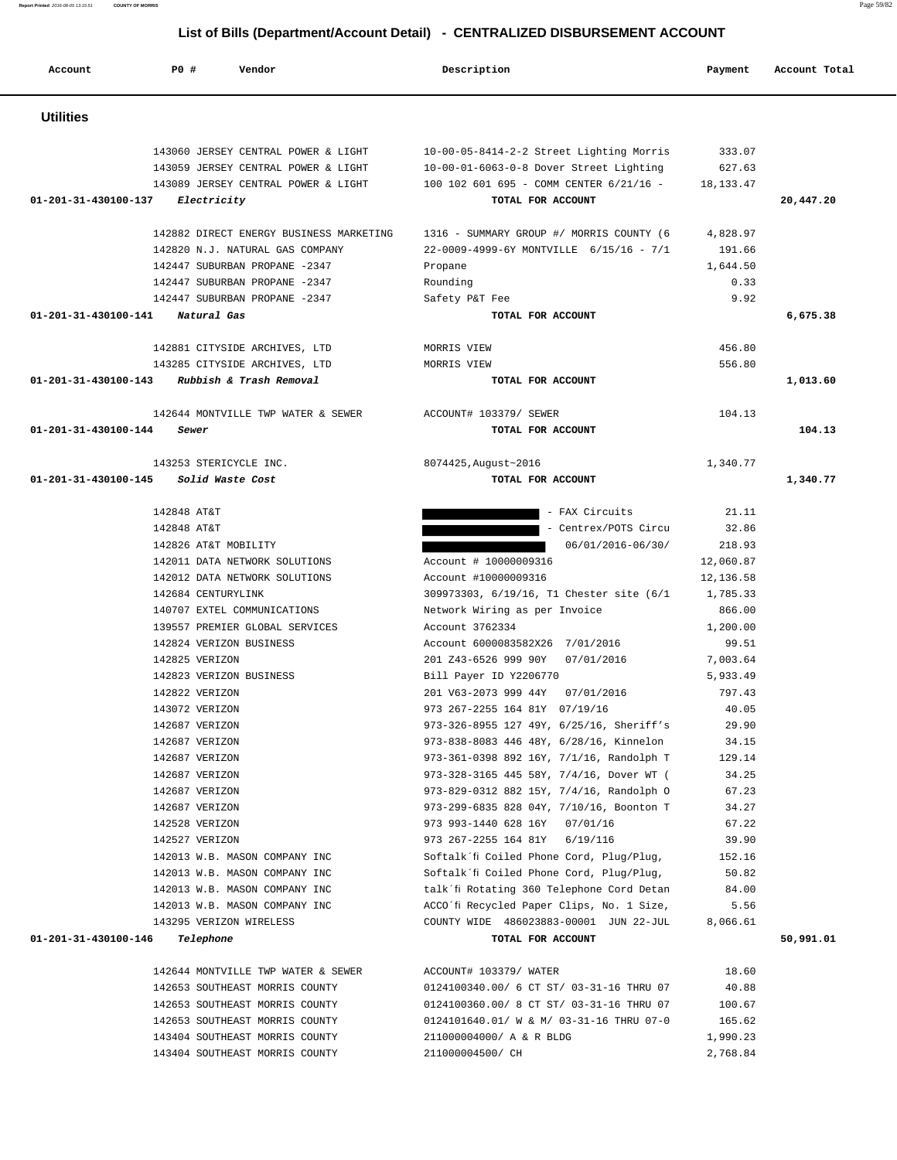**Report Printed** 2016-08-05 13:15:51 **COUNTY OF MORRIS** Page 59/82

# **List of Bills (Department/Account Detail) - CENTRALIZED DISBURSEMENT ACCOUNT**

| Account                        | PO#<br>Vendor                                                              | Description                                                                          | Payment          | Account Total |
|--------------------------------|----------------------------------------------------------------------------|--------------------------------------------------------------------------------------|------------------|---------------|
| <b>Utilities</b>               |                                                                            |                                                                                      |                  |               |
|                                | 143060 JERSEY CENTRAL POWER & LIGHT<br>143059 JERSEY CENTRAL POWER & LIGHT | 10-00-05-8414-2-2 Street Lighting Morris<br>10-00-01-6063-0-8 Dover Street Lighting  | 333.07<br>627.63 |               |
| 01-201-31-430100-137           | 143089 JERSEY CENTRAL POWER & LIGHT<br>Electricity                         | 100 102 601 695 - COMM CENTER 6/21/16 -<br>TOTAL FOR ACCOUNT                         | 18, 133. 47      | 20,447.20     |
|                                | 142882 DIRECT ENERGY BUSINESS MARKETING                                    | 1316 - SUMMARY GROUP #/ MORRIS COUNTY (6                                             | 4,828.97         |               |
|                                | 142820 N.J. NATURAL GAS COMPANY                                            | 22-0009-4999-6Y MONTVILLE 6/15/16 - 7/1                                              | 191.66           |               |
|                                | 142447 SUBURBAN PROPANE -2347                                              | Propane                                                                              | 1,644.50         |               |
|                                | 142447 SUBURBAN PROPANE -2347<br>142447 SUBURBAN PROPANE -2347             | Rounding<br>Safety P&T Fee                                                           | 0.33<br>9.92     |               |
| 01-201-31-430100-141           | Natural Gas                                                                | TOTAL FOR ACCOUNT                                                                    |                  | 6,675.38      |
|                                |                                                                            |                                                                                      |                  |               |
|                                | 142881 CITYSIDE ARCHIVES, LTD                                              | MORRIS VIEW                                                                          | 456.80           |               |
|                                | 143285 CITYSIDE ARCHIVES, LTD                                              | MORRIS VIEW                                                                          | 556.80           |               |
| $01 - 201 - 31 - 430100 - 143$ | Rubbish & Trash Removal                                                    | TOTAL FOR ACCOUNT                                                                    |                  | 1,013.60      |
|                                | 142644 MONTVILLE TWP WATER & SEWER                                         | ACCOUNT# 103379/ SEWER                                                               | 104.13           |               |
| 01-201-31-430100-144           | Sewer                                                                      | TOTAL FOR ACCOUNT                                                                    |                  | 104.13        |
|                                |                                                                            |                                                                                      |                  |               |
|                                | 143253 STERICYCLE INC.                                                     | 8074425, August~2016                                                                 | 1,340.77         |               |
| 01-201-31-430100-145           | Solid Waste Cost                                                           | TOTAL FOR ACCOUNT                                                                    |                  | 1,340.77      |
|                                | 142848 AT&T                                                                | - FAX Circuits                                                                       | 21.11            |               |
|                                | 142848 AT&T                                                                | - Centrex/POTS Circu                                                                 | 32.86            |               |
|                                | 142826 AT&T MOBILITY                                                       | 06/01/2016-06/30/                                                                    | 218.93           |               |
|                                | 142011 DATA NETWORK SOLUTIONS                                              | Account # 10000009316                                                                | 12,060.87        |               |
|                                | 142012 DATA NETWORK SOLUTIONS                                              | Account #10000009316                                                                 | 12,136.58        |               |
|                                | 142684 CENTURYLINK                                                         | 309973303, 6/19/16, T1 Chester site (6/1                                             | 1,785.33         |               |
|                                | 140707 EXTEL COMMUNICATIONS                                                | Network Wiring as per Invoice                                                        | 866.00           |               |
|                                | 139557 PREMIER GLOBAL SERVICES                                             | Account 3762334                                                                      | 1,200.00         |               |
|                                | 142824 VERIZON BUSINESS                                                    | Account 6000083582X26 7/01/2016                                                      | 99.51            |               |
|                                | 142825 VERIZON                                                             | 201 Z43-6526 999 90Y<br>07/01/2016                                                   | 7,003.64         |               |
|                                | 142823 VERIZON BUSINESS                                                    | Bill Payer ID Y2206770                                                               | 5,933.49         |               |
|                                | 142822 VERIZON                                                             | 201 V63-2073 999 44Y<br>07/01/2016                                                   | 797.43           |               |
|                                | 143072 VERIZON                                                             | 973 267-2255 164 81Y 07/19/16                                                        | 40.05            |               |
|                                | 142687 VERIZON                                                             | 973-326-8955 127 49Y, 6/25/16, Sheriff's                                             | 29.90            |               |
|                                | 142687 VERIZON                                                             | 973-838-8083 446 48Y, 6/28/16, Kinnelon                                              | 34.15            |               |
|                                | 142687 VERIZON                                                             | 973-361-0398 892 16Y, 7/1/16, Randolph T                                             | 129.14           |               |
|                                | 142687 VERIZON<br>142687 VERIZON                                           | 973-328-3165 445 58Y, 7/4/16, Dover WT (<br>973-829-0312 882 15Y, 7/4/16, Randolph O | 34.25<br>67.23   |               |
|                                | 142687 VERIZON                                                             | 973-299-6835 828 04Y, 7/10/16, Boonton T                                             | 34.27            |               |
|                                | 142528 VERIZON                                                             | 973 993-1440 628 16Y 07/01/16                                                        | 67.22            |               |
|                                | 142527 VERIZON                                                             | 973 267-2255 164 81Y 6/19/116                                                        | 39.90            |               |
|                                | 142013 W.B. MASON COMPANY INC                                              | Softalk'fi Coiled Phone Cord, Plug/Plug,                                             | 152.16           |               |
|                                | 142013 W.B. MASON COMPANY INC                                              | Softalk'fi Coiled Phone Cord, Plug/Plug,                                             | 50.82            |               |
|                                | 142013 W.B. MASON COMPANY INC                                              | talk'fi Rotating 360 Telephone Cord Detan                                            | 84.00            |               |
|                                | 142013 W.B. MASON COMPANY INC                                              | ACCO´fi Recycled Paper Clips, No. 1 Size,                                            | 5.56             |               |
|                                | 143295 VERIZON WIRELESS                                                    | COUNTY WIDE 486023883-00001 JUN 22-JUL                                               | 8,066.61         |               |
| 01-201-31-430100-146           | Telephone                                                                  | TOTAL FOR ACCOUNT                                                                    |                  | 50,991.01     |
|                                | 142644 MONTVILLE TWP WATER & SEWER                                         | ACCOUNT# 103379/ WATER                                                               | 18.60            |               |
|                                | 142653 SOUTHEAST MORRIS COUNTY                                             | 0124100340.00/ 6 CT ST/ 03-31-16 THRU 07                                             | 40.88            |               |
|                                | 142653 SOUTHEAST MORRIS COUNTY                                             | 0124100360.00/ 8 CT ST/ 03-31-16 THRU 07                                             | 100.67           |               |
|                                | 142653 SOUTHEAST MORRIS COUNTY                                             | 0124101640.01/ W & M/ 03-31-16 THRU 07-0                                             | 165.62           |               |

 143404 SOUTHEAST MORRIS COUNTY 211000004000/ A & R BLDG 1,990.23 143404 SOUTHEAST MORRIS COUNTY 211000004500/ CH 2,768.84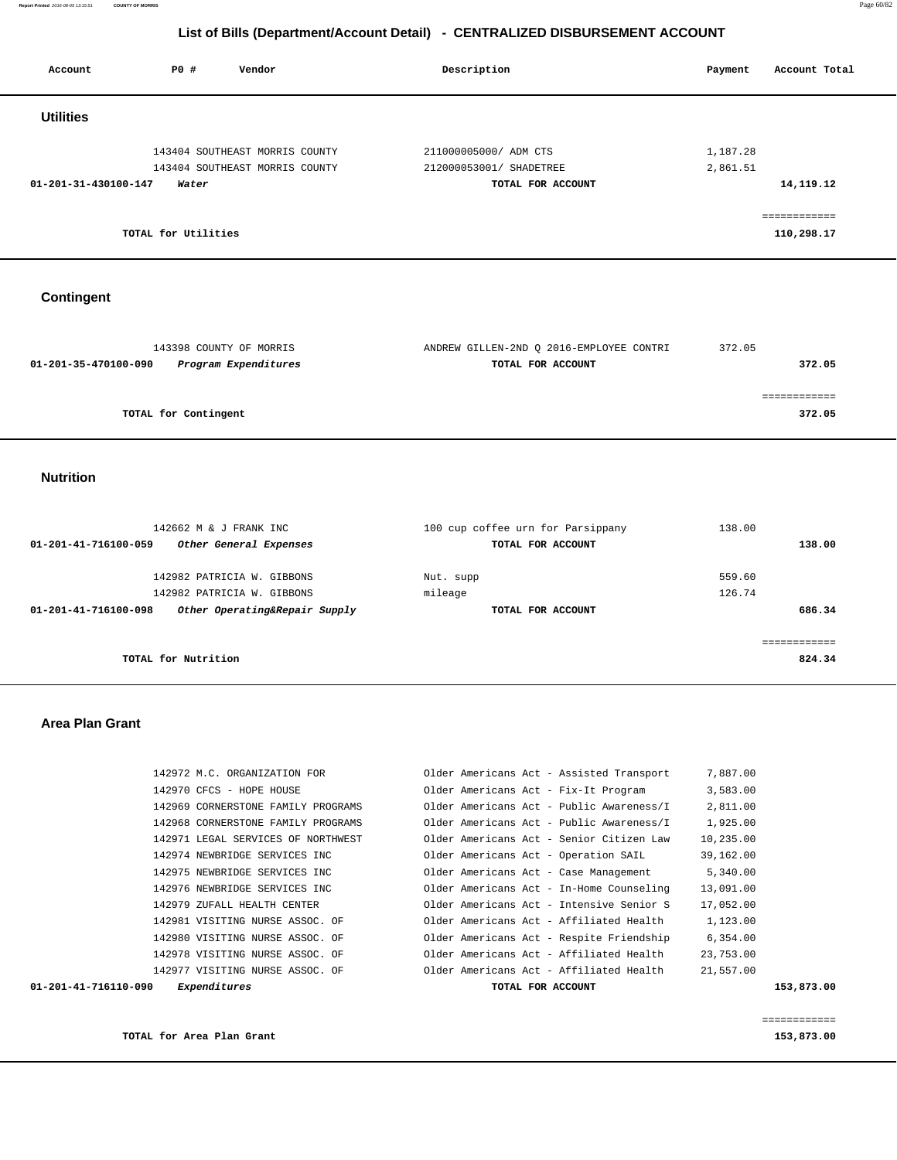| Account              | Vendor<br>PO#                  | Description             | Account Total<br>Payment |
|----------------------|--------------------------------|-------------------------|--------------------------|
| <b>Utilities</b>     |                                |                         |                          |
|                      | 143404 SOUTHEAST MORRIS COUNTY | 211000005000/ ADM CTS   | 1,187.28                 |
|                      | 143404 SOUTHEAST MORRIS COUNTY | 212000053001/ SHADETREE | 2,861.51                 |
| 01-201-31-430100-147 | Water                          | TOTAL FOR ACCOUNT       | 14, 119. 12              |
|                      |                                |                         | eessessesses             |
|                      | TOTAL for Utilities            |                         | 110,298.17               |

# **Contingent**

| 143398 COUNTY OF MORRIS                      | ANDREW GILLEN-2ND Q 2016-EMPLOYEE CONTRI | 372.05 |
|----------------------------------------------|------------------------------------------|--------|
| Program Expenditures<br>01-201-35-470100-090 | TOTAL FOR ACCOUNT                        | 372.05 |
|                                              |                                          |        |
|                                              |                                          |        |
| TOTAL for Contingent                         |                                          | 372.05 |
|                                              |                                          |        |

#### **Nutrition**

| 142662 M & J FRANK INC                                | 100 cup coffee urn for Parsippany | 138.00 |
|-------------------------------------------------------|-----------------------------------|--------|
| 01-201-41-716100-059<br>Other General Expenses        | TOTAL FOR ACCOUNT                 | 138.00 |
|                                                       |                                   |        |
| 142982 PATRICIA W. GIBBONS                            | Nut. supp                         | 559.60 |
| 142982 PATRICIA W. GIBBONS                            | mileage                           | 126.74 |
| Other Operating&Repair Supply<br>01-201-41-716100-098 | TOTAL FOR ACCOUNT                 | 686.34 |
|                                                       |                                   |        |
|                                                       |                                   |        |
| TOTAL for Nutrition                                   |                                   | 824.34 |

#### **Area Plan Grant**

| 01-201-41-716110-090 | Expenditures                       | TOTAL FOR ACCOUNT                        | 153,873.00 |
|----------------------|------------------------------------|------------------------------------------|------------|
|                      | 142977 VISITING NURSE ASSOC. OF    | Older Americans Act - Affiliated Health  | 21,557.00  |
|                      | 142978 VISITING NURSE ASSOC. OF    | Older Americans Act - Affiliated Health  | 23,753.00  |
|                      | 142980 VISITING NURSE ASSOC. OF    | Older Americans Act - Respite Friendship | 6,354.00   |
|                      | 142981 VISITING NURSE ASSOC. OF    | Older Americans Act - Affiliated Health  | 1,123.00   |
|                      | 142979 ZUFALL HEALTH CENTER        | Older Americans Act - Intensive Senior S | 17,052.00  |
|                      | 142976 NEWBRIDGE SERVICES INC      | Older Americans Act - In-Home Counseling | 13,091.00  |
|                      | 142975 NEWBRIDGE SERVICES INC      | Older Americans Act - Case Management    | 5,340.00   |
|                      | 142974 NEWBRIDGE SERVICES INC      | Older Americans Act - Operation SAIL     | 39,162.00  |
|                      | 142971 LEGAL SERVICES OF NORTHWEST | Older Americans Act - Senior Citizen Law | 10,235.00  |
|                      | 142968 CORNERSTONE FAMILY PROGRAMS | Older Americans Act - Public Awareness/I | 1,925.00   |
|                      | 142969 CORNERSTONE FAMILY PROGRAMS | Older Americans Act - Public Awareness/I | 2,811.00   |
|                      | 142970 CFCS - HOPE HOUSE           | Older Americans Act - Fix-It Program     | 3,583.00   |
|                      | 142972 M.C. ORGANIZATION FOR       | Older Americans Act - Assisted Transport | 7,887.00   |
|                      |                                    |                                          |            |

**TOTAL for Area Plan Grant 153,873.00**

============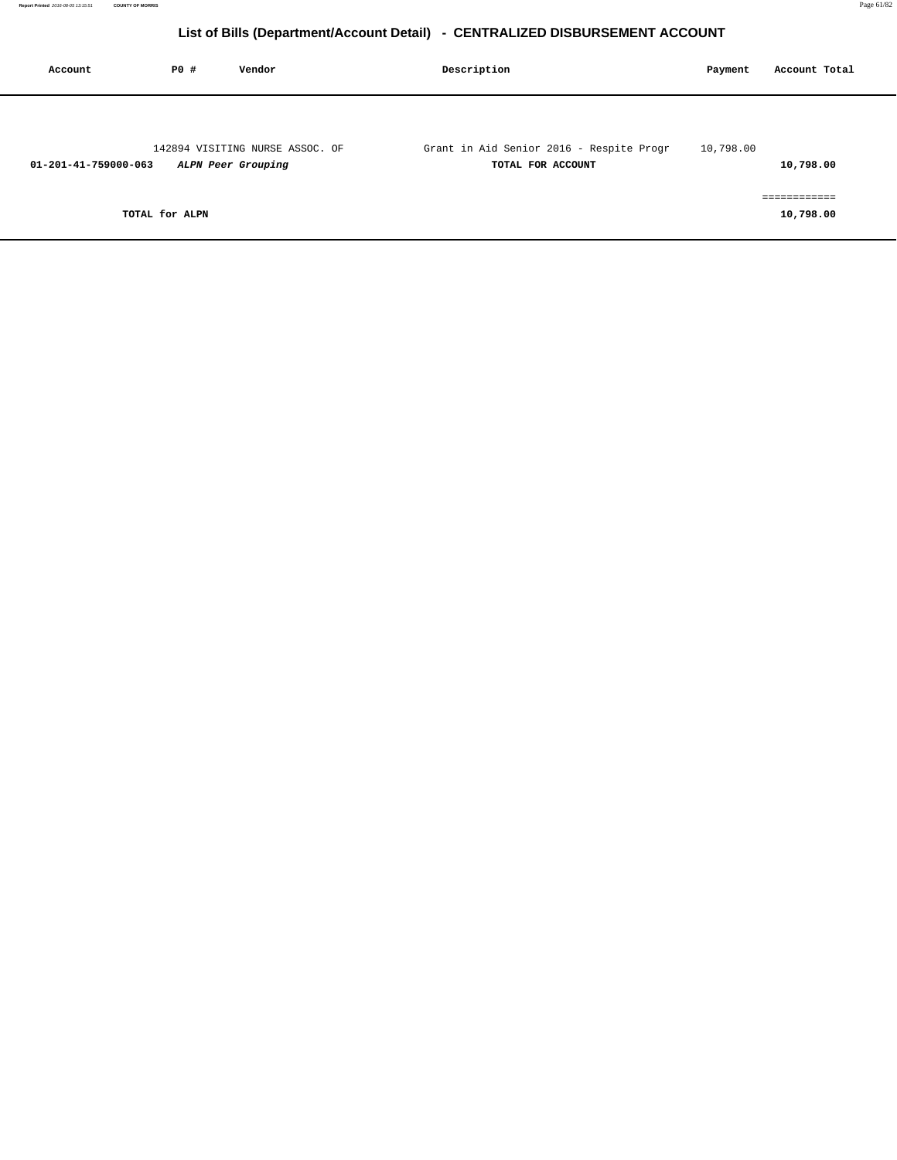| Account              | PO#            | Vendor                                                | Description                                                   | Payment   | Account Total |
|----------------------|----------------|-------------------------------------------------------|---------------------------------------------------------------|-----------|---------------|
| 01-201-41-759000-063 |                | 142894 VISITING NURSE ASSOC. OF<br>ALPN Peer Grouping | Grant in Aid Senior 2016 - Respite Progr<br>TOTAL FOR ACCOUNT | 10,798.00 | 10,798.00     |
|                      | TOTAL for ALPN |                                                       |                                                               |           | 10,798.00     |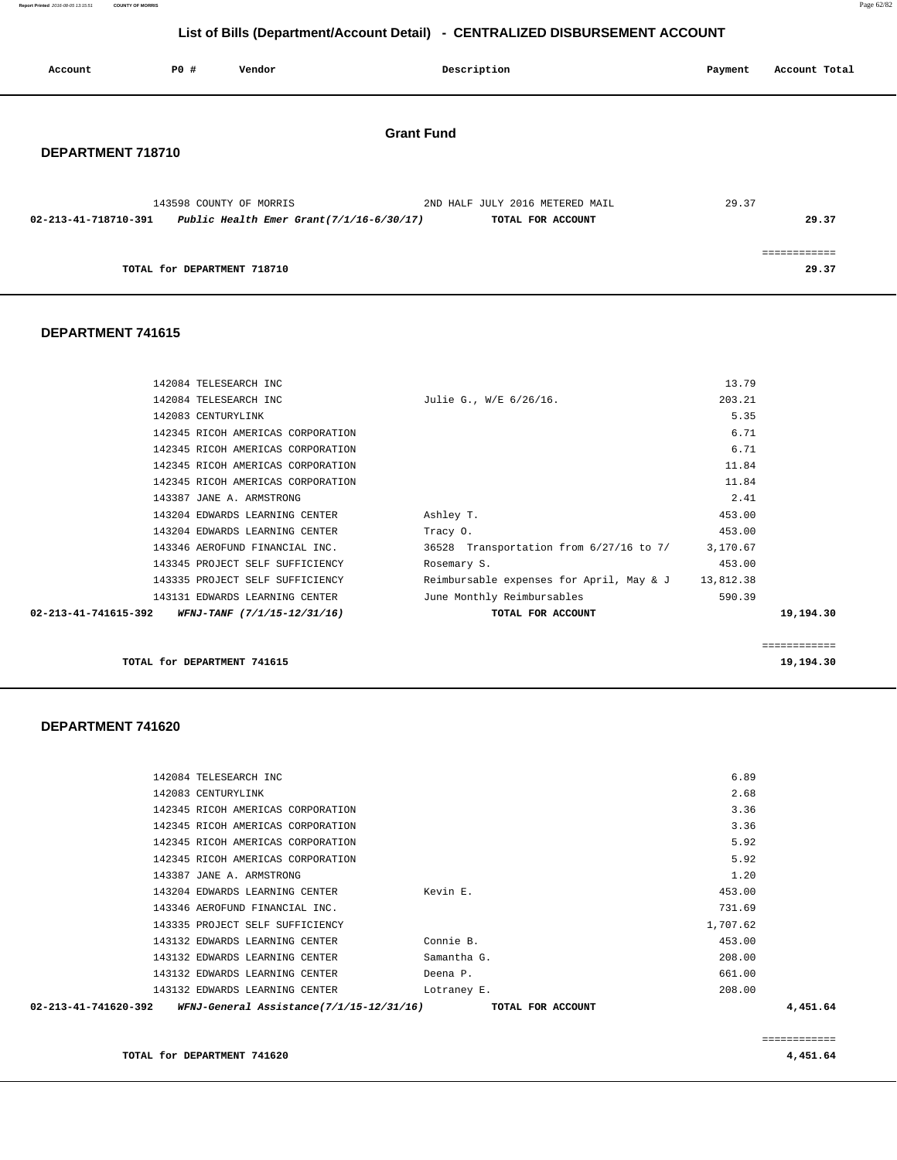**Report Printed** 2016-08-05 13:15:51 **COUNTY OF MORRIS** Page 62/82

# **List of Bills (Department/Account Detail) - CENTRALIZED DISBURSEMENT ACCOUNT**

| Account              | PO#                         | Vendor                                                                 |                   | Description                                          | Payment | Account Total         |
|----------------------|-----------------------------|------------------------------------------------------------------------|-------------------|------------------------------------------------------|---------|-----------------------|
| DEPARTMENT 718710    |                             |                                                                        | <b>Grant Fund</b> |                                                      |         |                       |
| 02-213-41-718710-391 |                             | 143598 COUNTY OF MORRIS<br>Public Health Emer Grant $(7/1/16-6/30/17)$ |                   | 2ND HALF JULY 2016 METERED MAIL<br>TOTAL FOR ACCOUNT | 29.37   | 29.37                 |
|                      | TOTAL for DEPARTMENT 718710 |                                                                        |                   |                                                      |         | ------------<br>29.37 |

#### **DEPARTMENT 741615**

| 143204 EDWARDS LEARNING CENTER<br>143346 AEROFUND FINANCIAL INC. | Tracy 0.<br>36528 Transportation from 6/27/16 to 7/ 3,170.67 | 453.00         |
|------------------------------------------------------------------|--------------------------------------------------------------|----------------|
|                                                                  |                                                              |                |
|                                                                  |                                                              |                |
| 143387 JANE A. ARMSTRONG<br>143204 EDWARDS LEARNING CENTER       | Ashley T.                                                    | 2.41<br>453.00 |
| 142345 RICOH AMERICAS CORPORATION                                |                                                              | 11.84          |
| 142345 RICOH AMERICAS CORPORATION                                |                                                              | 11.84          |
| 142345 RICOH AMERICAS CORPORATION                                |                                                              | 6.71           |
| 142345 RICOH AMERICAS CORPORATION                                |                                                              | 6.71           |
| 142083 CENTURYLINK                                               |                                                              | 5.35           |
| 142084 TELESEARCH INC                                            | Julie G., W/E 6/26/16.                                       | 203.21         |
| 142084 TELESEARCH INC                                            |                                                              | 13.79          |

============

**TOTAL for DEPARTMENT 741615** 19,194.30

 **DEPARTMENT 741620** 

| 02-213-41-741620-392<br>WFNJ-General Assistance(7/1/15-12/31/16) | TOTAL FOR ACCOUNT |          | 4,451.64 |
|------------------------------------------------------------------|-------------------|----------|----------|
| 143132 EDWARDS LEARNING CENTER                                   | Lotraney E.       | 208.00   |          |
| 143132 EDWARDS LEARNING CENTER                                   | Deena P.          | 661.00   |          |
| 143132 EDWARDS LEARNING CENTER                                   | Samantha G.       | 208.00   |          |
| 143132 EDWARDS LEARNING CENTER                                   | Connie B.         | 453.00   |          |
| 143335 PROJECT SELF SUFFICIENCY                                  |                   | 1,707.62 |          |
| 143346 AEROFUND FINANCIAL INC.                                   |                   | 731.69   |          |
| 143204 EDWARDS LEARNING CENTER                                   | Kevin E.          | 453.00   |          |
| 143387 JANE A. ARMSTRONG                                         |                   | 1.20     |          |
| 142345 RICOH AMERICAS CORPORATION                                |                   | 5.92     |          |
| 142345 RICOH AMERICAS CORPORATION                                |                   | 5.92     |          |
| 142345 RICOH AMERICAS CORPORATION                                |                   | 3.36     |          |
| 142345 RICOH AMERICAS CORPORATION                                |                   | 3.36     |          |
| 142083 CENTURYLINK                                               |                   | 2.68     |          |
| 142084 TELESEARCH INC                                            |                   | 6.89     |          |
|                                                                  |                   |          |          |

============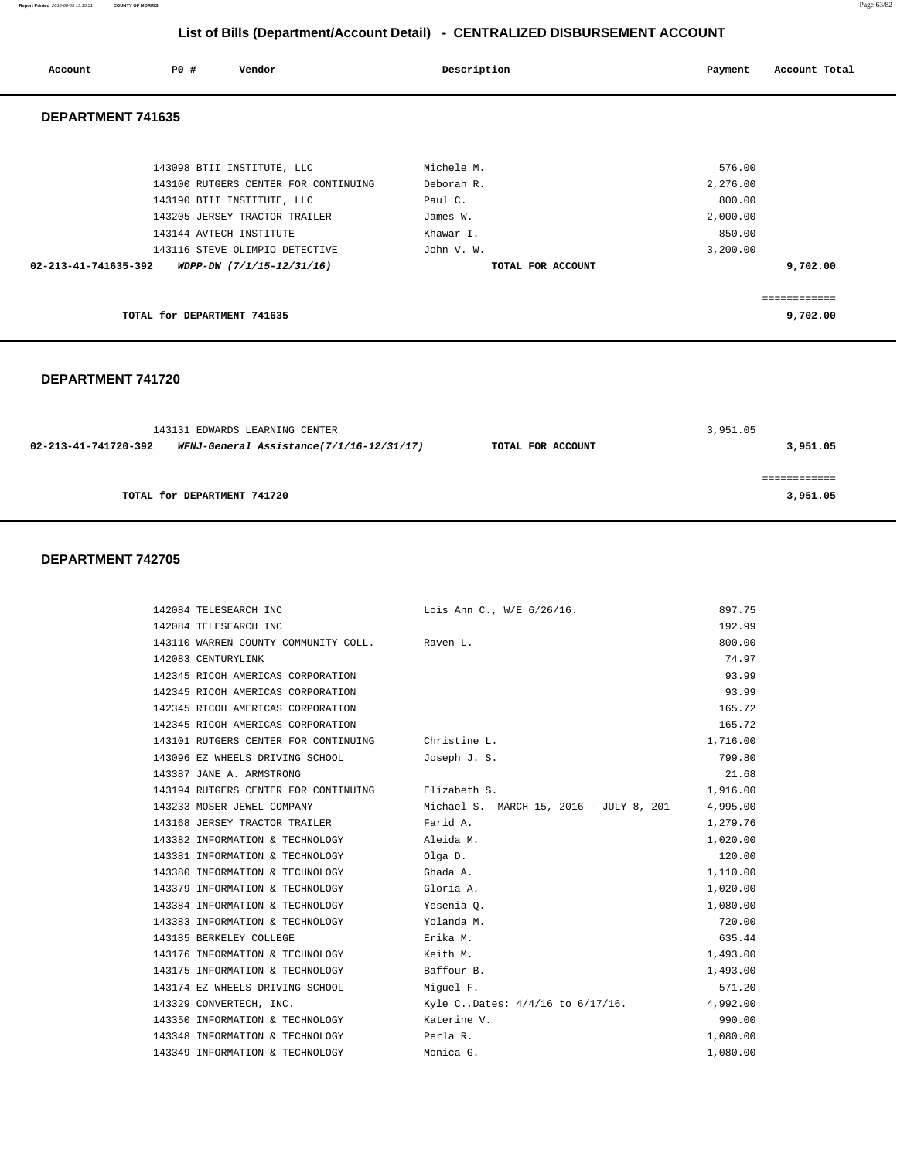| Account              | P0 #                        | Vendor                               | Description       | Payment  | Account Total |
|----------------------|-----------------------------|--------------------------------------|-------------------|----------|---------------|
| DEPARTMENT 741635    |                             |                                      |                   |          |               |
|                      |                             | 143098 BTII INSTITUTE, LLC           | Michele M.        | 576.00   |               |
|                      |                             | 143100 RUTGERS CENTER FOR CONTINUING | Deborah R.        | 2,276.00 |               |
|                      |                             | 143190 BTII INSTITUTE, LLC           | Paul C.           | 800.00   |               |
|                      |                             | 143205 JERSEY TRACTOR TRAILER        | James W.          | 2,000.00 |               |
|                      |                             | 143144 AVTECH INSTITUTE              | Khawar I.         | 850.00   |               |
|                      |                             | 143116 STEVE OLIMPIO DETECTIVE       | John V. W.        | 3,200.00 |               |
| 02-213-41-741635-392 |                             | WDPP-DW (7/1/15-12/31/16)            | TOTAL FOR ACCOUNT |          | 9,702.00      |
|                      |                             |                                      |                   |          | .             |
|                      | TOTAL for DEPARTMENT 741635 |                                      |                   |          | 9,702.00      |

#### **DEPARTMENT 741720**

|                      | 143131 EDWARDS LEARNING CENTER           |                   | 3,951.05 |
|----------------------|------------------------------------------|-------------------|----------|
| 02-213-41-741720-392 | WFNJ-General Assistance(7/1/16-12/31/17) | TOTAL FOR ACCOUNT | 3,951.05 |
|                      |                                          |                   |          |
|                      |                                          |                   |          |
|                      | TOTAL for DEPARTMENT 741720              |                   | 3,951.05 |
|                      |                                          |                   |          |

#### **DEPARTMENT 742705**

| 142084 TELESEARCH INC                             | Lois Ann C., W/E 6/26/16.               | 897.75   |
|---------------------------------------------------|-----------------------------------------|----------|
| 142084 TELESEARCH INC                             |                                         | 192.99   |
| 143110 WARREN COUNTY COMMUNITY COLL. Raven L.     |                                         | 800.00   |
| 142083 CENTURYLINK                                |                                         | 74.97    |
| 142345 RICOH AMERICAS CORPORATION                 |                                         | 93.99    |
| 142345 RICOH AMERICAS CORPORATION                 |                                         | 93.99    |
| 142345 RICOH AMERICAS CORPORATION                 |                                         | 165.72   |
| 142345 RICOH AMERICAS CORPORATION                 |                                         | 165.72   |
| 143101 RUTGERS CENTER FOR CONTINUING              | Christine L.                            | 1,716.00 |
| 143096 EZ WHEELS DRIVING SCHOOL                   | Joseph J. S.                            | 799.80   |
| 143387 JANE A. ARMSTRONG                          |                                         | 21.68    |
| 143194 RUTGERS CENTER FOR CONTINUING Elizabeth S. |                                         | 1,916.00 |
| 143233 MOSER JEWEL COMPANY                        | Michael S. MARCH 15, 2016 - JULY 8, 201 | 4,995.00 |
| 143168 JERSEY TRACTOR TRAILER                     | Farid A.                                | 1,279.76 |
| 143382 INFORMATION & TECHNOLOGY                   | Aleida M.                               | 1,020.00 |
| 143381 INFORMATION & TECHNOLOGY                   | Olga D.                                 | 120.00   |
| 143380 INFORMATION & TECHNOLOGY                   | Ghada A.                                | 1,110.00 |
| 143379 INFORMATION & TECHNOLOGY                   | Gloria A.                               | 1,020.00 |
| 143384 INFORMATION & TECHNOLOGY                   | Yesenia O.                              | 1,080.00 |
| 143383 INFORMATION & TECHNOLOGY                   | Yolanda M.                              | 720.00   |
| 143185 BERKELEY COLLEGE                           | Erika M.                                | 635.44   |
| 143176 INFORMATION & TECHNOLOGY                   | Keith M.                                | 1,493.00 |
| 143175 INFORMATION & TECHNOLOGY                   | Baffour B.                              | 1,493.00 |
| 143174 EZ WHEELS DRIVING SCHOOL                   | Miguel F.                               | 571.20   |
| 143329 CONVERTECH, INC.                           | Kyle C., Dates: 4/4/16 to 6/17/16.      | 4,992.00 |
| 143350 INFORMATION & TECHNOLOGY                   | Katerine V.                             | 990.00   |
| 143348 INFORMATION & TECHNOLOGY                   | Perla R.                                | 1,080.00 |
| 143349 INFORMATION & TECHNOLOGY                   | Monica G.                               | 1,080.00 |

**Report Printed** 2016-08-05 13:15:51 **COUNTY OF MORRIS** Page 63/82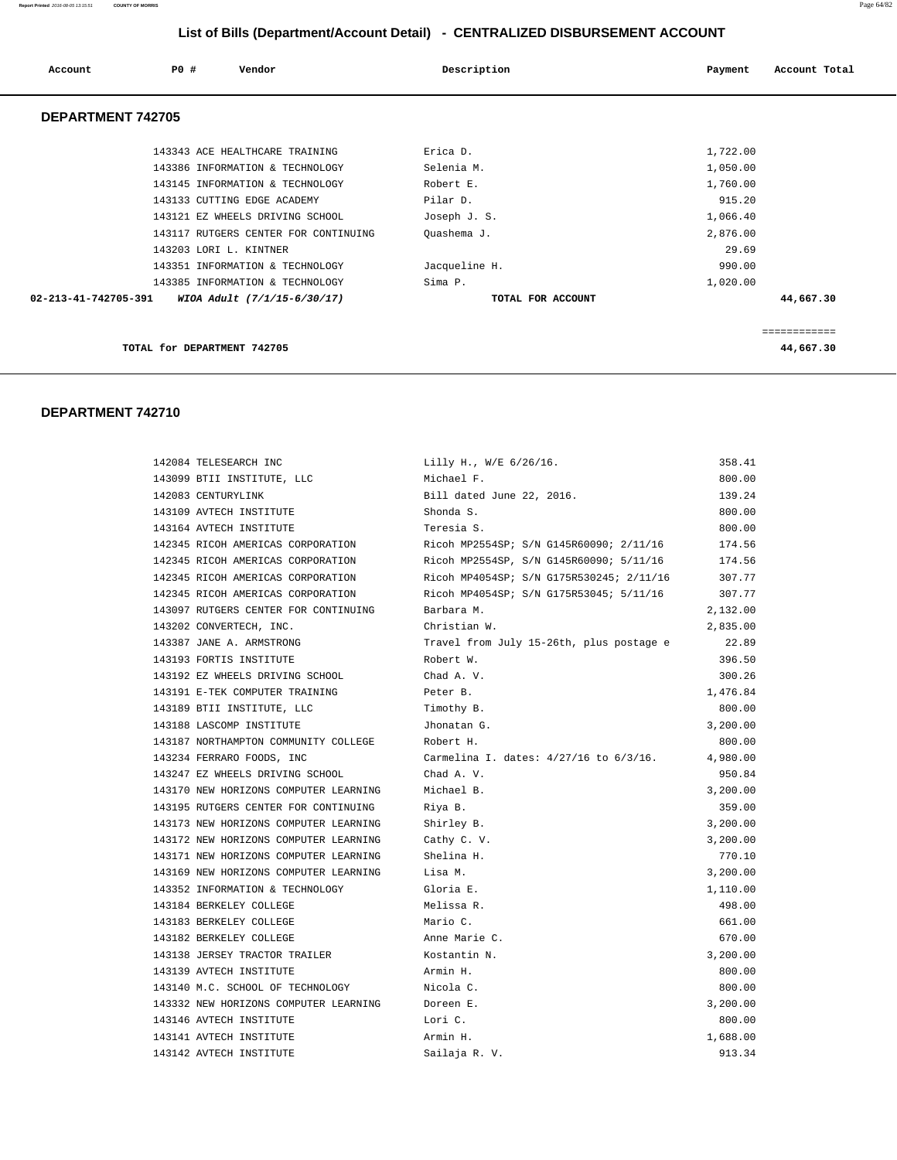| Account                  | PO#<br>Vendor                        | Description       | Account Total<br>Payment |
|--------------------------|--------------------------------------|-------------------|--------------------------|
| <b>DEPARTMENT 742705</b> |                                      |                   |                          |
|                          | 143343 ACE HEALTHCARE TRAINING       | Erica D.          | 1,722.00                 |
|                          | 143386 INFORMATION & TECHNOLOGY      | Selenia M.        | 1,050.00                 |
|                          | 143145 INFORMATION & TECHNOLOGY      | Robert E.         | 1,760.00                 |
|                          | 143133 CUTTING EDGE ACADEMY          | Pilar D.          | 915.20                   |
|                          | 143121 EZ WHEELS DRIVING SCHOOL      | Joseph J. S.      | 1,066.40                 |
|                          | 143117 RUTGERS CENTER FOR CONTINUING | Quashema J.       | 2,876.00                 |
|                          | 143203 LORI L. KINTNER               |                   | 29.69                    |
|                          | 143351 INFORMATION & TECHNOLOGY      | Jacqueline H.     | 990.00                   |
|                          | 143385 INFORMATION & TECHNOLOGY      | Sima P.           | 1,020.00                 |
| 02-213-41-742705-391     | WIOA Adult (7/1/15-6/30/17)          | TOTAL FOR ACCOUNT | 44,667.30                |
|                          |                                      |                   |                          |
|                          | TOTAL for DEPARTMENT 742705          |                   | 44,667.30                |

| 142084 TELESEARCH INC                 | Lilly H., W/E 6/26/16.                   | 358.41   |
|---------------------------------------|------------------------------------------|----------|
| 143099 BTII INSTITUTE, LLC            | Michael F.                               | 800.00   |
| 142083 CENTURYLINK                    | Bill dated June 22, 2016.                | 139.24   |
| 143109 AVTECH INSTITUTE               | Shonda S.                                | 800.00   |
| 143164 AVTECH INSTITUTE               | Teresia S.                               | 800.00   |
| 142345 RICOH AMERICAS CORPORATION     | Ricoh MP2554SP; S/N G145R60090; 2/11/16  | 174.56   |
| 142345 RICOH AMERICAS CORPORATION     | Ricoh MP2554SP, S/N G145R60090; 5/11/16  | 174.56   |
| 142345 RICOH AMERICAS CORPORATION     | Ricoh MP4054SP; S/N G175R530245; 2/11/16 | 307.77   |
| 142345 RICOH AMERICAS CORPORATION     | Ricoh MP4054SP; S/N G175R53045; 5/11/16  | 307.77   |
| 143097 RUTGERS CENTER FOR CONTINUING  | Barbara M.                               | 2,132.00 |
| 143202 CONVERTECH, INC.               | Christian W.                             | 2,835.00 |
| 143387 JANE A. ARMSTRONG              | Travel from July 15-26th, plus postage e | 22.89    |
| 143193 FORTIS INSTITUTE               | Robert W.                                | 396.50   |
| 143192 EZ WHEELS DRIVING SCHOOL       | Chad A. V.                               | 300.26   |
| 143191 E-TEK COMPUTER TRAINING        | Peter B.                                 | 1,476.84 |
| 143189 BTII INSTITUTE, LLC            | Timothy B.                               | 800.00   |
| 143188 LASCOMP INSTITUTE              | Jhonatan G.                              | 3,200.00 |
| 143187 NORTHAMPTON COMMUNITY COLLEGE  | Robert H.                                | 800.00   |
| 143234 FERRARO FOODS, INC             | Carmelina I. dates: 4/27/16 to 6/3/16.   | 4,980.00 |
| 143247 EZ WHEELS DRIVING SCHOOL       | Chad A. V.                               | 950.84   |
| 143170 NEW HORIZONS COMPUTER LEARNING | Michael B.                               | 3,200.00 |
| 143195 RUTGERS CENTER FOR CONTINUING  | Riya B.                                  | 359.00   |
| 143173 NEW HORIZONS COMPUTER LEARNING | Shirley B.                               | 3,200.00 |
| 143172 NEW HORIZONS COMPUTER LEARNING | Cathy C. V.                              | 3,200.00 |
| 143171 NEW HORIZONS COMPUTER LEARNING | Shelina H.                               | 770.10   |
| 143169 NEW HORIZONS COMPUTER LEARNING | Lisa M.                                  | 3,200.00 |
| 143352 INFORMATION & TECHNOLOGY       | Gloria E.                                | 1,110.00 |
| 143184 BERKELEY COLLEGE               | Melissa R.                               | 498.00   |
| 143183 BERKELEY COLLEGE               | Mario C.                                 | 661.00   |
| 143182 BERKELEY COLLEGE               | Anne Marie C.                            | 670.00   |
| 143138 JERSEY TRACTOR TRAILER         | Kostantin N.                             | 3,200.00 |
| 143139 AVTECH INSTITUTE               | Armin H.                                 | 800.00   |
| 143140 M.C. SCHOOL OF TECHNOLOGY      | Nicola C.                                | 800.00   |
| 143332 NEW HORIZONS COMPUTER LEARNING | Doreen E.                                | 3,200.00 |
| 143146 AVTECH INSTITUTE               | Lori C.                                  | 800.00   |
| 143141 AVTECH INSTITUTE               | Armin H.                                 | 1,688.00 |
| 143142 AVTECH INSTITUTE               | Sailaja R. V.                            | 913.34   |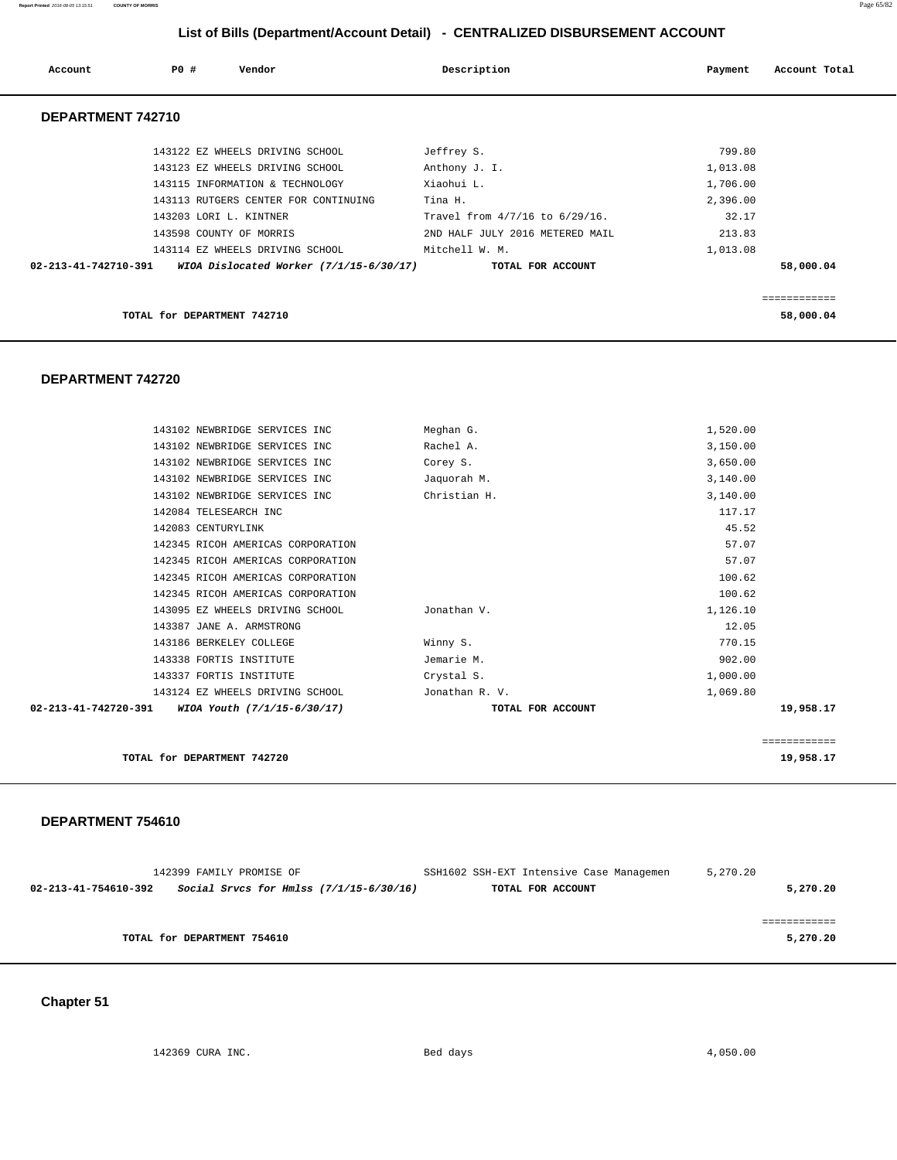**Report Printed** 2016-08-05 13:15:51 **COUNTY OF MORRIS** Page 65/82

# **List of Bills (Department/Account Detail) - CENTRALIZED DISBURSEMENT ACCOUNT**

| Account              | PO# | Vendor                                  | Description                     | Payment  | Account Total |
|----------------------|-----|-----------------------------------------|---------------------------------|----------|---------------|
| DEPARTMENT 742710    |     |                                         |                                 |          |               |
|                      |     | 143122 EZ WHEELS DRIVING SCHOOL         | Jeffrey S.                      | 799.80   |               |
|                      |     | 143123 EZ WHEELS DRIVING SCHOOL         | Anthony J. I.                   | 1,013.08 |               |
|                      |     | 143115 INFORMATION & TECHNOLOGY         | Xiaohui L.                      | 1,706.00 |               |
|                      |     | 143113 RUTGERS CENTER FOR CONTINUING    | Tina H.                         | 2,396.00 |               |
|                      |     | 143203 LORI L. KINTNER                  | Travel from 4/7/16 to 6/29/16.  | 32.17    |               |
|                      |     | 143598 COUNTY OF MORRIS                 | 2ND HALF JULY 2016 METERED MAIL | 213.83   |               |
|                      |     | 143114 EZ WHEELS DRIVING SCHOOL         | Mitchell W. M.                  | 1,013.08 |               |
| 02-213-41-742710-391 |     | WIOA Dislocated Worker (7/1/15-6/30/17) | TOTAL FOR ACCOUNT               |          | 58,000.04     |
|                      |     |                                         |                                 |          |               |
|                      |     |                                         |                                 |          | ============  |
|                      |     | TOTAL for DEPARTMENT 742710             |                                 |          | 58,000.04     |

#### **DEPARTMENT 742720**

| 143102 NEWBRIDGE SERVICES INC                       | Meghan G.         | 1,520.00     |
|-----------------------------------------------------|-------------------|--------------|
| 143102 NEWBRIDGE SERVICES INC                       | Rachel A.         | 3,150.00     |
| 143102 NEWBRIDGE SERVICES INC                       | Corey S.          | 3,650.00     |
| 143102 NEWBRIDGE SERVICES INC                       | Jaquorah M.       | 3,140.00     |
| 143102 NEWBRIDGE SERVICES INC                       | Christian H.      | 3,140.00     |
| 142084 TELESEARCH INC                               |                   | 117.17       |
| 142083 CENTURYLINK                                  |                   | 45.52        |
| 142345 RICOH AMERICAS CORPORATION                   |                   | 57.07        |
| 142345 RICOH AMERICAS CORPORATION                   |                   | 57.07        |
| 142345 RICOH AMERICAS CORPORATION                   |                   | 100.62       |
| 142345 RICOH AMERICAS CORPORATION                   |                   | 100.62       |
| 143095 EZ WHEELS DRIVING SCHOOL                     | Jonathan V.       | 1,126.10     |
| 143387 JANE A. ARMSTRONG                            |                   | 12.05        |
| 143186 BERKELEY COLLEGE                             | Winny S.          | 770.15       |
| 143338 FORTIS INSTITUTE                             | Jemarie M.        | 902.00       |
| 143337 FORTIS INSTITUTE                             | Crystal S.        | 1,000.00     |
| 143124 EZ WHEELS DRIVING SCHOOL                     | Jonathan R. V.    | 1,069.80     |
| 02-213-41-742720-391<br>WIOA Youth (7/1/15-6/30/17) | TOTAL FOR ACCOUNT | 19,958.17    |
|                                                     |                   | ============ |
| TOTAL for DEPARTMENT 742720                         |                   | 19,958.17    |

#### **DEPARTMENT 754610**

| 142399 FAMILY PROMISE OF                                          | SSH1602 SSH-EXT Intensive Case Managemen | 5,270.20 |
|-------------------------------------------------------------------|------------------------------------------|----------|
| Social Srvcs for Hmlss $(7/1/15-6/30/16)$<br>02-213-41-754610-392 | TOTAL FOR ACCOUNT                        | 5,270.20 |
|                                                                   |                                          |          |
|                                                                   |                                          |          |
| TOTAL for DEPARTMENT 754610                                       |                                          | 5,270.20 |
|                                                                   |                                          |          |

# **Chapter 51**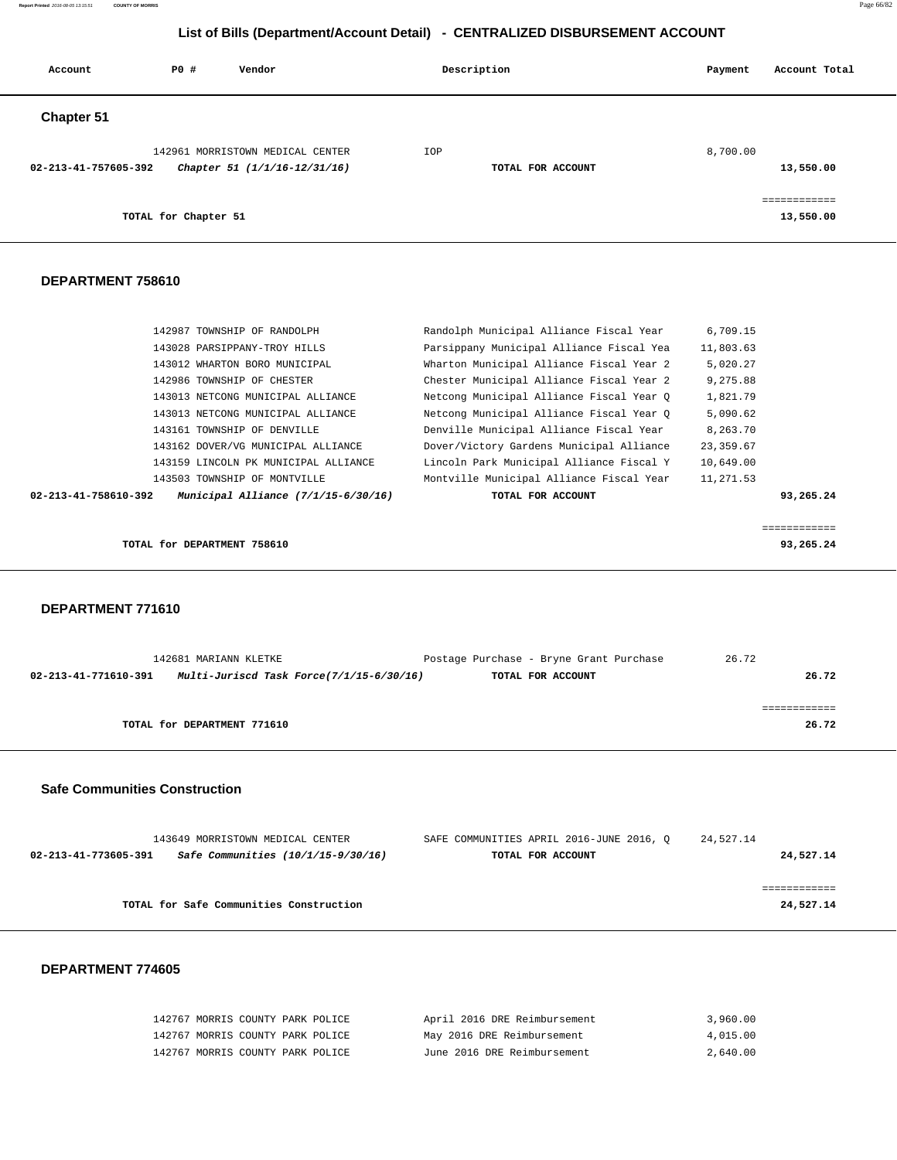**Report Printed** 2016-08-05 13:15:51 **COUNTY OF MORRIS** Page 66/82

# **List of Bills (Department/Account Detail) - CENTRALIZED DISBURSEMENT ACCOUNT**

| Account              | PO#                  | Vendor                                                           |     | Description       | Payment  | Account Total             |
|----------------------|----------------------|------------------------------------------------------------------|-----|-------------------|----------|---------------------------|
| Chapter 51           |                      |                                                                  |     |                   |          |                           |
| 02-213-41-757605-392 |                      | 142961 MORRISTOWN MEDICAL CENTER<br>Chapter 51 (1/1/16-12/31/16) | IOP | TOTAL FOR ACCOUNT | 8,700.00 | 13,550.00                 |
|                      | TOTAL for Chapter 51 |                                                                  |     |                   |          | essessessess<br>13,550.00 |

#### **DEPARTMENT 758610**

| 10,649.00<br>11,271.53<br>93,265.24<br>============ |
|-----------------------------------------------------|
|                                                     |
|                                                     |
|                                                     |
|                                                     |
| 23,359.67                                           |
| 8,263.70                                            |
| 5,090.62                                            |
| 1,821.79                                            |
| 9,275.88                                            |
| 5,020.27                                            |
| 11,803.63                                           |
| 6,709.15                                            |
|                                                     |

#### **DEPARTMENT 771610**

|                      | 142681 MARIANN KLETKE                    | Postage Purchase - Bryne Grant Purchase | 26.72 |
|----------------------|------------------------------------------|-----------------------------------------|-------|
| 02-213-41-771610-391 | Multi-Juriscd Task Force(7/1/15-6/30/16) | TOTAL FOR ACCOUNT                       | 26.72 |
|                      |                                          |                                         |       |
|                      |                                          |                                         |       |
|                      | TOTAL for DEPARTMENT 771610              |                                         | 26.72 |
|                      |                                          |                                         |       |

#### **Safe Communities Construction**

| 143649 MORRISTOWN MEDICAL CENTER                           | SAFE COMMUNITIES APRIL 2016-JUNE 2016, O | 24,527.14 |           |
|------------------------------------------------------------|------------------------------------------|-----------|-----------|
| Safe Communities (10/1/15-9/30/16)<br>02-213-41-773605-391 | TOTAL FOR ACCOUNT                        |           | 24,527.14 |
|                                                            |                                          |           |           |
|                                                            |                                          |           |           |
| TOTAL for Safe Communities Construction                    |                                          |           | 24,527.14 |
|                                                            |                                          |           |           |

| 142767 MORRIS COUNTY PARK POLICE | April 2016 DRE Reimbursement | 3,960.00 |
|----------------------------------|------------------------------|----------|
| 142767 MORRIS COUNTY PARK POLICE | May 2016 DRE Reimbursement   | 4,015.00 |
| 142767 MORRIS COUNTY PARK POLICE | June 2016 DRE Reimbursement  | 2,640.00 |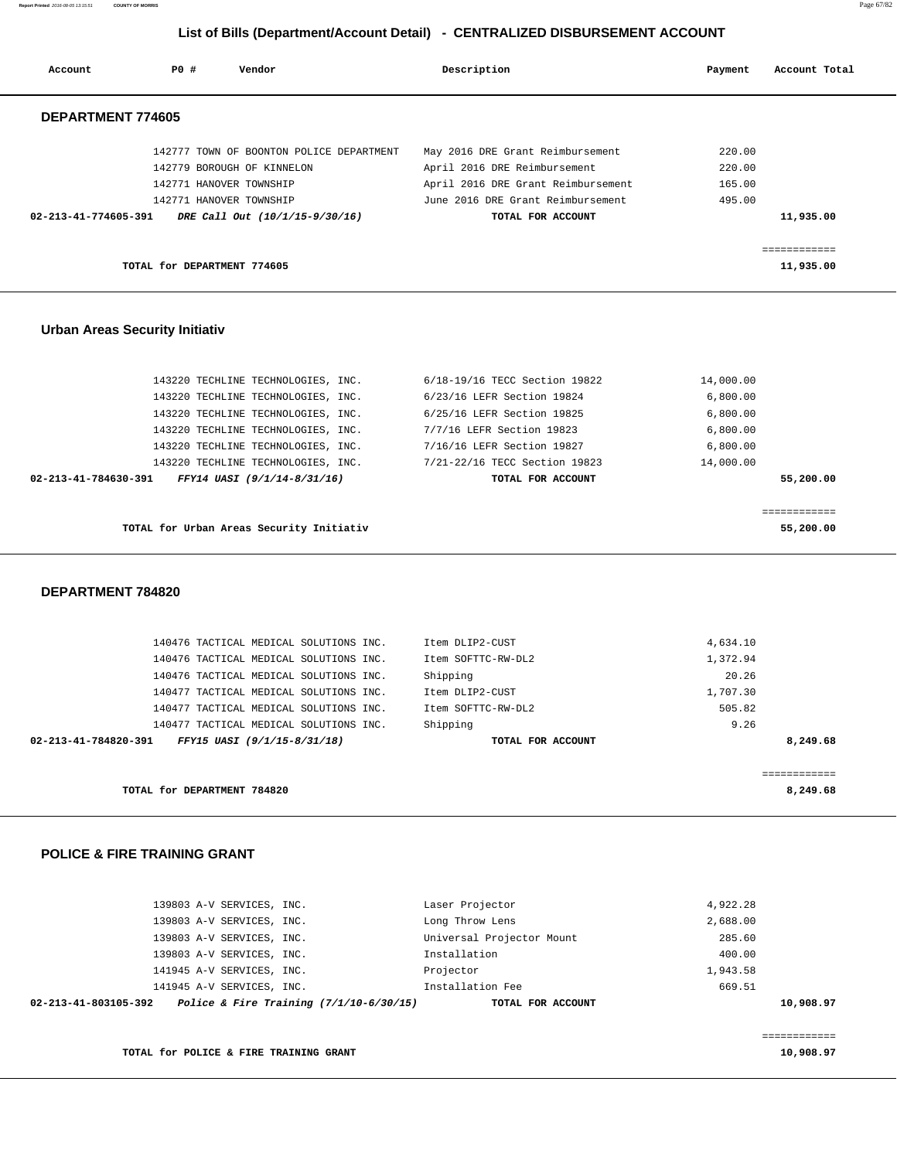**Report Printed** 2016-08-05 13:15:51 **COUNTY OF MORRIS** Page 67/82

# **List of Bills (Department/Account Detail) - CENTRALIZED DISBURSEMENT ACCOUNT**

| Account                        | PO#                         | Vendor                                   | Description                        | Payment | Account Total |
|--------------------------------|-----------------------------|------------------------------------------|------------------------------------|---------|---------------|
| DEPARTMENT 774605              |                             |                                          |                                    |         |               |
|                                |                             | 142777 TOWN OF BOONTON POLICE DEPARTMENT | May 2016 DRE Grant Reimbursement   | 220.00  |               |
|                                |                             | 142779 BOROUGH OF KINNELON               | April 2016 DRE Reimbursement       | 220.00  |               |
|                                |                             | 142771 HANOVER TOWNSHIP                  | April 2016 DRE Grant Reimbursement | 165.00  |               |
|                                |                             | 142771 HANOVER TOWNSHIP                  | June 2016 DRE Grant Reimbursement  | 495.00  |               |
| $02 - 213 - 41 - 774605 - 391$ |                             | DRE Call Out (10/1/15-9/30/16)           | TOTAL FOR ACCOUNT                  |         | 11,935.00     |
|                                |                             |                                          |                                    |         | ============  |
|                                | TOTAL for DEPARTMENT 774605 |                                          |                                    |         | 11,935.00     |

#### **Urban Areas Security Initiativ**

| 143220 TECHLINE TECHNOLOGIES, INC.                  | 6/18-19/16 TECC Section 19822 | 14,000.00 |
|-----------------------------------------------------|-------------------------------|-----------|
| 143220 TECHLINE TECHNOLOGIES, INC.                  | 6/23/16 LEFR Section 19824    | 6.800.00  |
| 143220 TECHLINE TECHNOLOGIES, INC.                  | 6/25/16 LEFR Section 19825    | 6.800.00  |
| 143220 TECHLINE TECHNOLOGIES, INC.                  | 7/7/16 LEFR Section 19823     | 6.800.00  |
| 143220 TECHLINE TECHNOLOGIES, INC.                  | 7/16/16 LEFR Section 19827    | 6.800.00  |
| 143220 TECHLINE TECHNOLOGIES, INC.                  | 7/21-22/16 TECC Section 19823 | 14,000.00 |
| FFY14 UASI (9/1/14-8/31/16)<br>02-213-41-784630-391 | TOTAL FOR ACCOUNT             | 55,200.00 |
|                                                     |                               |           |
|                                                     |                               |           |
| TOTAL for Urban Areas Security Initiativ            |                               | 55,200.00 |

#### **DEPARTMENT 784820**

| 140476 TACTICAL MEDICAL SOLUTIONS INC.              | Item DLIP2-CUST    | 4,634.10 |
|-----------------------------------------------------|--------------------|----------|
| 140476 TACTICAL MEDICAL SOLUTIONS INC.              | Item SOFTTC-RW-DL2 | 1,372.94 |
| 140476 TACTICAL MEDICAL SOLUTIONS INC.              | Shipping           | 20.26    |
| 140477 TACTICAL MEDICAL SOLUTIONS INC.              | Item DLIP2-CUST    | 1,707.30 |
| 140477 TACTICAL MEDICAL SOLUTIONS INC.              | Item SOFTTC-RW-DL2 | 505.82   |
| 140477 TACTICAL MEDICAL SOLUTIONS INC.              | Shipping           | 9.26     |
| 02-213-41-784820-391<br>FFY15 UASI (9/1/15-8/31/18) | TOTAL FOR ACCOUNT  | 8,249.68 |
|                                                     |                    |          |
|                                                     |                    |          |
| TOTAL for DEPARTMENT 784820                         |                    | 8,249.68 |
|                                                     |                    |          |

#### **POLICE & FIRE TRAINING GRANT**

| 02-213-41-803105-392 | Police & Fire Training $(7/1/10-6/30/15)$ | TOTAL FOR ACCOUNT         |          | 10,908.97 |
|----------------------|-------------------------------------------|---------------------------|----------|-----------|
|                      | 141945 A-V SERVICES, INC.                 | Installation Fee          | 669.51   |           |
|                      | 141945 A-V SERVICES, INC.                 | Projector                 | 1,943.58 |           |
|                      | 139803 A-V SERVICES, INC.                 | Installation              | 400.00   |           |
|                      | 139803 A-V SERVICES, INC.                 | Universal Projector Mount | 285.60   |           |
|                      | 139803 A-V SERVICES, INC.                 | Long Throw Lens           | 2,688.00 |           |
|                      | 139803 A-V SERVICES, INC.                 | Laser Projector           | 4,922.28 |           |
|                      |                                           |                           |          |           |

============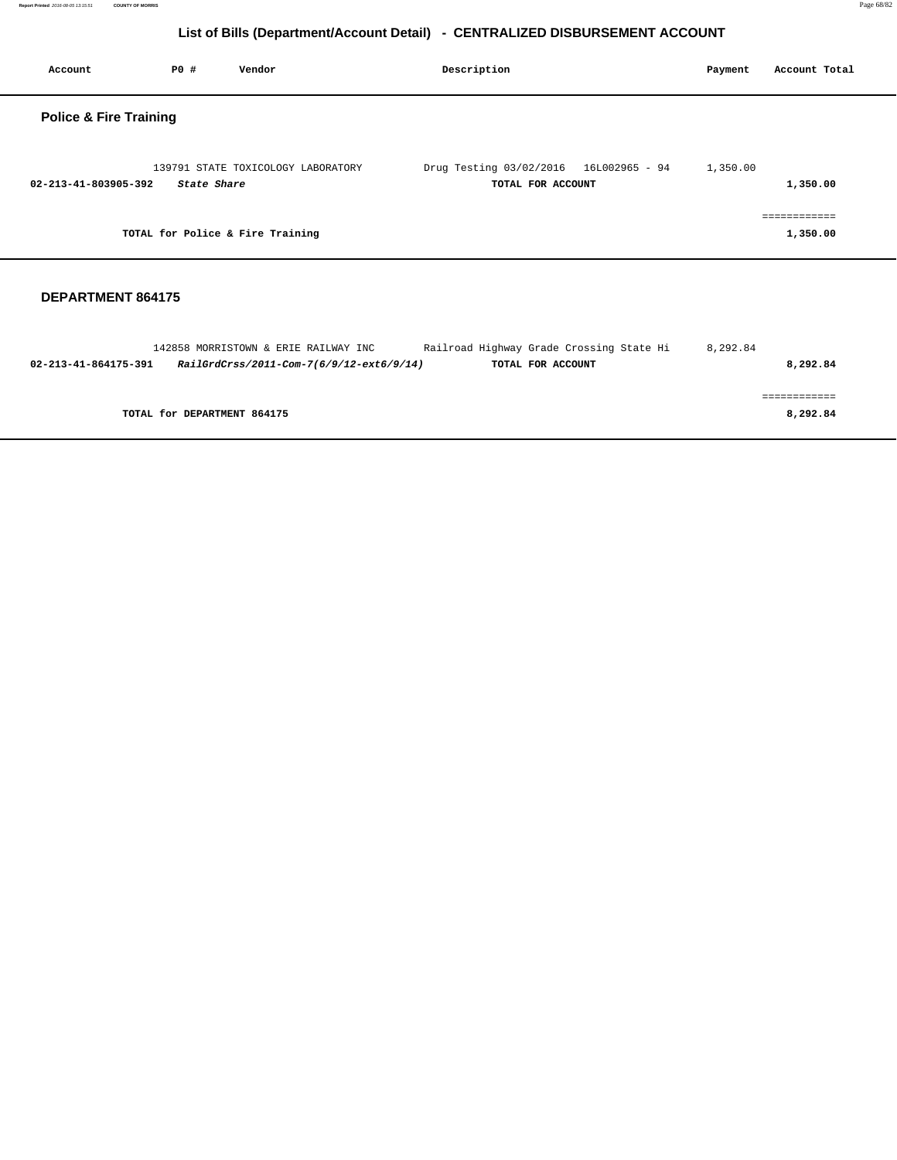**Report Printed** 2016-08-05 13:15:51 **COUNTY OF MORRIS** Page 68/82

# **List of Bills (Department/Account Detail) - CENTRALIZED DISBURSEMENT ACCOUNT**

| Account                           | <b>PO #</b> | Vendor                             | Description                                  |                | Payment  | Account Total            |
|-----------------------------------|-------------|------------------------------------|----------------------------------------------|----------------|----------|--------------------------|
| <b>Police &amp; Fire Training</b> |             |                                    |                                              |                |          |                          |
| 02-213-41-803905-392              | State Share | 139791 STATE TOXICOLOGY LABORATORY | Drug Testing 03/02/2016<br>TOTAL FOR ACCOUNT | 16L002965 - 94 | 1,350.00 | 1,350.00                 |
|                                   |             | TOTAL for Police & Fire Training   |                                              |                |          | ------------<br>1,350.00 |
| DEPARTMENT 864175                 |             |                                    |                                              |                |          |                          |

|                      | 142858 MORRISTOWN & ERIE RAILWAY INC     | Railroad Highway Grade Crossing State Hi | 8,292.84 |
|----------------------|------------------------------------------|------------------------------------------|----------|
| 02-213-41-864175-391 | RailGrdCrss/2011-Com-7(6/9/12-ext6/9/14) | TOTAL FOR ACCOUNT                        | 8,292.84 |
|                      |                                          |                                          |          |
|                      |                                          |                                          |          |
|                      | TOTAL for DEPARTMENT 864175              |                                          | 8,292.84 |
|                      |                                          |                                          |          |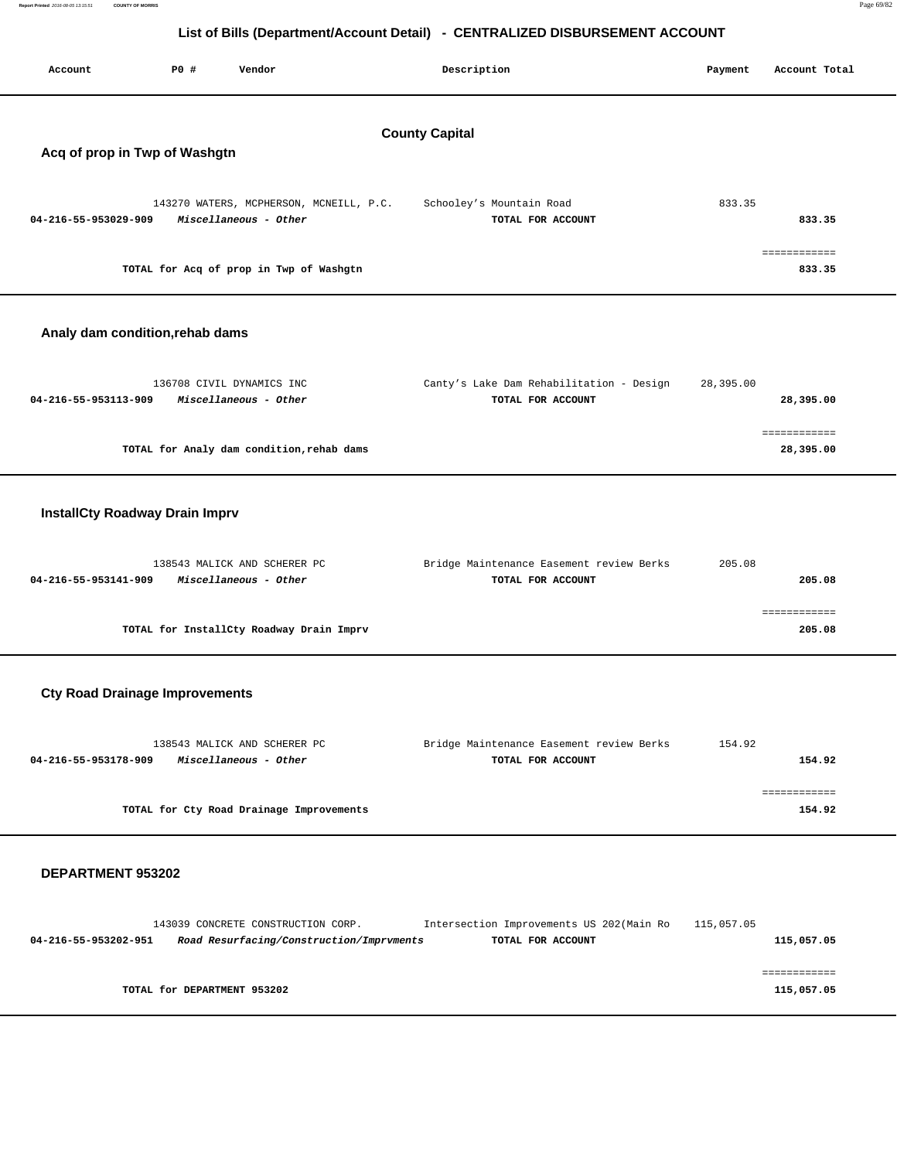| Report Printed 2016-08-05 13:15:51 | <b>COUNTY OF MORRIS</b> |                                 |                                           |                                                                              |           | Page 69/82    |
|------------------------------------|-------------------------|---------------------------------|-------------------------------------------|------------------------------------------------------------------------------|-----------|---------------|
|                                    |                         |                                 |                                           | List of Bills (Department/Account Detail) - CENTRALIZED DISBURSEMENT ACCOUNT |           |               |
|                                    |                         |                                 |                                           |                                                                              |           |               |
| Account                            |                         | P0 #                            | Vendor                                    | Description                                                                  | Payment   | Account Total |
|                                    |                         |                                 |                                           |                                                                              |           |               |
|                                    |                         |                                 |                                           |                                                                              |           |               |
|                                    |                         |                                 |                                           | <b>County Capital</b>                                                        |           |               |
|                                    |                         | Acq of prop in Twp of Washgtn   |                                           |                                                                              |           |               |
|                                    |                         |                                 |                                           |                                                                              |           |               |
|                                    |                         |                                 | 143270 WATERS, MCPHERSON, MCNEILL, P.C.   | Schooley's Mountain Road                                                     | 833.35    |               |
| 04-216-55-953029-909               |                         |                                 | Miscellaneous - Other                     | TOTAL FOR ACCOUNT                                                            |           | 833.35        |
|                                    |                         |                                 |                                           |                                                                              |           | ============  |
|                                    |                         |                                 | TOTAL for Acq of prop in Twp of Washgtn   |                                                                              |           | 833.35        |
|                                    |                         |                                 |                                           |                                                                              |           |               |
|                                    |                         |                                 |                                           |                                                                              |           |               |
|                                    |                         | Analy dam condition, rehab dams |                                           |                                                                              |           |               |
|                                    |                         |                                 |                                           |                                                                              |           |               |
|                                    |                         |                                 | 136708 CIVIL DYNAMICS INC                 | Canty's Lake Dam Rehabilitation - Design                                     | 28,395.00 |               |
| 04-216-55-953113-909               |                         |                                 | Miscellaneous - Other                     | TOTAL FOR ACCOUNT                                                            |           | 28,395.00     |
|                                    |                         |                                 |                                           |                                                                              |           |               |
|                                    |                         |                                 |                                           |                                                                              |           | ============  |
|                                    |                         |                                 | TOTAL for Analy dam condition, rehab dams |                                                                              |           | 28,395.00     |
|                                    |                         |                                 |                                           |                                                                              |           |               |

# **InstallCty Roadway Drain Imprv**

| 138543 MALICK AND SCHERER PC                  | Bridge Maintenance Easement review Berks | 205.08 |
|-----------------------------------------------|------------------------------------------|--------|
| Miscellaneous - Other<br>04-216-55-953141-909 | TOTAL FOR ACCOUNT                        | 205.08 |
|                                               |                                          |        |
|                                               |                                          |        |
| TOTAL for InstallCty Roadway Drain Imprv      |                                          | 205.08 |
|                                               |                                          |        |

# **Cty Road Drainage Improvements**

| 138543 MALICK AND SCHERER PC                  | Bridge Maintenance Easement review Berks | 154.92 |
|-----------------------------------------------|------------------------------------------|--------|
| Miscellaneous - Other<br>04-216-55-953178-909 | TOTAL FOR ACCOUNT                        | 154.92 |
|                                               |                                          |        |
|                                               |                                          |        |
| TOTAL for Cty Road Drainage Improvements      |                                          | 154.92 |
|                                               |                                          |        |

|                      |                             | 143039 CONCRETE CONSTRUCTION CORP.       | Intersection Improvements US 202(Main Ro |                   | 115,057.05 |            |
|----------------------|-----------------------------|------------------------------------------|------------------------------------------|-------------------|------------|------------|
| 04-216-55-953202-951 |                             | Road Resurfacing/Construction/Imprvments |                                          | TOTAL FOR ACCOUNT |            | 115,057.05 |
|                      |                             |                                          |                                          |                   |            |            |
|                      |                             |                                          |                                          |                   |            |            |
|                      | TOTAL for DEPARTMENT 953202 |                                          |                                          |                   |            |            |
|                      |                             |                                          |                                          |                   |            | 115,057.05 |
|                      |                             |                                          |                                          |                   |            |            |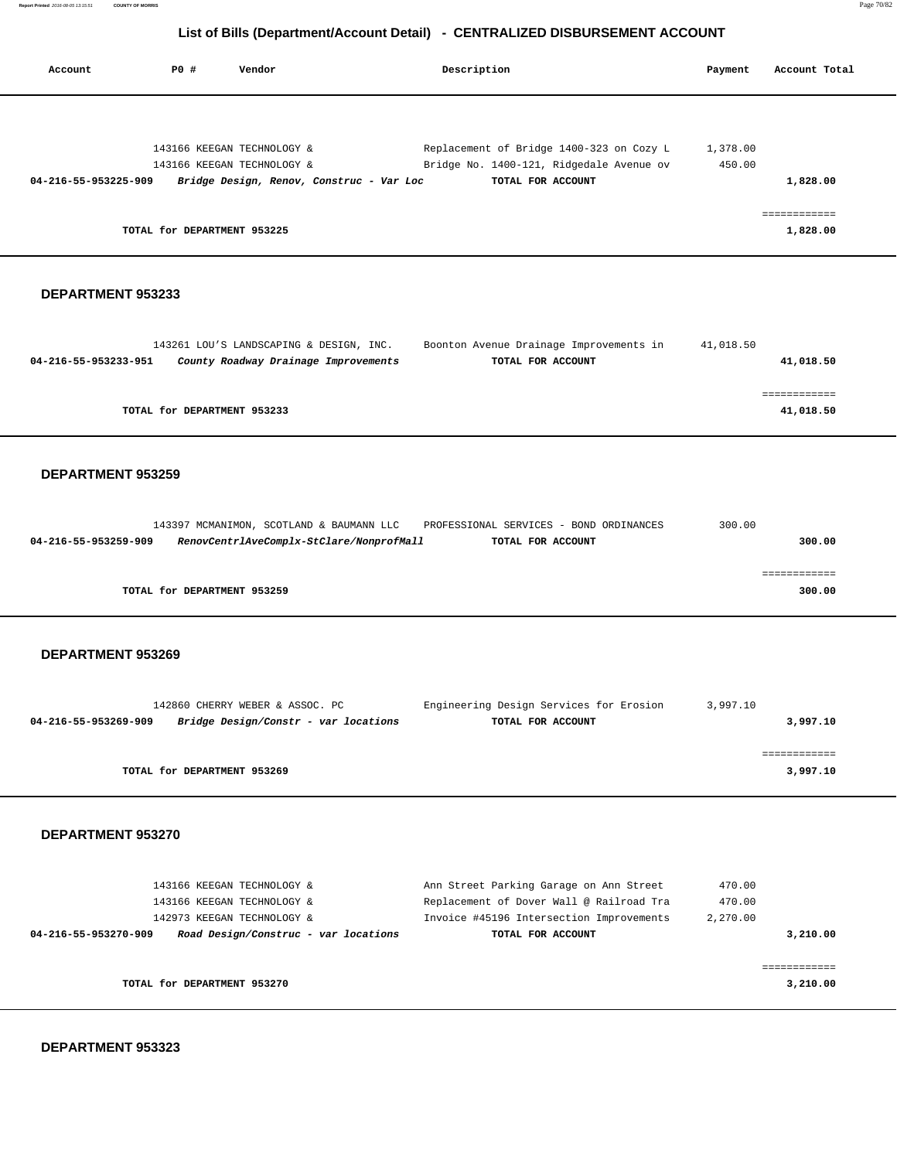**Report Printed** 2016-08-05 13:15:51 **COUNTY OF MORRIS** Page 70/82

# **List of Bills (Department/Account Detail) - CENTRALIZED DISBURSEMENT ACCOUNT**

| Account              | PO#                         | Vendor                                   | Description                              | Payment  | Account Total |
|----------------------|-----------------------------|------------------------------------------|------------------------------------------|----------|---------------|
|                      |                             |                                          |                                          |          |               |
|                      |                             | 143166 KEEGAN TECHNOLOGY &               | Replacement of Bridge 1400-323 on Cozy L | 1,378.00 |               |
|                      |                             | 143166 KEEGAN TECHNOLOGY &               | Bridge No. 1400-121, Ridgedale Avenue ov | 450.00   |               |
| 04-216-55-953225-909 |                             | Bridge Design, Renov, Construc - Var Loc | TOTAL FOR ACCOUNT                        |          | 1,828.00      |
|                      | TOTAL for DEPARTMENT 953225 |                                          |                                          |          | 1,828.00      |

#### **DEPARTMENT 953233**

#### **DEPARTMENT 953259**

|                      |                             | 143397 MCMANIMON, SCOTLAND & BAUMANN LLC | PROFESSIONAL SERVICES - BOND ORDINANCES | 300.00 |
|----------------------|-----------------------------|------------------------------------------|-----------------------------------------|--------|
| 04-216-55-953259-909 |                             | RenovCentrlAveComplx-StClare/NonprofMall | TOTAL FOR ACCOUNT                       | 300.00 |
|                      |                             |                                          |                                         |        |
|                      |                             |                                          |                                         |        |
|                      | TOTAL for DEPARTMENT 953259 |                                          |                                         | 300.00 |

#### **DEPARTMENT 953269**

|                      | 142860 CHERRY WEBER & ASSOC. PC      | Engineering Design Services for Erosion | 3,997.10 |
|----------------------|--------------------------------------|-----------------------------------------|----------|
| 04-216-55-953269-909 | Bridge Design/Constr - var locations | TOTAL FOR ACCOUNT                       | 3,997.10 |
|                      |                                      |                                         |          |
|                      |                                      |                                         |          |
|                      | TOTAL for DEPARTMENT 953269          |                                         | 3,997.10 |

#### **DEPARTMENT 953270**

| 143166 KEEGAN TECHNOLOGY &                                   | Ann Street Parking Garage on Ann Street  | 470.00   |
|--------------------------------------------------------------|------------------------------------------|----------|
| 143166 KEEGAN TECHNOLOGY &                                   | Replacement of Dover Wall @ Railroad Tra | 470.00   |
| 142973 KEEGAN TECHNOLOGY &                                   | Invoice #45196 Intersection Improvements | 2,270.00 |
| Road Design/Construc - var locations<br>04-216-55-953270-909 | TOTAL FOR ACCOUNT                        | 3,210.00 |
|                                                              |                                          |          |
| TOTAL for DEPARTMENT 953270                                  |                                          | 3,210.00 |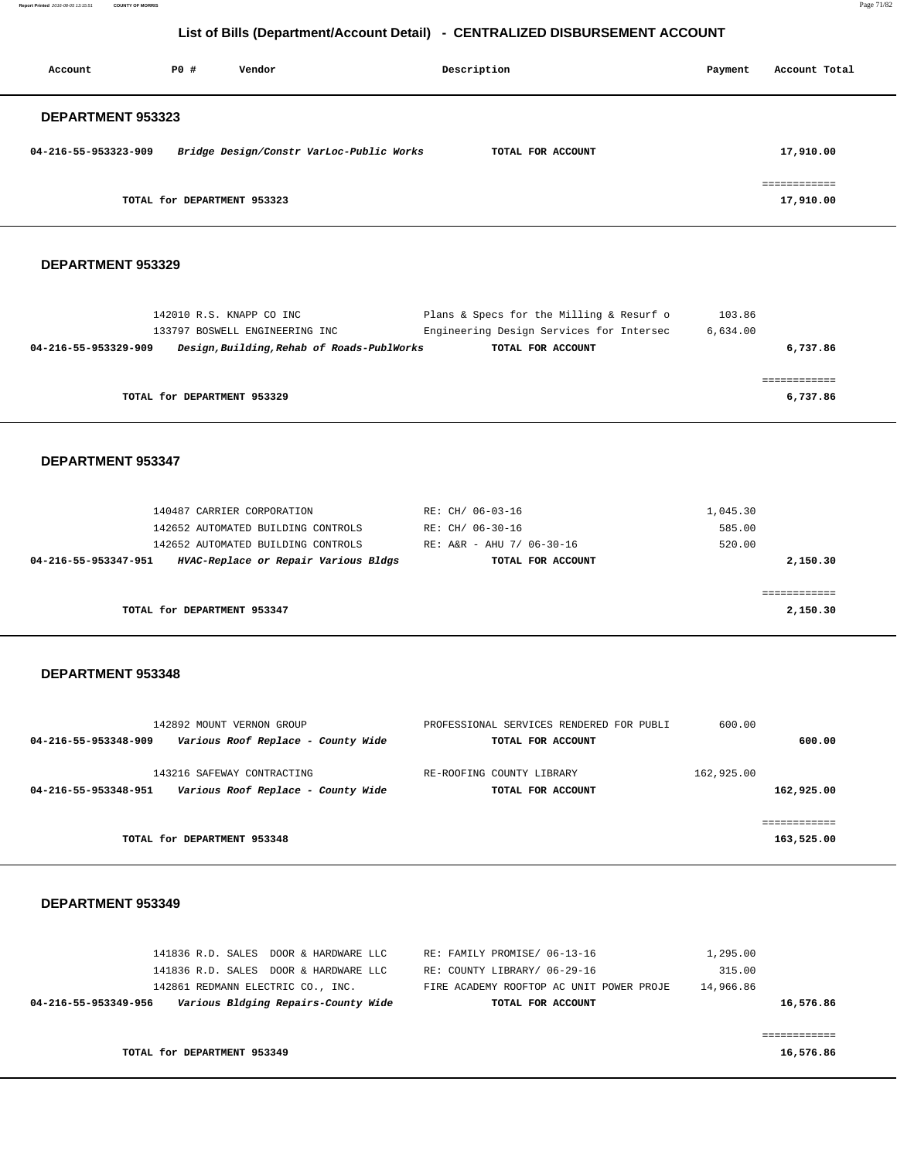**Report Printed** 2016-08-05 13:15:51 **COUNTY OF MORRIS** Page 71/82

|                          |             |                                                                                                                                                | List of Bills (Department/Account Detail) - CENTRALIZED DISBURSEMENT ACCOUNT                              |                              |                            |
|--------------------------|-------------|------------------------------------------------------------------------------------------------------------------------------------------------|-----------------------------------------------------------------------------------------------------------|------------------------------|----------------------------|
| Account                  | <b>PO #</b> | Vendor                                                                                                                                         | Description                                                                                               | Payment                      | Account Total              |
| DEPARTMENT 953323        |             |                                                                                                                                                |                                                                                                           |                              |                            |
| 04-216-55-953323-909     |             | Bridge Design/Constr VarLoc-Public Works                                                                                                       | TOTAL FOR ACCOUNT                                                                                         |                              | 17,910.00                  |
|                          |             | TOTAL for DEPARTMENT 953323                                                                                                                    |                                                                                                           |                              | ============<br>17,910.00  |
| DEPARTMENT 953329        |             |                                                                                                                                                |                                                                                                           |                              |                            |
| 04-216-55-953329-909     |             | 142010 R.S. KNAPP CO INC<br>133797 BOSWELL ENGINEERING INC<br>Design, Building, Rehab of Roads-PublWorks                                       | Plans & Specs for the Milling & Resurf o<br>Engineering Design Services for Intersec<br>TOTAL FOR ACCOUNT | 103.86<br>6,634.00           | 6,737.86                   |
|                          |             | TOTAL for DEPARTMENT 953329                                                                                                                    |                                                                                                           |                              | ============<br>6,737.86   |
| <b>DEPARTMENT 953347</b> |             |                                                                                                                                                |                                                                                                           |                              |                            |
| 04-216-55-953347-951     |             | 140487 CARRIER CORPORATION<br>142652 AUTOMATED BUILDING CONTROLS<br>142652 AUTOMATED BUILDING CONTROLS<br>HVAC-Replace or Repair Various Bldgs | RE: CH/ 06-03-16<br>RE: CH/ 06-30-16<br>RE: A&R - AHU 7/ 06-30-16<br>TOTAL FOR ACCOUNT                    | 1,045.30<br>585.00<br>520.00 | 2,150.30                   |
|                          |             | TOTAL for DEPARTMENT 953347                                                                                                                    |                                                                                                           |                              | ============<br>2,150.30   |
| DEPARTMENT 953348        |             |                                                                                                                                                |                                                                                                           |                              |                            |
| 04-216-55-953348-909     |             | 142892 MOUNT VERNON GROUP<br>Various Roof Replace - County Wide                                                                                | PROFESSIONAL SERVICES RENDERED FOR PUBLI<br>TOTAL FOR ACCOUNT                                             | 600.00                       | 600.00                     |
|                          |             | 143216 SAFEWAY CONTRACTING<br>04-216-55-953348-951    Various Roof Replace - County Wide                                                       | RE-ROOFING COUNTY LIBRARY<br>TOTAL FOR ACCOUNT                                                            | 162,925.00                   | 162,925.00                 |
|                          |             | TOTAL for DEPARTMENT 953348                                                                                                                    |                                                                                                           |                              | ============<br>163,525.00 |

| 141836 R.D. SALES DOOR & HARDWARE LLC<br>141836 R.D. SALES DOOR & HARDWARE LLC                   | RE: FAMILY PROMISE/ 06-13-16<br>RE: COUNTY LIBRARY/ 06-29-16  | 1,295.00<br>315.00     |
|--------------------------------------------------------------------------------------------------|---------------------------------------------------------------|------------------------|
| 142861 REDMANN ELECTRIC CO., INC.<br>Various Bldging Repairs-County Wide<br>04-216-55-953349-956 | FIRE ACADEMY ROOFTOP AC UNIT POWER PROJE<br>TOTAL FOR ACCOUNT | 14,966.86<br>16,576.86 |
|                                                                                                  |                                                               |                        |
| TOTAL for DEPARTMENT 953349                                                                      |                                                               | 16,576.86              |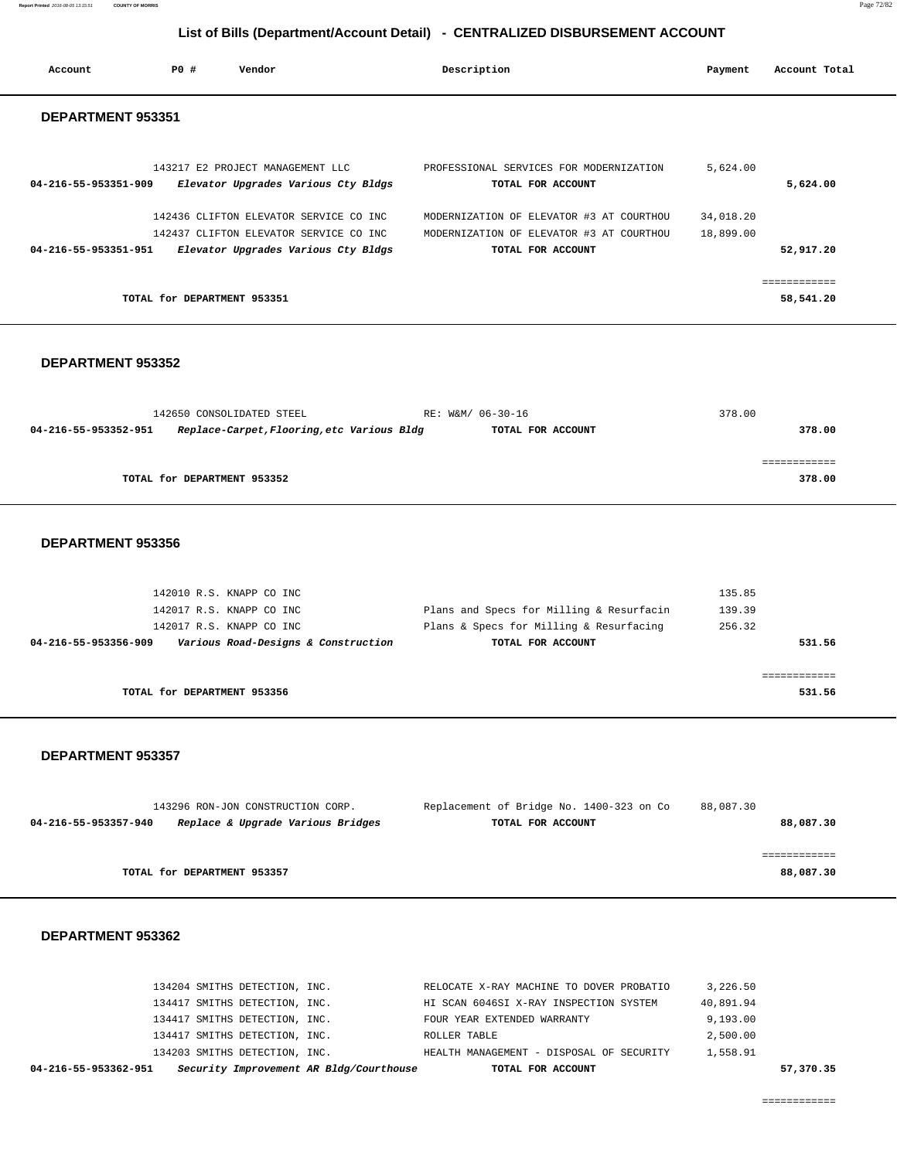**Report Printed** 2016-08-05 13:15:51 **COUNTY OF MORRIS** Page 72/82

# **List of Bills (Department/Account Detail) - CENTRALIZED DISBURSEMENT ACCOUNT**

| Account              | PO#                         | Vendor                                                                        | Description                                                   | Payment   | Account Total |
|----------------------|-----------------------------|-------------------------------------------------------------------------------|---------------------------------------------------------------|-----------|---------------|
| DEPARTMENT 953351    |                             |                                                                               |                                                               |           |               |
| 04-216-55-953351-909 |                             | 143217 E2 PROJECT MANAGEMENT LLC<br>Elevator Upgrades Various Cty Bldgs       | PROFESSIONAL SERVICES FOR MODERNIZATION<br>TOTAL FOR ACCOUNT  | 5,624.00  | 5,624.00      |
|                      |                             | 142436 CLIFTON ELEVATOR SERVICE CO INC                                        | MODERNIZATION OF ELEVATOR #3 AT COURTHOU                      | 34,018.20 |               |
| 04-216-55-953351-951 |                             | 142437 CLIFTON ELEVATOR SERVICE CO INC<br>Elevator Upgrades Various Cty Bldgs | MODERNIZATION OF ELEVATOR #3 AT COURTHOU<br>TOTAL FOR ACCOUNT | 18,899.00 | 52,917.20     |
|                      | TOTAL for DEPARTMENT 953351 |                                                                               |                                                               |           | 58,541.20     |

#### **DEPARTMENT 953352**

| 142650 CONSOLIDATED STEEL   | RE: W&M/ 06-30-16                                               | 378.00 |
|-----------------------------|-----------------------------------------------------------------|--------|
| 04-216-55-953352-951        | Replace-Carpet, Flooring, etc Various Bldg<br>TOTAL FOR ACCOUNT | 378.00 |
|                             |                                                                 |        |
|                             |                                                                 |        |
| TOTAL for DEPARTMENT 953352 |                                                                 | 378.00 |
|                             |                                                                 |        |

#### **DEPARTMENT 953356**

|                             | 142010 R.S. KNAPP CO INC<br>142017 R.S. KNAPP CO INC<br>142017 R.S. KNAPP CO INC | Plans and Specs for Milling & Resurfacin<br>Plans & Specs for Milling & Resurfacing | 135.85<br>139.39<br>256.32 |
|-----------------------------|----------------------------------------------------------------------------------|-------------------------------------------------------------------------------------|----------------------------|
| 04-216-55-953356-909        | Various Road-Designs & Construction                                              | TOTAL FOR ACCOUNT                                                                   | 531.56                     |
|                             |                                                                                  |                                                                                     |                            |
| TOTAL for DEPARTMENT 953356 |                                                                                  |                                                                                     | 531.56                     |

#### **DEPARTMENT 953357**

|                      | 143296 RON-JON CONSTRUCTION CORP. | Replacement of Bridge No. 1400-323 on Co | 88,087.30 |
|----------------------|-----------------------------------|------------------------------------------|-----------|
| 04-216-55-953357-940 | Replace & Upgrade Various Bridges | TOTAL FOR ACCOUNT                        | 88,087.30 |
|                      |                                   |                                          |           |
|                      |                                   |                                          |           |
|                      | TOTAL for DEPARTMENT 953357       |                                          | 88,087.30 |

| 04-216-55-953362-951 |                               | Security Improvement AR Bldg/Courthouse | TOTAL FOR ACCOUNT                        |           | 57,370.35 |
|----------------------|-------------------------------|-----------------------------------------|------------------------------------------|-----------|-----------|
|                      | 134203 SMITHS DETECTION, INC. |                                         | HEALTH MANAGEMENT - DISPOSAL OF SECURITY | 1,558.91  |           |
|                      | 134417 SMITHS DETECTION, INC. |                                         | ROLLER TABLE                             | 2,500.00  |           |
|                      | 134417 SMITHS DETECTION, INC. |                                         | FOUR YEAR EXTENDED WARRANTY              | 9,193.00  |           |
|                      | 134417 SMITHS DETECTION, INC. |                                         | HI SCAN 6046SI X-RAY INSPECTION SYSTEM   | 40,891.94 |           |
|                      | 134204 SMITHS DETECTION, INC. |                                         | RELOCATE X-RAY MACHINE TO DOVER PROBATIO | 3,226.50  |           |
|                      |                               |                                         |                                          |           |           |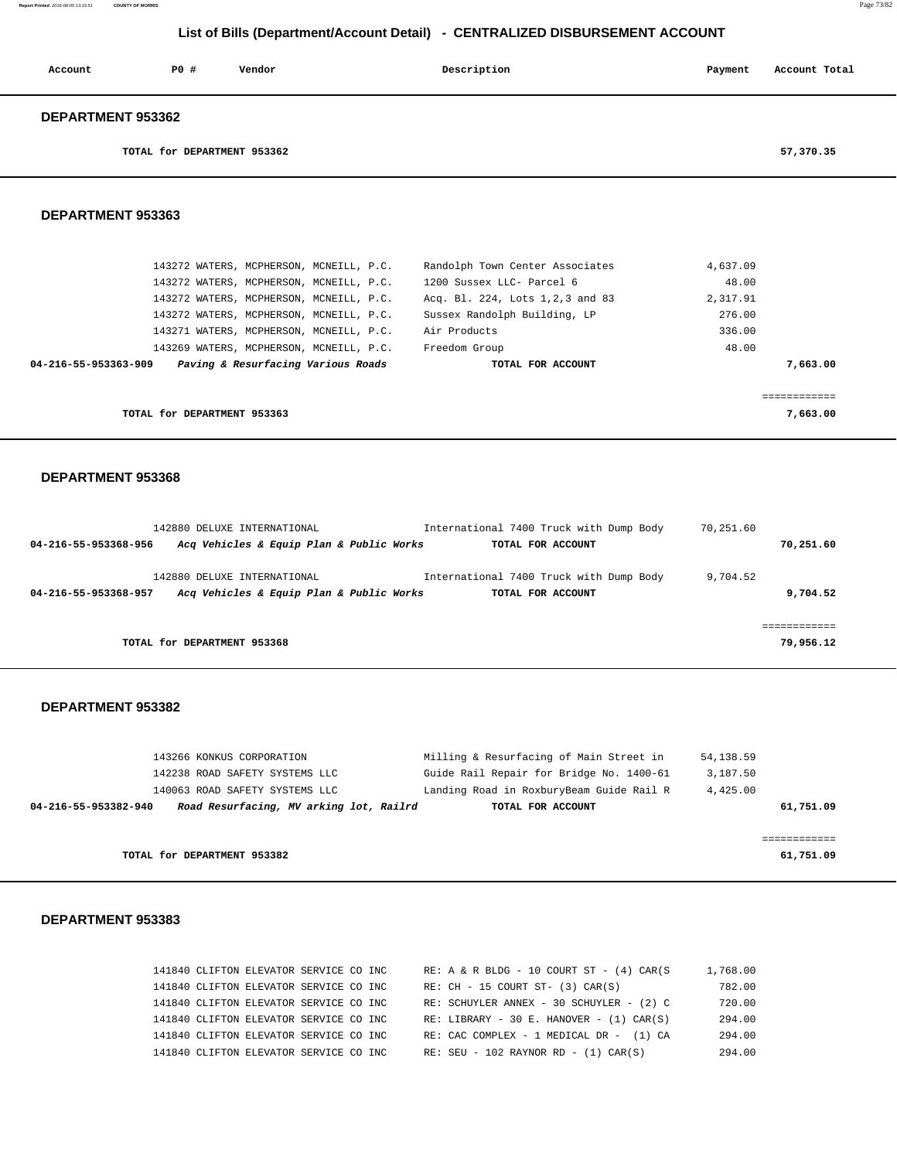# **List of Bills (Department/Account Detail) - CENTRALIZED DISBURSEMENT ACCOUNT**

| Account                  | PO# | Vendor | Description | Payment | Account Total |
|--------------------------|-----|--------|-------------|---------|---------------|
| <b>DEPARTMENT 953362</b> |     |        |             |         |               |

**TOTAL for DEPARTMENT 953362 57,370.35**

## **DEPARTMENT 953363**

| 143272 WATERS, MCPHERSON, MCNEILL, P.C.                    | Randolph Town Center Associates   | 4,637.09 |          |
|------------------------------------------------------------|-----------------------------------|----------|----------|
| 143272 WATERS, MCPHERSON, MCNEILL, P.C.                    | 1200 Sussex LLC- Parcel 6         | 48.00    |          |
| 143272 WATERS, MCPHERSON, MCNEILL, P.C.                    | Acq. Bl. 224, Lots 1, 2, 3 and 83 | 2,317.91 |          |
| 143272 WATERS, MCPHERSON, MCNEILL, P.C.                    | Sussex Randolph Building, LP      | 276.00   |          |
| 143271 WATERS, MCPHERSON, MCNEILL, P.C.                    | Air Products                      | 336.00   |          |
| 143269 WATERS, MCPHERSON, MCNEILL, P.C.                    | Freedom Group                     | 48.00    |          |
| Paving & Resurfacing Various Roads<br>04-216-55-953363-909 | TOTAL FOR ACCOUNT                 |          | 7,663.00 |
|                                                            |                                   |          |          |
|                                                            |                                   |          |          |
| TOTAL for DEPARTMENT 953363                                |                                   |          | 7,663.00 |

#### **DEPARTMENT 953368**

| 142880 DELUXE INTERNATIONAL                                                                     | International 7400 Truck with Dump Body                      | 70,251.60            |
|-------------------------------------------------------------------------------------------------|--------------------------------------------------------------|----------------------|
| Acq Vehicles & Equip Plan & Public Works<br>04-216-55-953368-956                                | TOTAL FOR ACCOUNT                                            | 70,251.60            |
| 142880 DELUXE INTERNATIONAL<br>Acq Vehicles & Equip Plan & Public Works<br>04-216-55-953368-957 | International 7400 Truck with Dump Body<br>TOTAL FOR ACCOUNT | 9,704.52<br>9,704.52 |
|                                                                                                 |                                                              |                      |
| TOTAL for DEPARTMENT 953368                                                                     |                                                              | 79,956.12            |

#### **DEPARTMENT 953382**

|                      | TOTAL for DEPARTMENT 953382             |                                          | 61,751.09 |
|----------------------|-----------------------------------------|------------------------------------------|-----------|
|                      |                                         |                                          |           |
| 04-216-55-953382-940 | Road Resurfacing, MV arking lot, Railrd | TOTAL FOR ACCOUNT                        | 61,751.09 |
|                      | 140063 ROAD SAFETY SYSTEMS LLC          | Landing Road in RoxburyBeam Guide Rail R | 4,425.00  |
|                      | 142238 ROAD SAFETY SYSTEMS LLC          | Guide Rail Repair for Bridge No. 1400-61 | 3,187.50  |
|                      | 143266 KONKUS CORPORATION               | Milling & Resurfacing of Main Street in  | 54,138.59 |
|                      |                                         |                                          |           |

|  | 141840 CLIFTON ELEVATOR SERVICE CO INC |  |  | $RE: A & R BLDG - 10 COURT ST - (4) CAR(S)$   | 1,768.00 |
|--|----------------------------------------|--|--|-----------------------------------------------|----------|
|  | 141840 CLIFTON ELEVATOR SERVICE CO INC |  |  | $RE: CH - 15 COURT ST- (3) CAR(S)$            | 782.00   |
|  | 141840 CLIFTON ELEVATOR SERVICE CO INC |  |  | RE: SCHUYLER ANNEX - 30 SCHUYLER - (2) C      | 720.00   |
|  | 141840 CLIFTON ELEVATOR SERVICE CO INC |  |  | RE: LIBRARY - 30 E. HANOVER - $(1)$ CAR $(S)$ | 294.00   |
|  | 141840 CLIFTON ELEVATOR SERVICE CO INC |  |  | RE: CAC COMPLEX - 1 MEDICAL DR - (1) CA       | 294.00   |
|  | 141840 CLIFTON ELEVATOR SERVICE CO INC |  |  | $RE: SEU - 102 RAYNOR RD - (1) CAR(S)$        | 294.00   |
|  |                                        |  |  |                                               |          |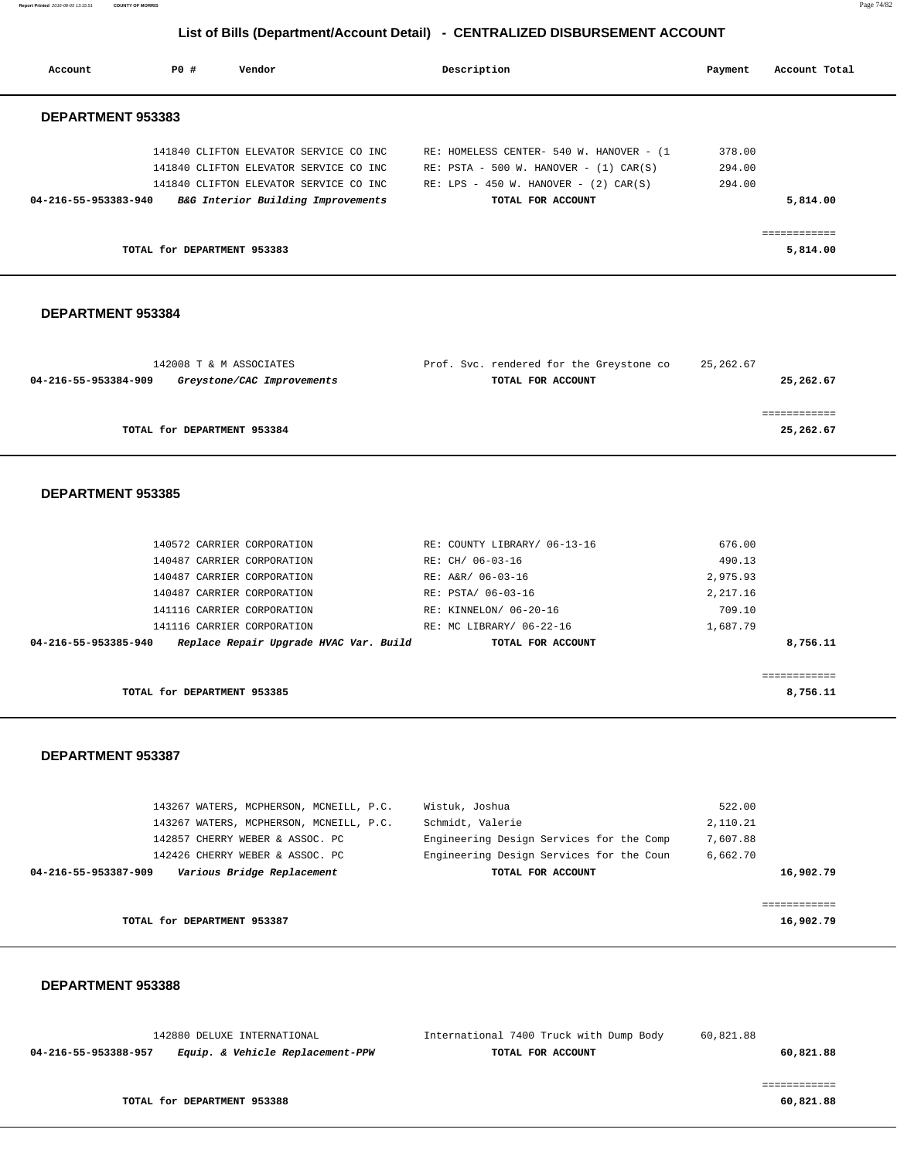**Report Printed** 2016-08-05 13:15:51 **COUNTY OF MORRIS** Page 74/82

# **List of Bills (Department/Account Detail) - CENTRALIZED DISBURSEMENT ACCOUNT**

| Account                  | PO #                        | Vendor                                 | Description                                | Payment |        | Account Total |
|--------------------------|-----------------------------|----------------------------------------|--------------------------------------------|---------|--------|---------------|
| <b>DEPARTMENT 953383</b> |                             |                                        |                                            |         |        |               |
|                          |                             | 141840 CLIFTON ELEVATOR SERVICE CO INC | RE: HOMELESS CENTER- 540 W. HANOVER - (1   |         | 378.00 |               |
|                          |                             | 141840 CLIFTON ELEVATOR SERVICE CO INC | RE: $PSTA - 500 W$ . HANOVER - (1) CAR(S)  |         | 294.00 |               |
|                          |                             | 141840 CLIFTON ELEVATOR SERVICE CO INC | RE: LPS - 450 W. HANOVER - $(2)$ CAR $(S)$ |         | 294.00 |               |
| 04-216-55-953383-940     |                             | B&G Interior Building Improvements     | TOTAL FOR ACCOUNT                          |         |        | 5,814.00      |
|                          |                             |                                        |                                            |         |        | ===========   |
|                          | TOTAL for DEPARTMENT 953383 |                                        |                                            |         |        | 5,814.00      |
|                          |                             |                                        |                                            |         |        |               |

## **DEPARTMENT 953384**

| 142008 T & M ASSOCIATES                            | Prof. Svc. rendered for the Greystone co | 25,262.67 |
|----------------------------------------------------|------------------------------------------|-----------|
| 04-216-55-953384-909<br>Greystone/CAC Improvements | TOTAL FOR ACCOUNT                        | 25,262.67 |
|                                                    |                                          |           |
|                                                    |                                          |           |
| TOTAL for DEPARTMENT 953384                        |                                          | 25,262.67 |
|                                                    |                                          |           |

#### **DEPARTMENT 953385**

| Replace Repair Upgrade HVAC Var. Build<br>04-216-55-953385-940 | TOTAL FOR ACCOUNT            | 8,756.11 |
|----------------------------------------------------------------|------------------------------|----------|
| 141116 CARRIER CORPORATION                                     | RE: MC LIBRARY/ 06-22-16     | 1,687.79 |
| 141116 CARRIER CORPORATION                                     | RE: KINNELON/ 06-20-16       | 709.10   |
| 140487 CARRIER CORPORATION                                     | RE: PSTA/ 06-03-16           | 2,217.16 |
| 140487 CARRIER CORPORATION                                     | RE: A&R/ 06-03-16            | 2,975.93 |
| 140487 CARRIER CORPORATION                                     | RE: CH/ 06-03-16             | 490.13   |
| 140572 CARRIER CORPORATION                                     | RE: COUNTY LIBRARY/ 06-13-16 | 676.00   |

**TOTAL for DEPARTMENT 953385 8,756.11**

#### **DEPARTMENT 953387**

| 143267 WATERS, MCPHERSON, MCNEILL, P.C.            | Wistuk, Joshua                           | 522.00    |
|----------------------------------------------------|------------------------------------------|-----------|
| 143267 WATERS, MCPHERSON, MCNEILL, P.C.            | Schmidt, Valerie                         | 2,110.21  |
| 142857 CHERRY WEBER & ASSOC. PC                    | Engineering Design Services for the Comp | 7,607.88  |
| 142426 CHERRY WEBER & ASSOC. PC                    | Engineering Design Services for the Coun | 6,662.70  |
| Various Bridge Replacement<br>04-216-55-953387-909 | TOTAL FOR ACCOUNT                        | 16,902.79 |
|                                                    |                                          |           |
|                                                    |                                          |           |
| TOTAL for DEPARTMENT 953387                        |                                          | 16,902.79 |
|                                                    |                                          |           |

#### **DEPARTMENT 953388**

|                      | 142880 DELUXE INTERNATIONAL      | International 7400 Truck with Dump Body | 60,821.88 |
|----------------------|----------------------------------|-----------------------------------------|-----------|
| 04-216-55-953388-957 | Equip. & Vehicle Replacement-PPW | TOTAL FOR ACCOUNT                       | 60,821.88 |

============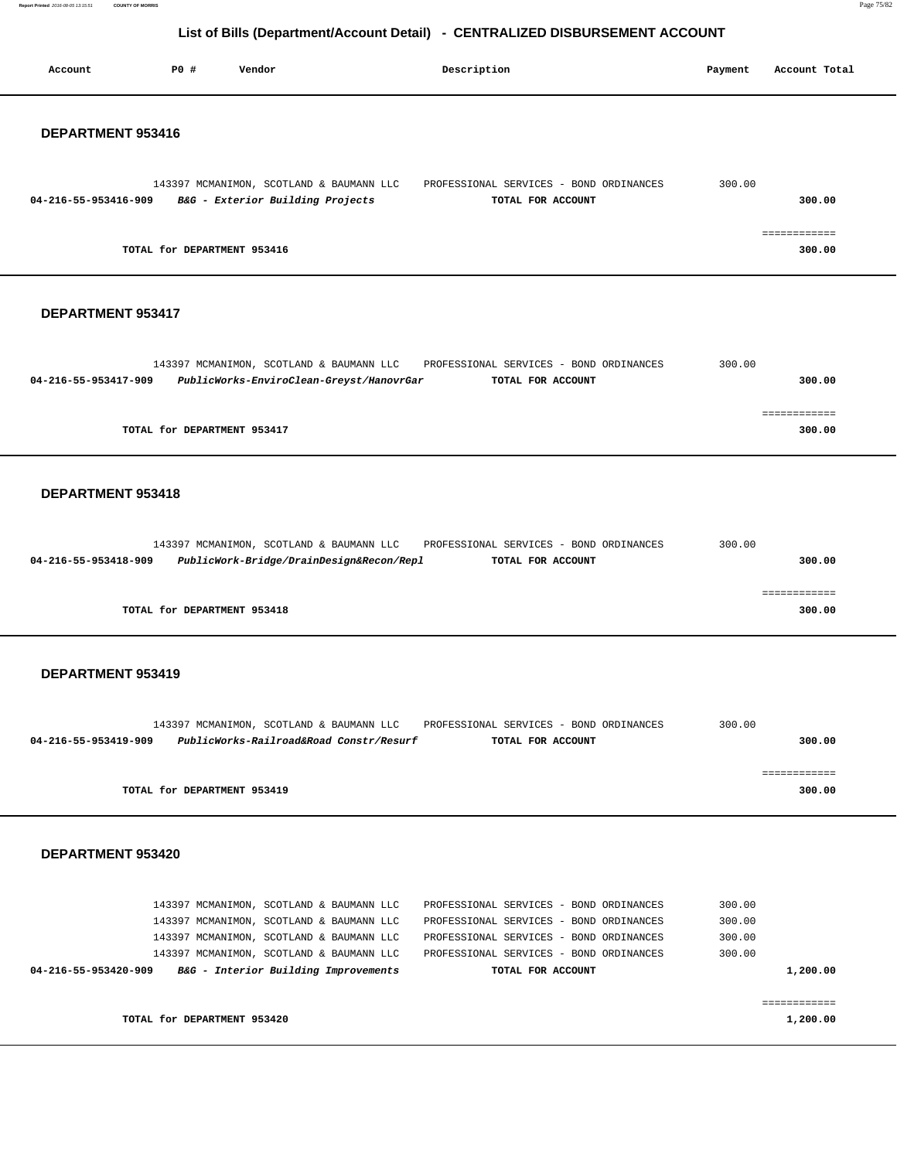**Report Printed** 2016-08-05 13:15:51 **COUNTY OF MORRIS** Page 75/82

# **List of Bills (Department/Account Detail) - CENTRALIZED DISBURSEMENT ACCOUNT**

| Account              | P0 #<br>Vendor                                                                                                                                                                                                       | Description                                                                                                                                                                                   | Payment                              | Account Total            |
|----------------------|----------------------------------------------------------------------------------------------------------------------------------------------------------------------------------------------------------------------|-----------------------------------------------------------------------------------------------------------------------------------------------------------------------------------------------|--------------------------------------|--------------------------|
| DEPARTMENT 953416    |                                                                                                                                                                                                                      |                                                                                                                                                                                               |                                      |                          |
| 04-216-55-953416-909 | 143397 MCMANIMON, SCOTLAND & BAUMANN LLC<br>B&G - Exterior Building Projects                                                                                                                                         | PROFESSIONAL SERVICES - BOND ORDINANCES<br>TOTAL FOR ACCOUNT                                                                                                                                  | 300.00                               | 300.00                   |
|                      | TOTAL for DEPARTMENT 953416                                                                                                                                                                                          |                                                                                                                                                                                               |                                      | 300.00                   |
| DEPARTMENT 953417    |                                                                                                                                                                                                                      |                                                                                                                                                                                               |                                      |                          |
| 04-216-55-953417-909 | 143397 MCMANIMON, SCOTLAND & BAUMANN LLC<br>PublicWorks-EnviroClean-Greyst/HanovrGar                                                                                                                                 | PROFESSIONAL SERVICES - BOND ORDINANCES<br>TOTAL FOR ACCOUNT                                                                                                                                  | 300.00                               | 300.00                   |
|                      | TOTAL for DEPARTMENT 953417                                                                                                                                                                                          |                                                                                                                                                                                               |                                      | ============<br>300.00   |
| DEPARTMENT 953418    |                                                                                                                                                                                                                      |                                                                                                                                                                                               |                                      |                          |
| 04-216-55-953418-909 | 143397 MCMANIMON, SCOTLAND & BAUMANN LLC<br>PublicWork-Bridge/DrainDesign&Recon/Repl                                                                                                                                 | PROFESSIONAL SERVICES - BOND ORDINANCES<br>TOTAL FOR ACCOUNT                                                                                                                                  | 300.00                               | 300.00                   |
|                      | TOTAL for DEPARTMENT 953418                                                                                                                                                                                          |                                                                                                                                                                                               |                                      | ============<br>300.00   |
| DEPARTMENT 953419    |                                                                                                                                                                                                                      |                                                                                                                                                                                               |                                      |                          |
| 04-216-55-953419-909 | 143397 MCMANIMON, SCOTLAND & BAUMANN LLC<br>PublicWorks-Railroad&Road Constr/Resurf                                                                                                                                  | PROFESSIONAL SERVICES - BOND ORDINANCES<br>TOTAL FOR ACCOUNT                                                                                                                                  | 300.00                               | 300.00                   |
|                      | TOTAL for DEPARTMENT 953419                                                                                                                                                                                          |                                                                                                                                                                                               |                                      | ============<br>300.00   |
| DEPARTMENT 953420    |                                                                                                                                                                                                                      |                                                                                                                                                                                               |                                      |                          |
| 04-216-55-953420-909 | 143397 MCMANIMON, SCOTLAND & BAUMANN LLC<br>143397 MCMANIMON, SCOTLAND & BAUMANN LLC<br>143397 MCMANIMON, SCOTLAND & BAUMANN LLC<br>143397 MCMANIMON, SCOTLAND & BAUMANN LLC<br>B&G - Interior Building Improvements | PROFESSIONAL SERVICES - BOND ORDINANCES<br>PROFESSIONAL SERVICES - BOND ORDINANCES<br>PROFESSIONAL SERVICES - BOND ORDINANCES<br>PROFESSIONAL SERVICES - BOND ORDINANCES<br>TOTAL FOR ACCOUNT | 300.00<br>300.00<br>300.00<br>300.00 | 1,200.00                 |
|                      | TOTAL for DEPARTMENT 953420                                                                                                                                                                                          |                                                                                                                                                                                               |                                      | ============<br>1,200.00 |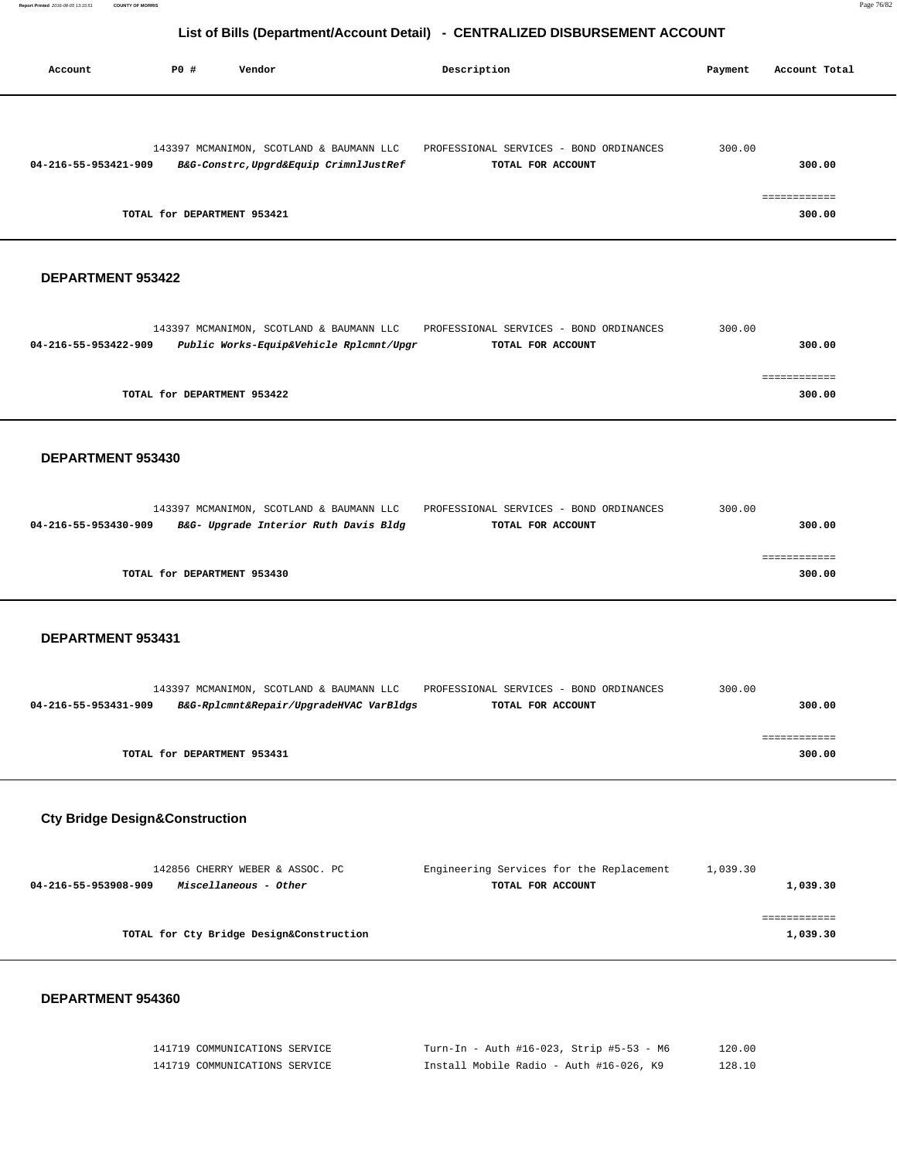# **List of Bills (Department/Account Detail) - CENTRALIZED DISBURSEMENT ACCOUNT**

| Account              | PO#                         | Vendor                                                                             | Description                                                  | Payment | Account Total          |
|----------------------|-----------------------------|------------------------------------------------------------------------------------|--------------------------------------------------------------|---------|------------------------|
| 04-216-55-953421-909 |                             | 143397 MCMANIMON, SCOTLAND & BAUMANN LLC<br>B&G-Constrc, Upgrd&Equip CrimnlJustRef | PROFESSIONAL SERVICES - BOND ORDINANCES<br>TOTAL FOR ACCOUNT | 300.00  | 300.00                 |
|                      | TOTAL for DEPARTMENT 953421 |                                                                                    |                                                              |         | ------------<br>300.00 |

## **DEPARTMENT 953422**

|                      | 143397 MCMANIMON, SCOTLAND & BAUMANN LLC | PROFESSIONAL SERVICES - BOND ORDINANCES | 300.00 |
|----------------------|------------------------------------------|-----------------------------------------|--------|
| 04-216-55-953422-909 | Public Works-Equip&Vehicle Rplcmnt/Upgr  | TOTAL FOR ACCOUNT                       | 300.00 |
|                      |                                          |                                         |        |
|                      |                                          |                                         |        |
|                      | TOTAL for DEPARTMENT 953422              |                                         | 300.00 |

#### **DEPARTMENT 953430**

|                      | 143397 MCMANIMON, SCOTLAND & BAUMANN LLC | PROFESSIONAL SERVICES - BOND ORDINANCES | 300.00 |        |
|----------------------|------------------------------------------|-----------------------------------------|--------|--------|
| 04-216-55-953430-909 | B&G- Upgrade Interior Ruth Davis Bldg    | TOTAL FOR ACCOUNT                       |        | 300.00 |
|                      |                                          |                                         |        |        |
|                      |                                          |                                         |        |        |
|                      | TOTAL for DEPARTMENT 953430              |                                         |        | 300.00 |

## **DEPARTMENT 953431**

|                      | 143397 MCMANIMON, SCOTLAND & BAUMANN LLC | PROFESSIONAL SERVICES - BOND ORDINANCES | 300.00 |
|----------------------|------------------------------------------|-----------------------------------------|--------|
| 04-216-55-953431-909 | B&G-Rplcmnt&Repair/UpgradeHVAC VarBldgs  | TOTAL FOR ACCOUNT                       | 300.00 |
|                      |                                          |                                         |        |
|                      |                                          |                                         |        |
|                      | TOTAL for DEPARTMENT 953431              |                                         | 300.00 |

# **Cty Bridge Design&Construction**

| 142856 CHERRY WEBER & ASSOC. PC               | Engineering Services for the Replacement | 1,039.30 |
|-----------------------------------------------|------------------------------------------|----------|
| Miscellaneous - Other<br>04-216-55-953908-909 | TOTAL FOR ACCOUNT                        | 1,039.30 |
|                                               |                                          |          |
|                                               |                                          |          |
| TOTAL for Cty Bridge Design&Construction      |                                          | 1,039.30 |
|                                               |                                          |          |

| 141719 COMMUNICATIONS SERVICE | Turn-In - Auth #16-023, Strip #5-53 - M6 | 120.00 |
|-------------------------------|------------------------------------------|--------|
| 141719 COMMUNICATIONS SERVICE | Install Mobile Radio - Auth #16-026, K9  | 128.10 |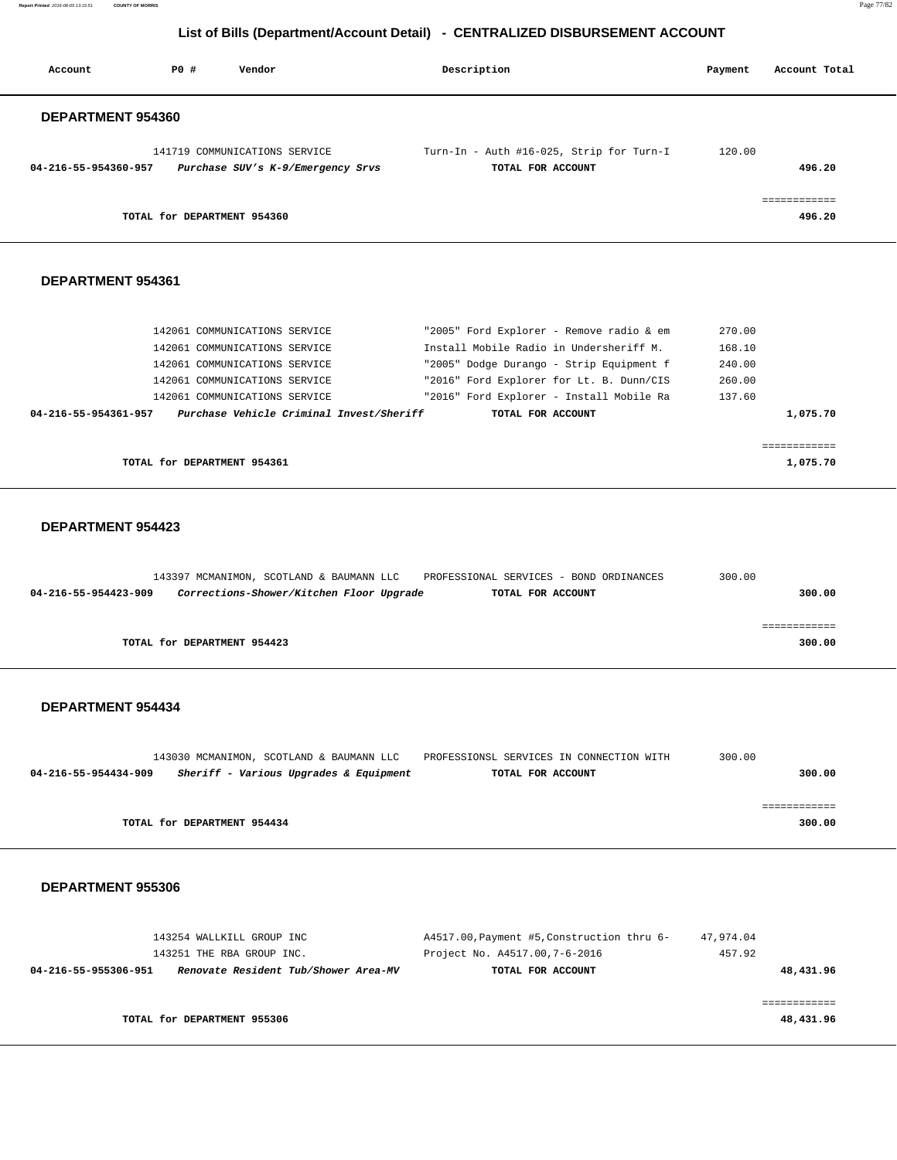**Report Printed** 2016-08-05 13:15:51 **COUNTY OF MORRIS** Page 77/82

# **List of Bills (Department/Account Detail) - CENTRALIZED DISBURSEMENT ACCOUNT**

| Account              | PO# | Vendor                                                             | Description       |                                          | Payment | Account Total          |
|----------------------|-----|--------------------------------------------------------------------|-------------------|------------------------------------------|---------|------------------------|
| DEPARTMENT 954360    |     |                                                                    |                   |                                          |         |                        |
| 04-216-55-954360-957 |     | 141719 COMMUNICATIONS SERVICE<br>Purchase SUV's K-9/Emergency Srvs | TOTAL FOR ACCOUNT | Turn-In - Auth #16-025, Strip for Turn-I | 120.00  | 496.20                 |
|                      |     | TOTAL for DEPARTMENT 954360                                        |                   |                                          |         | ============<br>496.20 |
| DEPARTMENT 954361    |     |                                                                    |                   |                                          |         |                        |
|                      |     | 142061 COMMUNICATIONS SERVICE                                      |                   | "2005" Ford Explorer - Remove radio & em | 270.00  |                        |
|                      |     | 142061 COMMUNICATIONS SERVICE                                      |                   | Install Mobile Radio in Undersheriff M.  | 168.10  |                        |
|                      |     | 142061 COMMUNICATIONS SERVICE                                      |                   | "2005" Dodge Durango - Strip Equipment f | 240.00  |                        |
|                      |     | 142061 COMMUNICATIONS SERVICE                                      |                   | "2016" Ford Explorer for Lt. B. Dunn/CIS | 260.00  |                        |
|                      |     | 142061 COMMUNICATIONS SERVICE                                      |                   | "2016" Ford Explorer - Install Mobile Ra | 137.60  |                        |
| 04-216-55-954361-957 |     | Purchase Vehicle Criminal Invest/Sheriff                           | TOTAL FOR ACCOUNT |                                          |         | 1,075.70               |
|                      |     |                                                                    |                   |                                          |         |                        |

 ============ **TOTAL for DEPARTMENT 954361 1,075.70 1,075.70** 

 **DEPARTMENT 954423** 

|                      |                             | 143397 MCMANIMON, SCOTLAND & BAUMANN LLC | PROFESSIONAL SERVICES - BOND ORDINANCES | 300.00 |
|----------------------|-----------------------------|------------------------------------------|-----------------------------------------|--------|
| 04-216-55-954423-909 |                             | Corrections-Shower/Kitchen Floor Upgrade | TOTAL FOR ACCOUNT                       | 300.00 |
|                      |                             |                                          |                                         |        |
|                      |                             |                                          |                                         |        |
|                      |                             |                                          |                                         |        |
|                      | TOTAL for DEPARTMENT 954423 |                                          |                                         | 300.00 |
|                      |                             |                                          |                                         |        |

#### **DEPARTMENT 954434**

|                      | 143030 MCMANIMON, SCOTLAND & BAUMANN LLC | PROFESSIONSL SERVICES IN CONNECTION WITH | 300.00 |
|----------------------|------------------------------------------|------------------------------------------|--------|
| 04-216-55-954434-909 | Sheriff - Various Upgrades & Equipment   | TOTAL FOR ACCOUNT                        | 300.00 |
|                      |                                          |                                          |        |
|                      |                                          |                                          |        |
|                      | TOTAL for DEPARTMENT 954434              |                                          | 300.00 |
|                      |                                          |                                          |        |

| 143254 WALLKILL GROUP INC                                    | A4517.00, Payment #5, Construction thru 6- | 47,974.04 |
|--------------------------------------------------------------|--------------------------------------------|-----------|
| 143251 THE RBA GROUP INC.                                    | Project No. A4517.00, 7-6-2016             | 457.92    |
| Renovate Resident Tub/Shower Area-MV<br>04-216-55-955306-951 | TOTAL FOR ACCOUNT                          | 48,431.96 |
|                                                              |                                            |           |
|                                                              |                                            |           |
| TOTAL for DEPARTMENT 955306                                  |                                            | 48,431.96 |
|                                                              |                                            |           |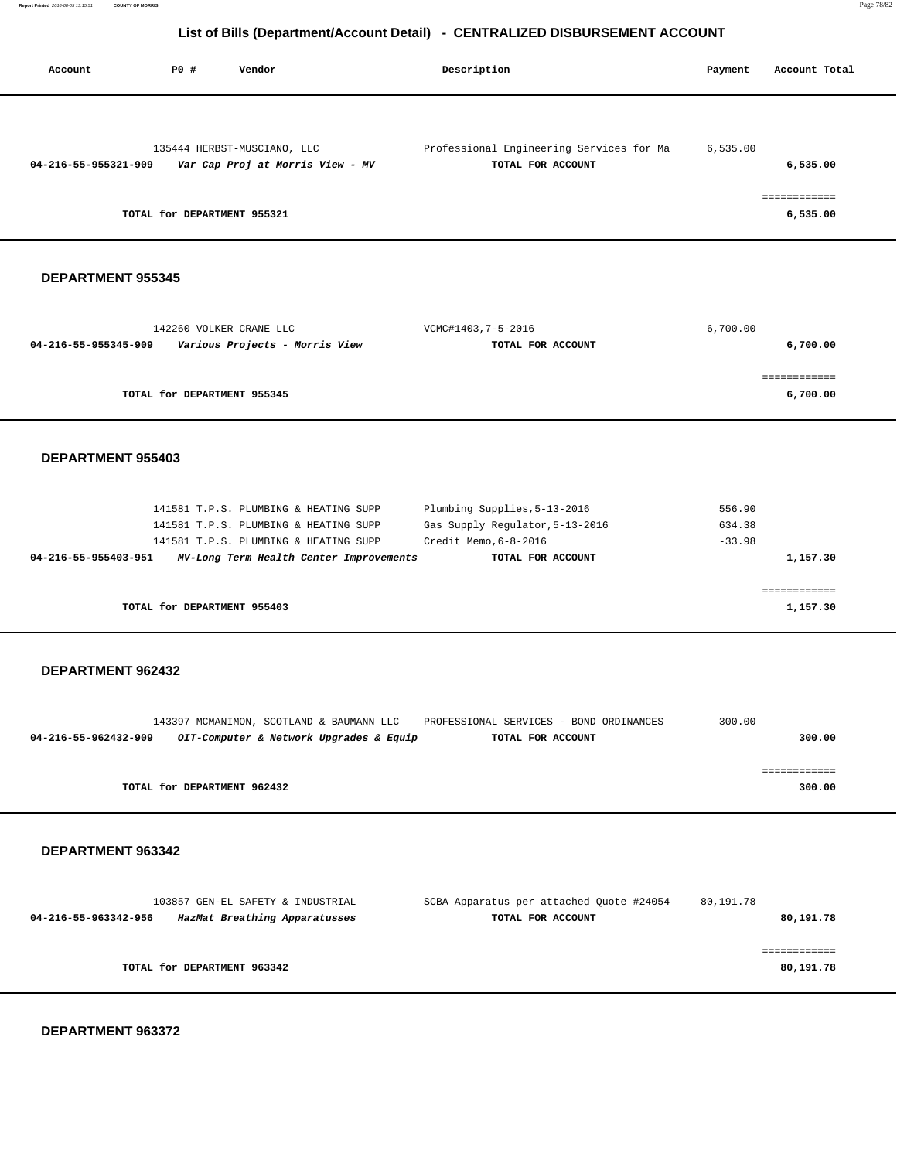# **List of Bills (Department/Account Detail) - CENTRALIZED DISBURSEMENT ACCOUNT**

| Account              | <b>PO #</b>                 | Vendor                           | Description                              | Payment  | Account Total |
|----------------------|-----------------------------|----------------------------------|------------------------------------------|----------|---------------|
|                      |                             |                                  |                                          |          |               |
|                      |                             | 135444 HERBST-MUSCIANO, LLC      | Professional Engineering Services for Ma | 6,535.00 |               |
| 04-216-55-955321-909 |                             | Var Cap Proj at Morris View - MV | TOTAL FOR ACCOUNT                        |          | 6,535.00      |
|                      |                             |                                  |                                          |          | ===========   |
|                      | TOTAL for DEPARTMENT 955321 |                                  |                                          |          | 6,535.00      |

## **DEPARTMENT 955345**

| 142260 VOLKER CRANE LLC                                | VCMC#1403,7-5-2016 | 6,700.00 |
|--------------------------------------------------------|--------------------|----------|
| Various Projects - Morris View<br>04-216-55-955345-909 | TOTAL FOR ACCOUNT  | 6,700.00 |
|                                                        |                    |          |
|                                                        |                    |          |
| TOTAL for DEPARTMENT 955345                            |                    | 6,700.00 |
|                                                        |                    |          |

#### **DEPARTMENT 955403**

|                      |                             | 141581 T.P.S. PLUMBING & HEATING SUPP   | Plumbing Supplies, 5-13-2016    | 556.90   |
|----------------------|-----------------------------|-----------------------------------------|---------------------------------|----------|
|                      |                             | 141581 T.P.S. PLUMBING & HEATING SUPP   | Gas Supply Requlator, 5-13-2016 | 634.38   |
|                      |                             | 141581 T.P.S. PLUMBING & HEATING SUPP   | Credit Memo, 6-8-2016           | $-33.98$ |
| 04-216-55-955403-951 |                             | MV-Long Term Health Center Improvements | TOTAL FOR ACCOUNT               | 1,157.30 |
|                      |                             |                                         |                                 |          |
|                      |                             |                                         |                                 |          |
|                      | TOTAL for DEPARTMENT 955403 |                                         |                                 | 1,157.30 |

## **DEPARTMENT 962432**

|                             | 143397 MCMANIMON, SCOTLAND & BAUMANN LLC | PROFESSIONAL SERVICES - BOND ORDINANCES | 300.00 |
|-----------------------------|------------------------------------------|-----------------------------------------|--------|
| 04-216-55-962432-909        | OIT-Computer & Network Upgrades & Equip  | TOTAL FOR ACCOUNT                       | 300.00 |
|                             |                                          |                                         |        |
|                             |                                          |                                         |        |
| TOTAL for DEPARTMENT 962432 |                                          |                                         | 300.00 |
|                             |                                          |                                         |        |

#### **DEPARTMENT 963342**

| 103857 GEN-EL SAFETY & INDUSTRIAL                     | SCBA Apparatus per attached Quote #24054 | 80,191.78 |
|-------------------------------------------------------|------------------------------------------|-----------|
| HazMat Breathing Apparatusses<br>04-216-55-963342-956 | TOTAL FOR ACCOUNT                        | 80,191.78 |
|                                                       |                                          |           |
|                                                       |                                          |           |
| TOTAL for DEPARTMENT 963342                           |                                          | 80,191.78 |
|                                                       |                                          |           |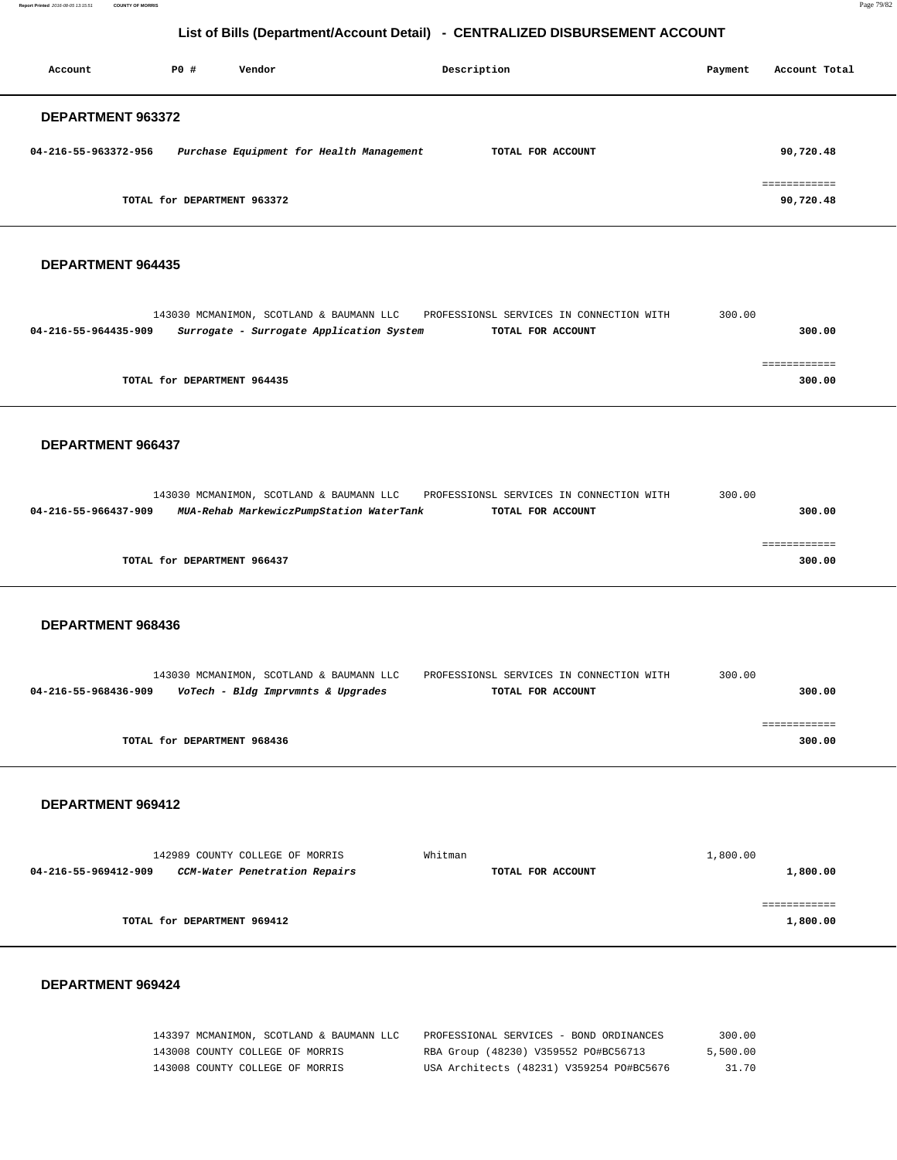**Report Printed** 2016-08-05 13:15:51 **COUNTY OF MORRIS** Page 79/82

# **List of Bills (Department/Account Detail) - CENTRALIZED DISBURSEMENT ACCOUNT**

| Account              | PO#                         | Vendor                                   | Description       | Payment | Account Total             |
|----------------------|-----------------------------|------------------------------------------|-------------------|---------|---------------------------|
| DEPARTMENT 963372    |                             |                                          |                   |         |                           |
| 04-216-55-963372-956 |                             | Purchase Equipment for Health Management | TOTAL FOR ACCOUNT |         | 90,720.48                 |
|                      | TOTAL for DEPARTMENT 963372 |                                          |                   |         | ============<br>90,720.48 |

## **DEPARTMENT 964435**

|                             |                                          |                                          | 300.00                                                        |  |
|-----------------------------|------------------------------------------|------------------------------------------|---------------------------------------------------------------|--|
|                             |                                          |                                          | 300.00                                                        |  |
|                             |                                          |                                          |                                                               |  |
|                             |                                          |                                          |                                                               |  |
|                             |                                          |                                          | 300.00                                                        |  |
| TOTAL for DEPARTMENT 964435 | 143030 MCMANIMON, SCOTLAND & BAUMANN LLC | Surrogate - Surrogate Application System | PROFESSIONSL SERVICES IN CONNECTION WITH<br>TOTAL FOR ACCOUNT |  |

#### **DEPARTMENT 966437**

| 143030 MCMANIMON, SCOTLAND & BAUMANN LLC<br>PROFESSIONSL SERVICES IN CONNECTION WITH  | 300.00 |
|---------------------------------------------------------------------------------------|--------|
| MUA-Rehab MarkewiczPumpStation WaterTank<br>04-216-55-966437-909<br>TOTAL FOR ACCOUNT | 300.00 |
|                                                                                       |        |
|                                                                                       |        |
| TOTAL for DEPARTMENT 966437                                                           | 300.00 |
|                                                                                       |        |

## **DEPARTMENT 968436**

|                      |                             | 143030 MCMANIMON, SCOTLAND & BAUMANN LLC | PROFESSIONSL SERVICES IN CONNECTION WITH | 300.00 |        |
|----------------------|-----------------------------|------------------------------------------|------------------------------------------|--------|--------|
| 04-216-55-968436-909 |                             | VoTech - Bldg Imprvmnts & Upgrades       | TOTAL FOR ACCOUNT                        |        | 300.00 |
|                      |                             |                                          |                                          |        |        |
|                      |                             |                                          |                                          |        |        |
|                      | TOTAL for DEPARTMENT 968436 |                                          |                                          |        | 300.00 |
|                      |                             |                                          |                                          |        |        |

#### **DEPARTMENT 969412**

| 142989 COUNTY COLLEGE OF MORRIS                       | Whitman           | 1,800.00 |
|-------------------------------------------------------|-------------------|----------|
| CCM-Water Penetration Repairs<br>04-216-55-969412-909 | TOTAL FOR ACCOUNT | 1,800.00 |
|                                                       |                   |          |
|                                                       |                   |          |
| TOTAL for DEPARTMENT 969412                           |                   | 1,800.00 |
|                                                       |                   |          |

| 143397 MCMANIMON, SCOTLAND & BAUMANN LLC | PROFESSIONAL SERVICES - BOND ORDINANCES  | 300.00   |
|------------------------------------------|------------------------------------------|----------|
| 143008 COUNTY COLLEGE OF MORRIS          | RBA Group (48230) V359552 PO#BC56713     | 5,500.00 |
| 143008 COUNTY COLLEGE OF MORRIS          | USA Architects (48231) V359254 PO#BC5676 | 31.70    |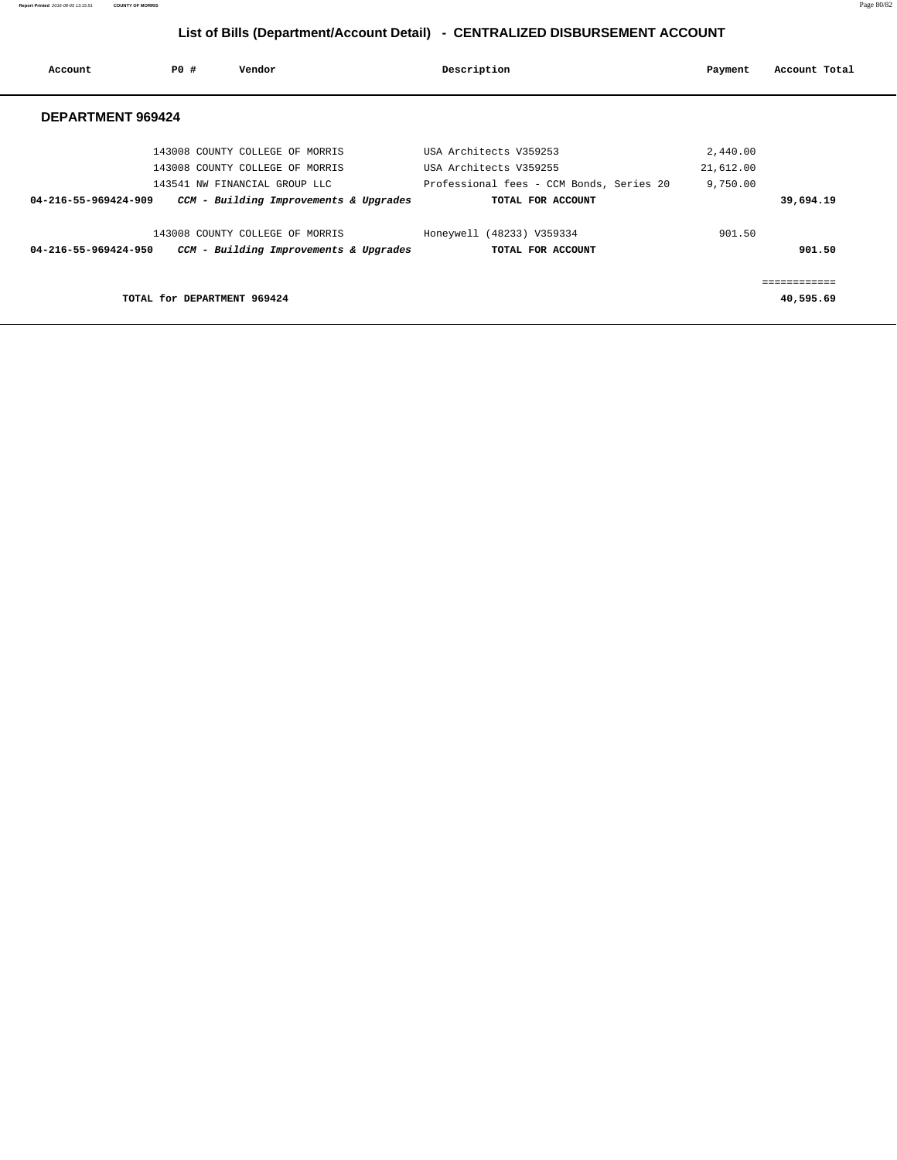**Report Printed** 2016-08-05 13:15:51 **COUNTY OF MORRIS** Page 80/82

# **List of Bills (Department/Account Detail) - CENTRALIZED DISBURSEMENT ACCOUNT**

| Account                  | PO#                         | Vendor                                 | Description                              | Payment   | Account Total |
|--------------------------|-----------------------------|----------------------------------------|------------------------------------------|-----------|---------------|
| <b>DEPARTMENT 969424</b> |                             |                                        |                                          |           |               |
|                          |                             | 143008 COUNTY COLLEGE OF MORRIS        | USA Architects V359253                   | 2,440.00  |               |
|                          |                             | 143008 COUNTY COLLEGE OF MORRIS        | USA Architects V359255                   | 21,612.00 |               |
|                          |                             | 143541 NW FINANCIAL GROUP LLC          | Professional fees - CCM Bonds, Series 20 | 9,750.00  |               |
| 04-216-55-969424-909     |                             | CCM - Building Improvements & Upgrades | TOTAL FOR ACCOUNT                        |           | 39,694.19     |
|                          |                             | 143008 COUNTY COLLEGE OF MORRIS        | Honeywell (48233) V359334                | 901.50    |               |
| 04-216-55-969424-950     |                             | CCM - Building Improvements & Upgrades | TOTAL FOR ACCOUNT                        |           | 901.50        |
|                          |                             |                                        |                                          |           |               |
|                          | TOTAL for DEPARTMENT 969424 |                                        |                                          |           | 40,595.69     |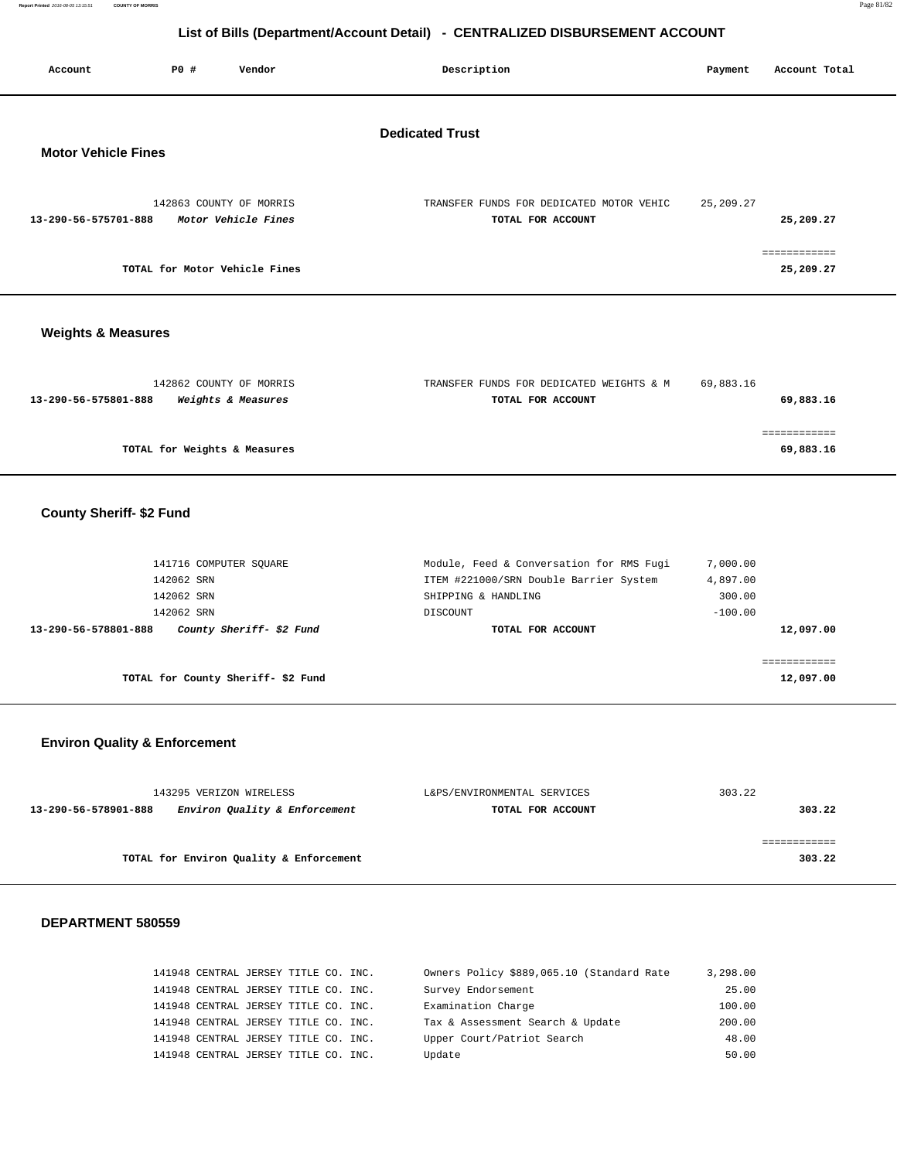**Report Printed** 2016-08-05 13:15:51 **COUNTY OF MORRIS** Page 81/82

# **List of Bills (Department/Account Detail) - CENTRALIZED DISBURSEMENT ACCOUNT**

| Account                       | <b>PO #</b>                   | Vendor                  | Description                                                   | Payment     | Account Total             |
|-------------------------------|-------------------------------|-------------------------|---------------------------------------------------------------|-------------|---------------------------|
| <b>Motor Vehicle Fines</b>    |                               |                         | <b>Dedicated Trust</b>                                        |             |                           |
| 13-290-56-575701-888          | 142863 COUNTY OF MORRIS       | Motor Vehicle Fines     | TRANSFER FUNDS FOR DEDICATED MOTOR VEHIC<br>TOTAL FOR ACCOUNT | 25, 209. 27 | 25,209.27                 |
|                               | TOTAL for Motor Vehicle Fines |                         |                                                               |             | ------------<br>25,209.27 |
| <b>Weights &amp; Measures</b> |                               |                         |                                                               |             |                           |
|                               |                               | 142862 COUNTY OF MORRIS | TRANSFER FUNDS FOR DEDICATED WEIGHTS & M                      | 69,883.16   |                           |

| 13-290-56-575801-888<br>Weights & Measures | TOTAL FOR ACCOUNT | 69,883.16 |
|--------------------------------------------|-------------------|-----------|
|                                            |                   |           |
|                                            |                   |           |
| TOTAL for Weights & Measures               |                   | 69,883.16 |

# **County Sheriff- \$2 Fund**

| ITEM #221000/SRN Double Barrier System                                                  | 4,897.00                                 |
|-----------------------------------------------------------------------------------------|------------------------------------------|
| SHIPPING & HANDLING                                                                     | 300.00                                   |
| DISCOUNT                                                                                | $-100.00$                                |
| TOTAL FOR ACCOUNT                                                                       | 12,097.00                                |
|                                                                                         |                                          |
|                                                                                         |                                          |
|                                                                                         | 12,097.00                                |
| 141716 COMPUTER SOUARE<br>County Sheriff- \$2 Fund<br>TOTAL for County Sheriff-\$2 Fund | Module, Feed & Conversation for RMS Fugi |

# **Environ Quality & Enforcement**

| 143295 VERIZON WIRELESS                               | L&PS/ENVIRONMENTAL SERVICES | 303.22 |
|-------------------------------------------------------|-----------------------------|--------|
| Environ Quality & Enforcement<br>13-290-56-578901-888 | TOTAL FOR ACCOUNT           | 303.22 |
|                                                       |                             |        |
|                                                       |                             |        |
| TOTAL for Environ Quality & Enforcement               |                             | 303.22 |

|  | 141948 CENTRAL JERSEY TITLE CO. INC. |  | Owners Policy \$889,065.10 (Standard Rate | 3,298.00 |
|--|--------------------------------------|--|-------------------------------------------|----------|
|  | 141948 CENTRAL JERSEY TITLE CO. INC. |  | Survey Endorsement                        | 25.00    |
|  | 141948 CENTRAL JERSEY TITLE CO. INC. |  | Examination Charge                        | 100.00   |
|  | 141948 CENTRAL JERSEY TITLE CO. INC. |  | Tax & Assessment Search & Update          | 200.00   |
|  | 141948 CENTRAL JERSEY TITLE CO. INC. |  | Upper Court/Patriot Search                | 48.00    |
|  | 141948 CENTRAL JERSEY TITLE CO. INC. |  | Update                                    | 50.00    |
|  |                                      |  |                                           |          |